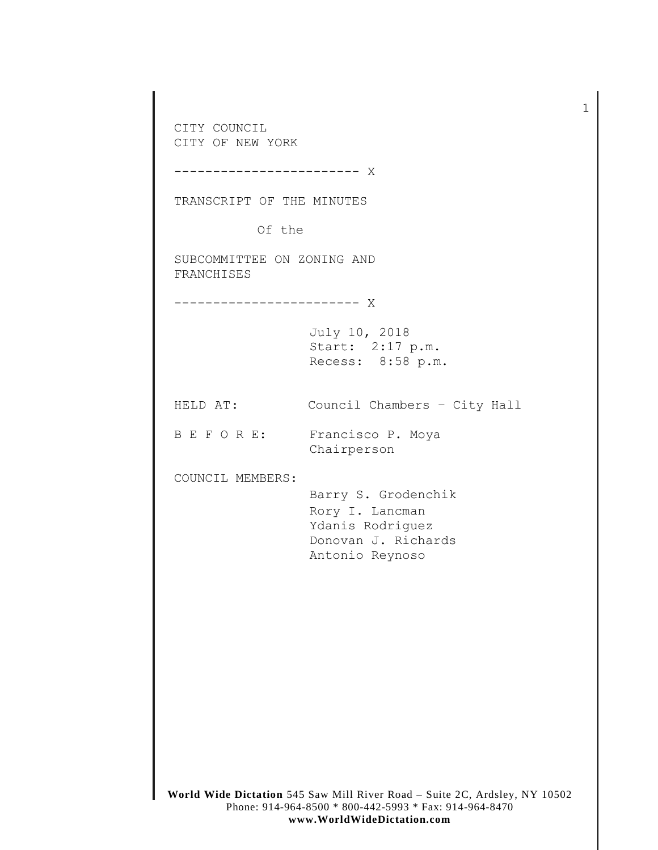**World Wide Dictation** 545 Saw Mill River Road – Suite 2C, Ardsley, NY 10502 Phone: 914-964-8500 \* 800-442-5993 \* Fax: 914-964-8470 CITY COUNCIL CITY OF NEW YORK ------------------------ X TRANSCRIPT OF THE MINUTES Of the SUBCOMMITTEE ON ZONING AND FRANCHISES ------------------------ X July 10, 2018 Start: 2:17 p.m. Recess: 8:58 p.m. HELD AT: Council Chambers – City Hall B E F O R E: Francisco P. Moya Chairperson COUNCIL MEMBERS: Barry S. Grodenchik Rory I. Lancman Ydanis Rodriguez Donovan J. Richards Antonio Reynoso

1

## **www.WorldWideDictation.com**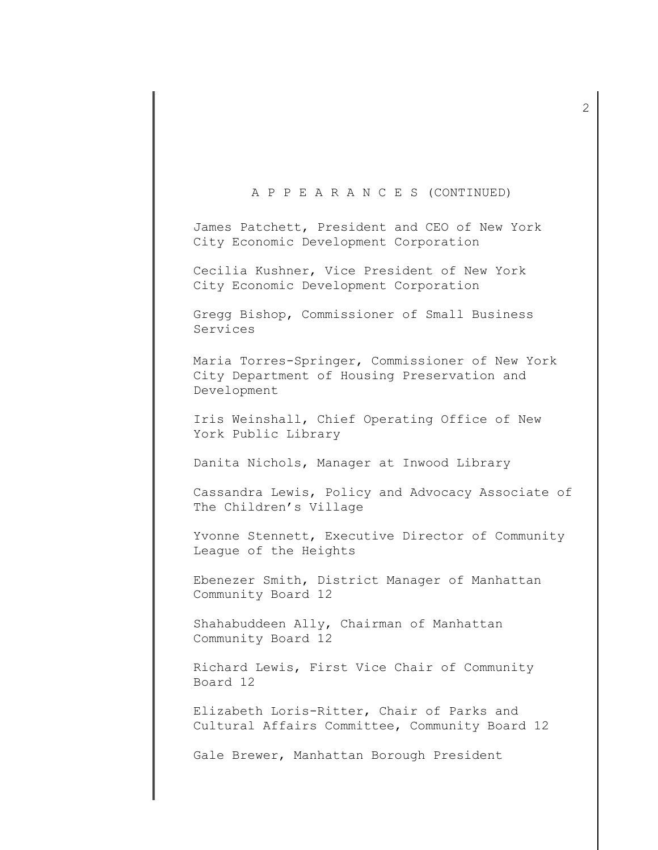## A P P E A R A N C E S (CONTINUED)

James Patchett, President and CEO of New York City Economic Development Corporation

Cecilia Kushner, Vice President of New York City Economic Development Corporation

Gregg Bishop, Commissioner of Small Business Services

Maria Torres-Springer, Commissioner of New York City Department of Housing Preservation and Development

Iris Weinshall, Chief Operating Office of New York Public Library

Danita Nichols, Manager at Inwood Library

Cassandra Lewis, Policy and Advocacy Associate of The Children's Village

Yvonne Stennett, Executive Director of Community League of the Heights

Ebenezer Smith, District Manager of Manhattan Community Board 12

Shahabuddeen Ally, Chairman of Manhattan Community Board 12

Richard Lewis, First Vice Chair of Community Board 12

Elizabeth Loris-Ritter, Chair of Parks and Cultural Affairs Committee, Community Board 12

Gale Brewer, Manhattan Borough President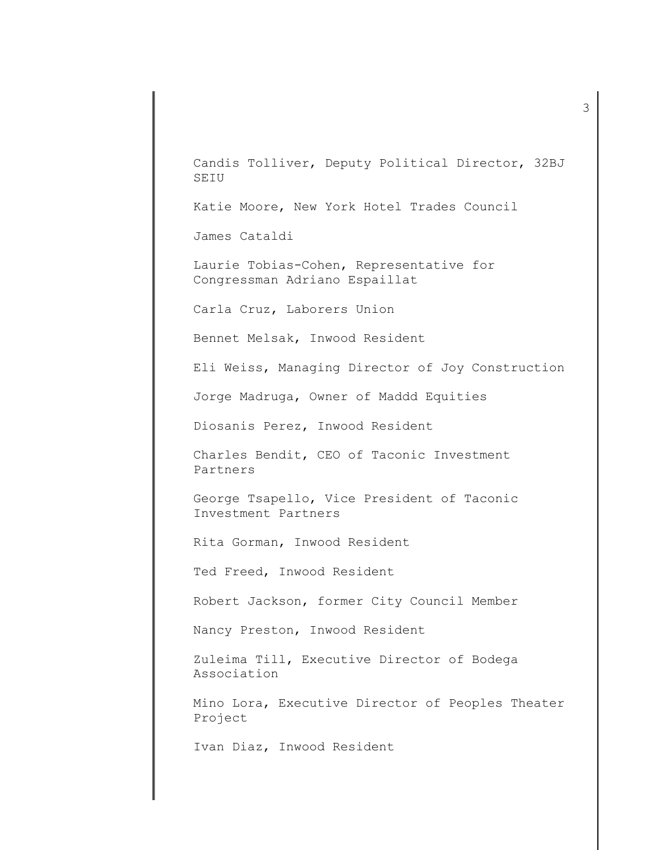Candis Tolliver, Deputy Political Director, 32BJ SEIU

Katie Moore, New York Hotel Trades Council

James Cataldi

Laurie Tobias-Cohen, Representative for Congressman Adriano Espaillat

Carla Cruz, Laborers Union

Bennet Melsak, Inwood Resident

Eli Weiss, Managing Director of Joy Construction

Jorge Madruga, Owner of Maddd Equities

Diosanis Perez, Inwood Resident

Charles Bendit, CEO of Taconic Investment Partners

George Tsapello, Vice President of Taconic Investment Partners

Rita Gorman, Inwood Resident

Ted Freed, Inwood Resident

Robert Jackson, former City Council Member

Nancy Preston, Inwood Resident

Zuleima Till, Executive Director of Bodega Association

Mino Lora, Executive Director of Peoples Theater Project

Ivan Diaz, Inwood Resident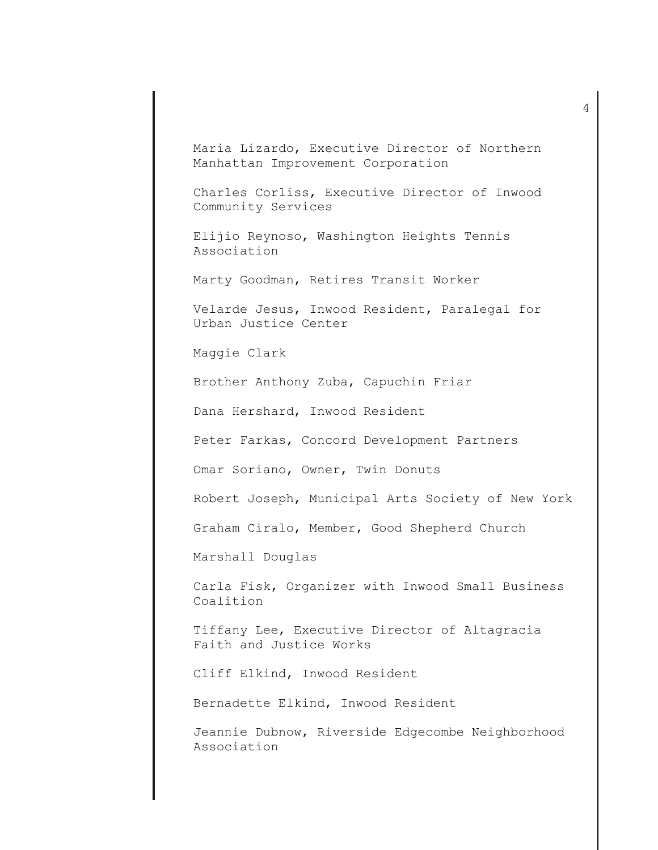Maria Lizardo, Executive Director of Northern Manhattan Improvement Corporation

Charles Corliss, Executive Director of Inwood Community Services

Elijio Reynoso, Washington Heights Tennis Association

Marty Goodman, Retires Transit Worker

Velarde Jesus, Inwood Resident, Paralegal for Urban Justice Center

Maggie Clark

Brother Anthony Zuba, Capuchin Friar

Dana Hershard, Inwood Resident

Peter Farkas, Concord Development Partners

Omar Soriano, Owner, Twin Donuts

Robert Joseph, Municipal Arts Society of New York

Graham Ciralo, Member, Good Shepherd Church

Marshall Douglas

Carla Fisk, Organizer with Inwood Small Business Coalition

Tiffany Lee, Executive Director of Altagracia Faith and Justice Works

Cliff Elkind, Inwood Resident

Bernadette Elkind, Inwood Resident

Jeannie Dubnow, Riverside Edgecombe Neighborhood Association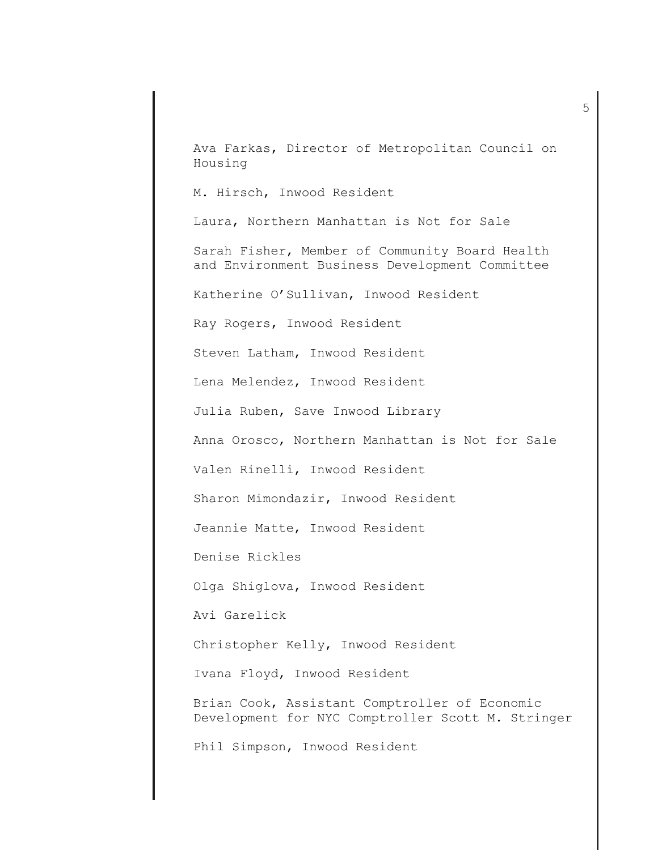Ava Farkas, Director of Metropolitan Council on Housing

M. Hirsch, Inwood Resident

Laura, Northern Manhattan is Not for Sale

Sarah Fisher, Member of Community Board Health and Environment Business Development Committee

Katherine O'Sullivan, Inwood Resident

Ray Rogers, Inwood Resident

Steven Latham, Inwood Resident

Lena Melendez, Inwood Resident

Julia Ruben, Save Inwood Library

Anna Orosco, Northern Manhattan is Not for Sale

Valen Rinelli, Inwood Resident

Sharon Mimondazir, Inwood Resident

Jeannie Matte, Inwood Resident

Denise Rickles

Olga Shiglova, Inwood Resident

Avi Garelick

Christopher Kelly, Inwood Resident

Ivana Floyd, Inwood Resident

Brian Cook, Assistant Comptroller of Economic Development for NYC Comptroller Scott M. Stringer

Phil Simpson, Inwood Resident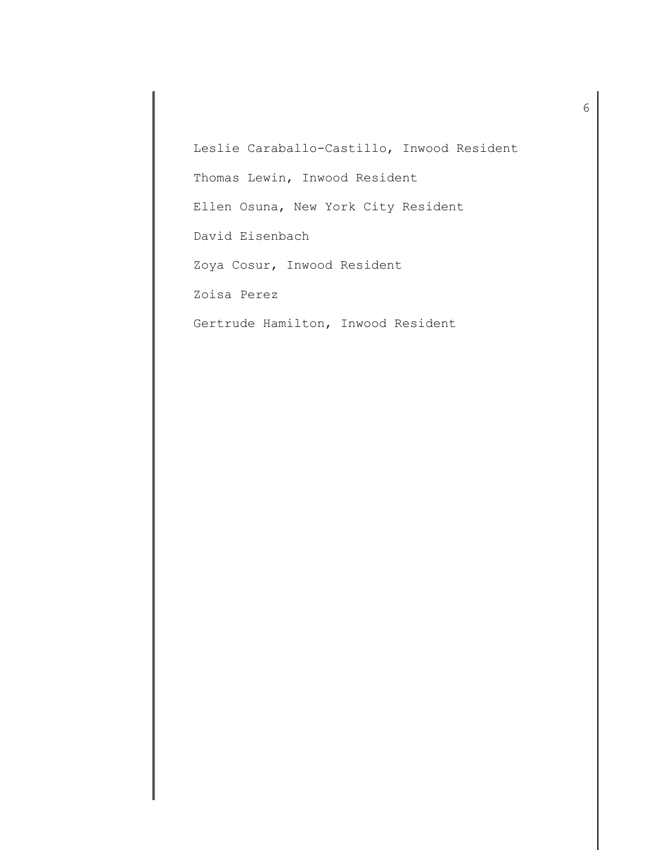Leslie Caraballo-Castillo, Inwood Resident Thomas Lewin, Inwood Resident Ellen Osuna, New York City Resident David Eisenbach Zoya Cosur, Inwood Resident Zoisa Perez Gertrude Hamilton, Inwood Resident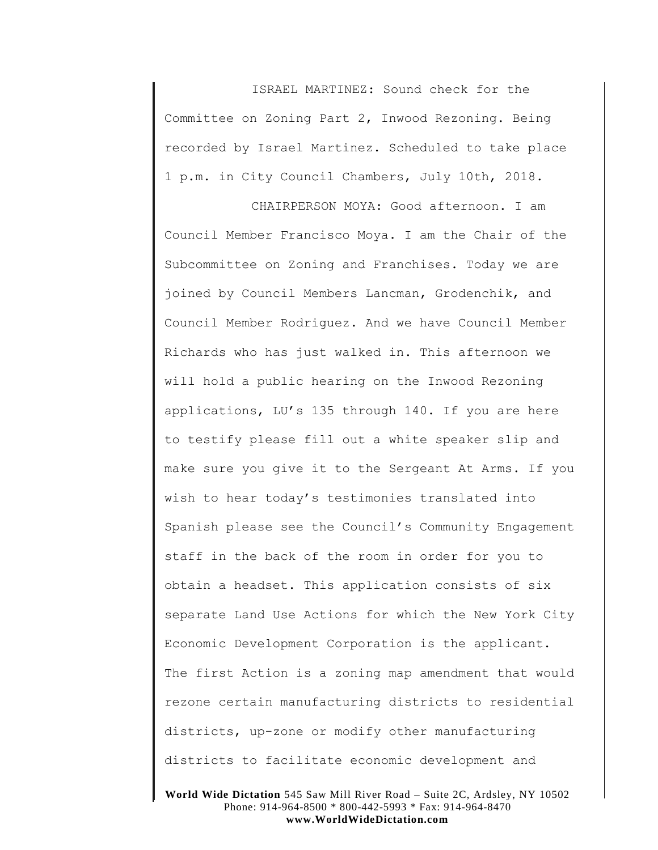ISRAEL MARTINEZ: Sound check for the Committee on Zoning Part 2, Inwood Rezoning. Being recorded by Israel Martinez. Scheduled to take place 1 p.m. in City Council Chambers, July 10th, 2018.

CHAIRPERSON MOYA: Good afternoon. I am Council Member Francisco Moya. I am the Chair of the Subcommittee on Zoning and Franchises. Today we are joined by Council Members Lancman, Grodenchik, and Council Member Rodriguez. And we have Council Member Richards who has just walked in. This afternoon we will hold a public hearing on the Inwood Rezoning applications, LU's 135 through 140. If you are here to testify please fill out a white speaker slip and make sure you give it to the Sergeant At Arms. If you wish to hear today's testimonies translated into Spanish please see the Council's Community Engagement staff in the back of the room in order for you to obtain a headset. This application consists of six separate Land Use Actions for which the New York City Economic Development Corporation is the applicant. The first Action is a zoning map amendment that would rezone certain manufacturing districts to residential districts, up-zone or modify other manufacturing districts to facilitate economic development and

**World Wide Dictation** 545 Saw Mill River Road – Suite 2C, Ardsley, NY 10502 Phone: 914-964-8500 \* 800-442-5993 \* Fax: 914-964-8470 **www.WorldWideDictation.com**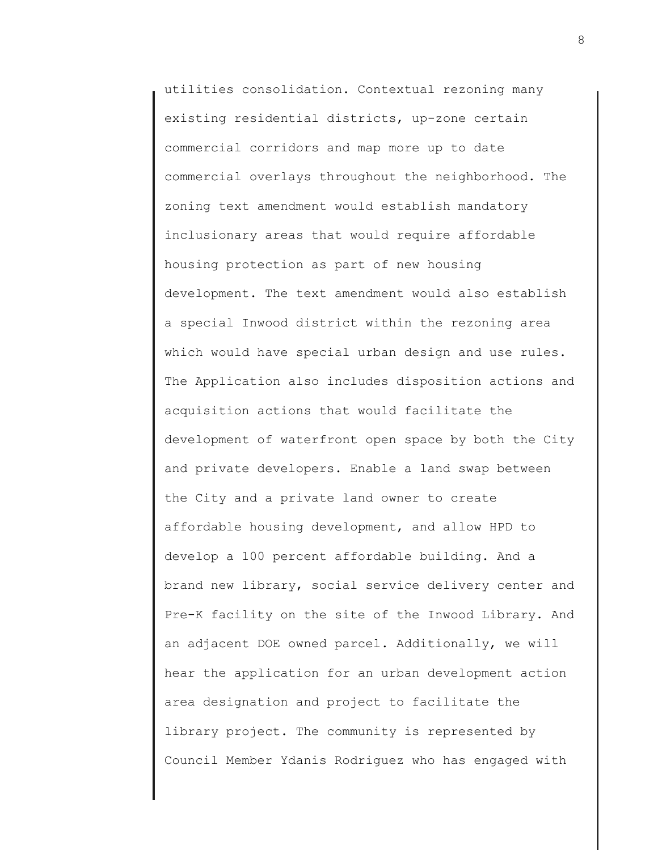utilities consolidation. Contextual rezoning many existing residential districts, up-zone certain commercial corridors and map more up to date commercial overlays throughout the neighborhood. The zoning text amendment would establish mandatory inclusionary areas that would require affordable housing protection as part of new housing development. The text amendment would also establish a special Inwood district within the rezoning area which would have special urban design and use rules. The Application also includes disposition actions and acquisition actions that would facilitate the development of waterfront open space by both the City and private developers. Enable a land swap between the City and a private land owner to create affordable housing development, and allow HPD to develop a 100 percent affordable building. And a brand new library, social service delivery center and Pre-K facility on the site of the Inwood Library. And an adjacent DOE owned parcel. Additionally, we will hear the application for an urban development action area designation and project to facilitate the library project. The community is represented by Council Member Ydanis Rodriguez who has engaged with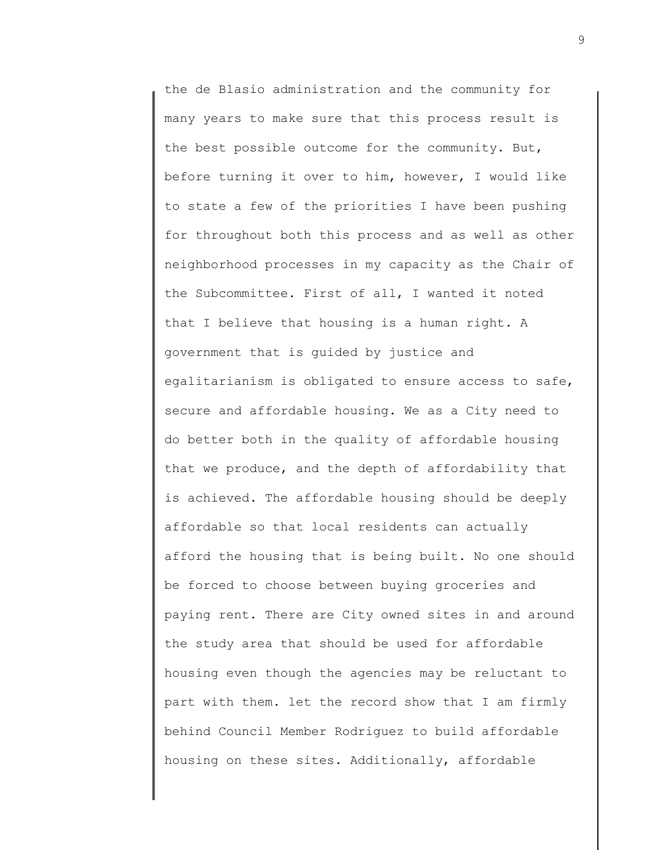the de Blasio administration and the community for many years to make sure that this process result is the best possible outcome for the community. But, before turning it over to him, however, I would like to state a few of the priorities I have been pushing for throughout both this process and as well as other neighborhood processes in my capacity as the Chair of the Subcommittee. First of all, I wanted it noted that I believe that housing is a human right. A government that is guided by justice and egalitarianism is obligated to ensure access to safe, secure and affordable housing. We as a City need to do better both in the quality of affordable housing that we produce, and the depth of affordability that is achieved. The affordable housing should be deeply affordable so that local residents can actually afford the housing that is being built. No one should be forced to choose between buying groceries and paying rent. There are City owned sites in and around the study area that should be used for affordable housing even though the agencies may be reluctant to part with them. let the record show that I am firmly behind Council Member Rodriguez to build affordable housing on these sites. Additionally, affordable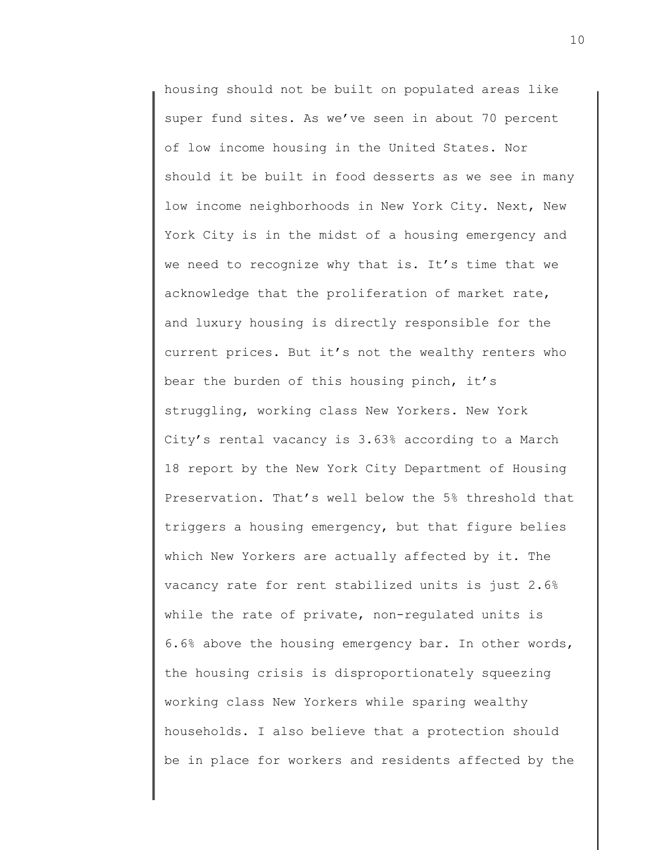housing should not be built on populated areas like super fund sites. As we've seen in about 70 percent of low income housing in the United States. Nor should it be built in food desserts as we see in many low income neighborhoods in New York City. Next, New York City is in the midst of a housing emergency and we need to recognize why that is. It's time that we acknowledge that the proliferation of market rate, and luxury housing is directly responsible for the current prices. But it's not the wealthy renters who bear the burden of this housing pinch, it's struggling, working class New Yorkers. New York City's rental vacancy is 3.63% according to a March 18 report by the New York City Department of Housing Preservation. That's well below the 5% threshold that triggers a housing emergency, but that figure belies which New Yorkers are actually affected by it. The vacancy rate for rent stabilized units is just 2.6% while the rate of private, non-regulated units is 6.6% above the housing emergency bar. In other words, the housing crisis is disproportionately squeezing working class New Yorkers while sparing wealthy households. I also believe that a protection should be in place for workers and residents affected by the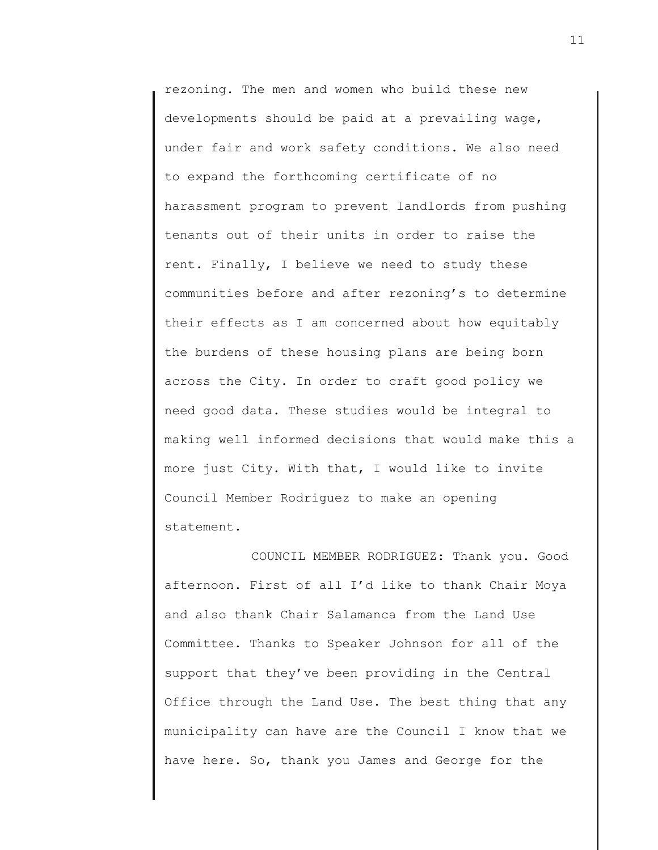rezoning. The men and women who build these new developments should be paid at a prevailing wage, under fair and work safety conditions. We also need to expand the forthcoming certificate of no harassment program to prevent landlords from pushing tenants out of their units in order to raise the rent. Finally, I believe we need to study these communities before and after rezoning's to determine their effects as I am concerned about how equitably the burdens of these housing plans are being born across the City. In order to craft good policy we need good data. These studies would be integral to making well informed decisions that would make this a more just City. With that, I would like to invite Council Member Rodriguez to make an opening statement.

COUNCIL MEMBER RODRIGUEZ: Thank you. Good afternoon. First of all I'd like to thank Chair Moya and also thank Chair Salamanca from the Land Use Committee. Thanks to Speaker Johnson for all of the support that they've been providing in the Central Office through the Land Use. The best thing that any municipality can have are the Council I know that we have here. So, thank you James and George for the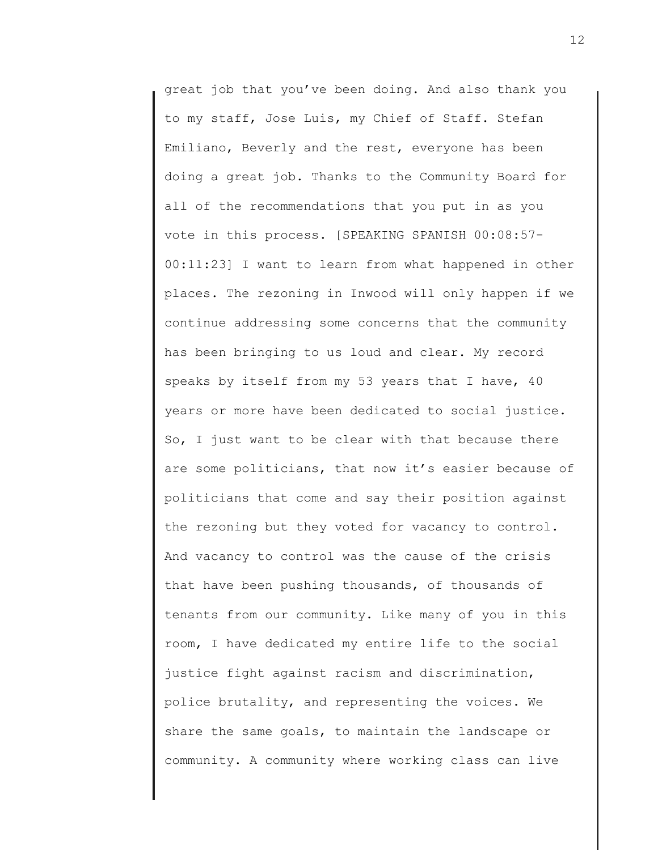great job that you've been doing. And also thank you to my staff, Jose Luis, my Chief of Staff. Stefan Emiliano, Beverly and the rest, everyone has been doing a great job. Thanks to the Community Board for all of the recommendations that you put in as you vote in this process. [SPEAKING SPANISH 00:08:57- 00:11:23] I want to learn from what happened in other places. The rezoning in Inwood will only happen if we continue addressing some concerns that the community has been bringing to us loud and clear. My record speaks by itself from my 53 years that I have, 40 years or more have been dedicated to social justice. So, I just want to be clear with that because there are some politicians, that now it's easier because of politicians that come and say their position against the rezoning but they voted for vacancy to control. And vacancy to control was the cause of the crisis that have been pushing thousands, of thousands of tenants from our community. Like many of you in this room, I have dedicated my entire life to the social justice fight against racism and discrimination, police brutality, and representing the voices. We share the same goals, to maintain the landscape or community. A community where working class can live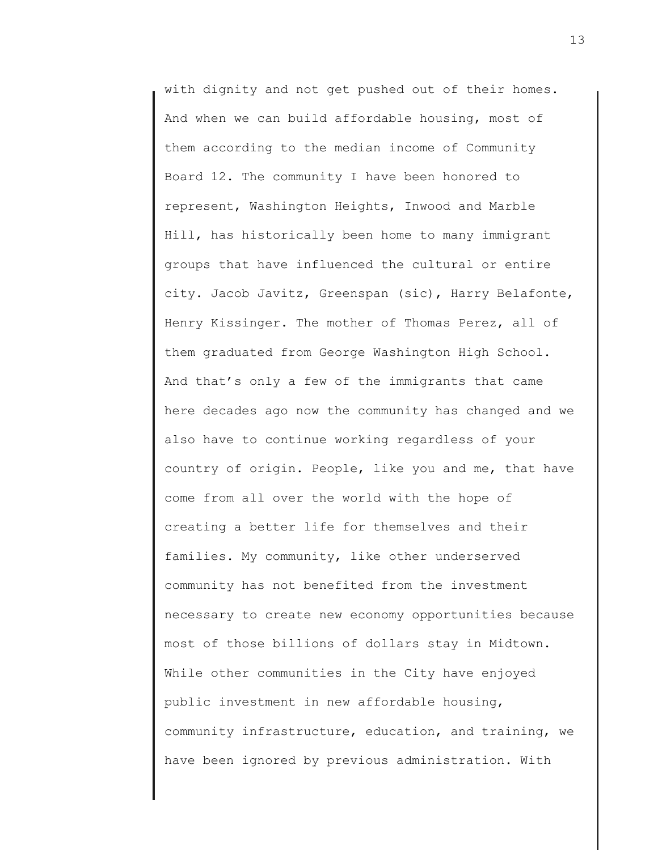with dignity and not get pushed out of their homes. And when we can build affordable housing, most of them according to the median income of Community Board 12. The community I have been honored to represent, Washington Heights, Inwood and Marble Hill, has historically been home to many immigrant groups that have influenced the cultural or entire city. Jacob Javitz, Greenspan (sic), Harry Belafonte, Henry Kissinger. The mother of Thomas Perez, all of them graduated from George Washington High School. And that's only a few of the immigrants that came here decades ago now the community has changed and we also have to continue working regardless of your country of origin. People, like you and me, that have come from all over the world with the hope of creating a better life for themselves and their families. My community, like other underserved community has not benefited from the investment necessary to create new economy opportunities because most of those billions of dollars stay in Midtown. While other communities in the City have enjoyed public investment in new affordable housing, community infrastructure, education, and training, we have been ignored by previous administration. With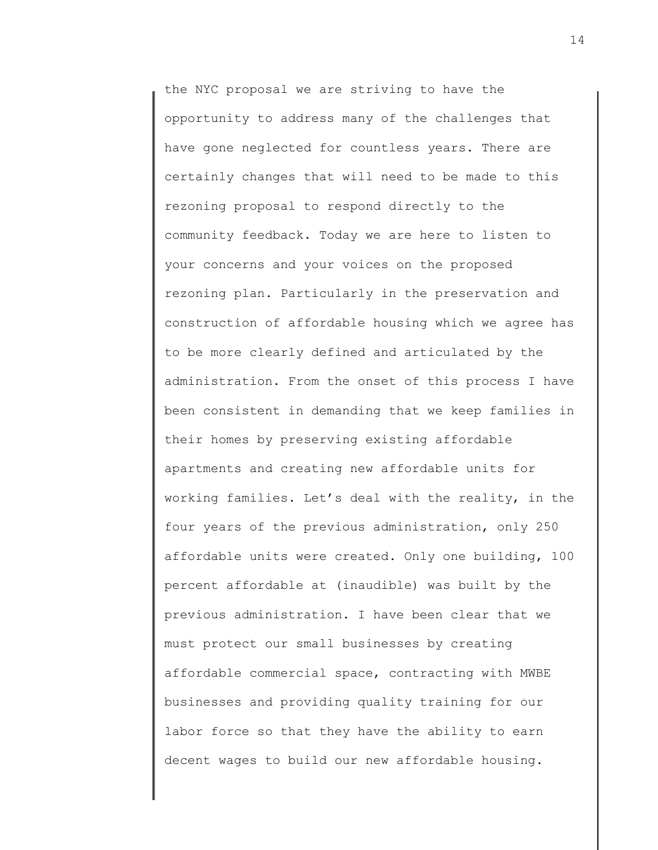the NYC proposal we are striving to have the opportunity to address many of the challenges that have gone neglected for countless years. There are certainly changes that will need to be made to this rezoning proposal to respond directly to the community feedback. Today we are here to listen to your concerns and your voices on the proposed rezoning plan. Particularly in the preservation and construction of affordable housing which we agree has to be more clearly defined and articulated by the administration. From the onset of this process I have been consistent in demanding that we keep families in their homes by preserving existing affordable apartments and creating new affordable units for working families. Let's deal with the reality, in the four years of the previous administration, only 250 affordable units were created. Only one building, 100 percent affordable at (inaudible) was built by the previous administration. I have been clear that we must protect our small businesses by creating affordable commercial space, contracting with MWBE businesses and providing quality training for our labor force so that they have the ability to earn decent wages to build our new affordable housing.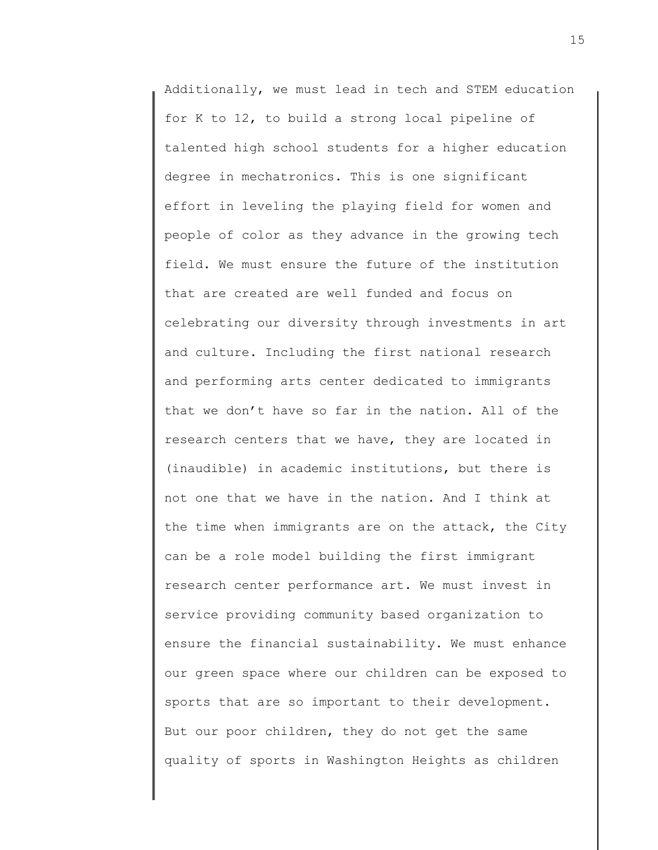Additionally, we must lead in tech and STEM education for K to 12, to build a strong local pipeline of talented high school students for a higher education degree in mechatronics. This is one significant effort in leveling the playing field for women and people of color as they advance in the growing tech field. We must ensure the future of the institution that are created are well funded and focus on celebrating our diversity through investments in art and culture. Including the first national research and performing arts center dedicated to immigrants that we don't have so far in the nation. All of the research centers that we have, they are located in (inaudible) in academic institutions, but there is not one that we have in the nation. And I think at the time when immigrants are on the attack, the City can be a role model building the first immigrant research center performance art. We must invest in service providing community based organization to ensure the financial sustainability. We must enhance our green space where our children can be exposed to sports that are so important to their development. But our poor children, they do not get the same quality of sports in Washington Heights as children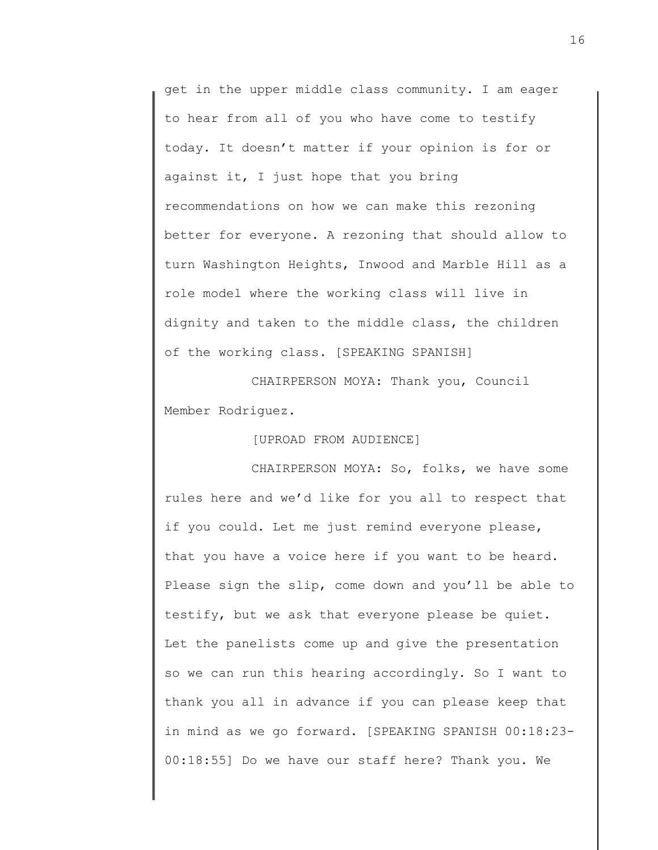get in the upper middle class community. I am eager to hear from all of you who have come to testify today. It doesn't matter if your opinion is for or against it, I just hope that you bring recommendations on how we can make this rezoning better for everyone. A rezoning that should allow to turn Washington Heights, Inwood and Marble Hill as a role model where the working class will live in dignity and taken to the middle class, the children of the working class. [SPEAKING SPANISH]

CHAIRPERSON MOYA: Thank you, Council Member Rodriguez.

[UPROAD FROM AUDIENCE]

CHAIRPERSON MOYA: So, folks, we have some rules here and we'd like for you all to respect that if you could. Let me just remind everyone please, that you have a voice here if you want to be heard. Please sign the slip, come down and you'll be able to testify, but we ask that everyone please be quiet. Let the panelists come up and give the presentation so we can run this hearing accordingly. So I want to thank you all in advance if you can please keep that in mind as we go forward. [SPEAKING SPANISH 00:18:23- 00:18:55] Do we have our staff here? Thank you. We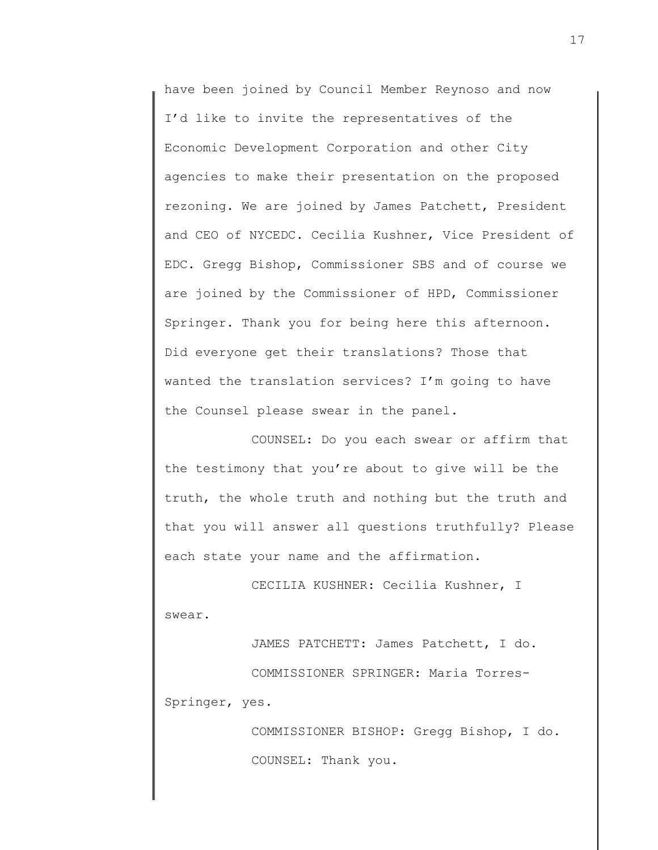have been joined by Council Member Reynoso and now I'd like to invite the representatives of the Economic Development Corporation and other City agencies to make their presentation on the proposed rezoning. We are joined by James Patchett, President and CEO of NYCEDC. Cecilia Kushner, Vice President of EDC. Gregg Bishop, Commissioner SBS and of course we are joined by the Commissioner of HPD, Commissioner Springer. Thank you for being here this afternoon. Did everyone get their translations? Those that wanted the translation services? I'm going to have the Counsel please swear in the panel.

COUNSEL: Do you each swear or affirm that the testimony that you're about to give will be the truth, the whole truth and nothing but the truth and that you will answer all questions truthfully? Please each state your name and the affirmation.

CECILIA KUSHNER: Cecilia Kushner, I swear.

JAMES PATCHETT: James Patchett, I do. COMMISSIONER SPRINGER: Maria Torres-Springer, yes.

> COMMISSIONER BISHOP: Gregg Bishop, I do. COUNSEL: Thank you.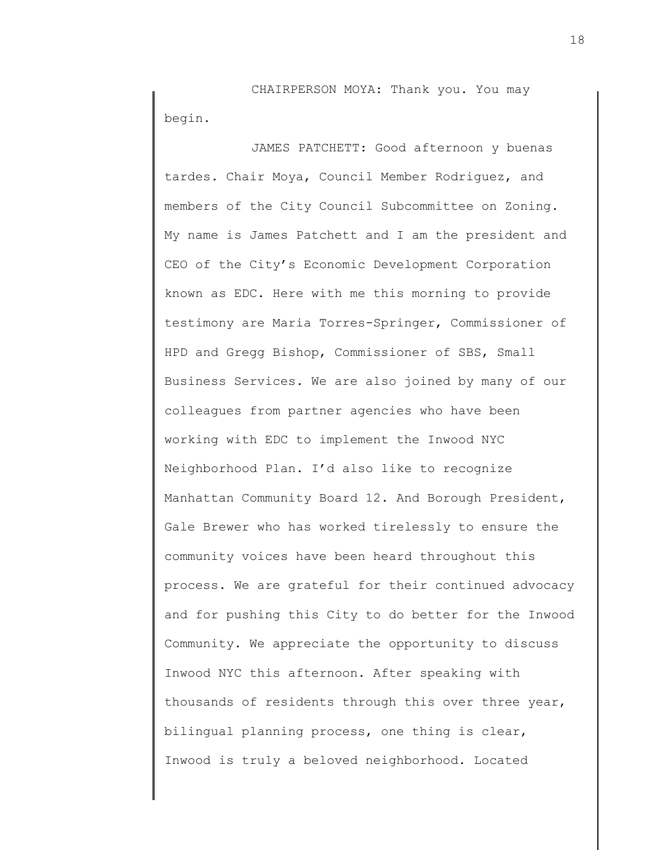CHAIRPERSON MOYA: Thank you. You may begin.

JAMES PATCHETT: Good afternoon y buenas tardes. Chair Moya, Council Member Rodriguez, and members of the City Council Subcommittee on Zoning. My name is James Patchett and I am the president and CEO of the City's Economic Development Corporation known as EDC. Here with me this morning to provide testimony are Maria Torres-Springer, Commissioner of HPD and Gregg Bishop, Commissioner of SBS, Small Business Services. We are also joined by many of our colleagues from partner agencies who have been working with EDC to implement the Inwood NYC Neighborhood Plan. I'd also like to recognize Manhattan Community Board 12. And Borough President, Gale Brewer who has worked tirelessly to ensure the community voices have been heard throughout this process. We are grateful for their continued advocacy and for pushing this City to do better for the Inwood Community. We appreciate the opportunity to discuss Inwood NYC this afternoon. After speaking with thousands of residents through this over three year, bilingual planning process, one thing is clear, Inwood is truly a beloved neighborhood. Located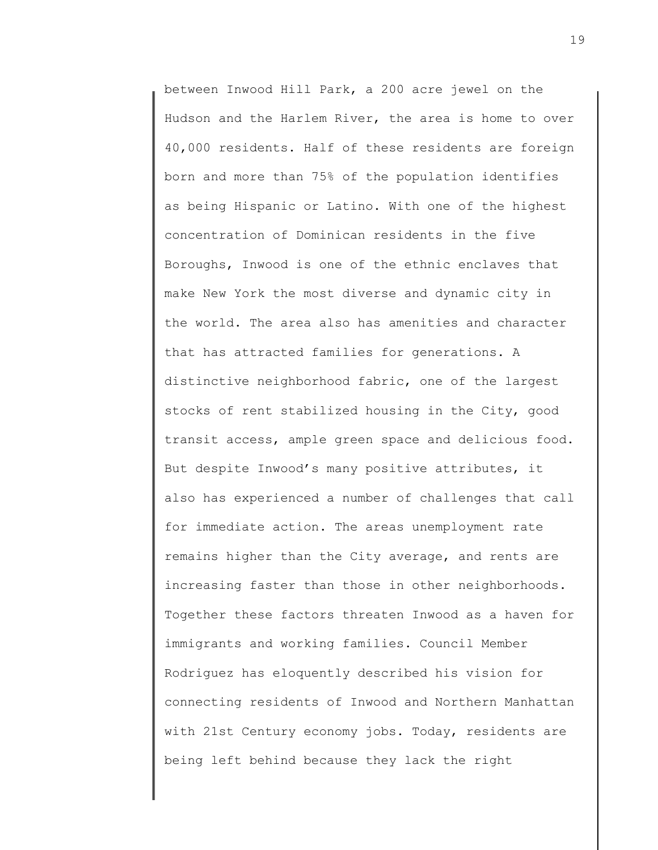between Inwood Hill Park, a 200 acre jewel on the Hudson and the Harlem River, the area is home to over 40,000 residents. Half of these residents are foreign born and more than 75% of the population identifies as being Hispanic or Latino. With one of the highest concentration of Dominican residents in the five Boroughs, Inwood is one of the ethnic enclaves that make New York the most diverse and dynamic city in the world. The area also has amenities and character that has attracted families for generations. A distinctive neighborhood fabric, one of the largest stocks of rent stabilized housing in the City, good transit access, ample green space and delicious food. But despite Inwood's many positive attributes, it also has experienced a number of challenges that call for immediate action. The areas unemployment rate remains higher than the City average, and rents are increasing faster than those in other neighborhoods. Together these factors threaten Inwood as a haven for immigrants and working families. Council Member Rodriguez has eloquently described his vision for connecting residents of Inwood and Northern Manhattan with 21st Century economy jobs. Today, residents are being left behind because they lack the right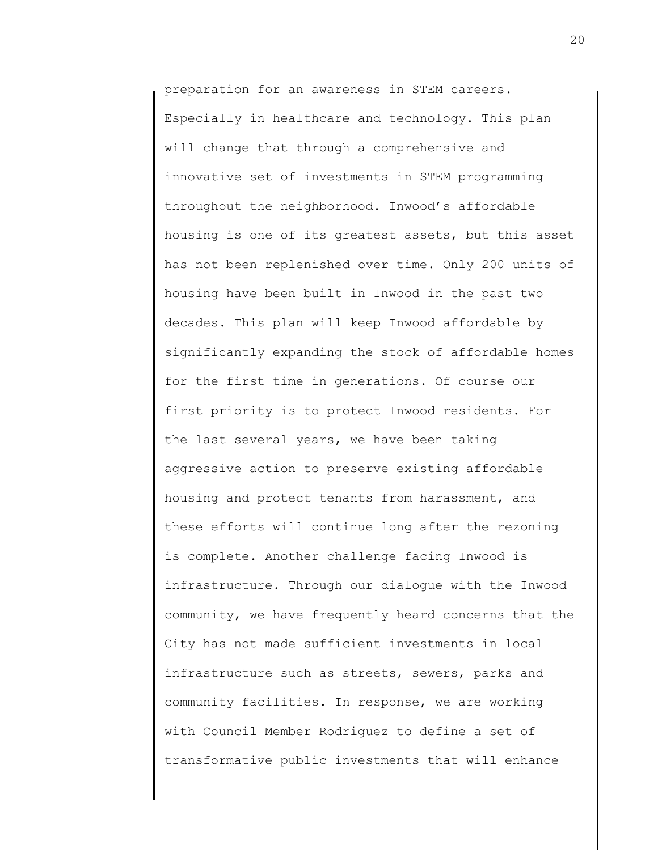preparation for an awareness in STEM careers. Especially in healthcare and technology. This plan will change that through a comprehensive and innovative set of investments in STEM programming throughout the neighborhood. Inwood's affordable housing is one of its greatest assets, but this asset has not been replenished over time. Only 200 units of housing have been built in Inwood in the past two decades. This plan will keep Inwood affordable by significantly expanding the stock of affordable homes for the first time in generations. Of course our first priority is to protect Inwood residents. For the last several years, we have been taking aggressive action to preserve existing affordable housing and protect tenants from harassment, and these efforts will continue long after the rezoning is complete. Another challenge facing Inwood is infrastructure. Through our dialogue with the Inwood community, we have frequently heard concerns that the City has not made sufficient investments in local infrastructure such as streets, sewers, parks and community facilities. In response, we are working with Council Member Rodriguez to define a set of transformative public investments that will enhance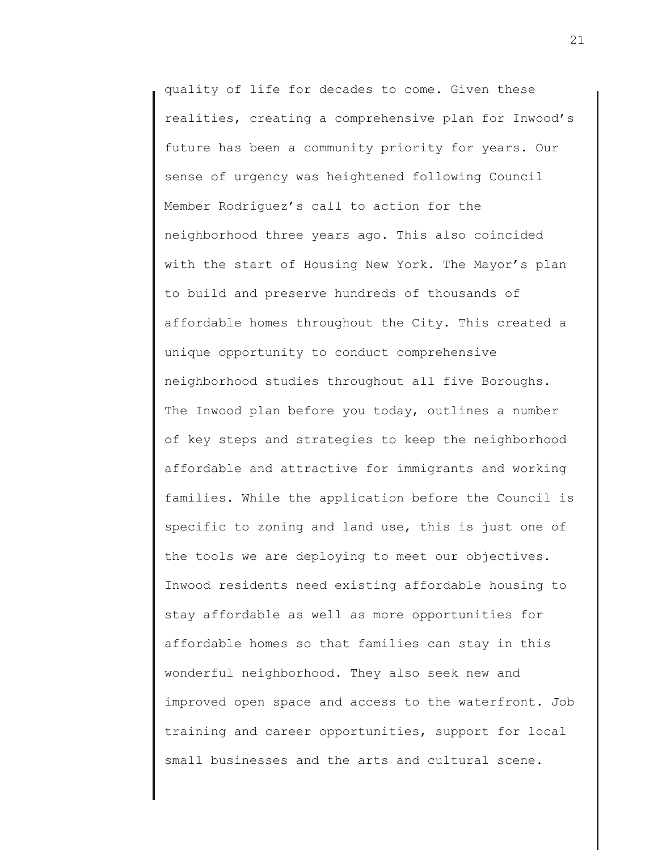quality of life for decades to come. Given these realities, creating a comprehensive plan for Inwood's future has been a community priority for years. Our sense of urgency was heightened following Council Member Rodriguez's call to action for the neighborhood three years ago. This also coincided with the start of Housing New York. The Mayor's plan to build and preserve hundreds of thousands of affordable homes throughout the City. This created a unique opportunity to conduct comprehensive neighborhood studies throughout all five Boroughs. The Inwood plan before you today, outlines a number of key steps and strategies to keep the neighborhood affordable and attractive for immigrants and working families. While the application before the Council is specific to zoning and land use, this is just one of the tools we are deploying to meet our objectives. Inwood residents need existing affordable housing to stay affordable as well as more opportunities for affordable homes so that families can stay in this wonderful neighborhood. They also seek new and improved open space and access to the waterfront. Job training and career opportunities, support for local small businesses and the arts and cultural scene.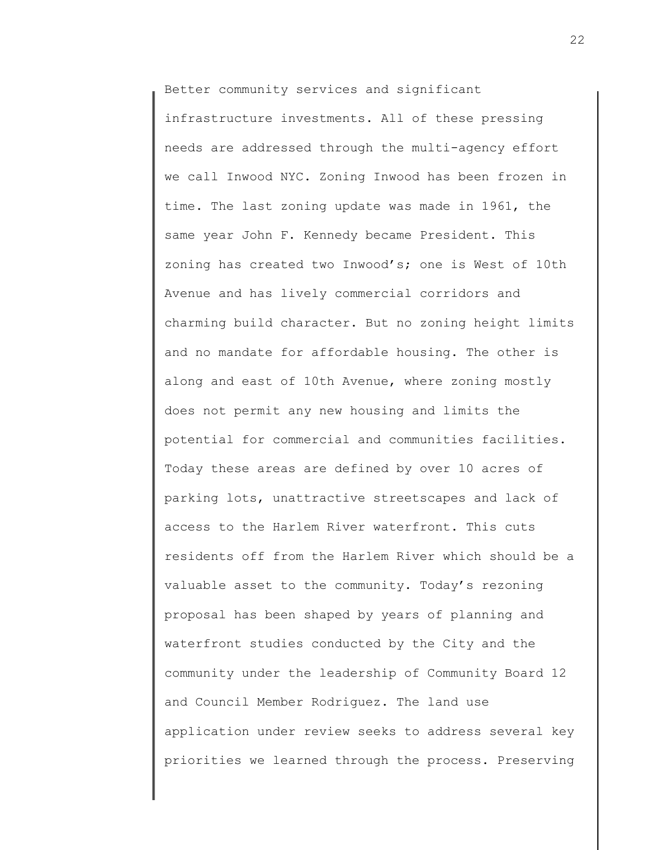Better community services and significant

infrastructure investments. All of these pressing needs are addressed through the multi-agency effort we call Inwood NYC. Zoning Inwood has been frozen in time. The last zoning update was made in 1961, the same year John F. Kennedy became President. This zoning has created two Inwood's; one is West of 10th Avenue and has lively commercial corridors and charming build character. But no zoning height limits and no mandate for affordable housing. The other is along and east of 10th Avenue, where zoning mostly does not permit any new housing and limits the potential for commercial and communities facilities. Today these areas are defined by over 10 acres of parking lots, unattractive streetscapes and lack of access to the Harlem River waterfront. This cuts residents off from the Harlem River which should be a valuable asset to the community. Today's rezoning proposal has been shaped by years of planning and waterfront studies conducted by the City and the community under the leadership of Community Board 12 and Council Member Rodriguez. The land use application under review seeks to address several key priorities we learned through the process. Preserving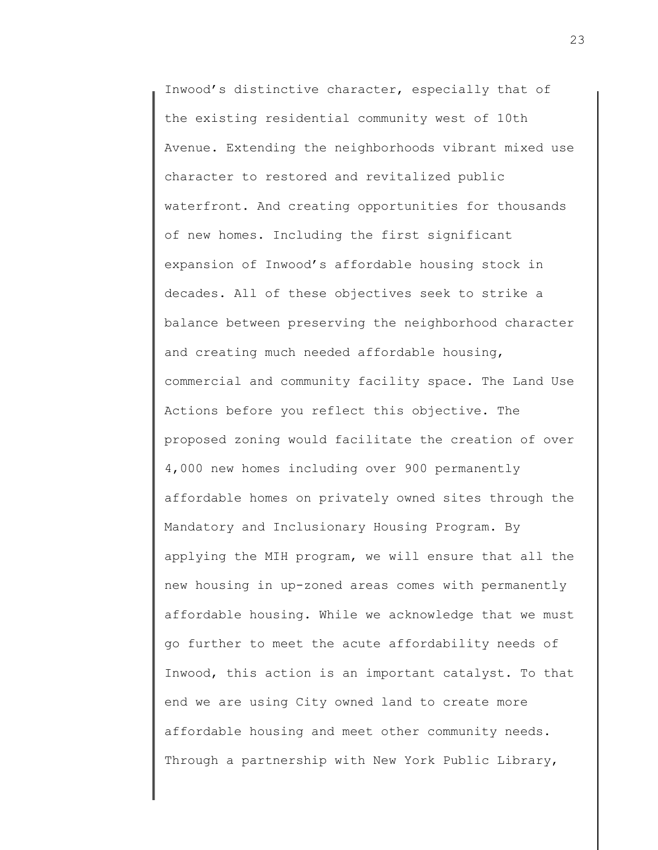Inwood's distinctive character, especially that of the existing residential community west of 10th Avenue. Extending the neighborhoods vibrant mixed use character to restored and revitalized public waterfront. And creating opportunities for thousands of new homes. Including the first significant expansion of Inwood's affordable housing stock in decades. All of these objectives seek to strike a balance between preserving the neighborhood character and creating much needed affordable housing, commercial and community facility space. The Land Use Actions before you reflect this objective. The proposed zoning would facilitate the creation of over 4,000 new homes including over 900 permanently affordable homes on privately owned sites through the Mandatory and Inclusionary Housing Program. By applying the MIH program, we will ensure that all the new housing in up-zoned areas comes with permanently affordable housing. While we acknowledge that we must go further to meet the acute affordability needs of Inwood, this action is an important catalyst. To that end we are using City owned land to create more affordable housing and meet other community needs. Through a partnership with New York Public Library,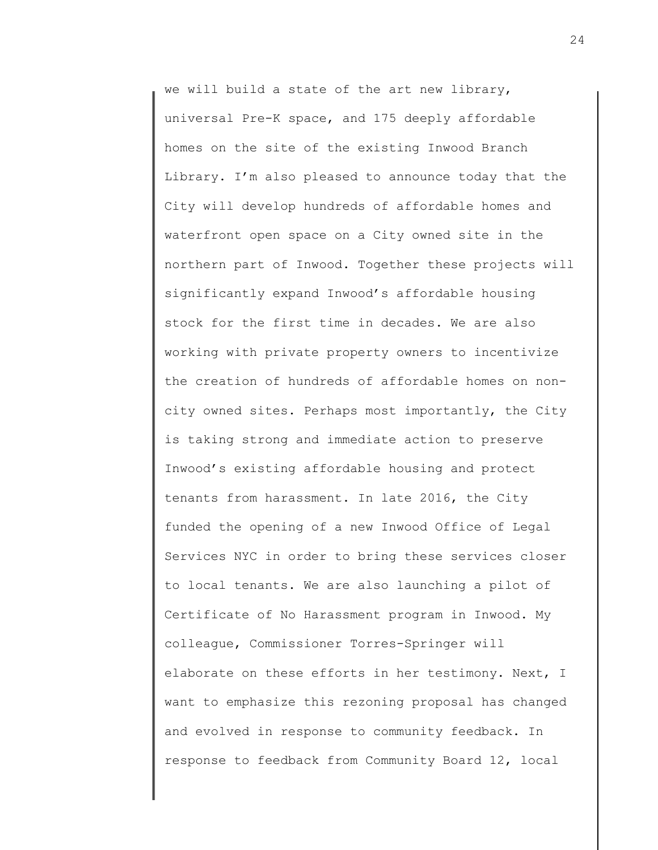we will build a state of the art new library, universal Pre-K space, and 175 deeply affordable homes on the site of the existing Inwood Branch Library. I'm also pleased to announce today that the City will develop hundreds of affordable homes and waterfront open space on a City owned site in the northern part of Inwood. Together these projects will significantly expand Inwood's affordable housing stock for the first time in decades. We are also working with private property owners to incentivize the creation of hundreds of affordable homes on noncity owned sites. Perhaps most importantly, the City is taking strong and immediate action to preserve Inwood's existing affordable housing and protect tenants from harassment. In late 2016, the City funded the opening of a new Inwood Office of Legal Services NYC in order to bring these services closer to local tenants. We are also launching a pilot of Certificate of No Harassment program in Inwood. My colleague, Commissioner Torres-Springer will elaborate on these efforts in her testimony. Next, I want to emphasize this rezoning proposal has changed and evolved in response to community feedback. In response to feedback from Community Board 12, local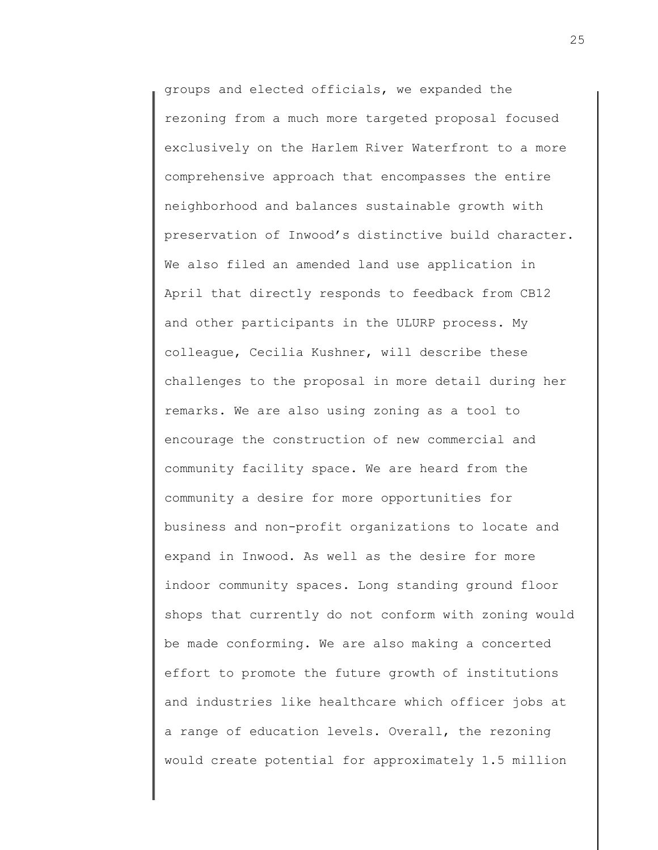groups and elected officials, we expanded the rezoning from a much more targeted proposal focused exclusively on the Harlem River Waterfront to a more comprehensive approach that encompasses the entire neighborhood and balances sustainable growth with preservation of Inwood's distinctive build character. We also filed an amended land use application in April that directly responds to feedback from CB12 and other participants in the ULURP process. My colleague, Cecilia Kushner, will describe these challenges to the proposal in more detail during her remarks. We are also using zoning as a tool to encourage the construction of new commercial and community facility space. We are heard from the community a desire for more opportunities for business and non-profit organizations to locate and expand in Inwood. As well as the desire for more indoor community spaces. Long standing ground floor shops that currently do not conform with zoning would be made conforming. We are also making a concerted effort to promote the future growth of institutions and industries like healthcare which officer jobs at a range of education levels. Overall, the rezoning would create potential for approximately 1.5 million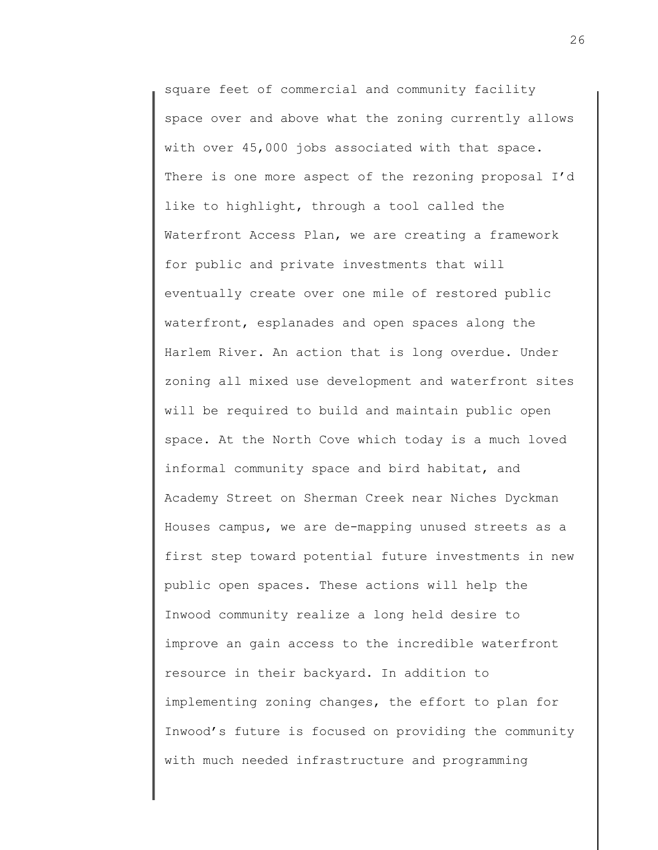square feet of commercial and community facility space over and above what the zoning currently allows with over 45,000 jobs associated with that space. There is one more aspect of the rezoning proposal I'd like to highlight, through a tool called the Waterfront Access Plan, we are creating a framework for public and private investments that will eventually create over one mile of restored public waterfront, esplanades and open spaces along the Harlem River. An action that is long overdue. Under zoning all mixed use development and waterfront sites will be required to build and maintain public open space. At the North Cove which today is a much loved informal community space and bird habitat, and Academy Street on Sherman Creek near Niches Dyckman Houses campus, we are de-mapping unused streets as a first step toward potential future investments in new public open spaces. These actions will help the Inwood community realize a long held desire to improve an gain access to the incredible waterfront resource in their backyard. In addition to implementing zoning changes, the effort to plan for Inwood's future is focused on providing the community with much needed infrastructure and programming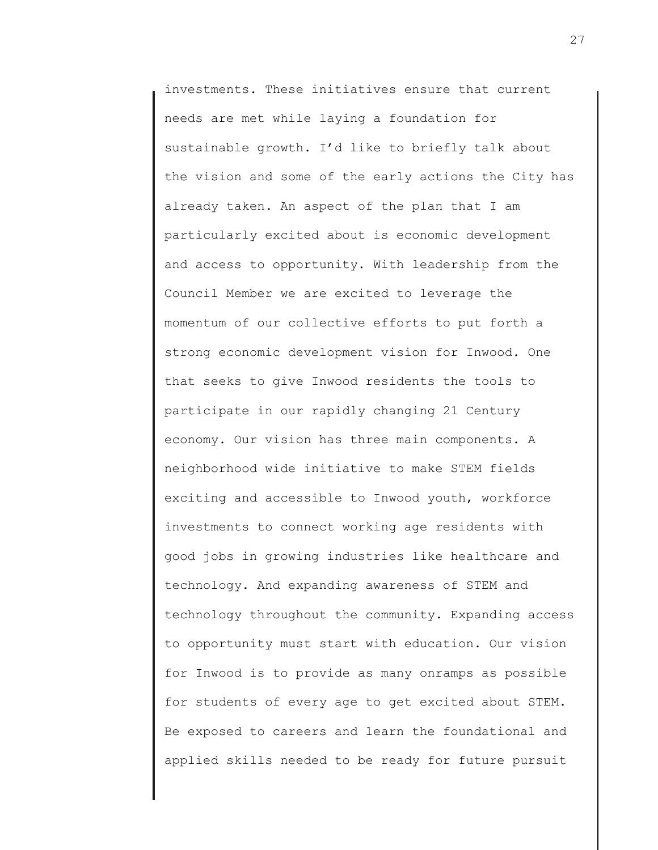investments. These initiatives ensure that current needs are met while laying a foundation for sustainable growth. I'd like to briefly talk about the vision and some of the early actions the City has already taken. An aspect of the plan that I am particularly excited about is economic development and access to opportunity. With leadership from the Council Member we are excited to leverage the momentum of our collective efforts to put forth a strong economic development vision for Inwood. One that seeks to give Inwood residents the tools to participate in our rapidly changing 21 Century economy. Our vision has three main components. A neighborhood wide initiative to make STEM fields exciting and accessible to Inwood youth, workforce investments to connect working age residents with good jobs in growing industries like healthcare and technology. And expanding awareness of STEM and technology throughout the community. Expanding access to opportunity must start with education. Our vision for Inwood is to provide as many onramps as possible for students of every age to get excited about STEM. Be exposed to careers and learn the foundational and applied skills needed to be ready for future pursuit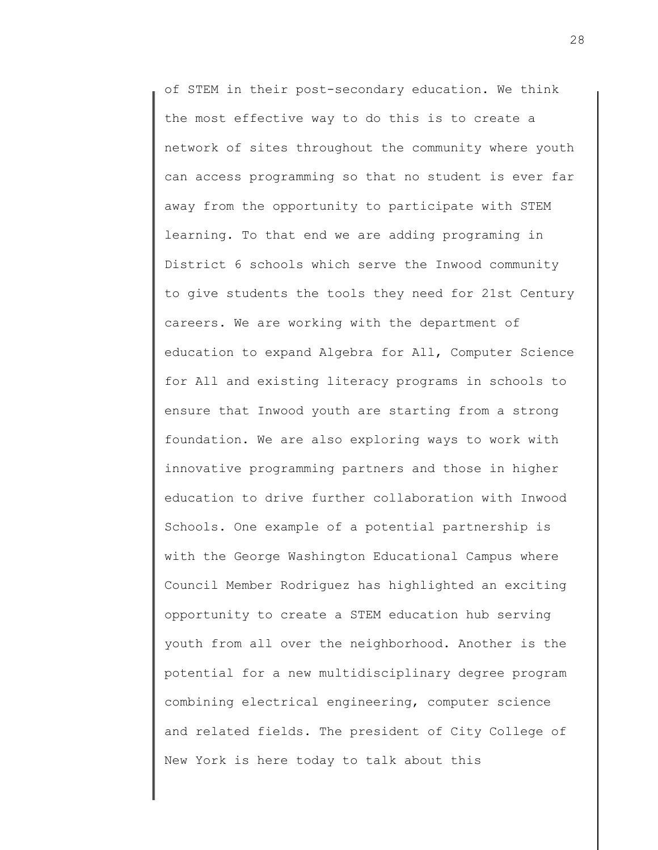of STEM in their post-secondary education. We think the most effective way to do this is to create a network of sites throughout the community where youth can access programming so that no student is ever far away from the opportunity to participate with STEM learning. To that end we are adding programing in District 6 schools which serve the Inwood community to give students the tools they need for 21st Century careers. We are working with the department of education to expand Algebra for All, Computer Science for All and existing literacy programs in schools to ensure that Inwood youth are starting from a strong foundation. We are also exploring ways to work with innovative programming partners and those in higher education to drive further collaboration with Inwood Schools. One example of a potential partnership is with the George Washington Educational Campus where Council Member Rodriguez has highlighted an exciting opportunity to create a STEM education hub serving youth from all over the neighborhood. Another is the potential for a new multidisciplinary degree program combining electrical engineering, computer science and related fields. The president of City College of New York is here today to talk about this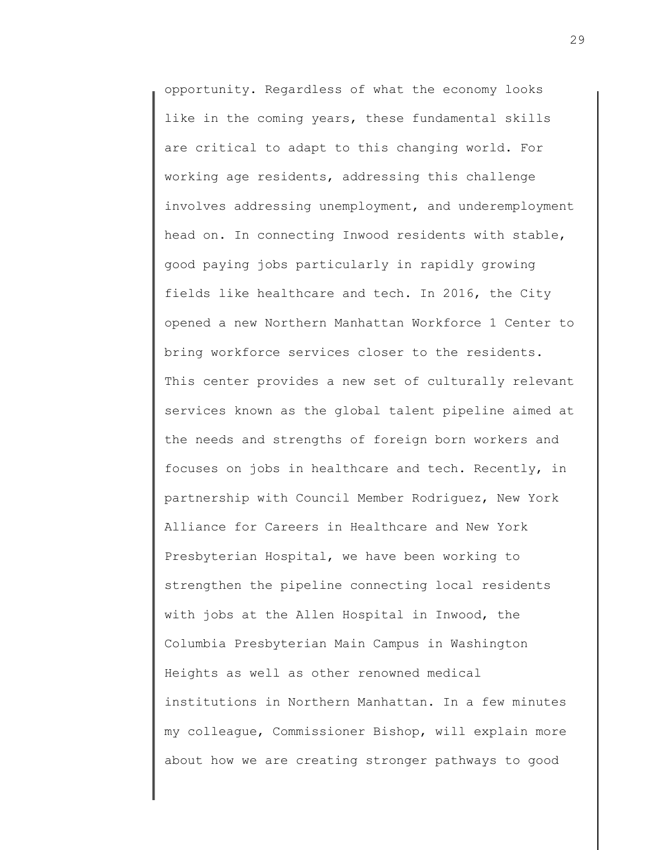opportunity. Regardless of what the economy looks like in the coming years, these fundamental skills are critical to adapt to this changing world. For working age residents, addressing this challenge involves addressing unemployment, and underemployment head on. In connecting Inwood residents with stable, good paying jobs particularly in rapidly growing fields like healthcare and tech. In 2016, the City opened a new Northern Manhattan Workforce 1 Center to bring workforce services closer to the residents. This center provides a new set of culturally relevant services known as the global talent pipeline aimed at the needs and strengths of foreign born workers and focuses on jobs in healthcare and tech. Recently, in partnership with Council Member Rodriguez, New York Alliance for Careers in Healthcare and New York Presbyterian Hospital, we have been working to strengthen the pipeline connecting local residents with jobs at the Allen Hospital in Inwood, the Columbia Presbyterian Main Campus in Washington Heights as well as other renowned medical institutions in Northern Manhattan. In a few minutes my colleague, Commissioner Bishop, will explain more about how we are creating stronger pathways to good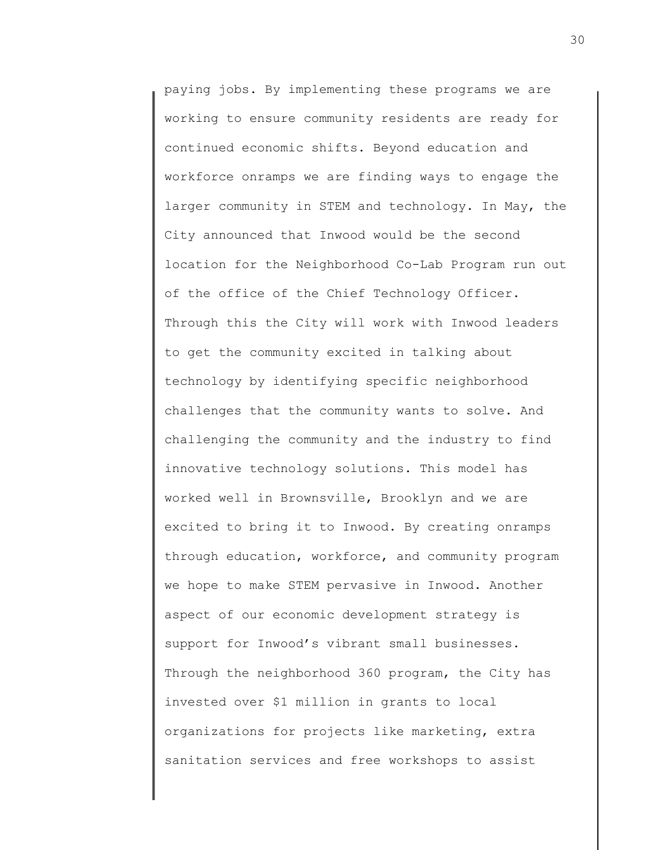paying jobs. By implementing these programs we are working to ensure community residents are ready for continued economic shifts. Beyond education and workforce onramps we are finding ways to engage the larger community in STEM and technology. In May, the City announced that Inwood would be the second location for the Neighborhood Co-Lab Program run out of the office of the Chief Technology Officer. Through this the City will work with Inwood leaders to get the community excited in talking about technology by identifying specific neighborhood challenges that the community wants to solve. And challenging the community and the industry to find innovative technology solutions. This model has worked well in Brownsville, Brooklyn and we are excited to bring it to Inwood. By creating onramps through education, workforce, and community program we hope to make STEM pervasive in Inwood. Another aspect of our economic development strategy is support for Inwood's vibrant small businesses. Through the neighborhood 360 program, the City has invested over \$1 million in grants to local organizations for projects like marketing, extra sanitation services and free workshops to assist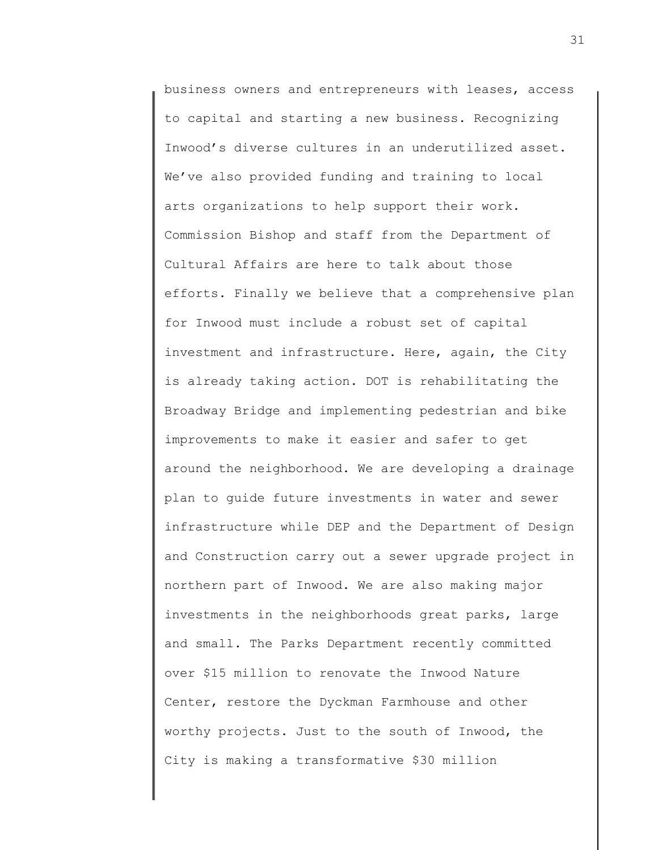business owners and entrepreneurs with leases, access to capital and starting a new business. Recognizing Inwood's diverse cultures in an underutilized asset. We've also provided funding and training to local arts organizations to help support their work. Commission Bishop and staff from the Department of Cultural Affairs are here to talk about those efforts. Finally we believe that a comprehensive plan for Inwood must include a robust set of capital investment and infrastructure. Here, again, the City is already taking action. DOT is rehabilitating the Broadway Bridge and implementing pedestrian and bike improvements to make it easier and safer to get around the neighborhood. We are developing a drainage plan to guide future investments in water and sewer infrastructure while DEP and the Department of Design and Construction carry out a sewer upgrade project in northern part of Inwood. We are also making major investments in the neighborhoods great parks, large and small. The Parks Department recently committed over \$15 million to renovate the Inwood Nature Center, restore the Dyckman Farmhouse and other worthy projects. Just to the south of Inwood, the City is making a transformative \$30 million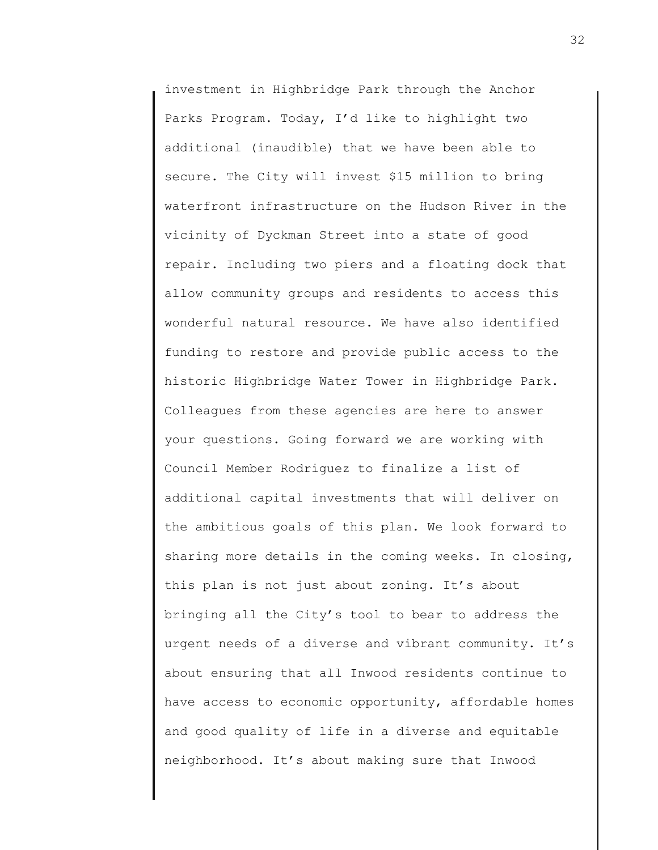investment in Highbridge Park through the Anchor Parks Program. Today, I'd like to highlight two additional (inaudible) that we have been able to secure. The City will invest \$15 million to bring waterfront infrastructure on the Hudson River in the vicinity of Dyckman Street into a state of good repair. Including two piers and a floating dock that allow community groups and residents to access this wonderful natural resource. We have also identified funding to restore and provide public access to the historic Highbridge Water Tower in Highbridge Park. Colleagues from these agencies are here to answer your questions. Going forward we are working with Council Member Rodriguez to finalize a list of additional capital investments that will deliver on the ambitious goals of this plan. We look forward to sharing more details in the coming weeks. In closing, this plan is not just about zoning. It's about bringing all the City's tool to bear to address the urgent needs of a diverse and vibrant community. It's about ensuring that all Inwood residents continue to have access to economic opportunity, affordable homes and good quality of life in a diverse and equitable neighborhood. It's about making sure that Inwood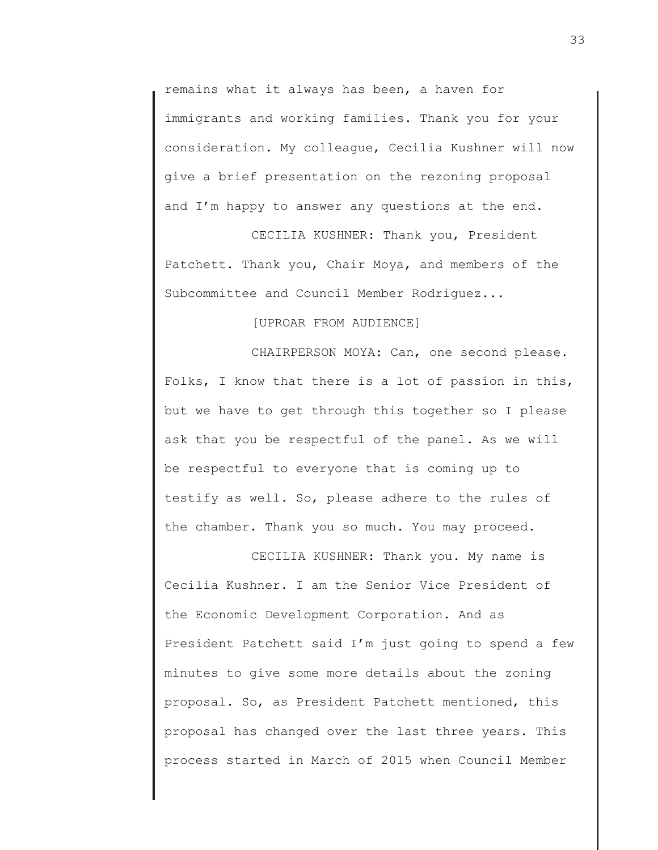remains what it always has been, a haven for immigrants and working families. Thank you for your consideration. My colleague, Cecilia Kushner will now give a brief presentation on the rezoning proposal and I'm happy to answer any questions at the end.

CECILIA KUSHNER: Thank you, President Patchett. Thank you, Chair Moya, and members of the Subcommittee and Council Member Rodriguez...

[UPROAR FROM AUDIENCE]

CHAIRPERSON MOYA: Can, one second please. Folks, I know that there is a lot of passion in this, but we have to get through this together so I please ask that you be respectful of the panel. As we will be respectful to everyone that is coming up to testify as well. So, please adhere to the rules of the chamber. Thank you so much. You may proceed.

CECILIA KUSHNER: Thank you. My name is Cecilia Kushner. I am the Senior Vice President of the Economic Development Corporation. And as President Patchett said I'm just going to spend a few minutes to give some more details about the zoning proposal. So, as President Patchett mentioned, this proposal has changed over the last three years. This process started in March of 2015 when Council Member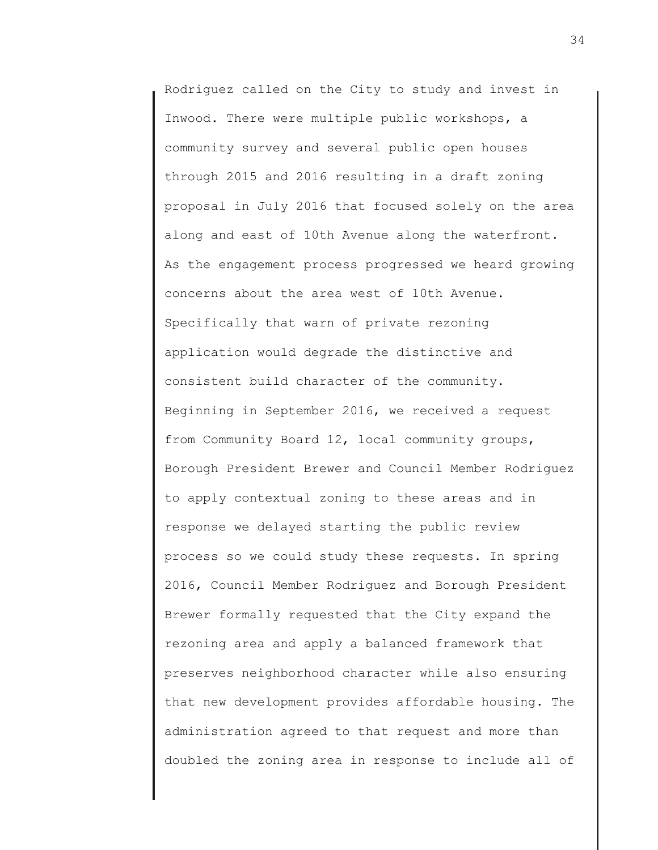Rodriguez called on the City to study and invest in Inwood. There were multiple public workshops, a community survey and several public open houses through 2015 and 2016 resulting in a draft zoning proposal in July 2016 that focused solely on the area along and east of 10th Avenue along the waterfront. As the engagement process progressed we heard growing concerns about the area west of 10th Avenue. Specifically that warn of private rezoning application would degrade the distinctive and consistent build character of the community. Beginning in September 2016, we received a request from Community Board 12, local community groups, Borough President Brewer and Council Member Rodriguez to apply contextual zoning to these areas and in response we delayed starting the public review process so we could study these requests. In spring 2016, Council Member Rodriguez and Borough President Brewer formally requested that the City expand the rezoning area and apply a balanced framework that preserves neighborhood character while also ensuring that new development provides affordable housing. The administration agreed to that request and more than doubled the zoning area in response to include all of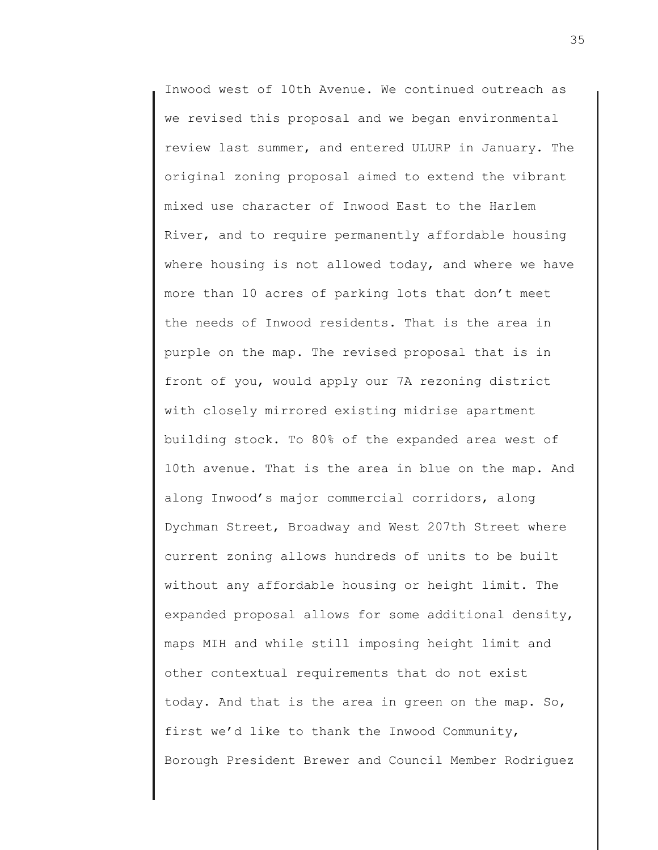Inwood west of 10th Avenue. We continued outreach as we revised this proposal and we began environmental review last summer, and entered ULURP in January. The original zoning proposal aimed to extend the vibrant mixed use character of Inwood East to the Harlem River, and to require permanently affordable housing where housing is not allowed today, and where we have more than 10 acres of parking lots that don't meet the needs of Inwood residents. That is the area in purple on the map. The revised proposal that is in front of you, would apply our 7A rezoning district with closely mirrored existing midrise apartment building stock. To 80% of the expanded area west of 10th avenue. That is the area in blue on the map. And along Inwood's major commercial corridors, along Dychman Street, Broadway and West 207th Street where current zoning allows hundreds of units to be built without any affordable housing or height limit. The expanded proposal allows for some additional density, maps MIH and while still imposing height limit and other contextual requirements that do not exist today. And that is the area in green on the map. So, first we'd like to thank the Inwood Community, Borough President Brewer and Council Member Rodriguez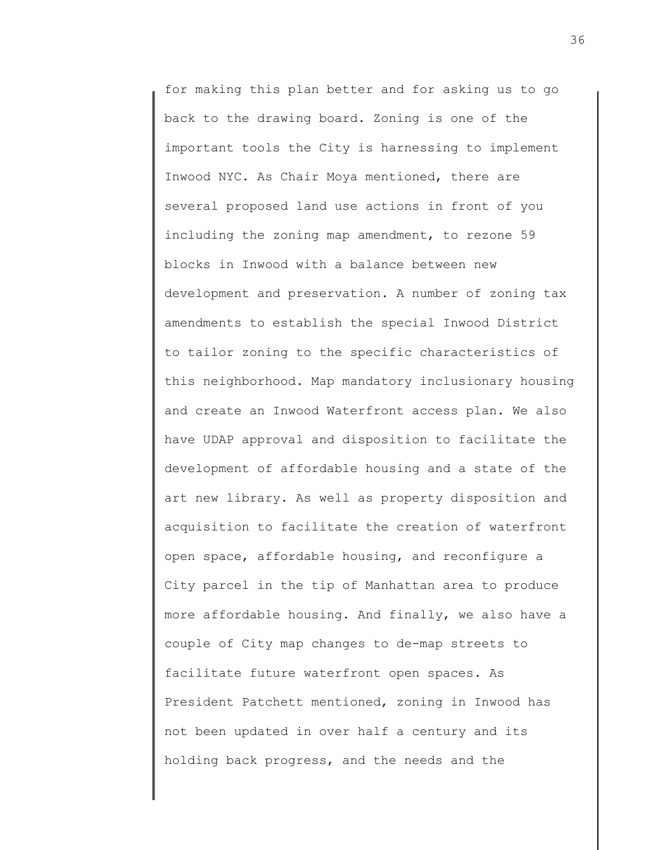for making this plan better and for asking us to go back to the drawing board. Zoning is one of the important tools the City is harnessing to implement Inwood NYC. As Chair Moya mentioned, there are several proposed land use actions in front of you including the zoning map amendment, to rezone 59 blocks in Inwood with a balance between new development and preservation. A number of zoning tax amendments to establish the special Inwood District to tailor zoning to the specific characteristics of this neighborhood. Map mandatory inclusionary housing and create an Inwood Waterfront access plan. We also have UDAP approval and disposition to facilitate the development of affordable housing and a state of the art new library. As well as property disposition and acquisition to facilitate the creation of waterfront open space, affordable housing, and reconfigure a City parcel in the tip of Manhattan area to produce more affordable housing. And finally, we also have a couple of City map changes to de-map streets to facilitate future waterfront open spaces. As President Patchett mentioned, zoning in Inwood has not been updated in over half a century and its holding back progress, and the needs and the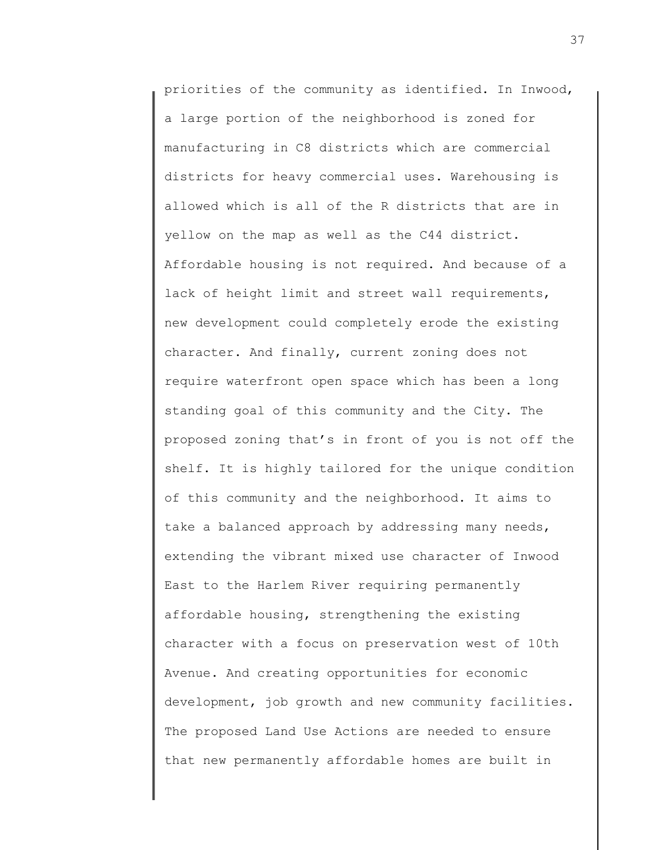priorities of the community as identified. In Inwood, a large portion of the neighborhood is zoned for manufacturing in C8 districts which are commercial districts for heavy commercial uses. Warehousing is allowed which is all of the R districts that are in yellow on the map as well as the C44 district. Affordable housing is not required. And because of a lack of height limit and street wall requirements, new development could completely erode the existing character. And finally, current zoning does not require waterfront open space which has been a long standing goal of this community and the City. The proposed zoning that's in front of you is not off the shelf. It is highly tailored for the unique condition of this community and the neighborhood. It aims to take a balanced approach by addressing many needs, extending the vibrant mixed use character of Inwood East to the Harlem River requiring permanently affordable housing, strengthening the existing character with a focus on preservation west of 10th Avenue. And creating opportunities for economic development, job growth and new community facilities. The proposed Land Use Actions are needed to ensure that new permanently affordable homes are built in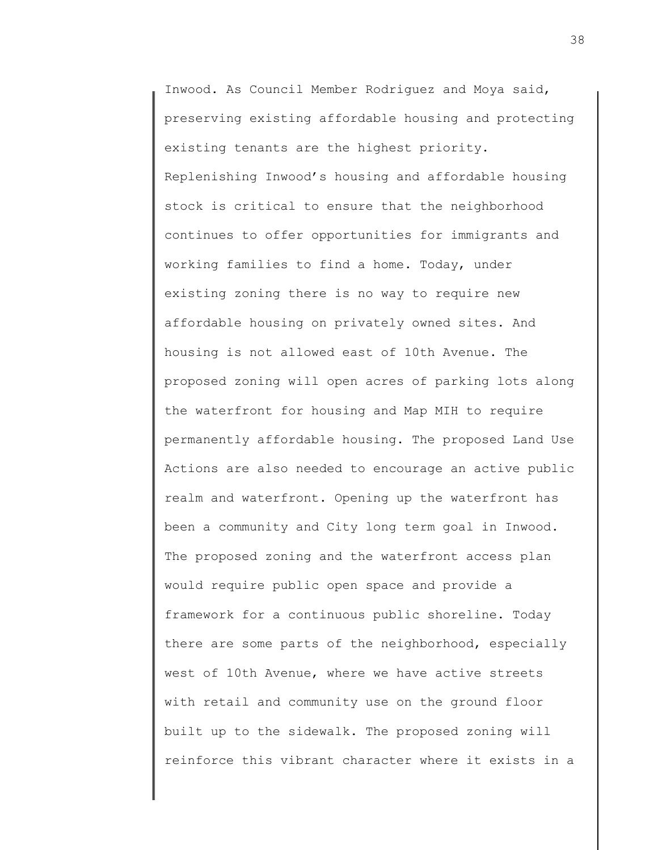Inwood. As Council Member Rodriguez and Moya said, preserving existing affordable housing and protecting existing tenants are the highest priority. Replenishing Inwood's housing and affordable housing stock is critical to ensure that the neighborhood continues to offer opportunities for immigrants and working families to find a home. Today, under existing zoning there is no way to require new affordable housing on privately owned sites. And housing is not allowed east of 10th Avenue. The proposed zoning will open acres of parking lots along the waterfront for housing and Map MIH to require permanently affordable housing. The proposed Land Use Actions are also needed to encourage an active public realm and waterfront. Opening up the waterfront has been a community and City long term goal in Inwood. The proposed zoning and the waterfront access plan would require public open space and provide a framework for a continuous public shoreline. Today there are some parts of the neighborhood, especially west of 10th Avenue, where we have active streets with retail and community use on the ground floor built up to the sidewalk. The proposed zoning will reinforce this vibrant character where it exists in a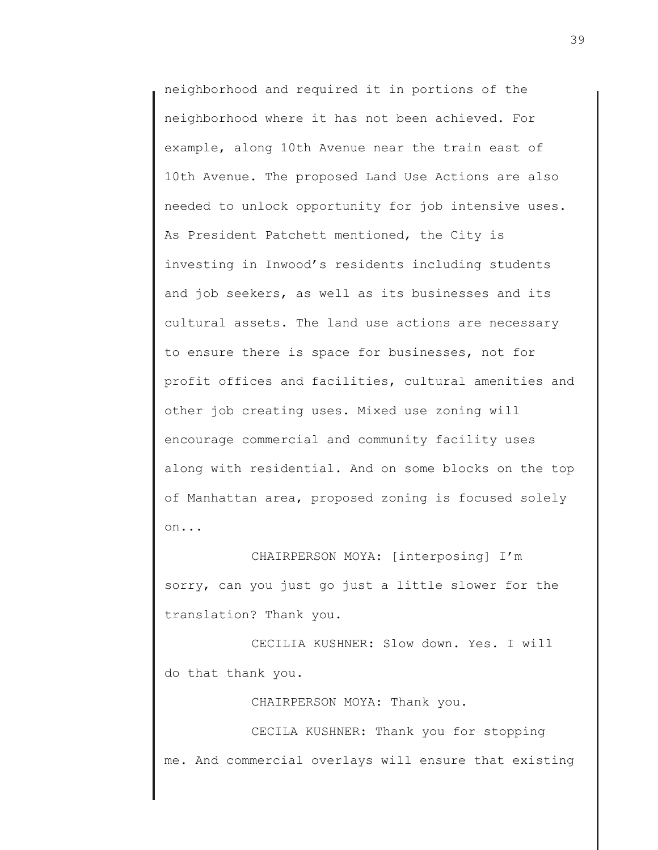neighborhood and required it in portions of the neighborhood where it has not been achieved. For example, along 10th Avenue near the train east of 10th Avenue. The proposed Land Use Actions are also needed to unlock opportunity for job intensive uses. As President Patchett mentioned, the City is investing in Inwood's residents including students and job seekers, as well as its businesses and its cultural assets. The land use actions are necessary to ensure there is space for businesses, not for profit offices and facilities, cultural amenities and other job creating uses. Mixed use zoning will encourage commercial and community facility uses along with residential. And on some blocks on the top of Manhattan area, proposed zoning is focused solely on...

CHAIRPERSON MOYA: [interposing] I'm sorry, can you just go just a little slower for the translation? Thank you.

CECILIA KUSHNER: Slow down. Yes. I will do that thank you.

CHAIRPERSON MOYA: Thank you.

CECILA KUSHNER: Thank you for stopping me. And commercial overlays will ensure that existing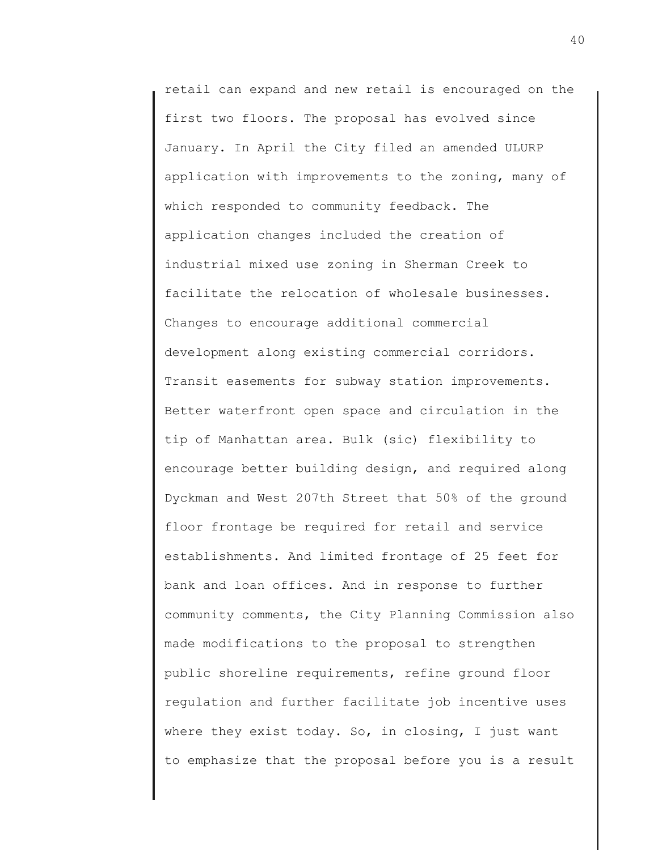retail can expand and new retail is encouraged on the first two floors. The proposal has evolved since January. In April the City filed an amended ULURP application with improvements to the zoning, many of which responded to community feedback. The application changes included the creation of industrial mixed use zoning in Sherman Creek to facilitate the relocation of wholesale businesses. Changes to encourage additional commercial development along existing commercial corridors. Transit easements for subway station improvements. Better waterfront open space and circulation in the tip of Manhattan area. Bulk (sic) flexibility to encourage better building design, and required along Dyckman and West 207th Street that 50% of the ground floor frontage be required for retail and service establishments. And limited frontage of 25 feet for bank and loan offices. And in response to further community comments, the City Planning Commission also made modifications to the proposal to strengthen public shoreline requirements, refine ground floor regulation and further facilitate job incentive uses where they exist today. So, in closing, I just want to emphasize that the proposal before you is a result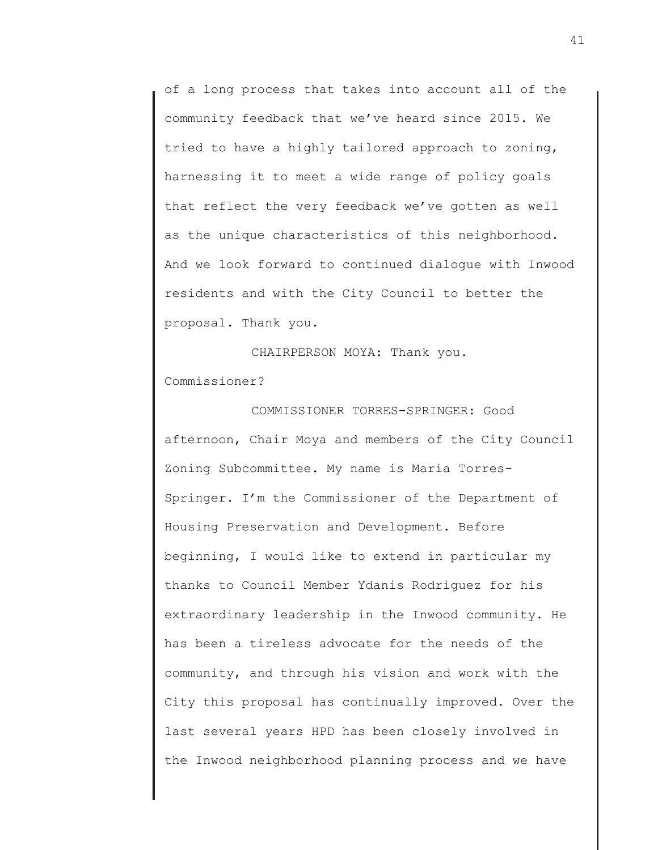of a long process that takes into account all of the community feedback that we've heard since 2015. We tried to have a highly tailored approach to zoning, harnessing it to meet a wide range of policy goals that reflect the very feedback we've gotten as well as the unique characteristics of this neighborhood. And we look forward to continued dialogue with Inwood residents and with the City Council to better the proposal. Thank you.

CHAIRPERSON MOYA: Thank you. Commissioner?

COMMISSIONER TORRES-SPRINGER: Good afternoon, Chair Moya and members of the City Council Zoning Subcommittee. My name is Maria Torres-Springer. I'm the Commissioner of the Department of Housing Preservation and Development. Before beginning, I would like to extend in particular my thanks to Council Member Ydanis Rodriguez for his extraordinary leadership in the Inwood community. He has been a tireless advocate for the needs of the community, and through his vision and work with the City this proposal has continually improved. Over the last several years HPD has been closely involved in the Inwood neighborhood planning process and we have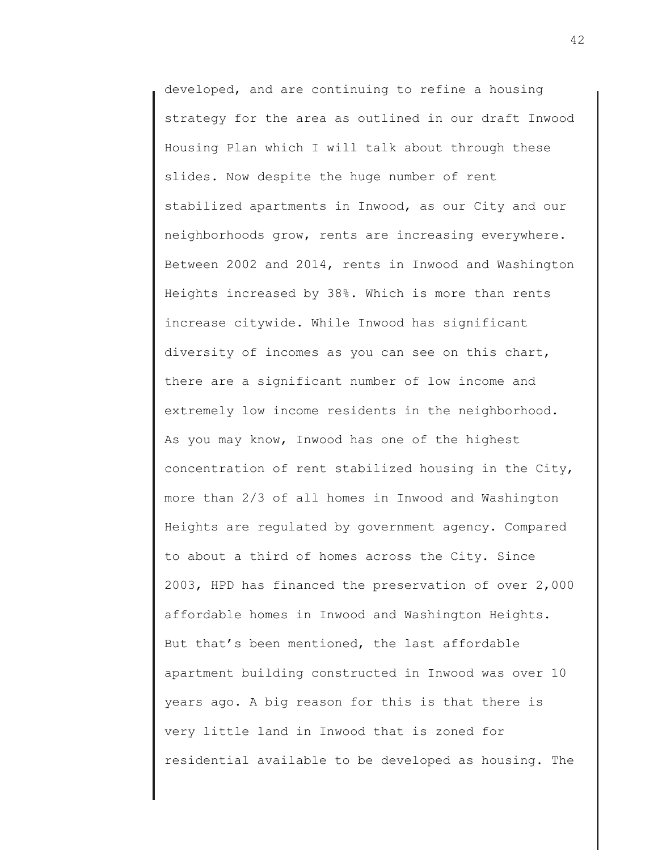developed, and are continuing to refine a housing strategy for the area as outlined in our draft Inwood Housing Plan which I will talk about through these slides. Now despite the huge number of rent stabilized apartments in Inwood, as our City and our neighborhoods grow, rents are increasing everywhere. Between 2002 and 2014, rents in Inwood and Washington Heights increased by 38%. Which is more than rents increase citywide. While Inwood has significant diversity of incomes as you can see on this chart, there are a significant number of low income and extremely low income residents in the neighborhood. As you may know, Inwood has one of the highest concentration of rent stabilized housing in the City, more than 2/3 of all homes in Inwood and Washington Heights are regulated by government agency. Compared to about a third of homes across the City. Since 2003, HPD has financed the preservation of over 2,000 affordable homes in Inwood and Washington Heights. But that's been mentioned, the last affordable apartment building constructed in Inwood was over 10 years ago. A big reason for this is that there is very little land in Inwood that is zoned for residential available to be developed as housing. The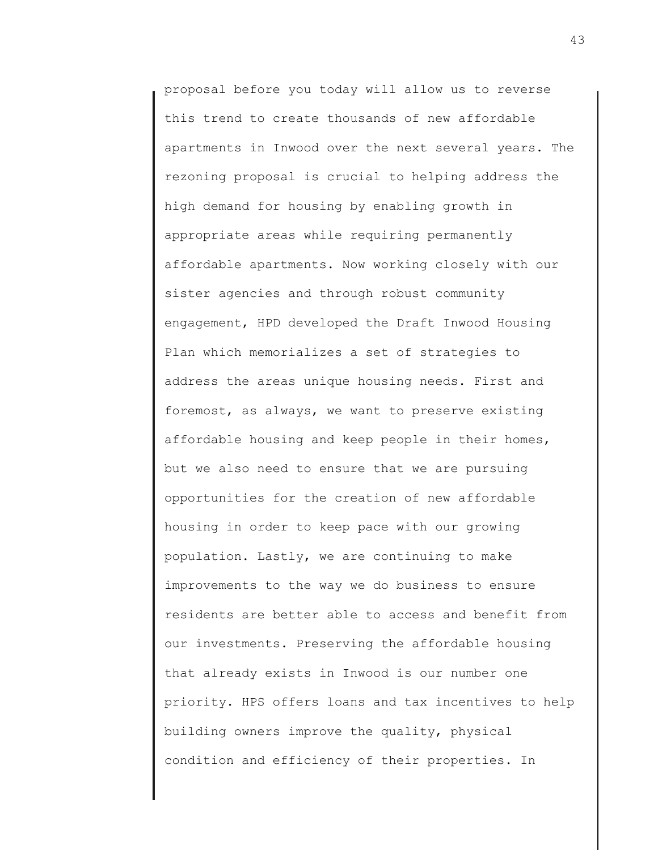proposal before you today will allow us to reverse this trend to create thousands of new affordable apartments in Inwood over the next several years. The rezoning proposal is crucial to helping address the high demand for housing by enabling growth in appropriate areas while requiring permanently affordable apartments. Now working closely with our sister agencies and through robust community engagement, HPD developed the Draft Inwood Housing Plan which memorializes a set of strategies to address the areas unique housing needs. First and foremost, as always, we want to preserve existing affordable housing and keep people in their homes, but we also need to ensure that we are pursuing opportunities for the creation of new affordable housing in order to keep pace with our growing population. Lastly, we are continuing to make improvements to the way we do business to ensure residents are better able to access and benefit from our investments. Preserving the affordable housing that already exists in Inwood is our number one priority. HPS offers loans and tax incentives to help building owners improve the quality, physical condition and efficiency of their properties. In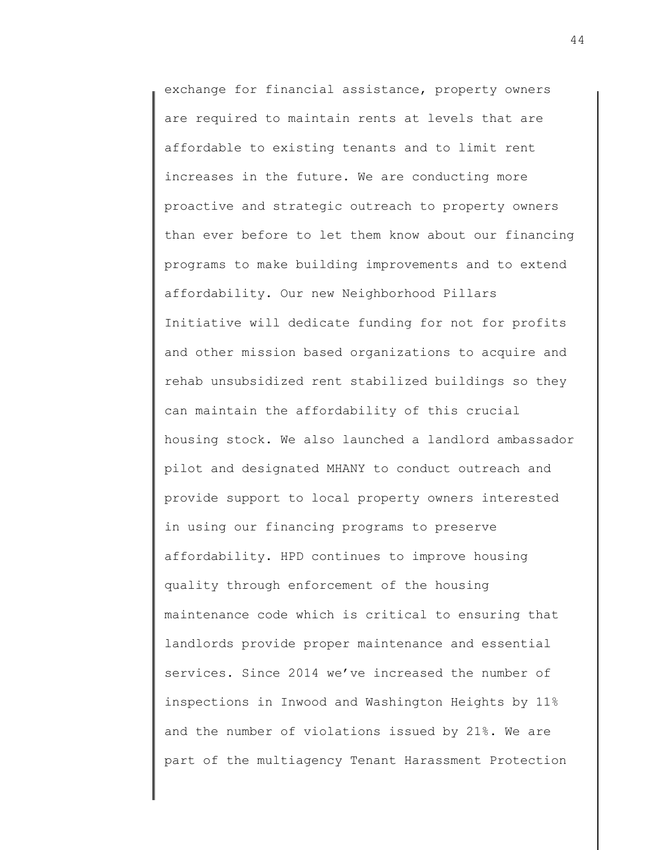exchange for financial assistance, property owners are required to maintain rents at levels that are affordable to existing tenants and to limit rent increases in the future. We are conducting more proactive and strategic outreach to property owners than ever before to let them know about our financing programs to make building improvements and to extend affordability. Our new Neighborhood Pillars Initiative will dedicate funding for not for profits and other mission based organizations to acquire and rehab unsubsidized rent stabilized buildings so they can maintain the affordability of this crucial housing stock. We also launched a landlord ambassador pilot and designated MHANY to conduct outreach and provide support to local property owners interested in using our financing programs to preserve affordability. HPD continues to improve housing quality through enforcement of the housing maintenance code which is critical to ensuring that landlords provide proper maintenance and essential services. Since 2014 we've increased the number of inspections in Inwood and Washington Heights by 11% and the number of violations issued by 21%. We are part of the multiagency Tenant Harassment Protection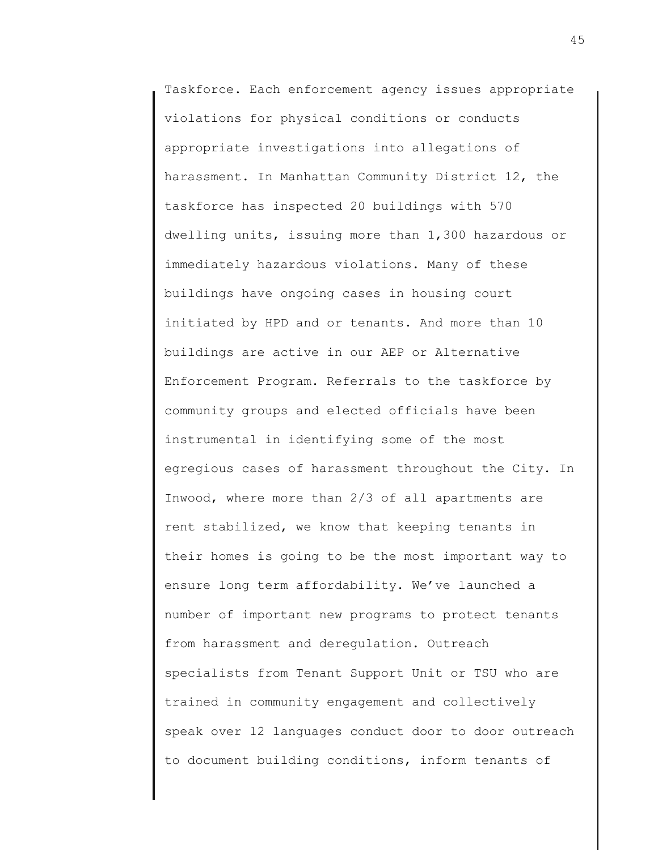Taskforce. Each enforcement agency issues appropriate violations for physical conditions or conducts appropriate investigations into allegations of harassment. In Manhattan Community District 12, the taskforce has inspected 20 buildings with 570 dwelling units, issuing more than 1,300 hazardous or immediately hazardous violations. Many of these buildings have ongoing cases in housing court initiated by HPD and or tenants. And more than 10 buildings are active in our AEP or Alternative Enforcement Program. Referrals to the taskforce by community groups and elected officials have been instrumental in identifying some of the most egregious cases of harassment throughout the City. In Inwood, where more than 2/3 of all apartments are rent stabilized, we know that keeping tenants in their homes is going to be the most important way to ensure long term affordability. We've launched a number of important new programs to protect tenants from harassment and deregulation. Outreach specialists from Tenant Support Unit or TSU who are trained in community engagement and collectively speak over 12 languages conduct door to door outreach to document building conditions, inform tenants of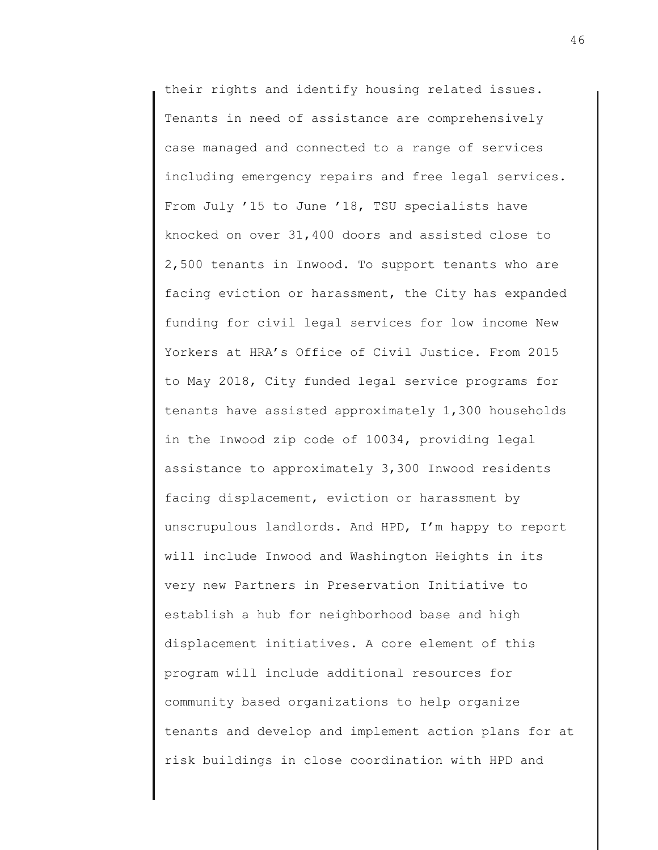their rights and identify housing related issues. Tenants in need of assistance are comprehensively case managed and connected to a range of services including emergency repairs and free legal services. From July '15 to June '18, TSU specialists have knocked on over 31,400 doors and assisted close to 2,500 tenants in Inwood. To support tenants who are facing eviction or harassment, the City has expanded funding for civil legal services for low income New Yorkers at HRA's Office of Civil Justice. From 2015 to May 2018, City funded legal service programs for tenants have assisted approximately 1,300 households in the Inwood zip code of 10034, providing legal assistance to approximately 3,300 Inwood residents facing displacement, eviction or harassment by unscrupulous landlords. And HPD, I'm happy to report will include Inwood and Washington Heights in its very new Partners in Preservation Initiative to establish a hub for neighborhood base and high displacement initiatives. A core element of this program will include additional resources for community based organizations to help organize tenants and develop and implement action plans for at risk buildings in close coordination with HPD and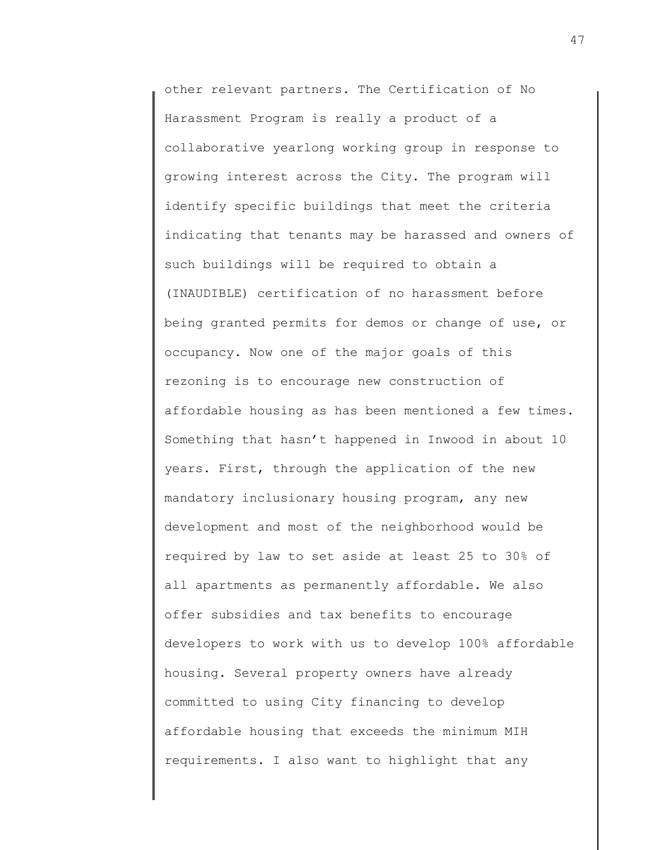other relevant partners. The Certification of No Harassment Program is really a product of a collaborative yearlong working group in response to growing interest across the City. The program will identify specific buildings that meet the criteria indicating that tenants may be harassed and owners of such buildings will be required to obtain a (INAUDIBLE) certification of no harassment before being granted permits for demos or change of use, or occupancy. Now one of the major goals of this rezoning is to encourage new construction of affordable housing as has been mentioned a few times. Something that hasn't happened in Inwood in about 10 years. First, through the application of the new mandatory inclusionary housing program, any new development and most of the neighborhood would be required by law to set aside at least 25 to 30% of all apartments as permanently affordable. We also offer subsidies and tax benefits to encourage developers to work with us to develop 100% affordable housing. Several property owners have already committed to using City financing to develop affordable housing that exceeds the minimum MIH requirements. I also want to highlight that any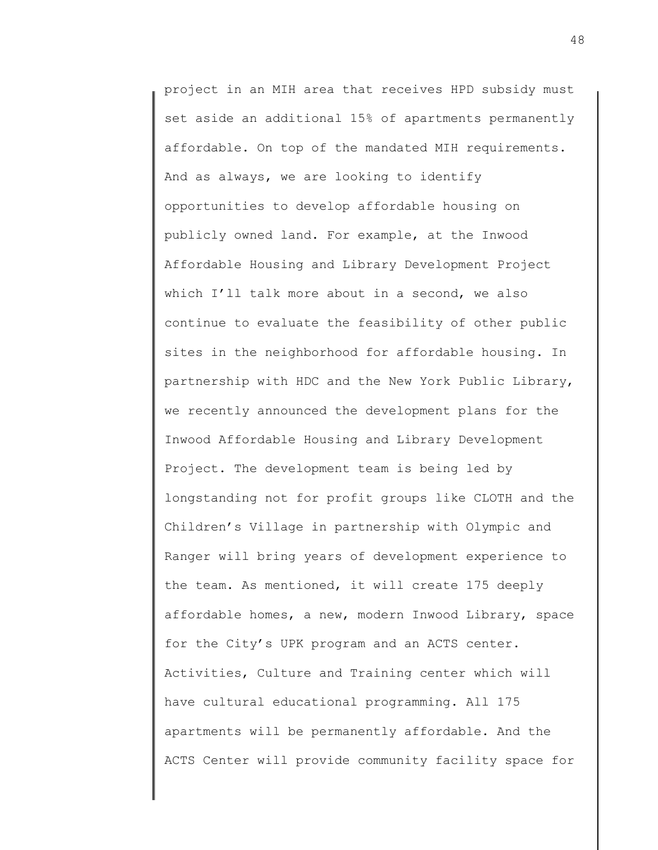project in an MIH area that receives HPD subsidy must set aside an additional 15% of apartments permanently affordable. On top of the mandated MIH requirements. And as always, we are looking to identify opportunities to develop affordable housing on publicly owned land. For example, at the Inwood Affordable Housing and Library Development Project which I'll talk more about in a second, we also continue to evaluate the feasibility of other public sites in the neighborhood for affordable housing. In partnership with HDC and the New York Public Library, we recently announced the development plans for the Inwood Affordable Housing and Library Development Project. The development team is being led by longstanding not for profit groups like CLOTH and the Children's Village in partnership with Olympic and Ranger will bring years of development experience to the team. As mentioned, it will create 175 deeply affordable homes, a new, modern Inwood Library, space for the City's UPK program and an ACTS center. Activities, Culture and Training center which will have cultural educational programming. All 175 apartments will be permanently affordable. And the ACTS Center will provide community facility space for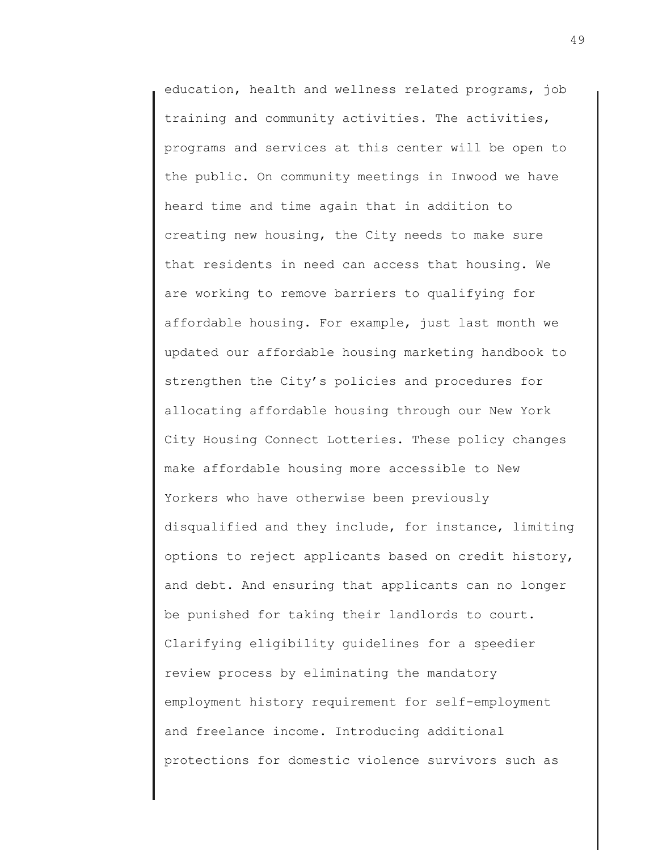education, health and wellness related programs, job training and community activities. The activities, programs and services at this center will be open to the public. On community meetings in Inwood we have heard time and time again that in addition to creating new housing, the City needs to make sure that residents in need can access that housing. We are working to remove barriers to qualifying for affordable housing. For example, just last month we updated our affordable housing marketing handbook to strengthen the City's policies and procedures for allocating affordable housing through our New York City Housing Connect Lotteries. These policy changes make affordable housing more accessible to New Yorkers who have otherwise been previously disqualified and they include, for instance, limiting options to reject applicants based on credit history, and debt. And ensuring that applicants can no longer be punished for taking their landlords to court. Clarifying eligibility guidelines for a speedier review process by eliminating the mandatory employment history requirement for self-employment and freelance income. Introducing additional protections for domestic violence survivors such as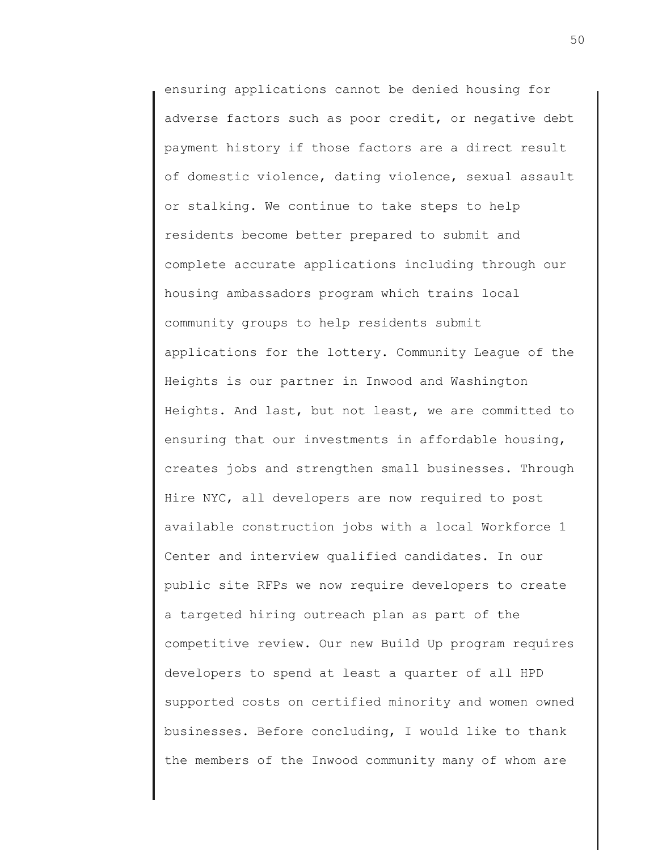ensuring applications cannot be denied housing for adverse factors such as poor credit, or negative debt payment history if those factors are a direct result of domestic violence, dating violence, sexual assault or stalking. We continue to take steps to help residents become better prepared to submit and complete accurate applications including through our housing ambassadors program which trains local community groups to help residents submit applications for the lottery. Community League of the Heights is our partner in Inwood and Washington Heights. And last, but not least, we are committed to ensuring that our investments in affordable housing, creates jobs and strengthen small businesses. Through Hire NYC, all developers are now required to post available construction jobs with a local Workforce 1 Center and interview qualified candidates. In our public site RFPs we now require developers to create a targeted hiring outreach plan as part of the competitive review. Our new Build Up program requires developers to spend at least a quarter of all HPD supported costs on certified minority and women owned businesses. Before concluding, I would like to thank the members of the Inwood community many of whom are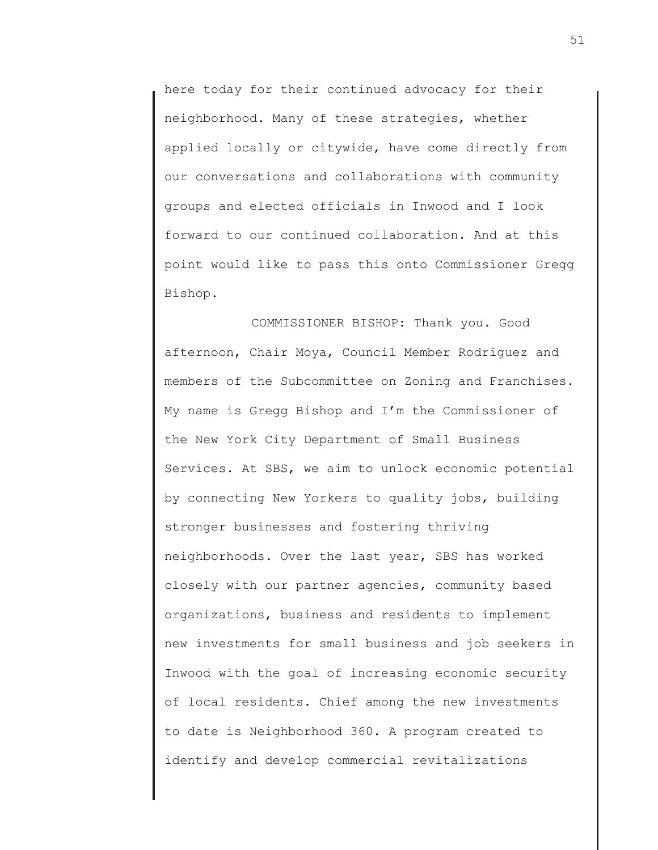here today for their continued advocacy for their neighborhood. Many of these strategies, whether applied locally or citywide, have come directly from our conversations and collaborations with community groups and elected officials in Inwood and I look forward to our continued collaboration. And at this point would like to pass this onto Commissioner Gregg Bishop.

COMMISSIONER BISHOP: Thank you. Good afternoon, Chair Moya, Council Member Rodriguez and members of the Subcommittee on Zoning and Franchises. My name is Gregg Bishop and I'm the Commissioner of the New York City Department of Small Business Services. At SBS, we aim to unlock economic potential by connecting New Yorkers to quality jobs, building stronger businesses and fostering thriving neighborhoods. Over the last year, SBS has worked closely with our partner agencies, community based organizations, business and residents to implement new investments for small business and job seekers in Inwood with the goal of increasing economic security of local residents. Chief among the new investments to date is Neighborhood 360. A program created to identify and develop commercial revitalizations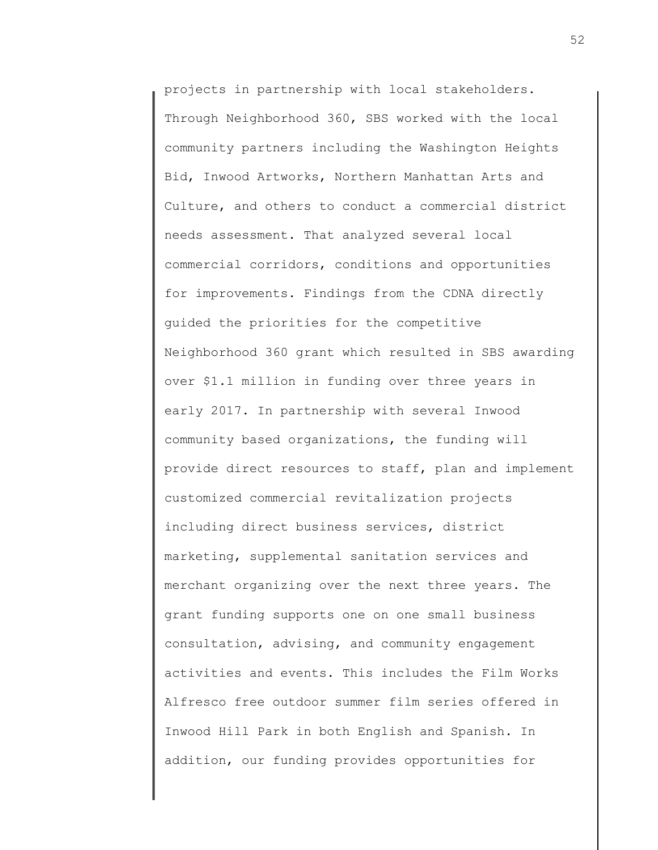projects in partnership with local stakeholders. Through Neighborhood 360, SBS worked with the local community partners including the Washington Heights Bid, Inwood Artworks, Northern Manhattan Arts and Culture, and others to conduct a commercial district needs assessment. That analyzed several local commercial corridors, conditions and opportunities for improvements. Findings from the CDNA directly guided the priorities for the competitive Neighborhood 360 grant which resulted in SBS awarding over \$1.1 million in funding over three years in early 2017. In partnership with several Inwood community based organizations, the funding will provide direct resources to staff, plan and implement customized commercial revitalization projects including direct business services, district marketing, supplemental sanitation services and merchant organizing over the next three years. The grant funding supports one on one small business consultation, advising, and community engagement activities and events. This includes the Film Works Alfresco free outdoor summer film series offered in Inwood Hill Park in both English and Spanish. In addition, our funding provides opportunities for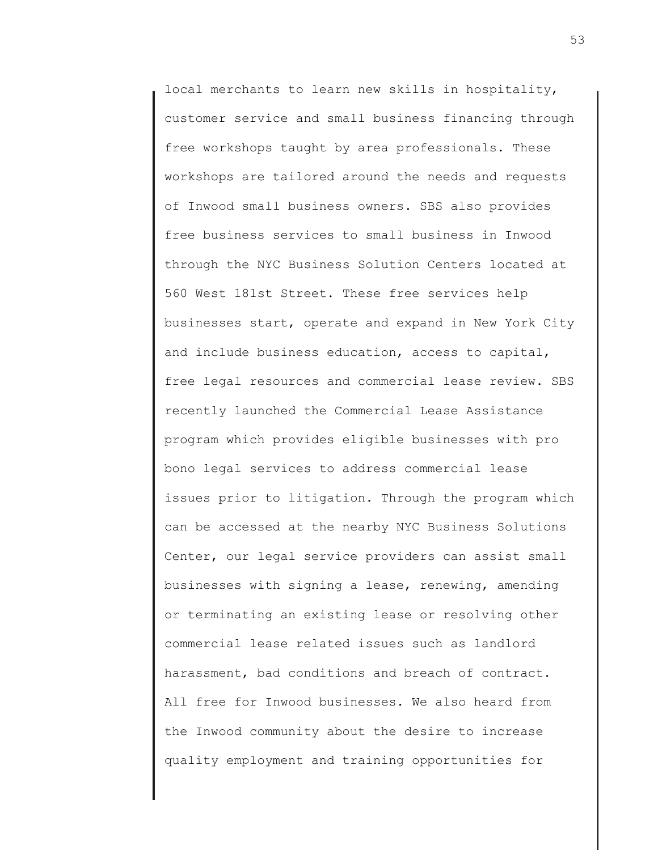local merchants to learn new skills in hospitality, customer service and small business financing through free workshops taught by area professionals. These workshops are tailored around the needs and requests of Inwood small business owners. SBS also provides free business services to small business in Inwood through the NYC Business Solution Centers located at 560 West 181st Street. These free services help businesses start, operate and expand in New York City and include business education, access to capital, free legal resources and commercial lease review. SBS recently launched the Commercial Lease Assistance program which provides eligible businesses with pro bono legal services to address commercial lease issues prior to litigation. Through the program which can be accessed at the nearby NYC Business Solutions Center, our legal service providers can assist small businesses with signing a lease, renewing, amending or terminating an existing lease or resolving other commercial lease related issues such as landlord harassment, bad conditions and breach of contract. All free for Inwood businesses. We also heard from the Inwood community about the desire to increase quality employment and training opportunities for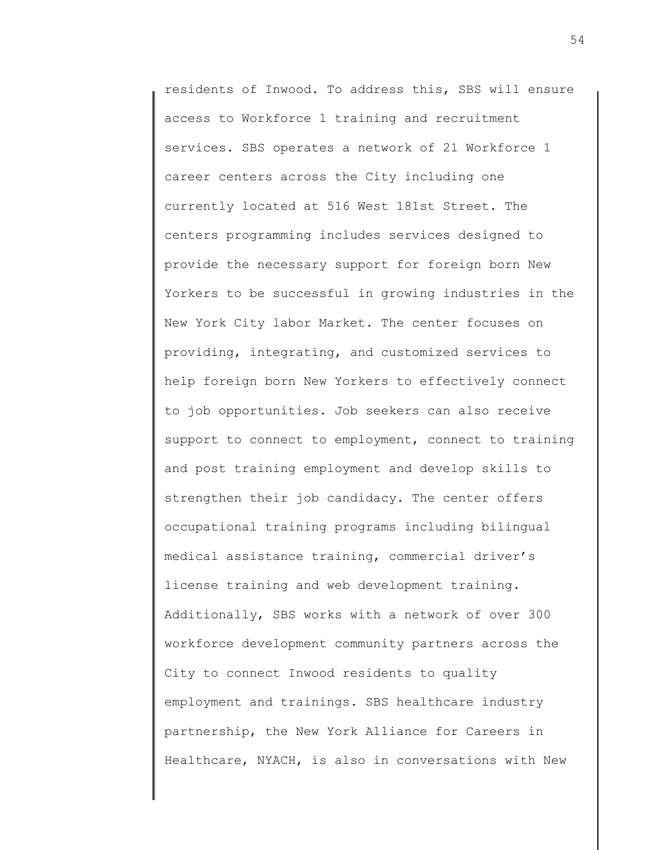residents of Inwood. To address this, SBS will ensure access to Workforce 1 training and recruitment services. SBS operates a network of 21 Workforce 1 career centers across the City including one currently located at 516 West 181st Street. The centers programming includes services designed to provide the necessary support for foreign born New Yorkers to be successful in growing industries in the New York City labor Market. The center focuses on providing, integrating, and customized services to help foreign born New Yorkers to effectively connect to job opportunities. Job seekers can also receive support to connect to employment, connect to training and post training employment and develop skills to strengthen their job candidacy. The center offers occupational training programs including bilingual medical assistance training, commercial driver's license training and web development training. Additionally, SBS works with a network of over 300 workforce development community partners across the City to connect Inwood residents to quality employment and trainings. SBS healthcare industry partnership, the New York Alliance for Careers in Healthcare, NYACH, is also in conversations with New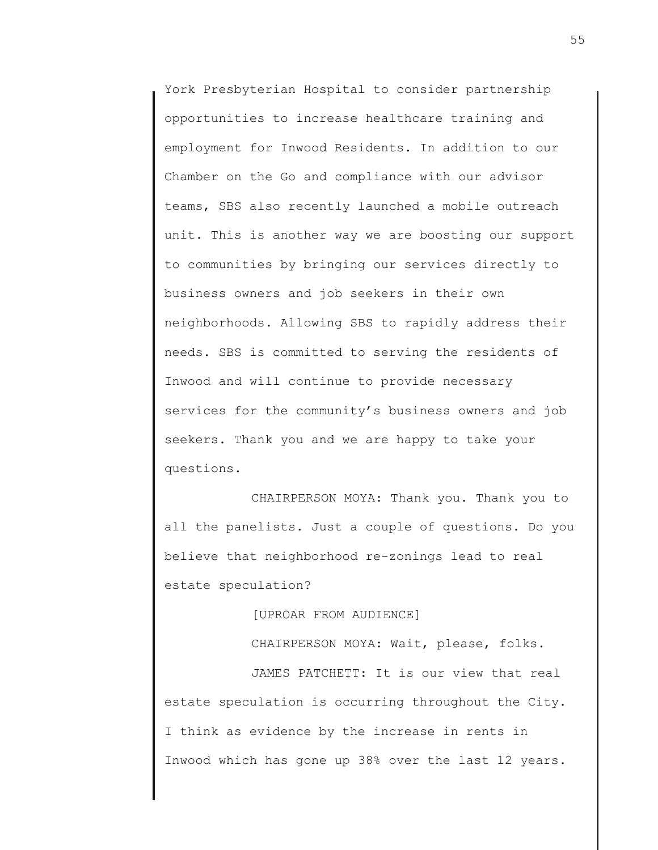York Presbyterian Hospital to consider partnership opportunities to increase healthcare training and employment for Inwood Residents. In addition to our Chamber on the Go and compliance with our advisor teams, SBS also recently launched a mobile outreach unit. This is another way we are boosting our support to communities by bringing our services directly to business owners and job seekers in their own neighborhoods. Allowing SBS to rapidly address their needs. SBS is committed to serving the residents of Inwood and will continue to provide necessary services for the community's business owners and job seekers. Thank you and we are happy to take your questions.

CHAIRPERSON MOYA: Thank you. Thank you to all the panelists. Just a couple of questions. Do you believe that neighborhood re-zonings lead to real estate speculation?

[UPROAR FROM AUDIENCE]

CHAIRPERSON MOYA: Wait, please, folks. JAMES PATCHETT: It is our view that real estate speculation is occurring throughout the City. I think as evidence by the increase in rents in Inwood which has gone up 38% over the last 12 years.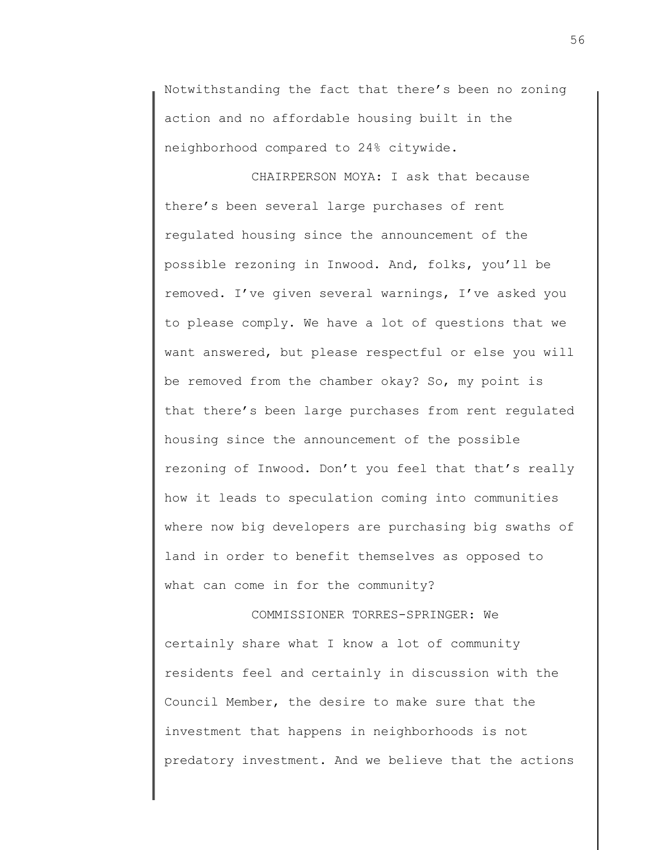Notwithstanding the fact that there's been no zoning action and no affordable housing built in the neighborhood compared to 24% citywide.

CHAIRPERSON MOYA: I ask that because there's been several large purchases of rent regulated housing since the announcement of the possible rezoning in Inwood. And, folks, you'll be removed. I've given several warnings, I've asked you to please comply. We have a lot of questions that we want answered, but please respectful or else you will be removed from the chamber okay? So, my point is that there's been large purchases from rent regulated housing since the announcement of the possible rezoning of Inwood. Don't you feel that that's really how it leads to speculation coming into communities where now big developers are purchasing big swaths of land in order to benefit themselves as opposed to what can come in for the community?

COMMISSIONER TORRES-SPRINGER: We certainly share what I know a lot of community residents feel and certainly in discussion with the Council Member, the desire to make sure that the investment that happens in neighborhoods is not predatory investment. And we believe that the actions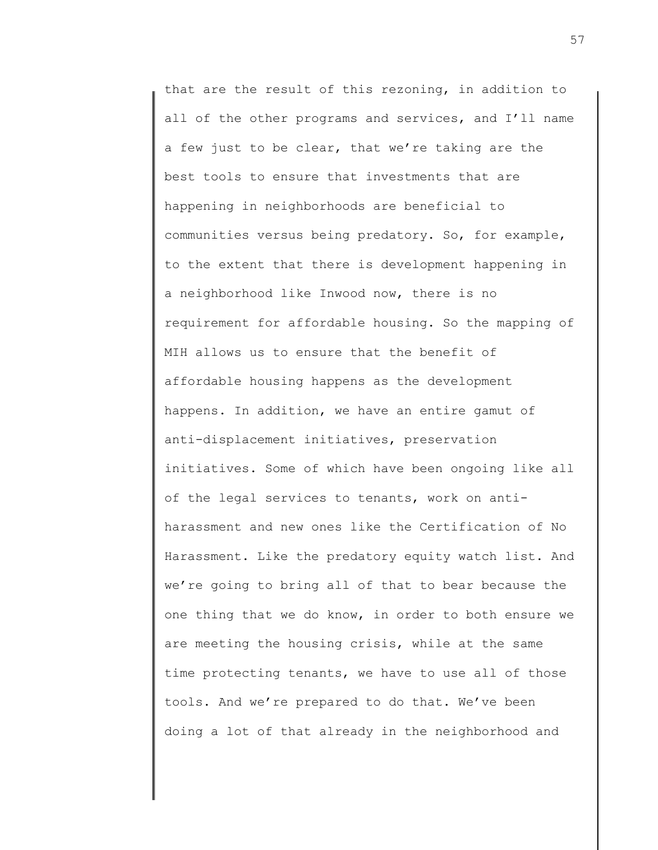that are the result of this rezoning, in addition to all of the other programs and services, and I'll name a few just to be clear, that we're taking are the best tools to ensure that investments that are happening in neighborhoods are beneficial to communities versus being predatory. So, for example, to the extent that there is development happening in a neighborhood like Inwood now, there is no requirement for affordable housing. So the mapping of MIH allows us to ensure that the benefit of affordable housing happens as the development happens. In addition, we have an entire gamut of anti-displacement initiatives, preservation initiatives. Some of which have been ongoing like all of the legal services to tenants, work on antiharassment and new ones like the Certification of No Harassment. Like the predatory equity watch list. And we're going to bring all of that to bear because the one thing that we do know, in order to both ensure we are meeting the housing crisis, while at the same time protecting tenants, we have to use all of those tools. And we're prepared to do that. We've been doing a lot of that already in the neighborhood and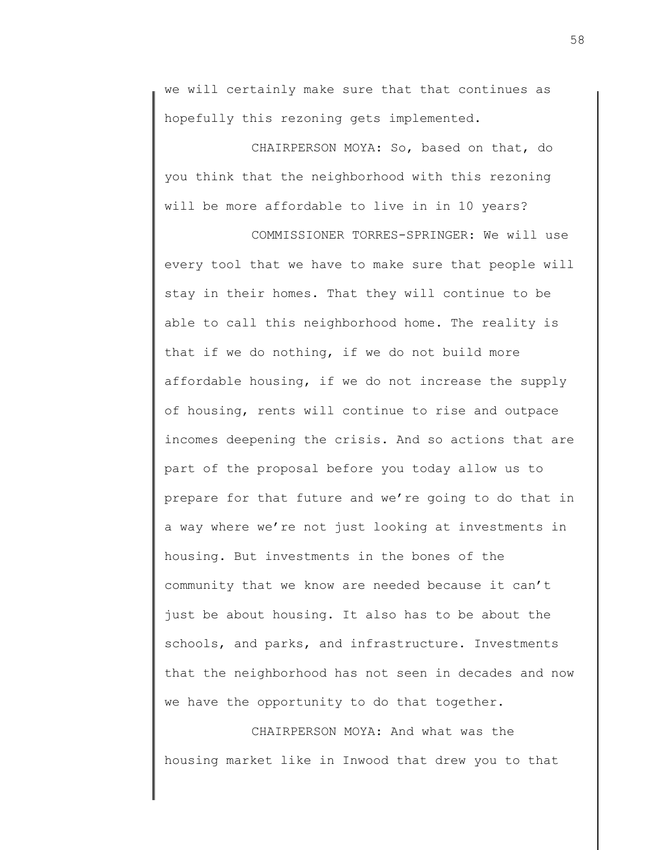we will certainly make sure that that continues as hopefully this rezoning gets implemented.

CHAIRPERSON MOYA: So, based on that, do you think that the neighborhood with this rezoning will be more affordable to live in in 10 years?

COMMISSIONER TORRES-SPRINGER: We will use every tool that we have to make sure that people will stay in their homes. That they will continue to be able to call this neighborhood home. The reality is that if we do nothing, if we do not build more affordable housing, if we do not increase the supply of housing, rents will continue to rise and outpace incomes deepening the crisis. And so actions that are part of the proposal before you today allow us to prepare for that future and we're going to do that in a way where we're not just looking at investments in housing. But investments in the bones of the community that we know are needed because it can't just be about housing. It also has to be about the schools, and parks, and infrastructure. Investments that the neighborhood has not seen in decades and now we have the opportunity to do that together.

CHAIRPERSON MOYA: And what was the housing market like in Inwood that drew you to that 58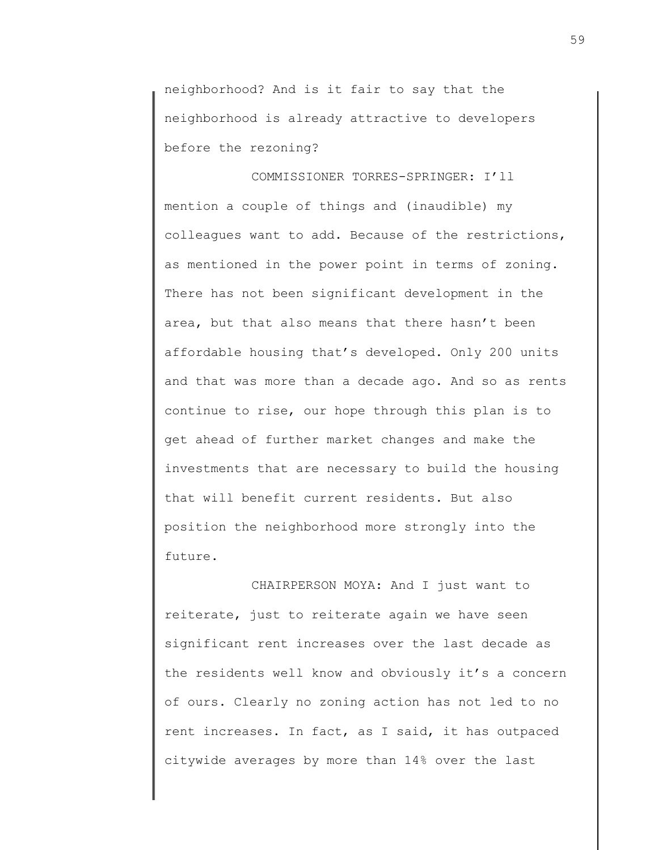neighborhood? And is it fair to say that the neighborhood is already attractive to developers before the rezoning?

COMMISSIONER TORRES-SPRINGER: I'll mention a couple of things and (inaudible) my colleagues want to add. Because of the restrictions, as mentioned in the power point in terms of zoning. There has not been significant development in the area, but that also means that there hasn't been affordable housing that's developed. Only 200 units and that was more than a decade ago. And so as rents continue to rise, our hope through this plan is to get ahead of further market changes and make the investments that are necessary to build the housing that will benefit current residents. But also position the neighborhood more strongly into the future.

CHAIRPERSON MOYA: And I just want to reiterate, just to reiterate again we have seen significant rent increases over the last decade as the residents well know and obviously it's a concern of ours. Clearly no zoning action has not led to no rent increases. In fact, as I said, it has outpaced citywide averages by more than 14% over the last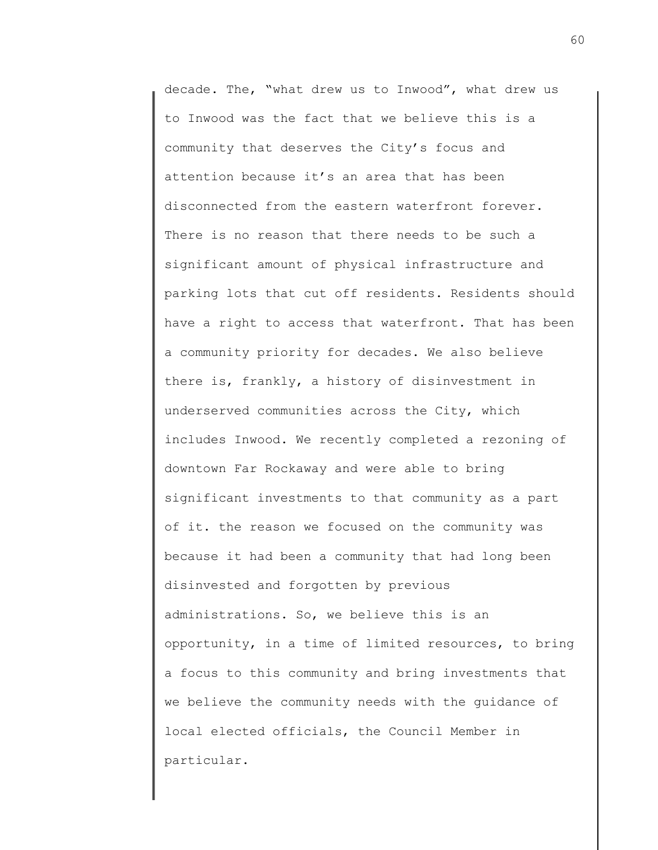decade. The, "what drew us to Inwood", what drew us to Inwood was the fact that we believe this is a community that deserves the City's focus and attention because it's an area that has been disconnected from the eastern waterfront forever. There is no reason that there needs to be such a significant amount of physical infrastructure and parking lots that cut off residents. Residents should have a right to access that waterfront. That has been a community priority for decades. We also believe there is, frankly, a history of disinvestment in underserved communities across the City, which includes Inwood. We recently completed a rezoning of downtown Far Rockaway and were able to bring significant investments to that community as a part of it. the reason we focused on the community was because it had been a community that had long been disinvested and forgotten by previous administrations. So, we believe this is an opportunity, in a time of limited resources, to bring a focus to this community and bring investments that we believe the community needs with the guidance of local elected officials, the Council Member in particular.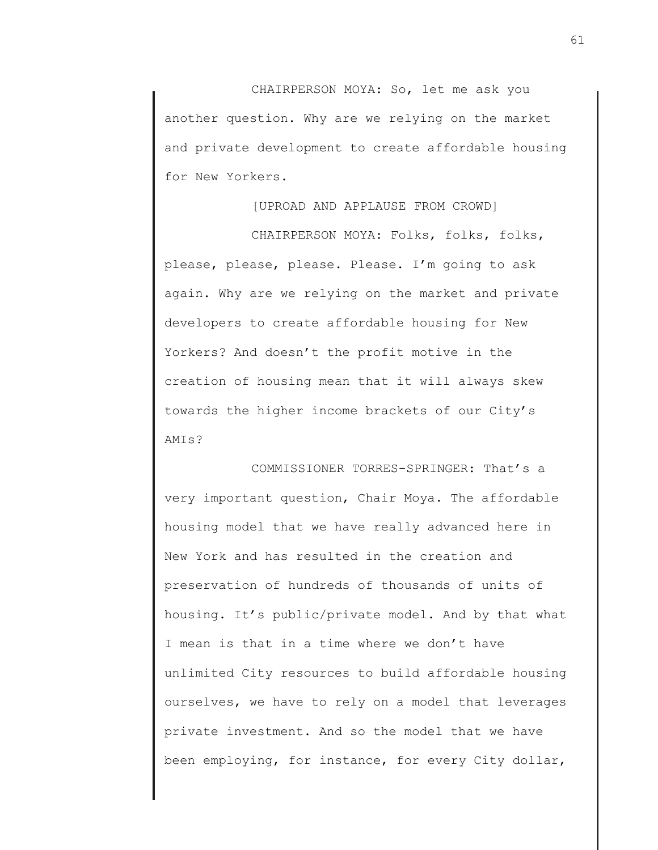CHAIRPERSON MOYA: So, let me ask you another question. Why are we relying on the market and private development to create affordable housing for New Yorkers.

## [UPROAD AND APPLAUSE FROM CROWD]

CHAIRPERSON MOYA: Folks, folks, folks, please, please, please. Please. I'm going to ask again. Why are we relying on the market and private developers to create affordable housing for New Yorkers? And doesn't the profit motive in the creation of housing mean that it will always skew towards the higher income brackets of our City's AMIs?

COMMISSIONER TORRES-SPRINGER: That's a very important question, Chair Moya. The affordable housing model that we have really advanced here in New York and has resulted in the creation and preservation of hundreds of thousands of units of housing. It's public/private model. And by that what I mean is that in a time where we don't have unlimited City resources to build affordable housing ourselves, we have to rely on a model that leverages private investment. And so the model that we have been employing, for instance, for every City dollar,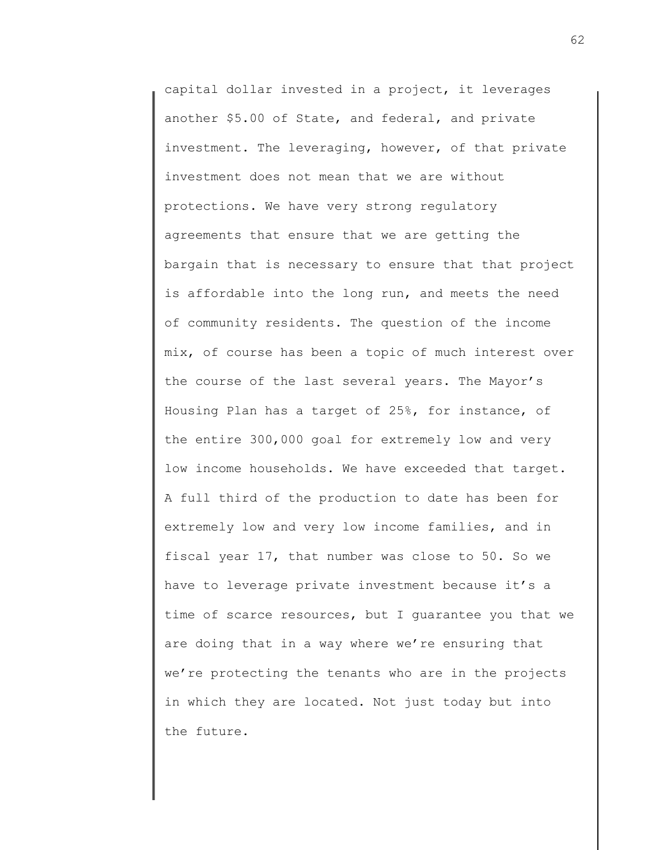capital dollar invested in a project, it leverages another \$5.00 of State, and federal, and private investment. The leveraging, however, of that private investment does not mean that we are without protections. We have very strong regulatory agreements that ensure that we are getting the bargain that is necessary to ensure that that project is affordable into the long run, and meets the need of community residents. The question of the income mix, of course has been a topic of much interest over the course of the last several years. The Mayor's Housing Plan has a target of 25%, for instance, of the entire 300,000 goal for extremely low and very low income households. We have exceeded that target. A full third of the production to date has been for extremely low and very low income families, and in fiscal year 17, that number was close to 50. So we have to leverage private investment because it's a time of scarce resources, but I guarantee you that we are doing that in a way where we're ensuring that we're protecting the tenants who are in the projects in which they are located. Not just today but into the future.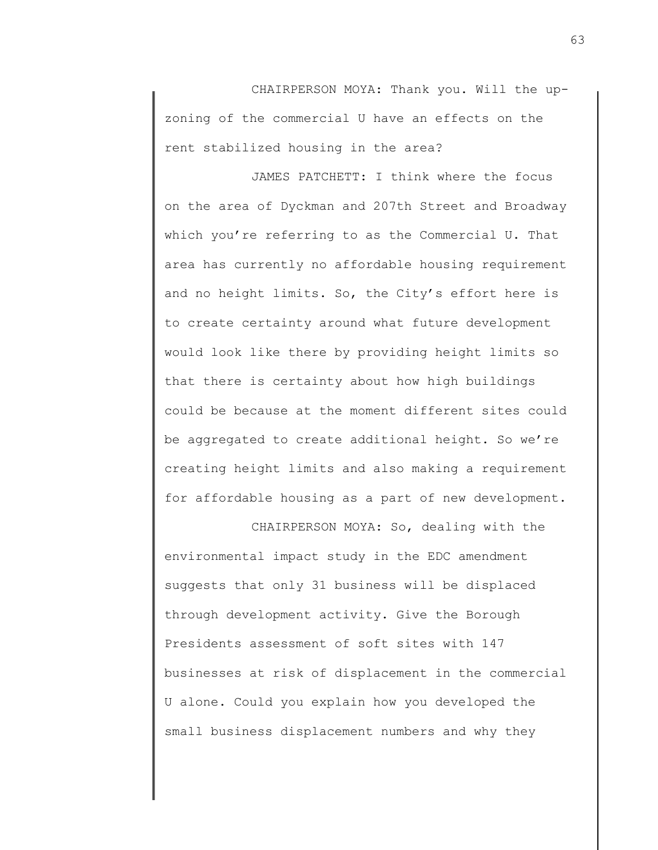CHAIRPERSON MOYA: Thank you. Will the upzoning of the commercial U have an effects on the rent stabilized housing in the area?

JAMES PATCHETT: I think where the focus on the area of Dyckman and 207th Street and Broadway which you're referring to as the Commercial U. That area has currently no affordable housing requirement and no height limits. So, the City's effort here is to create certainty around what future development would look like there by providing height limits so that there is certainty about how high buildings could be because at the moment different sites could be aggregated to create additional height. So we're creating height limits and also making a requirement for affordable housing as a part of new development.

CHAIRPERSON MOYA: So, dealing with the environmental impact study in the EDC amendment suggests that only 31 business will be displaced through development activity. Give the Borough Presidents assessment of soft sites with 147 businesses at risk of displacement in the commercial U alone. Could you explain how you developed the small business displacement numbers and why they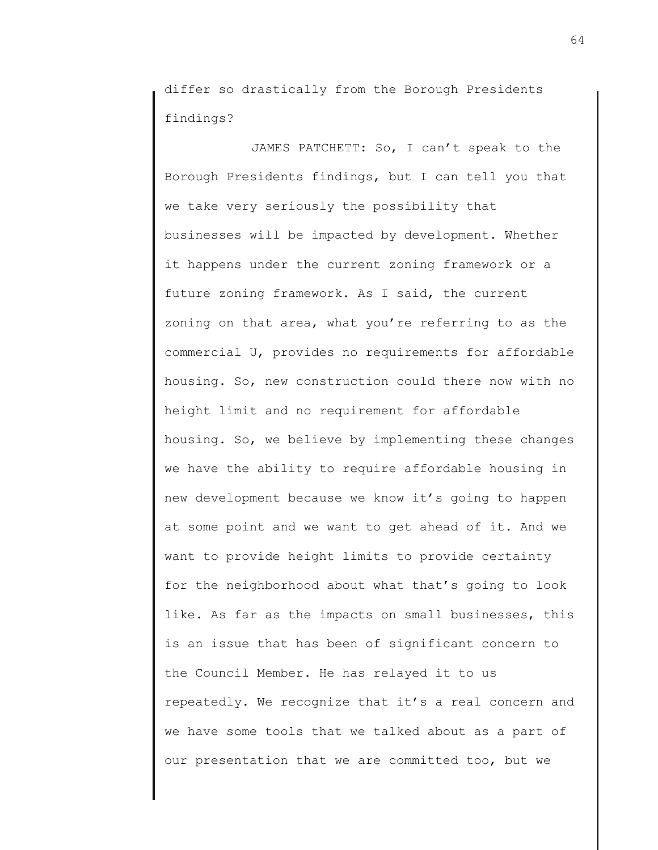differ so drastically from the Borough Presidents findings?

JAMES PATCHETT: So, I can't speak to the Borough Presidents findings, but I can tell you that we take very seriously the possibility that businesses will be impacted by development. Whether it happens under the current zoning framework or a future zoning framework. As I said, the current zoning on that area, what you're referring to as the commercial U, provides no requirements for affordable housing. So, new construction could there now with no height limit and no requirement for affordable housing. So, we believe by implementing these changes we have the ability to require affordable housing in new development because we know it's going to happen at some point and we want to get ahead of it. And we want to provide height limits to provide certainty for the neighborhood about what that's going to look like. As far as the impacts on small businesses, this is an issue that has been of significant concern to the Council Member. He has relayed it to us repeatedly. We recognize that it's a real concern and we have some tools that we talked about as a part of our presentation that we are committed too, but we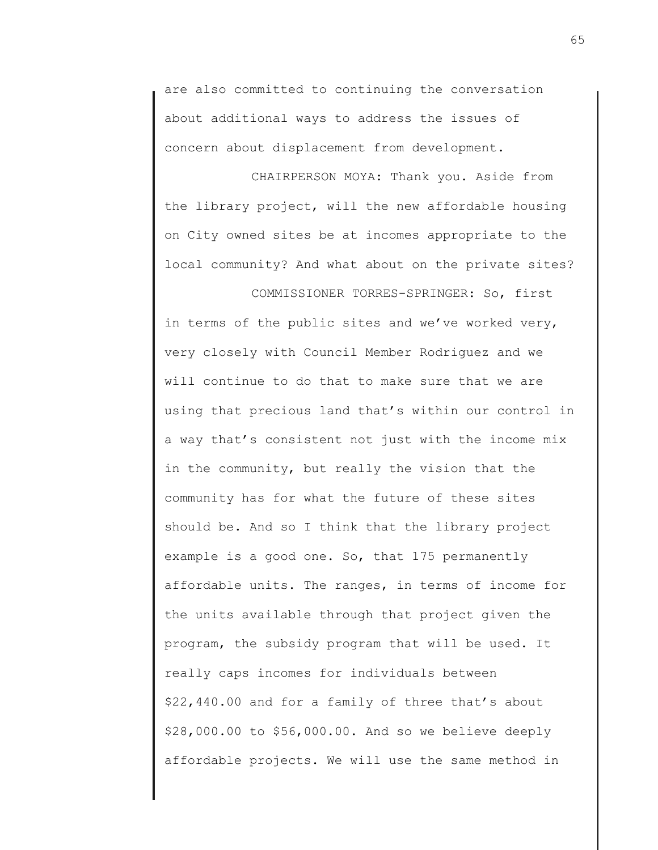are also committed to continuing the conversation about additional ways to address the issues of concern about displacement from development.

CHAIRPERSON MOYA: Thank you. Aside from the library project, will the new affordable housing on City owned sites be at incomes appropriate to the local community? And what about on the private sites?

COMMISSIONER TORRES-SPRINGER: So, first in terms of the public sites and we've worked very, very closely with Council Member Rodriguez and we will continue to do that to make sure that we are using that precious land that's within our control in a way that's consistent not just with the income mix in the community, but really the vision that the community has for what the future of these sites should be. And so I think that the library project example is a good one. So, that 175 permanently affordable units. The ranges, in terms of income for the units available through that project given the program, the subsidy program that will be used. It really caps incomes for individuals between \$22,440.00 and for a family of three that's about \$28,000.00 to \$56,000.00. And so we believe deeply affordable projects. We will use the same method in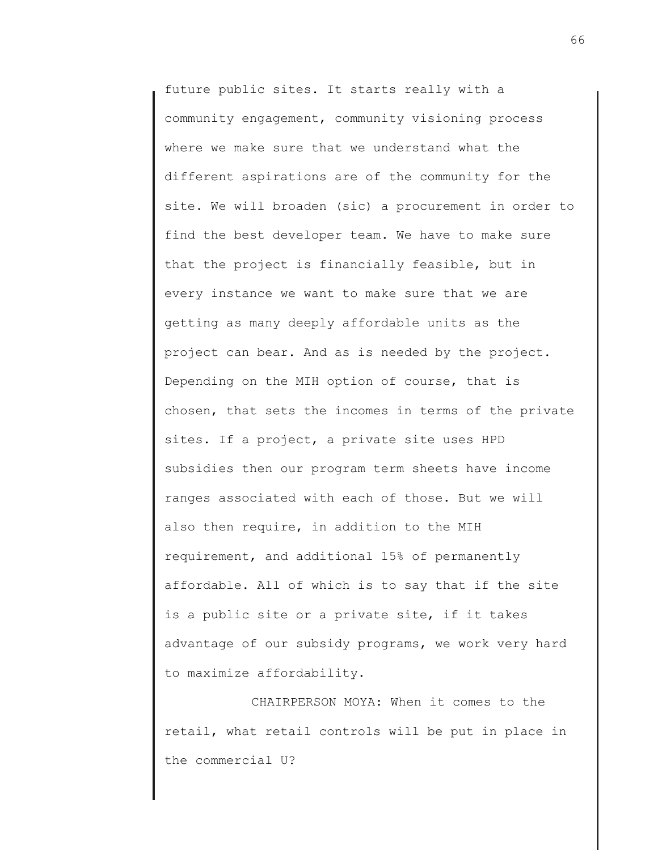future public sites. It starts really with a community engagement, community visioning process where we make sure that we understand what the different aspirations are of the community for the site. We will broaden (sic) a procurement in order to find the best developer team. We have to make sure that the project is financially feasible, but in every instance we want to make sure that we are getting as many deeply affordable units as the project can bear. And as is needed by the project. Depending on the MIH option of course, that is chosen, that sets the incomes in terms of the private sites. If a project, a private site uses HPD subsidies then our program term sheets have income ranges associated with each of those. But we will also then require, in addition to the MIH requirement, and additional 15% of permanently affordable. All of which is to say that if the site is a public site or a private site, if it takes advantage of our subsidy programs, we work very hard to maximize affordability.

CHAIRPERSON MOYA: When it comes to the retail, what retail controls will be put in place in the commercial U?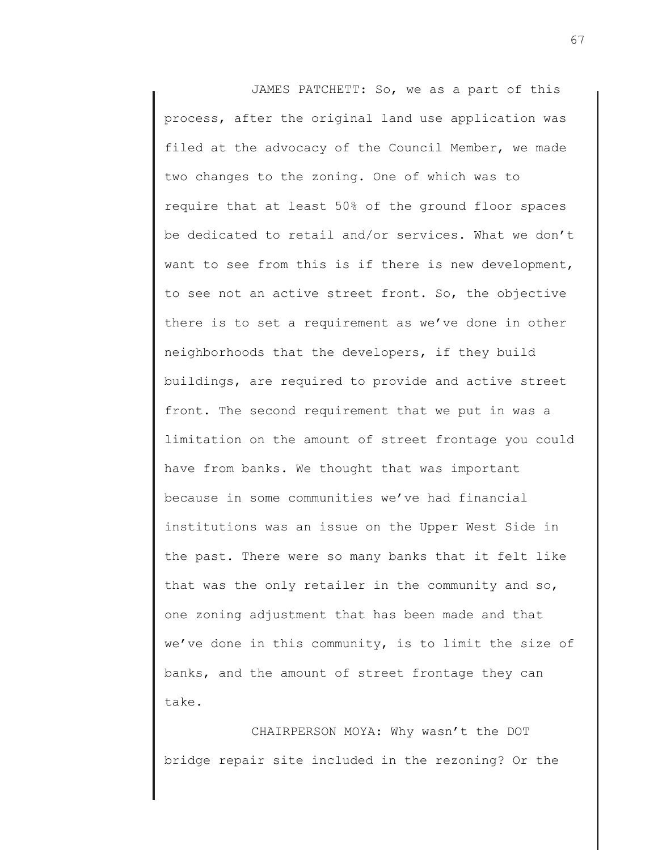JAMES PATCHETT: So, we as a part of this process, after the original land use application was filed at the advocacy of the Council Member, we made two changes to the zoning. One of which was to require that at least 50% of the ground floor spaces be dedicated to retail and/or services. What we don't want to see from this is if there is new development, to see not an active street front. So, the objective there is to set a requirement as we've done in other neighborhoods that the developers, if they build buildings, are required to provide and active street front. The second requirement that we put in was a limitation on the amount of street frontage you could have from banks. We thought that was important because in some communities we've had financial institutions was an issue on the Upper West Side in the past. There were so many banks that it felt like that was the only retailer in the community and so, one zoning adjustment that has been made and that we've done in this community, is to limit the size of banks, and the amount of street frontage they can take.

CHAIRPERSON MOYA: Why wasn't the DOT bridge repair site included in the rezoning? Or the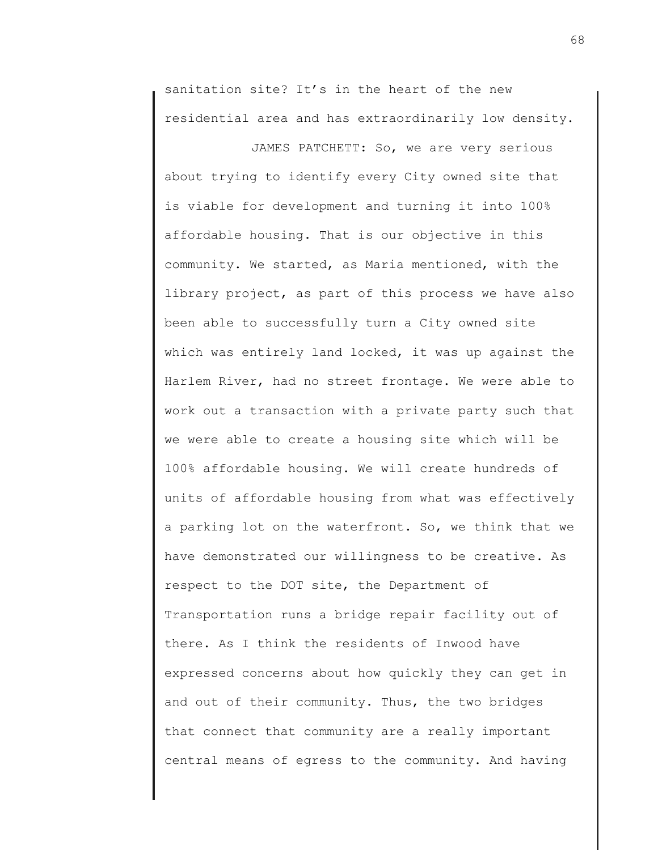sanitation site? It's in the heart of the new residential area and has extraordinarily low density.

JAMES PATCHETT: So, we are very serious about trying to identify every City owned site that is viable for development and turning it into 100% affordable housing. That is our objective in this community. We started, as Maria mentioned, with the library project, as part of this process we have also been able to successfully turn a City owned site which was entirely land locked, it was up against the Harlem River, had no street frontage. We were able to work out a transaction with a private party such that we were able to create a housing site which will be 100% affordable housing. We will create hundreds of units of affordable housing from what was effectively a parking lot on the waterfront. So, we think that we have demonstrated our willingness to be creative. As respect to the DOT site, the Department of Transportation runs a bridge repair facility out of there. As I think the residents of Inwood have expressed concerns about how quickly they can get in and out of their community. Thus, the two bridges that connect that community are a really important central means of egress to the community. And having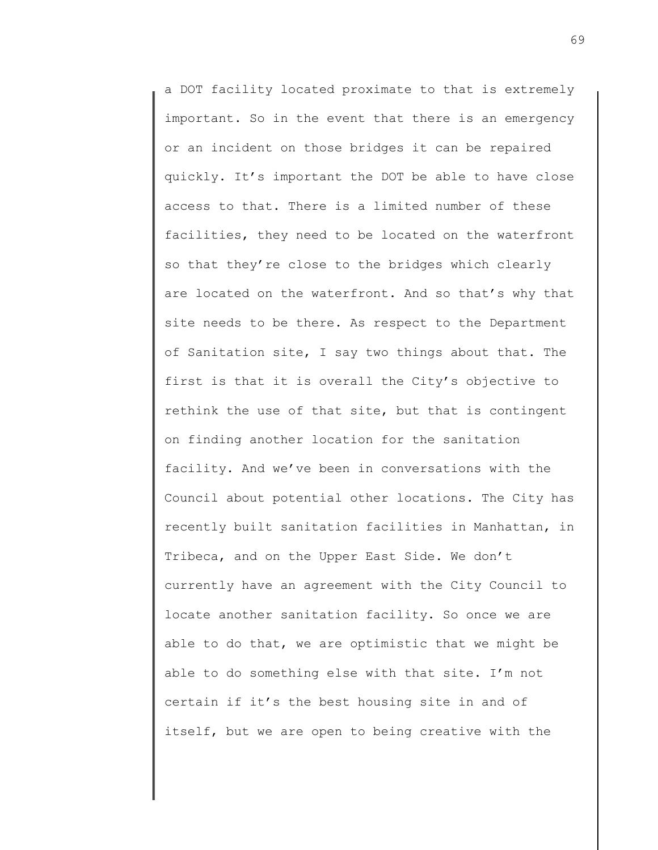a DOT facility located proximate to that is extremely important. So in the event that there is an emergency or an incident on those bridges it can be repaired quickly. It's important the DOT be able to have close access to that. There is a limited number of these facilities, they need to be located on the waterfront so that they're close to the bridges which clearly are located on the waterfront. And so that's why that site needs to be there. As respect to the Department of Sanitation site, I say two things about that. The first is that it is overall the City's objective to rethink the use of that site, but that is contingent on finding another location for the sanitation facility. And we've been in conversations with the Council about potential other locations. The City has recently built sanitation facilities in Manhattan, in Tribeca, and on the Upper East Side. We don't currently have an agreement with the City Council to locate another sanitation facility. So once we are able to do that, we are optimistic that we might be able to do something else with that site. I'm not certain if it's the best housing site in and of itself, but we are open to being creative with the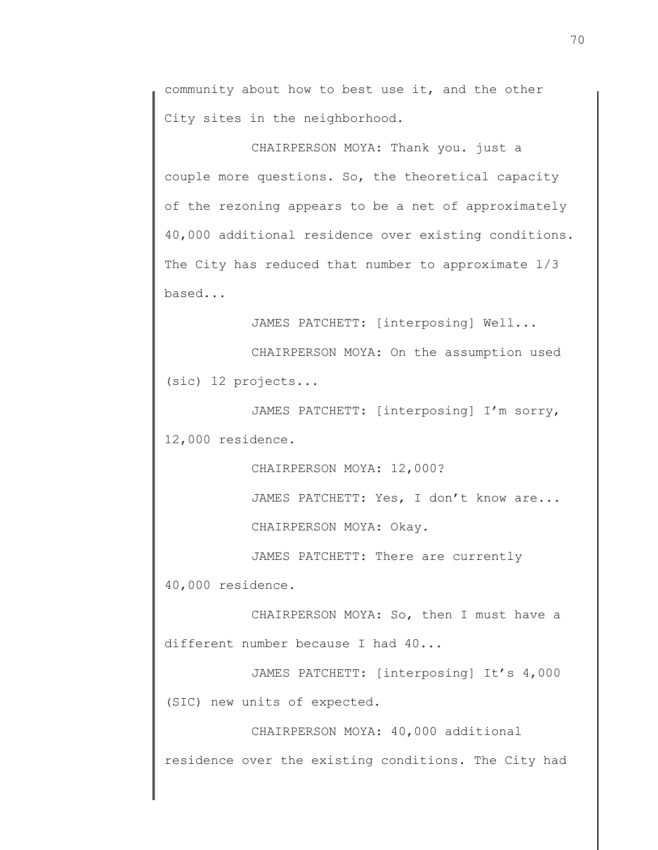community about how to best use it, and the other City sites in the neighborhood.

CHAIRPERSON MOYA: Thank you. just a couple more questions. So, the theoretical capacity of the rezoning appears to be a net of approximately 40,000 additional residence over existing conditions. The City has reduced that number to approximate  $1/3$ based...

JAMES PATCHETT: [interposing] Well...

CHAIRPERSON MOYA: On the assumption used (sic) 12 projects...

JAMES PATCHETT: [interposing] I'm sorry, 12,000 residence.

CHAIRPERSON MOYA: 12,000?

JAMES PATCHETT: Yes, I don't know are...

CHAIRPERSON MOYA: Okay.

JAMES PATCHETT: There are currently 40,000 residence.

CHAIRPERSON MOYA: So, then I must have a different number because I had 40...

JAMES PATCHETT: [interposing] It's 4,000 (SIC) new units of expected.

CHAIRPERSON MOYA: 40,000 additional

residence over the existing conditions. The City had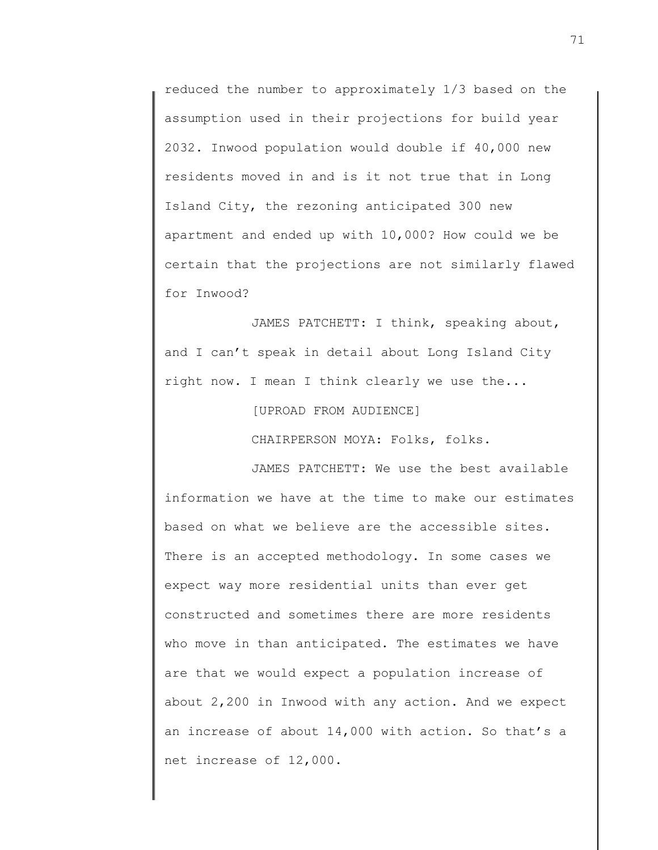reduced the number to approximately 1/3 based on the assumption used in their projections for build year 2032. Inwood population would double if 40,000 new residents moved in and is it not true that in Long Island City, the rezoning anticipated 300 new apartment and ended up with 10,000? How could we be certain that the projections are not similarly flawed for Inwood?

JAMES PATCHETT: I think, speaking about, and I can't speak in detail about Long Island City right now. I mean I think clearly we use the...

[UPROAD FROM AUDIENCE]

CHAIRPERSON MOYA: Folks, folks.

JAMES PATCHETT: We use the best available information we have at the time to make our estimates based on what we believe are the accessible sites. There is an accepted methodology. In some cases we expect way more residential units than ever get constructed and sometimes there are more residents who move in than anticipated. The estimates we have are that we would expect a population increase of about 2,200 in Inwood with any action. And we expect an increase of about 14,000 with action. So that's a net increase of 12,000.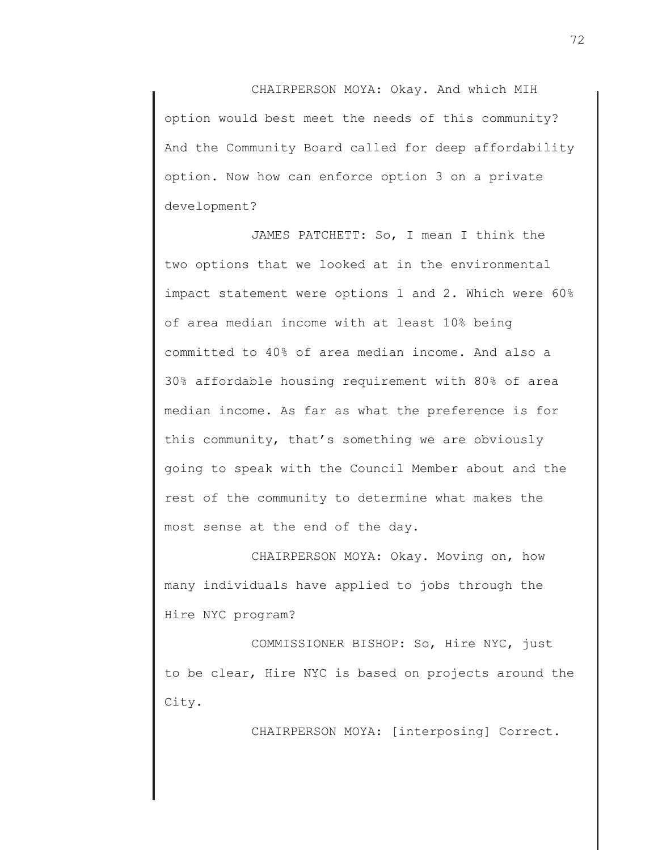CHAIRPERSON MOYA: Okay. And which MIH option would best meet the needs of this community? And the Community Board called for deep affordability option. Now how can enforce option 3 on a private development?

JAMES PATCHETT: So, I mean I think the two options that we looked at in the environmental impact statement were options 1 and 2. Which were 60% of area median income with at least 10% being committed to 40% of area median income. And also a 30% affordable housing requirement with 80% of area median income. As far as what the preference is for this community, that's something we are obviously going to speak with the Council Member about and the rest of the community to determine what makes the most sense at the end of the day.

CHAIRPERSON MOYA: Okay. Moving on, how many individuals have applied to jobs through the Hire NYC program?

COMMISSIONER BISHOP: So, Hire NYC, just to be clear, Hire NYC is based on projects around the City.

CHAIRPERSON MOYA: [interposing] Correct.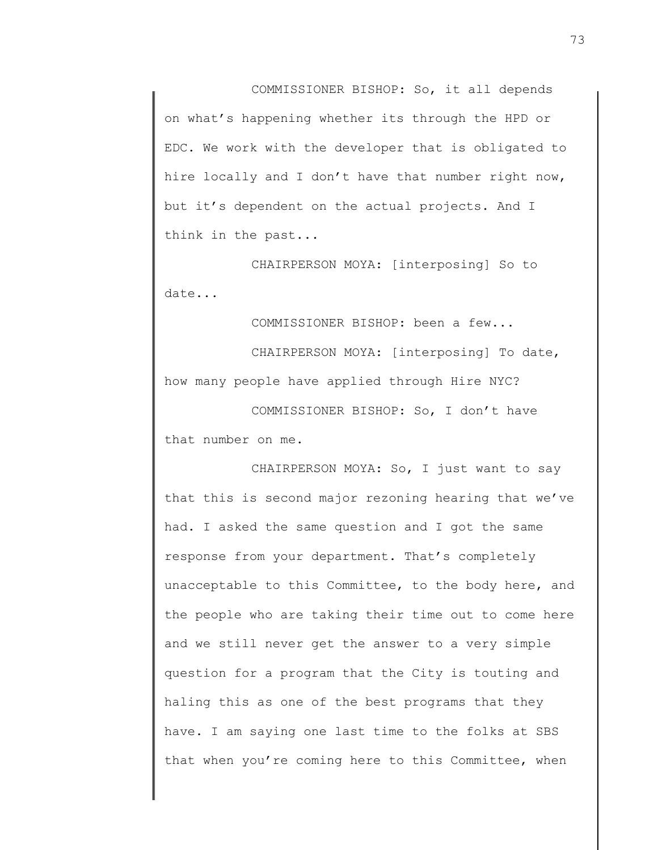COMMISSIONER BISHOP: So, it all depends on what's happening whether its through the HPD or EDC. We work with the developer that is obligated to hire locally and I don't have that number right now, but it's dependent on the actual projects. And I think in the past...

CHAIRPERSON MOYA: [interposing] So to date...

COMMISSIONER BISHOP: been a few... CHAIRPERSON MOYA: [interposing] To date, how many people have applied through Hire NYC?

COMMISSIONER BISHOP: So, I don't have that number on me.

CHAIRPERSON MOYA: So, I just want to say that this is second major rezoning hearing that we've had. I asked the same question and I got the same response from your department. That's completely unacceptable to this Committee, to the body here, and the people who are taking their time out to come here and we still never get the answer to a very simple question for a program that the City is touting and haling this as one of the best programs that they have. I am saying one last time to the folks at SBS that when you're coming here to this Committee, when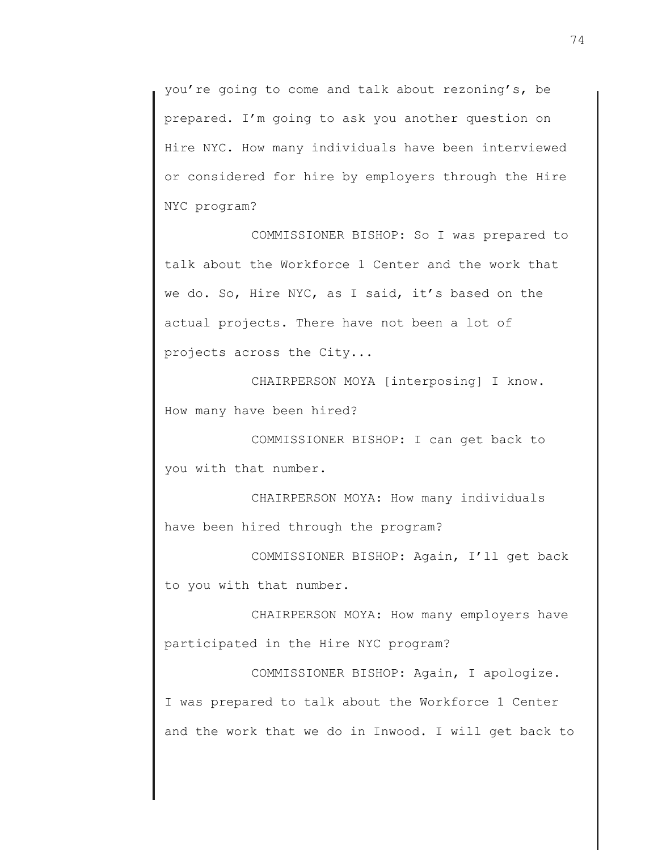you're going to come and talk about rezoning's, be prepared. I'm going to ask you another question on Hire NYC. How many individuals have been interviewed or considered for hire by employers through the Hire NYC program?

COMMISSIONER BISHOP: So I was prepared to talk about the Workforce 1 Center and the work that we do. So, Hire NYC, as I said, it's based on the actual projects. There have not been a lot of projects across the City...

CHAIRPERSON MOYA [interposing] I know. How many have been hired?

COMMISSIONER BISHOP: I can get back to you with that number.

CHAIRPERSON MOYA: How many individuals have been hired through the program?

COMMISSIONER BISHOP: Again, I'll get back to you with that number.

CHAIRPERSON MOYA: How many employers have participated in the Hire NYC program?

COMMISSIONER BISHOP: Again, I apologize. I was prepared to talk about the Workforce 1 Center and the work that we do in Inwood. I will get back to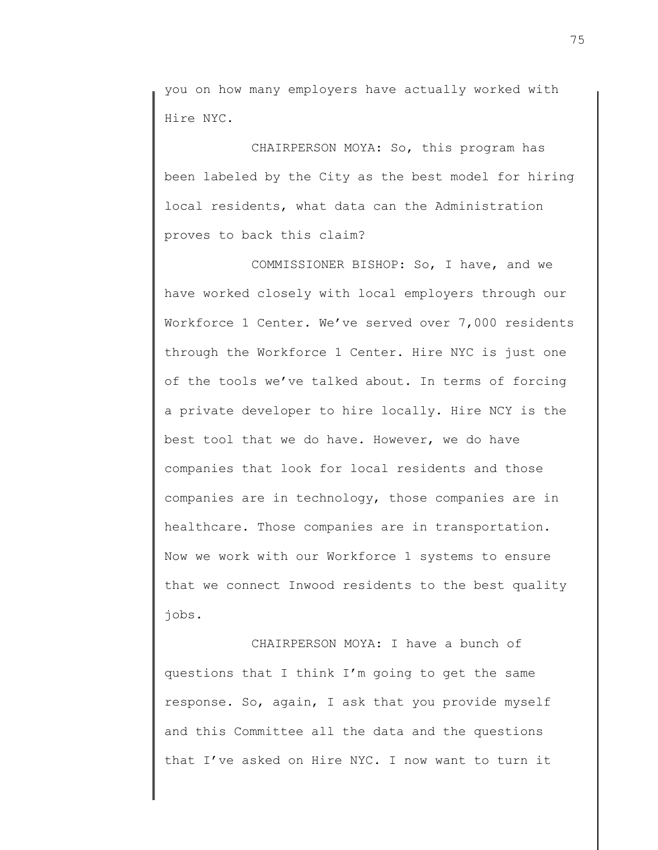you on how many employers have actually worked with Hire NYC.

CHAIRPERSON MOYA: So, this program has been labeled by the City as the best model for hiring local residents, what data can the Administration proves to back this claim?

COMMISSIONER BISHOP: So, I have, and we have worked closely with local employers through our Workforce 1 Center. We've served over 7,000 residents through the Workforce 1 Center. Hire NYC is just one of the tools we've talked about. In terms of forcing a private developer to hire locally. Hire NCY is the best tool that we do have. However, we do have companies that look for local residents and those companies are in technology, those companies are in healthcare. Those companies are in transportation. Now we work with our Workforce 1 systems to ensure that we connect Inwood residents to the best quality jobs.

CHAIRPERSON MOYA: I have a bunch of questions that I think I'm going to get the same response. So, again, I ask that you provide myself and this Committee all the data and the questions that I've asked on Hire NYC. I now want to turn it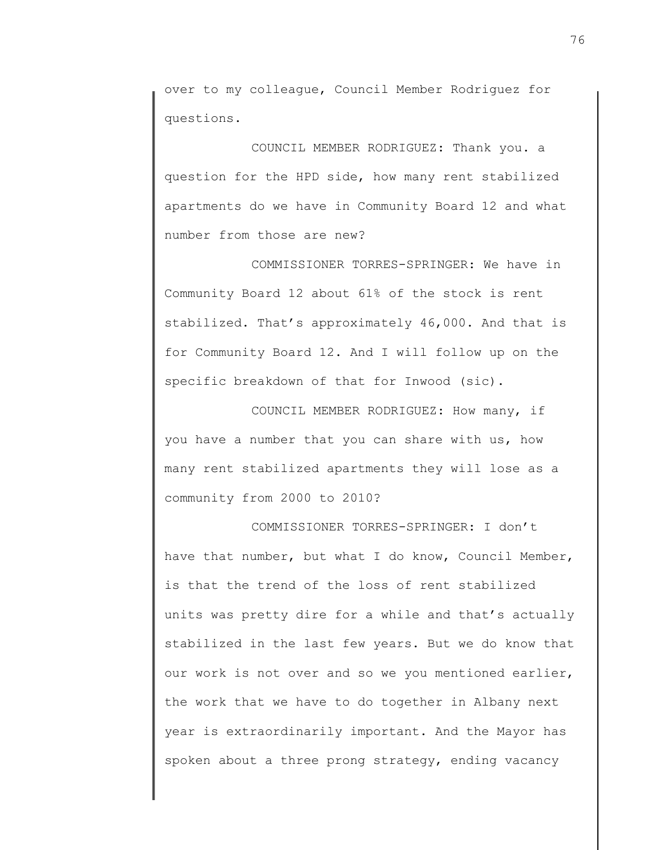over to my colleague, Council Member Rodriguez for questions.

COUNCIL MEMBER RODRIGUEZ: Thank you. a question for the HPD side, how many rent stabilized apartments do we have in Community Board 12 and what number from those are new?

COMMISSIONER TORRES-SPRINGER: We have in Community Board 12 about 61% of the stock is rent stabilized. That's approximately 46,000. And that is for Community Board 12. And I will follow up on the specific breakdown of that for Inwood (sic).

COUNCIL MEMBER RODRIGUEZ: How many, if you have a number that you can share with us, how many rent stabilized apartments they will lose as a community from 2000 to 2010?

COMMISSIONER TORRES-SPRINGER: I don't have that number, but what I do know, Council Member, is that the trend of the loss of rent stabilized units was pretty dire for a while and that's actually stabilized in the last few years. But we do know that our work is not over and so we you mentioned earlier, the work that we have to do together in Albany next year is extraordinarily important. And the Mayor has spoken about a three prong strategy, ending vacancy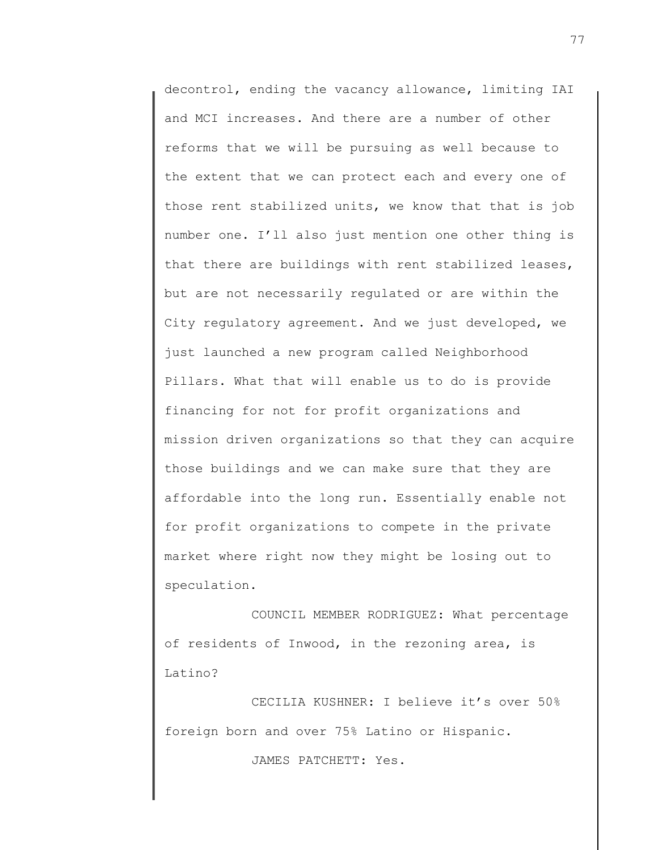decontrol, ending the vacancy allowance, limiting IAI and MCI increases. And there are a number of other reforms that we will be pursuing as well because to the extent that we can protect each and every one of those rent stabilized units, we know that that is job number one. I'll also just mention one other thing is that there are buildings with rent stabilized leases, but are not necessarily regulated or are within the City regulatory agreement. And we just developed, we just launched a new program called Neighborhood Pillars. What that will enable us to do is provide financing for not for profit organizations and mission driven organizations so that they can acquire those buildings and we can make sure that they are affordable into the long run. Essentially enable not for profit organizations to compete in the private market where right now they might be losing out to speculation.

COUNCIL MEMBER RODRIGUEZ: What percentage of residents of Inwood, in the rezoning area, is Latino?

CECILIA KUSHNER: I believe it's over 50% foreign born and over 75% Latino or Hispanic.

JAMES PATCHETT: Yes.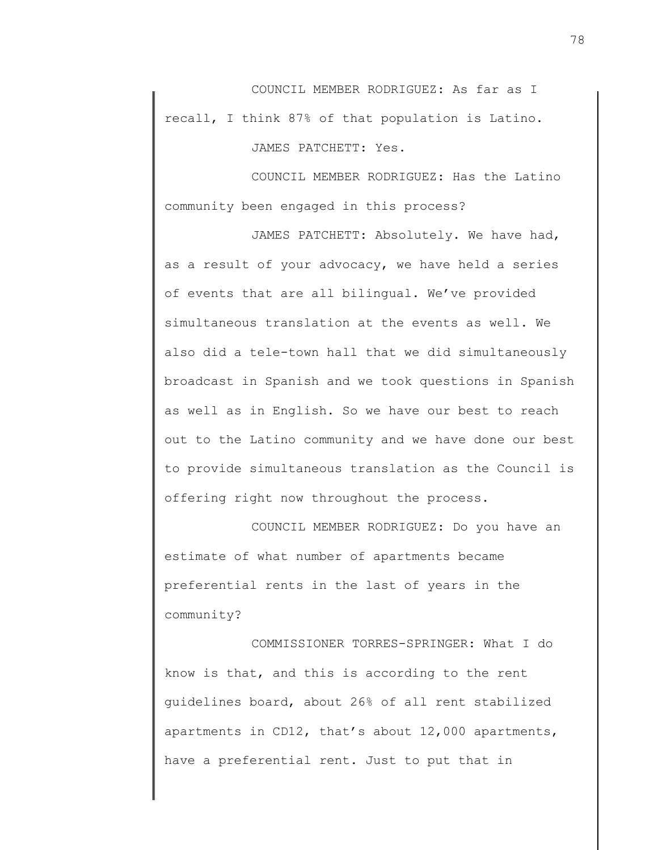COUNCIL MEMBER RODRIGUEZ: As far as I recall, I think 87% of that population is Latino.

JAMES PATCHETT: Yes.

COUNCIL MEMBER RODRIGUEZ: Has the Latino community been engaged in this process?

JAMES PATCHETT: Absolutely. We have had, as a result of your advocacy, we have held a series of events that are all bilingual. We've provided simultaneous translation at the events as well. We also did a tele-town hall that we did simultaneously broadcast in Spanish and we took questions in Spanish as well as in English. So we have our best to reach out to the Latino community and we have done our best to provide simultaneous translation as the Council is offering right now throughout the process.

COUNCIL MEMBER RODRIGUEZ: Do you have an estimate of what number of apartments became preferential rents in the last of years in the community?

COMMISSIONER TORRES-SPRINGER: What I do know is that, and this is according to the rent guidelines board, about 26% of all rent stabilized apartments in CD12, that's about 12,000 apartments, have a preferential rent. Just to put that in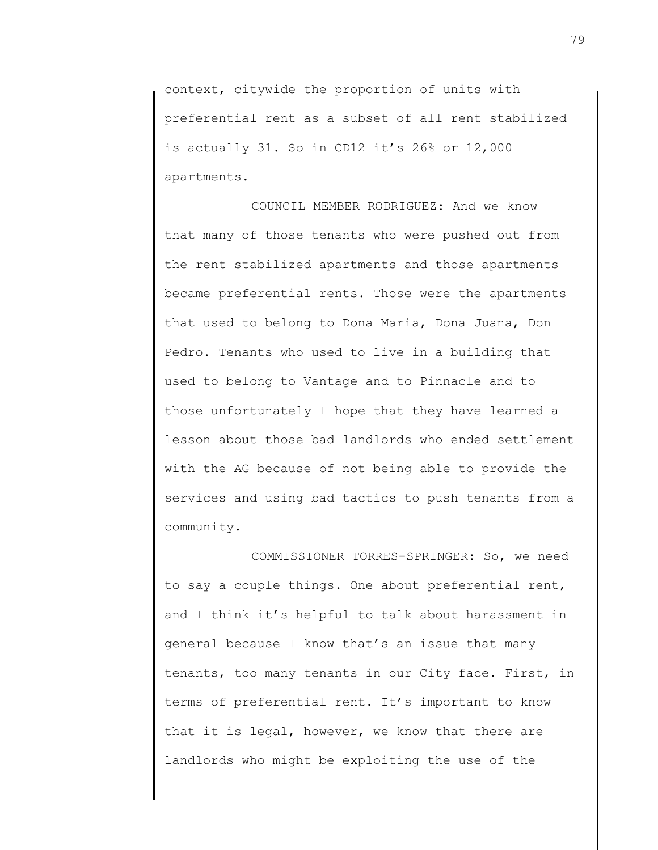context, citywide the proportion of units with preferential rent as a subset of all rent stabilized is actually 31. So in CD12 it's 26% or 12,000 apartments.

COUNCIL MEMBER RODRIGUEZ: And we know that many of those tenants who were pushed out from the rent stabilized apartments and those apartments became preferential rents. Those were the apartments that used to belong to Dona Maria, Dona Juana, Don Pedro. Tenants who used to live in a building that used to belong to Vantage and to Pinnacle and to those unfortunately I hope that they have learned a lesson about those bad landlords who ended settlement with the AG because of not being able to provide the services and using bad tactics to push tenants from a community.

COMMISSIONER TORRES-SPRINGER: So, we need to say a couple things. One about preferential rent, and I think it's helpful to talk about harassment in general because I know that's an issue that many tenants, too many tenants in our City face. First, in terms of preferential rent. It's important to know that it is legal, however, we know that there are landlords who might be exploiting the use of the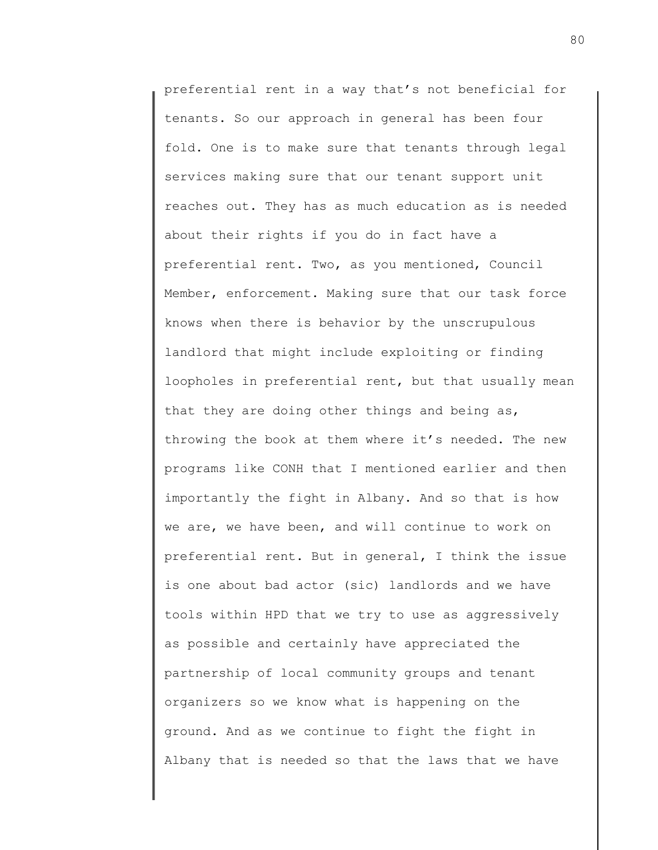preferential rent in a way that's not beneficial for tenants. So our approach in general has been four fold. One is to make sure that tenants through legal services making sure that our tenant support unit reaches out. They has as much education as is needed about their rights if you do in fact have a preferential rent. Two, as you mentioned, Council Member, enforcement. Making sure that our task force knows when there is behavior by the unscrupulous landlord that might include exploiting or finding loopholes in preferential rent, but that usually mean that they are doing other things and being as, throwing the book at them where it's needed. The new programs like CONH that I mentioned earlier and then importantly the fight in Albany. And so that is how we are, we have been, and will continue to work on preferential rent. But in general, I think the issue is one about bad actor (sic) landlords and we have tools within HPD that we try to use as aggressively as possible and certainly have appreciated the partnership of local community groups and tenant organizers so we know what is happening on the ground. And as we continue to fight the fight in Albany that is needed so that the laws that we have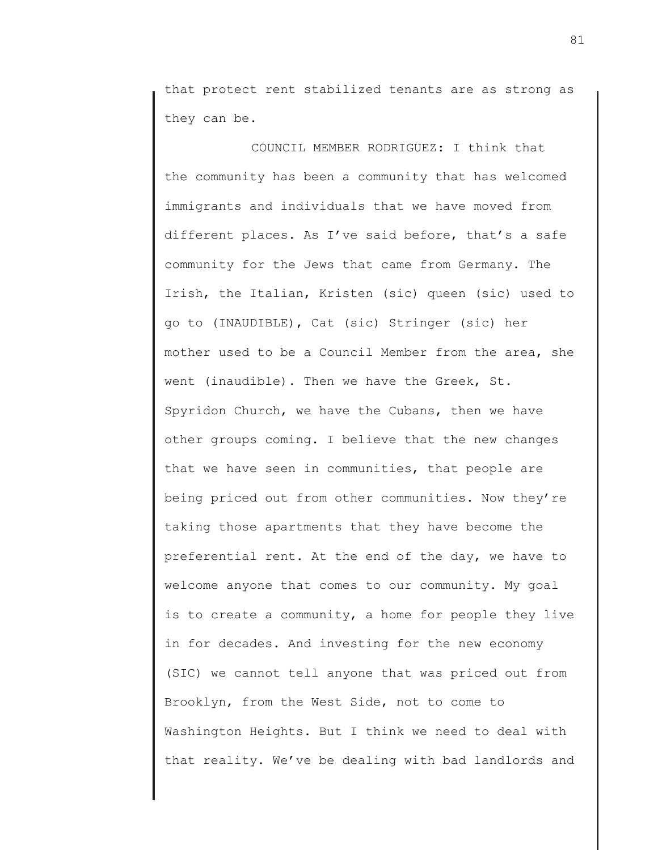that protect rent stabilized tenants are as strong as they can be.

COUNCIL MEMBER RODRIGUEZ: I think that the community has been a community that has welcomed immigrants and individuals that we have moved from different places. As I've said before, that's a safe community for the Jews that came from Germany. The Irish, the Italian, Kristen (sic) queen (sic) used to go to (INAUDIBLE), Cat (sic) Stringer (sic) her mother used to be a Council Member from the area, she went (inaudible). Then we have the Greek, St. Spyridon Church, we have the Cubans, then we have other groups coming. I believe that the new changes that we have seen in communities, that people are being priced out from other communities. Now they're taking those apartments that they have become the preferential rent. At the end of the day, we have to welcome anyone that comes to our community. My goal is to create a community, a home for people they live in for decades. And investing for the new economy (SIC) we cannot tell anyone that was priced out from Brooklyn, from the West Side, not to come to Washington Heights. But I think we need to deal with that reality. We've be dealing with bad landlords and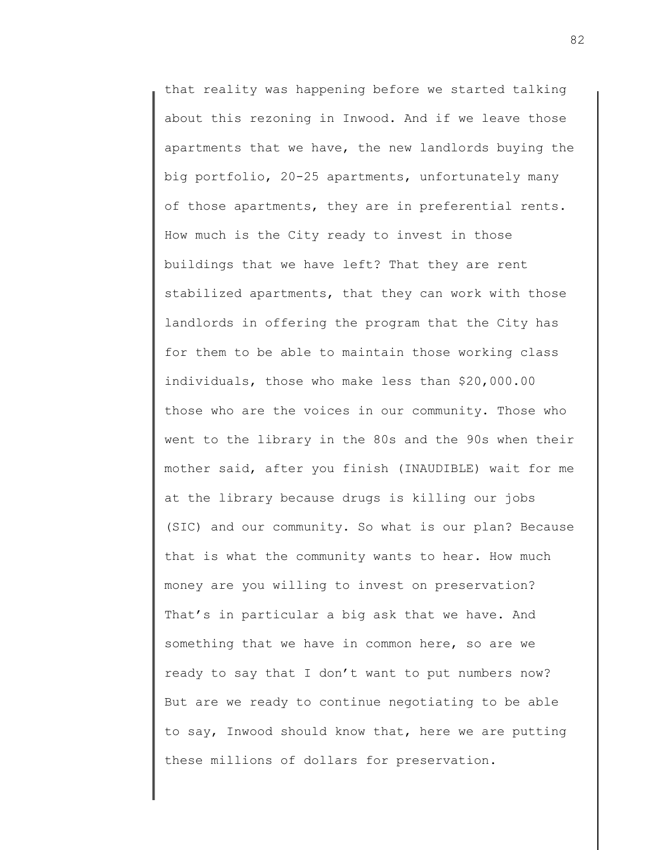that reality was happening before we started talking about this rezoning in Inwood. And if we leave those apartments that we have, the new landlords buying the big portfolio, 20-25 apartments, unfortunately many of those apartments, they are in preferential rents. How much is the City ready to invest in those buildings that we have left? That they are rent stabilized apartments, that they can work with those landlords in offering the program that the City has for them to be able to maintain those working class individuals, those who make less than \$20,000.00 those who are the voices in our community. Those who went to the library in the 80s and the 90s when their mother said, after you finish (INAUDIBLE) wait for me at the library because drugs is killing our jobs (SIC) and our community. So what is our plan? Because that is what the community wants to hear. How much money are you willing to invest on preservation? That's in particular a big ask that we have. And something that we have in common here, so are we ready to say that I don't want to put numbers now? But are we ready to continue negotiating to be able to say, Inwood should know that, here we are putting these millions of dollars for preservation.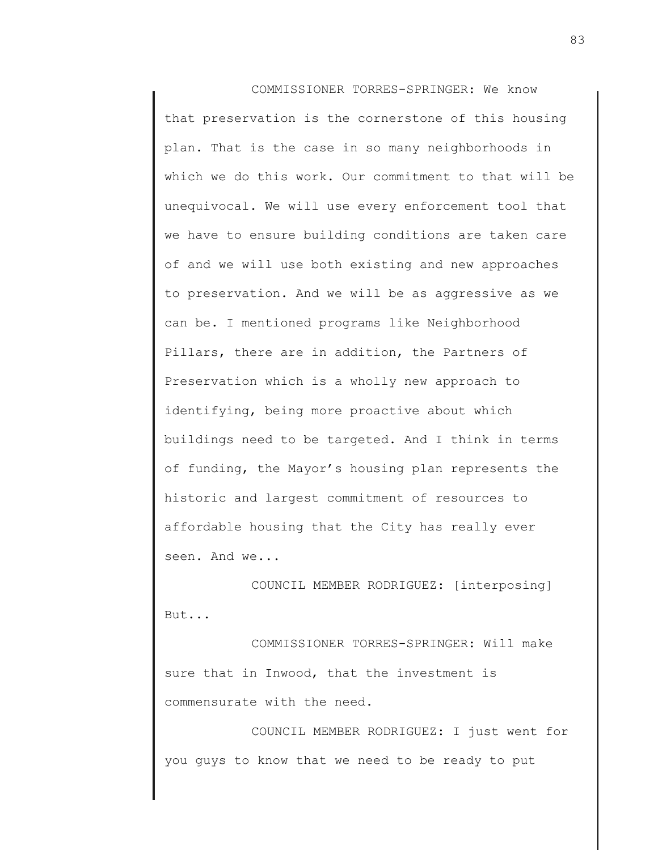COMMISSIONER TORRES-SPRINGER: We know that preservation is the cornerstone of this housing plan. That is the case in so many neighborhoods in which we do this work. Our commitment to that will be unequivocal. We will use every enforcement tool that we have to ensure building conditions are taken care of and we will use both existing and new approaches to preservation. And we will be as aggressive as we can be. I mentioned programs like Neighborhood Pillars, there are in addition, the Partners of Preservation which is a wholly new approach to identifying, being more proactive about which buildings need to be targeted. And I think in terms of funding, the Mayor's housing plan represents the historic and largest commitment of resources to affordable housing that the City has really ever seen. And we...

COUNCIL MEMBER RODRIGUEZ: [interposing] But...

COMMISSIONER TORRES-SPRINGER: Will make sure that in Inwood, that the investment is commensurate with the need.

COUNCIL MEMBER RODRIGUEZ: I just went for you guys to know that we need to be ready to put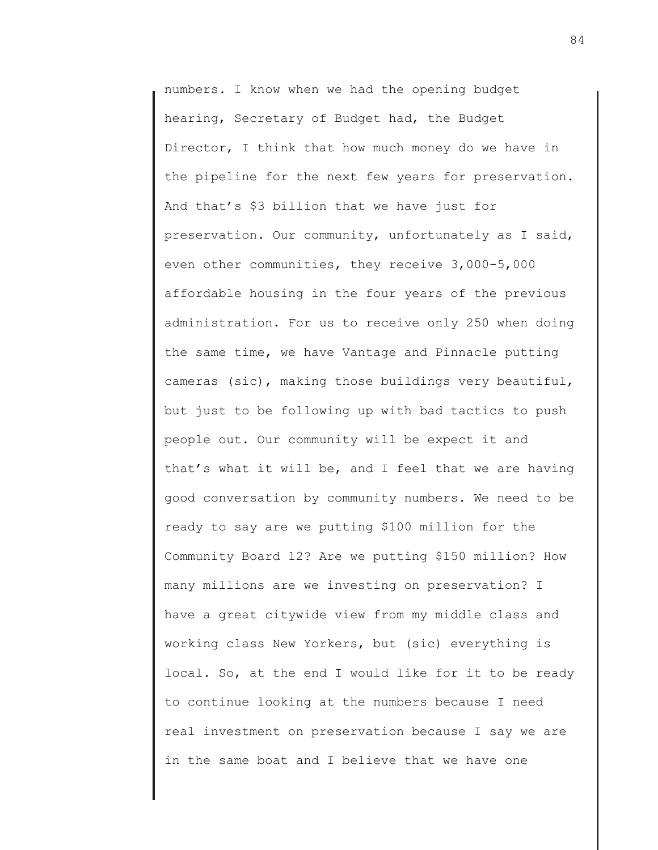numbers. I know when we had the opening budget hearing, Secretary of Budget had, the Budget Director, I think that how much money do we have in the pipeline for the next few years for preservation. And that's \$3 billion that we have just for preservation. Our community, unfortunately as I said, even other communities, they receive 3,000-5,000 affordable housing in the four years of the previous administration. For us to receive only 250 when doing the same time, we have Vantage and Pinnacle putting cameras (sic), making those buildings very beautiful, but just to be following up with bad tactics to push people out. Our community will be expect it and that's what it will be, and I feel that we are having good conversation by community numbers. We need to be ready to say are we putting \$100 million for the Community Board 12? Are we putting \$150 million? How many millions are we investing on preservation? I have a great citywide view from my middle class and working class New Yorkers, but (sic) everything is local. So, at the end I would like for it to be ready to continue looking at the numbers because I need real investment on preservation because I say we are in the same boat and I believe that we have one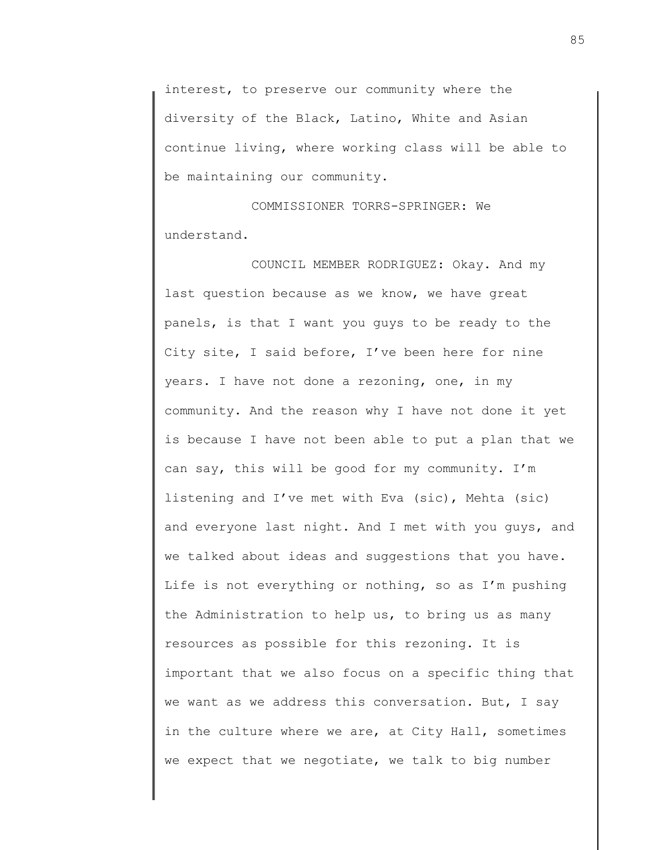interest, to preserve our community where the diversity of the Black, Latino, White and Asian continue living, where working class will be able to be maintaining our community.

COMMISSIONER TORRS-SPRINGER: We understand.

COUNCIL MEMBER RODRIGUEZ: Okay. And my last question because as we know, we have great panels, is that I want you guys to be ready to the City site, I said before, I've been here for nine years. I have not done a rezoning, one, in my community. And the reason why I have not done it yet is because I have not been able to put a plan that we can say, this will be good for my community. I'm listening and I've met with Eva (sic), Mehta (sic) and everyone last night. And I met with you guys, and we talked about ideas and suggestions that you have. Life is not everything or nothing, so as I'm pushing the Administration to help us, to bring us as many resources as possible for this rezoning. It is important that we also focus on a specific thing that we want as we address this conversation. But, I say in the culture where we are, at City Hall, sometimes we expect that we negotiate, we talk to big number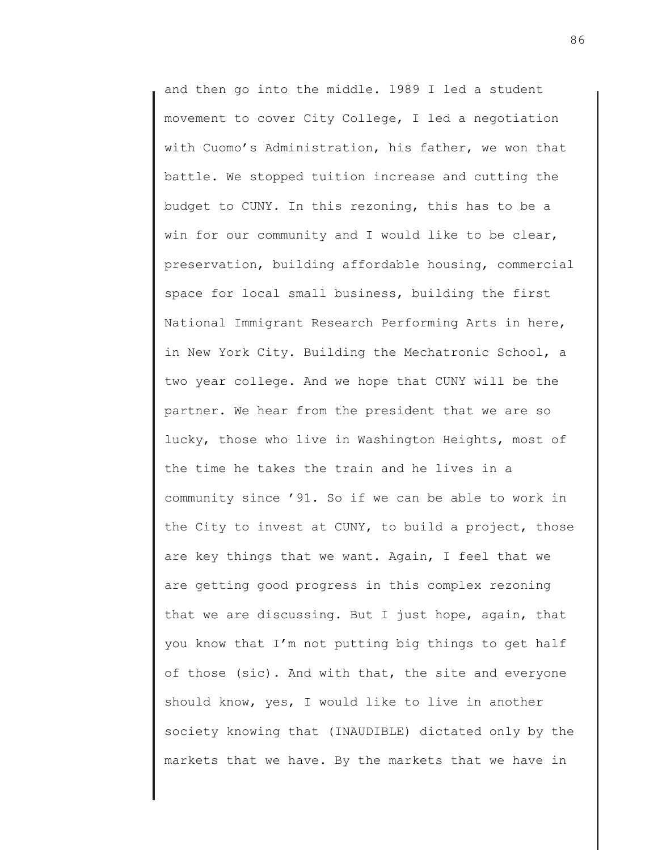and then go into the middle. 1989 I led a student movement to cover City College, I led a negotiation with Cuomo's Administration, his father, we won that battle. We stopped tuition increase and cutting the budget to CUNY. In this rezoning, this has to be a win for our community and I would like to be clear, preservation, building affordable housing, commercial space for local small business, building the first National Immigrant Research Performing Arts in here, in New York City. Building the Mechatronic School, a two year college. And we hope that CUNY will be the partner. We hear from the president that we are so lucky, those who live in Washington Heights, most of the time he takes the train and he lives in a community since '91. So if we can be able to work in the City to invest at CUNY, to build a project, those are key things that we want. Again, I feel that we are getting good progress in this complex rezoning that we are discussing. But I just hope, again, that you know that I'm not putting big things to get half of those (sic). And with that, the site and everyone should know, yes, I would like to live in another society knowing that (INAUDIBLE) dictated only by the markets that we have. By the markets that we have in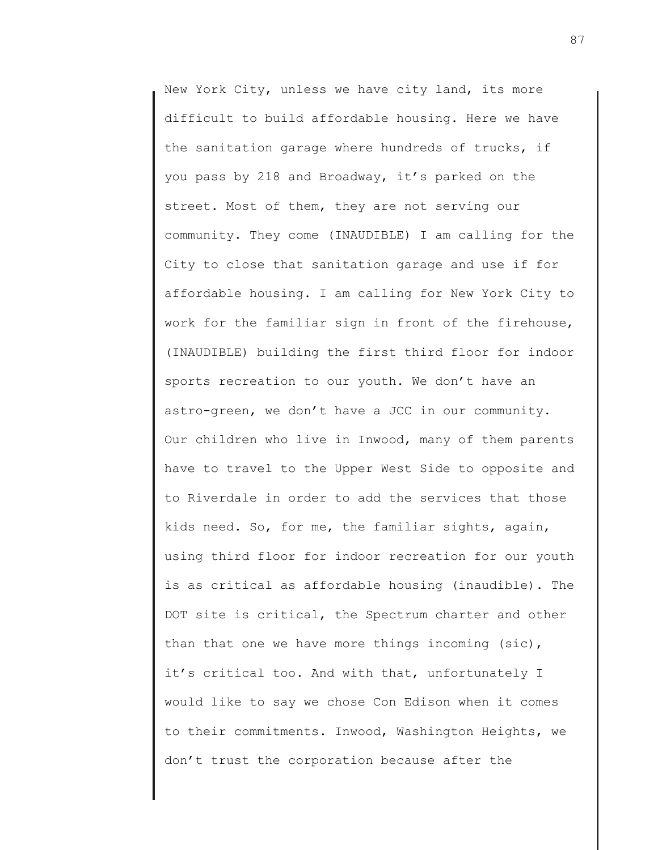New York City, unless we have city land, its more difficult to build affordable housing. Here we have the sanitation garage where hundreds of trucks, if you pass by 218 and Broadway, it's parked on the street. Most of them, they are not serving our community. They come (INAUDIBLE) I am calling for the City to close that sanitation garage and use if for affordable housing. I am calling for New York City to work for the familiar sign in front of the firehouse, (INAUDIBLE) building the first third floor for indoor sports recreation to our youth. We don't have an astro-green, we don't have a JCC in our community. Our children who live in Inwood, many of them parents have to travel to the Upper West Side to opposite and to Riverdale in order to add the services that those kids need. So, for me, the familiar sights, again, using third floor for indoor recreation for our youth is as critical as affordable housing (inaudible). The DOT site is critical, the Spectrum charter and other than that one we have more things incoming (sic), it's critical too. And with that, unfortunately I would like to say we chose Con Edison when it comes to their commitments. Inwood, Washington Heights, we don't trust the corporation because after the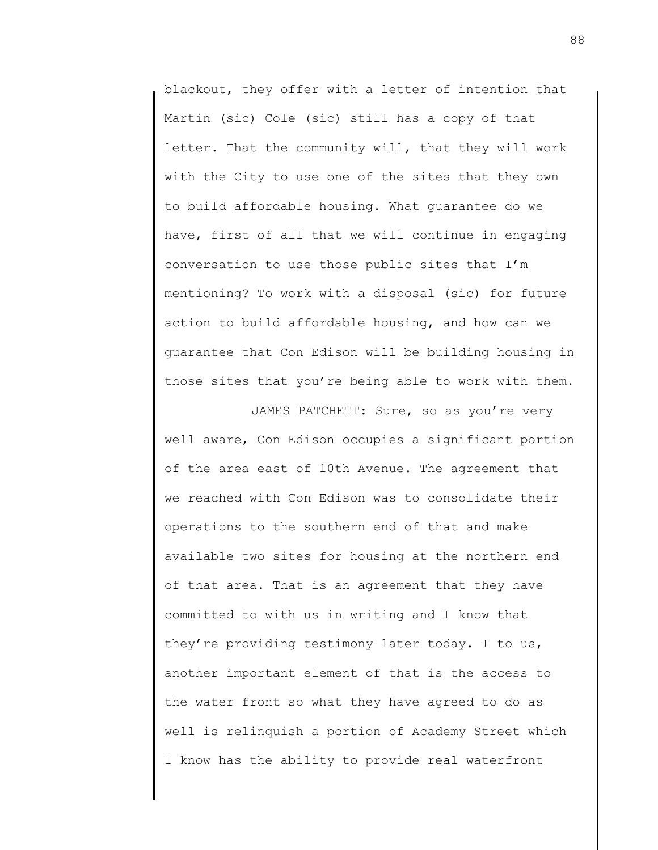blackout, they offer with a letter of intention that Martin (sic) Cole (sic) still has a copy of that letter. That the community will, that they will work with the City to use one of the sites that they own to build affordable housing. What guarantee do we have, first of all that we will continue in engaging conversation to use those public sites that I'm mentioning? To work with a disposal (sic) for future action to build affordable housing, and how can we guarantee that Con Edison will be building housing in those sites that you're being able to work with them.

JAMES PATCHETT: Sure, so as you're very well aware, Con Edison occupies a significant portion of the area east of 10th Avenue. The agreement that we reached with Con Edison was to consolidate their operations to the southern end of that and make available two sites for housing at the northern end of that area. That is an agreement that they have committed to with us in writing and I know that they're providing testimony later today. I to us, another important element of that is the access to the water front so what they have agreed to do as well is relinquish a portion of Academy Street which I know has the ability to provide real waterfront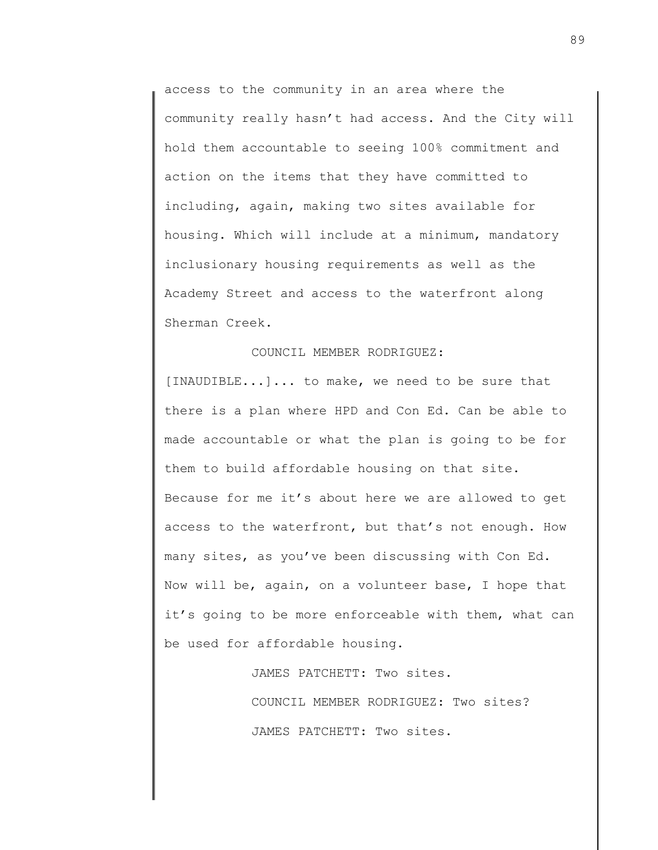access to the community in an area where the community really hasn't had access. And the City will hold them accountable to seeing 100% commitment and action on the items that they have committed to including, again, making two sites available for housing. Which will include at a minimum, mandatory inclusionary housing requirements as well as the Academy Street and access to the waterfront along Sherman Creek.

## COUNCIL MEMBER RODRIGUEZ:

[INAUDIBLE...]... to make, we need to be sure that there is a plan where HPD and Con Ed. Can be able to made accountable or what the plan is going to be for them to build affordable housing on that site. Because for me it's about here we are allowed to get access to the waterfront, but that's not enough. How many sites, as you've been discussing with Con Ed. Now will be, again, on a volunteer base, I hope that it's going to be more enforceable with them, what can be used for affordable housing.

JAMES PATCHETT: Two sites.

COUNCIL MEMBER RODRIGUEZ: Two sites? JAMES PATCHETT: Two sites.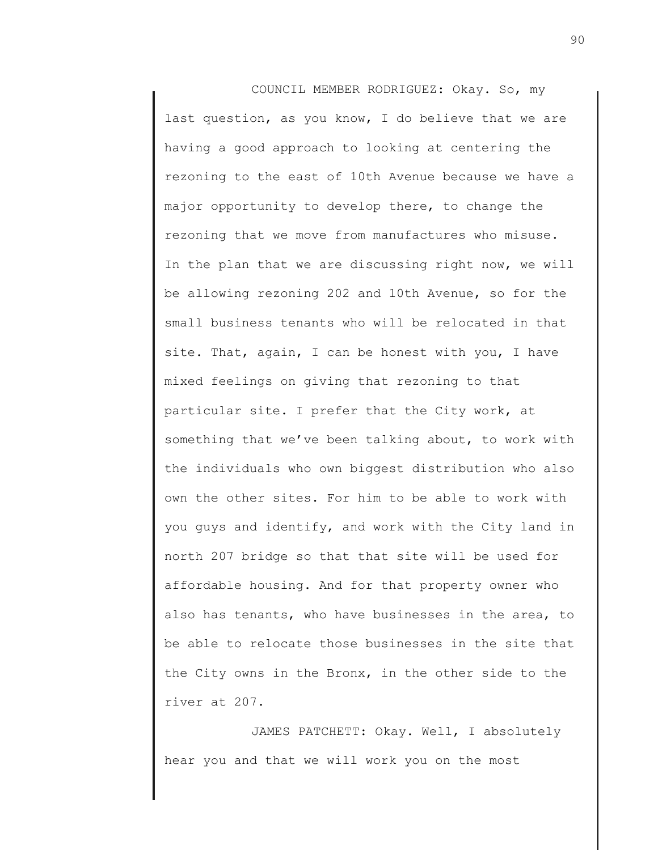COUNCIL MEMBER RODRIGUEZ: Okay. So, my last question, as you know, I do believe that we are having a good approach to looking at centering the rezoning to the east of 10th Avenue because we have a major opportunity to develop there, to change the rezoning that we move from manufactures who misuse. In the plan that we are discussing right now, we will be allowing rezoning 202 and 10th Avenue, so for the small business tenants who will be relocated in that site. That, again, I can be honest with you, I have mixed feelings on giving that rezoning to that particular site. I prefer that the City work, at something that we've been talking about, to work with the individuals who own biggest distribution who also own the other sites. For him to be able to work with you guys and identify, and work with the City land in north 207 bridge so that that site will be used for affordable housing. And for that property owner who also has tenants, who have businesses in the area, to be able to relocate those businesses in the site that the City owns in the Bronx, in the other side to the river at 207.

JAMES PATCHETT: Okay. Well, I absolutely hear you and that we will work you on the most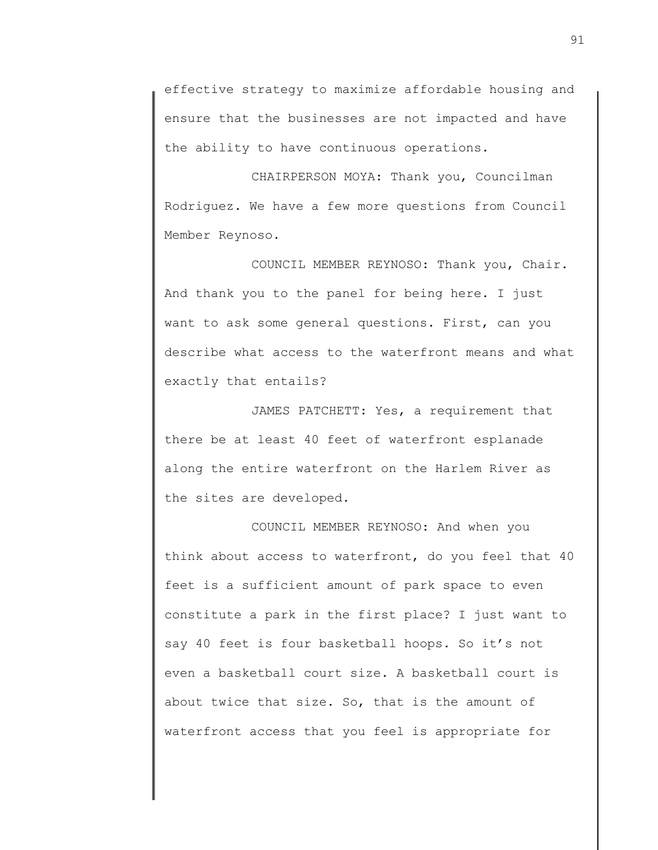effective strategy to maximize affordable housing and ensure that the businesses are not impacted and have the ability to have continuous operations.

CHAIRPERSON MOYA: Thank you, Councilman Rodriguez. We have a few more questions from Council Member Reynoso.

COUNCIL MEMBER REYNOSO: Thank you, Chair. And thank you to the panel for being here. I just want to ask some general questions. First, can you describe what access to the waterfront means and what exactly that entails?

JAMES PATCHETT: Yes, a requirement that there be at least 40 feet of waterfront esplanade along the entire waterfront on the Harlem River as the sites are developed.

COUNCIL MEMBER REYNOSO: And when you think about access to waterfront, do you feel that 40 feet is a sufficient amount of park space to even constitute a park in the first place? I just want to say 40 feet is four basketball hoops. So it's not even a basketball court size. A basketball court is about twice that size. So, that is the amount of waterfront access that you feel is appropriate for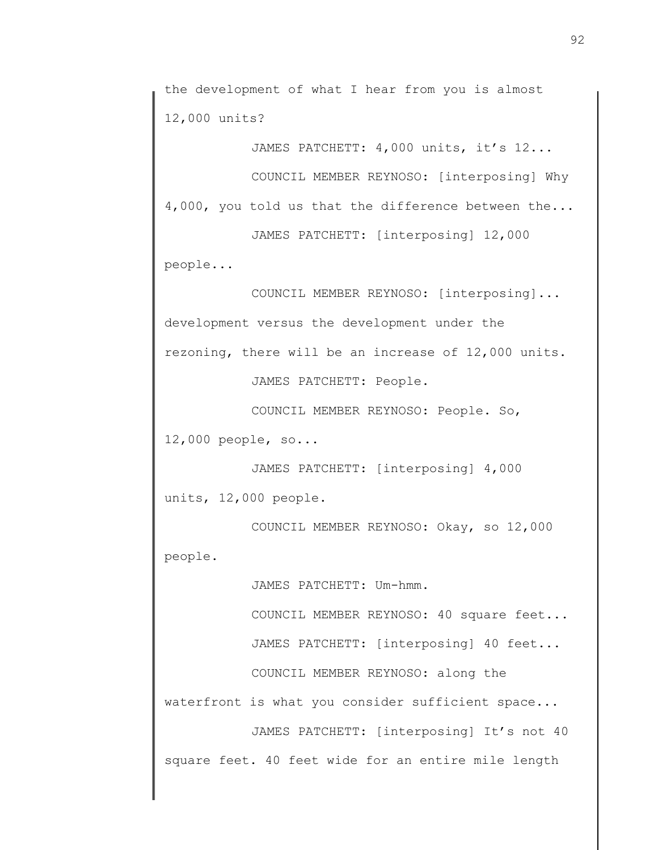the development of what I hear from you is almost 12,000 units?

JAMES PATCHETT: 4,000 units, it's 12...

COUNCIL MEMBER REYNOSO: [interposing] Why 4,000, you told us that the difference between the...

JAMES PATCHETT: [interposing] 12,000 people...

COUNCIL MEMBER REYNOSO: [interposing]... development versus the development under the rezoning, there will be an increase of 12,000 units.

JAMES PATCHETT: People.

COUNCIL MEMBER REYNOSO: People. So, 12,000 people, so...

JAMES PATCHETT: [interposing] 4,000 units, 12,000 people.

COUNCIL MEMBER REYNOSO: Okay, so 12,000 people.

JAMES PATCHETT: Um-hmm.

COUNCIL MEMBER REYNOSO: 40 square feet...

JAMES PATCHETT: [interposing] 40 feet...

COUNCIL MEMBER REYNOSO: along the

waterfront is what you consider sufficient space...

JAMES PATCHETT: [interposing] It's not 40 square feet. 40 feet wide for an entire mile length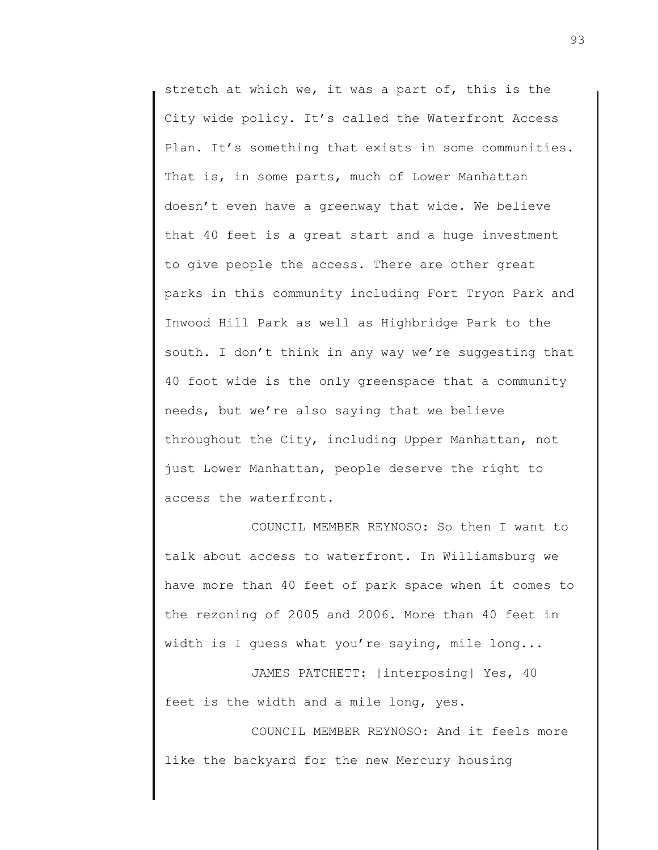stretch at which we, it was a part of, this is the City wide policy. It's called the Waterfront Access Plan. It's something that exists in some communities. That is, in some parts, much of Lower Manhattan doesn't even have a greenway that wide. We believe that 40 feet is a great start and a huge investment to give people the access. There are other great parks in this community including Fort Tryon Park and Inwood Hill Park as well as Highbridge Park to the south. I don't think in any way we're suggesting that 40 foot wide is the only greenspace that a community needs, but we're also saying that we believe throughout the City, including Upper Manhattan, not just Lower Manhattan, people deserve the right to access the waterfront.

COUNCIL MEMBER REYNOSO: So then I want to talk about access to waterfront. In Williamsburg we have more than 40 feet of park space when it comes to the rezoning of 2005 and 2006. More than 40 feet in width is I guess what you're saying, mile long...

JAMES PATCHETT: [interposing] Yes, 40 feet is the width and a mile long, yes.

COUNCIL MEMBER REYNOSO: And it feels more like the backyard for the new Mercury housing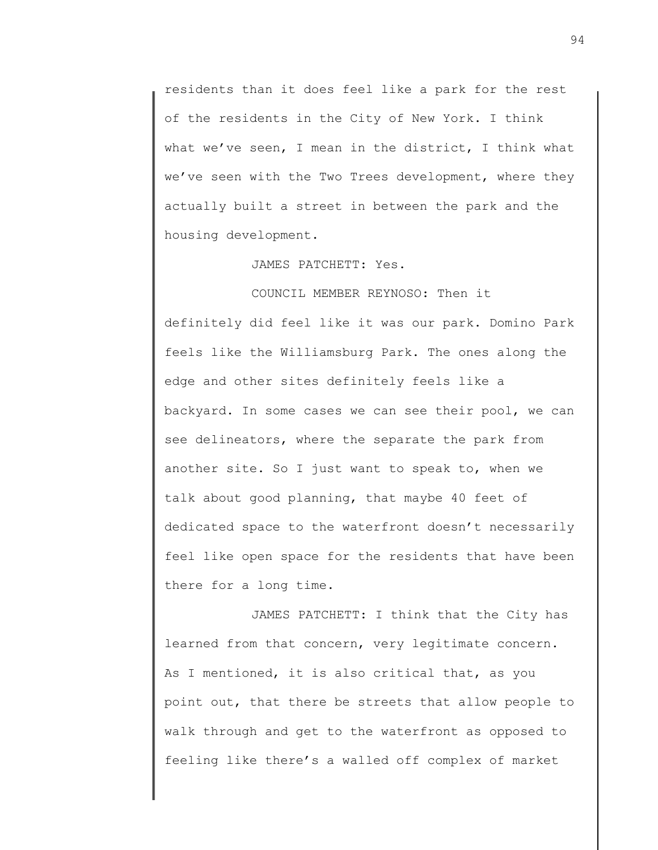residents than it does feel like a park for the rest of the residents in the City of New York. I think what we've seen, I mean in the district, I think what we've seen with the Two Trees development, where they actually built a street in between the park and the housing development.

JAMES PATCHETT: Yes.

COUNCIL MEMBER REYNOSO: Then it definitely did feel like it was our park. Domino Park feels like the Williamsburg Park. The ones along the edge and other sites definitely feels like a backyard. In some cases we can see their pool, we can see delineators, where the separate the park from another site. So I just want to speak to, when we talk about good planning, that maybe 40 feet of dedicated space to the waterfront doesn't necessarily feel like open space for the residents that have been there for a long time.

JAMES PATCHETT: I think that the City has learned from that concern, very legitimate concern. As I mentioned, it is also critical that, as you point out, that there be streets that allow people to walk through and get to the waterfront as opposed to feeling like there's a walled off complex of market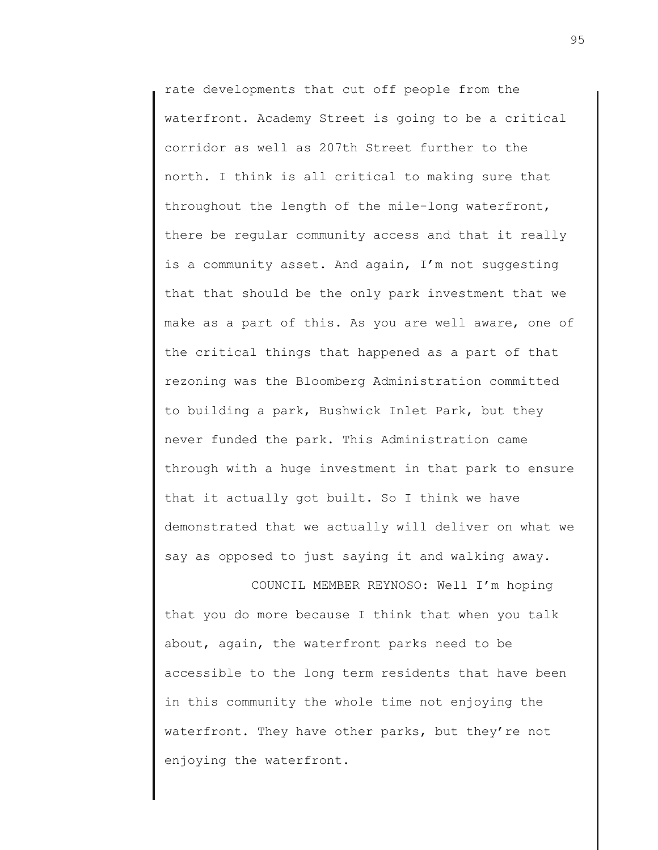rate developments that cut off people from the waterfront. Academy Street is going to be a critical corridor as well as 207th Street further to the north. I think is all critical to making sure that throughout the length of the mile-long waterfront, there be regular community access and that it really is a community asset. And again, I'm not suggesting that that should be the only park investment that we make as a part of this. As you are well aware, one of the critical things that happened as a part of that rezoning was the Bloomberg Administration committed to building a park, Bushwick Inlet Park, but they never funded the park. This Administration came through with a huge investment in that park to ensure that it actually got built. So I think we have demonstrated that we actually will deliver on what we say as opposed to just saying it and walking away.

COUNCIL MEMBER REYNOSO: Well I'm hoping that you do more because I think that when you talk about, again, the waterfront parks need to be accessible to the long term residents that have been in this community the whole time not enjoying the waterfront. They have other parks, but they're not enjoying the waterfront.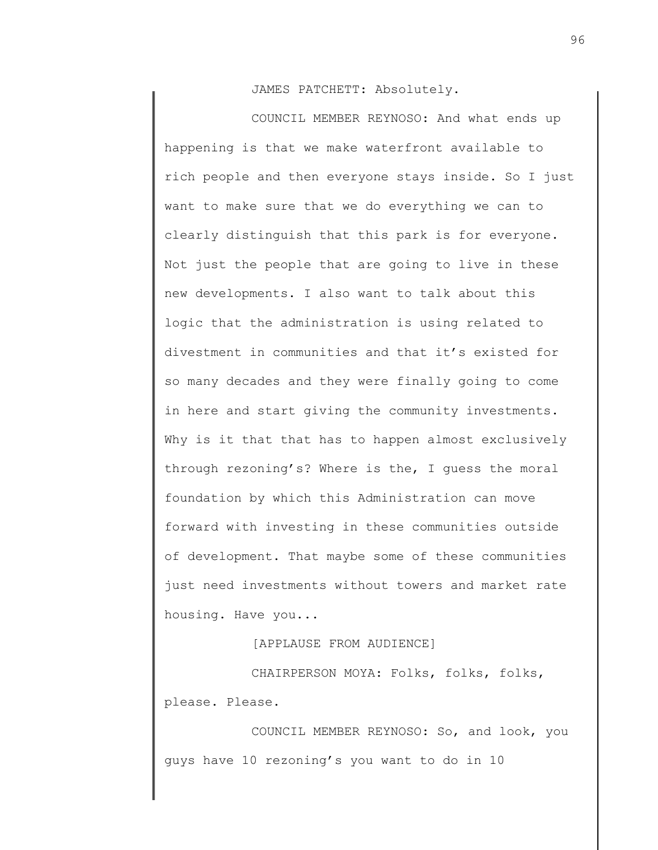JAMES PATCHETT: Absolutely.

COUNCIL MEMBER REYNOSO: And what ends up happening is that we make waterfront available to rich people and then everyone stays inside. So I just want to make sure that we do everything we can to clearly distinguish that this park is for everyone. Not just the people that are going to live in these new developments. I also want to talk about this logic that the administration is using related to divestment in communities and that it's existed for so many decades and they were finally going to come in here and start giving the community investments. Why is it that that has to happen almost exclusively through rezoning's? Where is the, I guess the moral foundation by which this Administration can move forward with investing in these communities outside of development. That maybe some of these communities just need investments without towers and market rate housing. Have you...

[APPLAUSE FROM AUDIENCE]

CHAIRPERSON MOYA: Folks, folks, folks, please. Please.

COUNCIL MEMBER REYNOSO: So, and look, you guys have 10 rezoning's you want to do in 10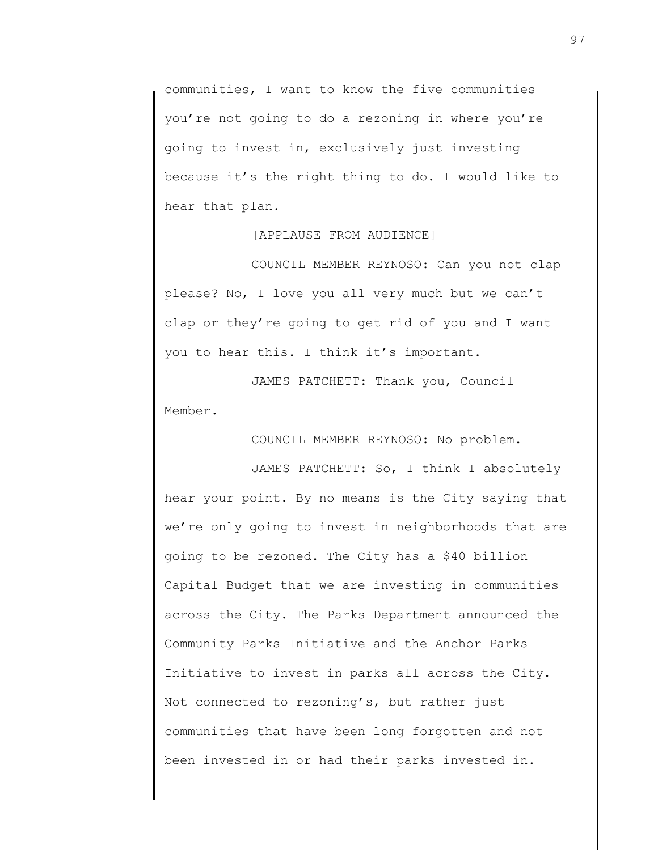communities, I want to know the five communities you're not going to do a rezoning in where you're going to invest in, exclusively just investing because it's the right thing to do. I would like to hear that plan.

[APPLAUSE FROM AUDIENCE]

COUNCIL MEMBER REYNOSO: Can you not clap please? No, I love you all very much but we can't clap or they're going to get rid of you and I want you to hear this. I think it's important.

JAMES PATCHETT: Thank you, Council Member.

COUNCIL MEMBER REYNOSO: No problem.

JAMES PATCHETT: So, I think I absolutely hear your point. By no means is the City saying that we're only going to invest in neighborhoods that are going to be rezoned. The City has a \$40 billion Capital Budget that we are investing in communities across the City. The Parks Department announced the Community Parks Initiative and the Anchor Parks Initiative to invest in parks all across the City. Not connected to rezoning's, but rather just communities that have been long forgotten and not been invested in or had their parks invested in.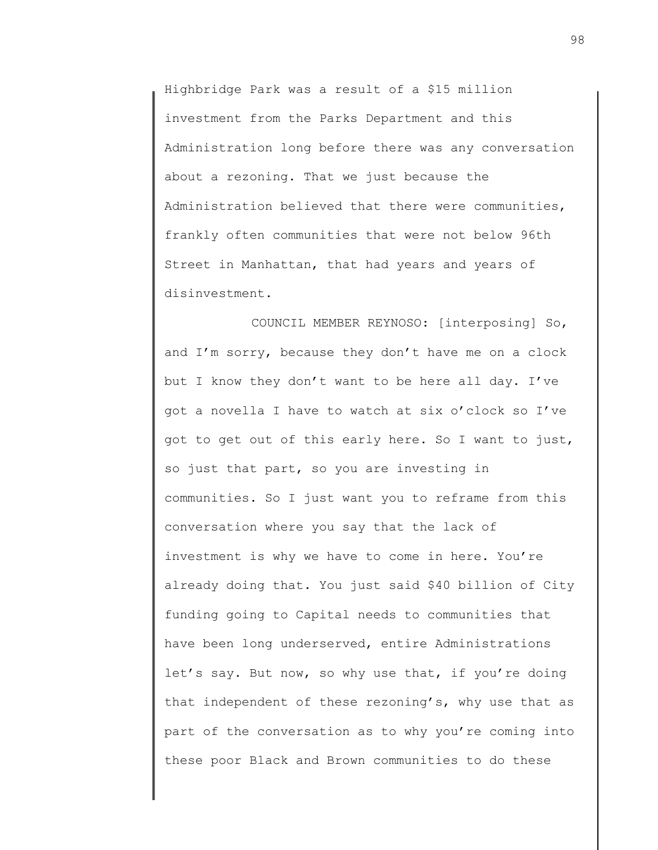Highbridge Park was a result of a \$15 million investment from the Parks Department and this Administration long before there was any conversation about a rezoning. That we just because the Administration believed that there were communities, frankly often communities that were not below 96th Street in Manhattan, that had years and years of disinvestment.

COUNCIL MEMBER REYNOSO: [interposing] So, and I'm sorry, because they don't have me on a clock but I know they don't want to be here all day. I've got a novella I have to watch at six o'clock so I've got to get out of this early here. So I want to just, so just that part, so you are investing in communities. So I just want you to reframe from this conversation where you say that the lack of investment is why we have to come in here. You're already doing that. You just said \$40 billion of City funding going to Capital needs to communities that have been long underserved, entire Administrations let's say. But now, so why use that, if you're doing that independent of these rezoning's, why use that as part of the conversation as to why you're coming into these poor Black and Brown communities to do these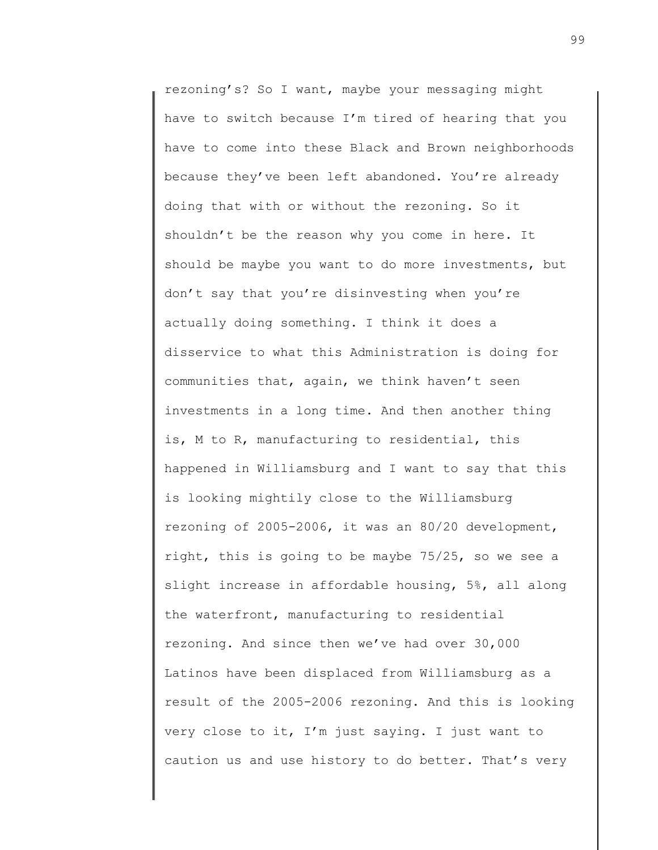rezoning's? So I want, maybe your messaging might have to switch because I'm tired of hearing that you have to come into these Black and Brown neighborhoods because they've been left abandoned. You're already doing that with or without the rezoning. So it shouldn't be the reason why you come in here. It should be maybe you want to do more investments, but don't say that you're disinvesting when you're actually doing something. I think it does a disservice to what this Administration is doing for communities that, again, we think haven't seen investments in a long time. And then another thing is, M to R, manufacturing to residential, this happened in Williamsburg and I want to say that this is looking mightily close to the Williamsburg rezoning of 2005-2006, it was an 80/20 development, right, this is going to be maybe 75/25, so we see a slight increase in affordable housing, 5%, all along the waterfront, manufacturing to residential rezoning. And since then we've had over 30,000 Latinos have been displaced from Williamsburg as a result of the 2005-2006 rezoning. And this is looking very close to it, I'm just saying. I just want to caution us and use history to do better. That's very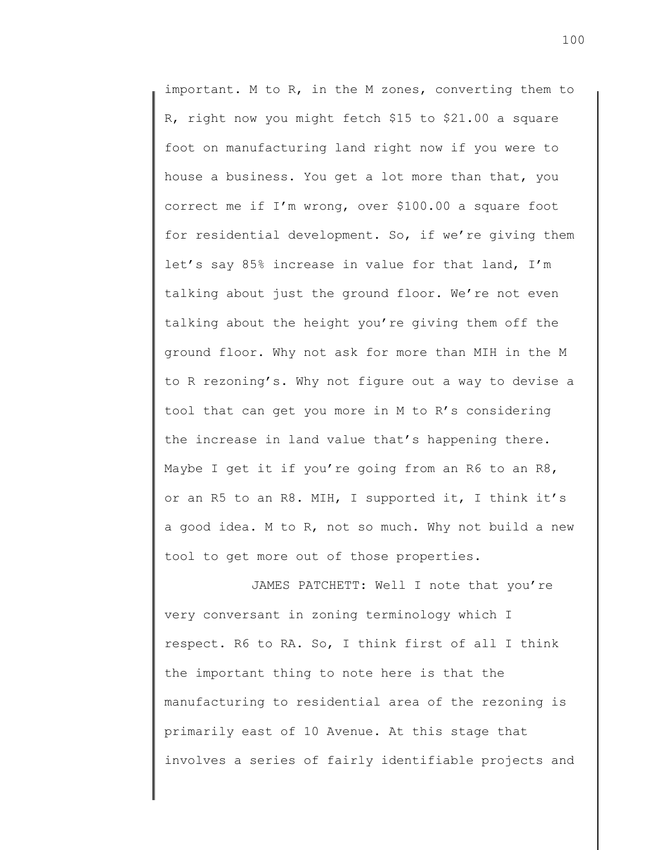important. M to R, in the M zones, converting them to R, right now you might fetch \$15 to \$21.00 a square foot on manufacturing land right now if you were to house a business. You get a lot more than that, you correct me if I'm wrong, over \$100.00 a square foot for residential development. So, if we're giving them let's say 85% increase in value for that land, I'm talking about just the ground floor. We're not even talking about the height you're giving them off the ground floor. Why not ask for more than MIH in the M to R rezoning's. Why not figure out a way to devise a tool that can get you more in M to R's considering the increase in land value that's happening there. Maybe I get it if you're going from an R6 to an R8, or an R5 to an R8. MIH, I supported it, I think it's a good idea. M to R, not so much. Why not build a new tool to get more out of those properties.

JAMES PATCHETT: Well I note that you're very conversant in zoning terminology which I respect. R6 to RA. So, I think first of all I think the important thing to note here is that the manufacturing to residential area of the rezoning is primarily east of 10 Avenue. At this stage that involves a series of fairly identifiable projects and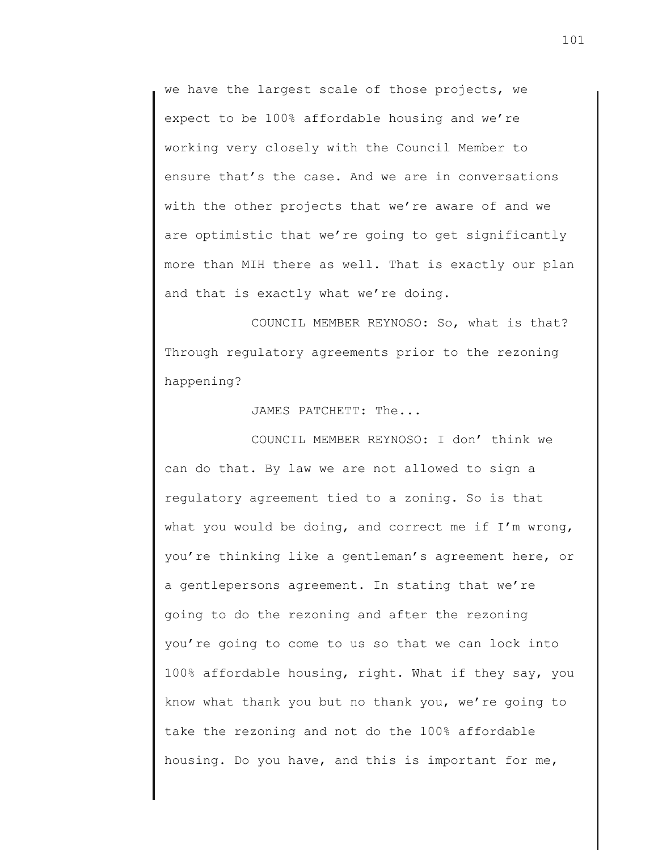we have the largest scale of those projects, we expect to be 100% affordable housing and we're working very closely with the Council Member to ensure that's the case. And we are in conversations with the other projects that we're aware of and we are optimistic that we're going to get significantly more than MIH there as well. That is exactly our plan and that is exactly what we're doing.

COUNCIL MEMBER REYNOSO: So, what is that? Through regulatory agreements prior to the rezoning happening?

JAMES PATCHETT: The...

COUNCIL MEMBER REYNOSO: I don' think we can do that. By law we are not allowed to sign a regulatory agreement tied to a zoning. So is that what you would be doing, and correct me if  $I'm$  wrong, you're thinking like a gentleman's agreement here, or a gentlepersons agreement. In stating that we're going to do the rezoning and after the rezoning you're going to come to us so that we can lock into 100% affordable housing, right. What if they say, you know what thank you but no thank you, we're going to take the rezoning and not do the 100% affordable housing. Do you have, and this is important for me,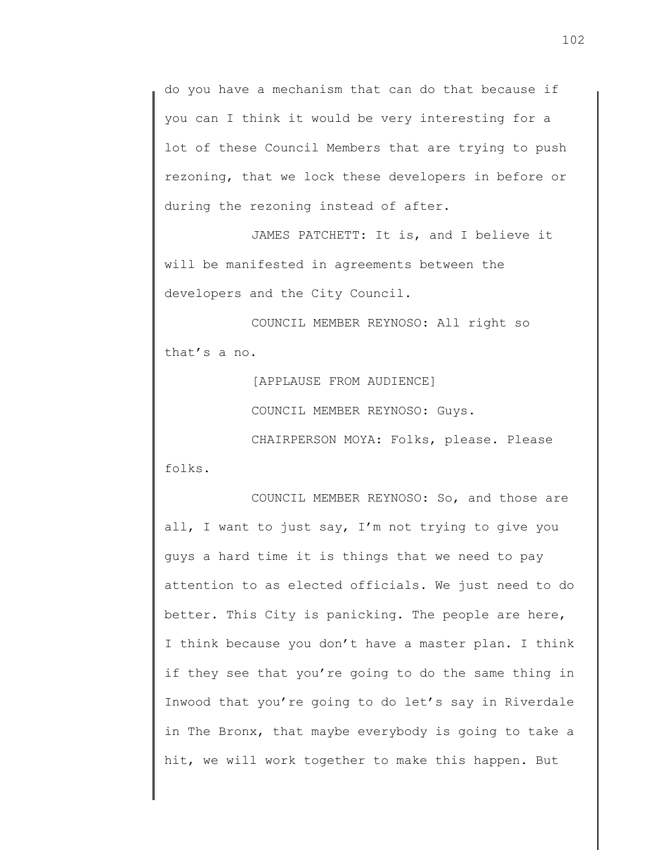do you have a mechanism that can do that because if you can I think it would be very interesting for a lot of these Council Members that are trying to push rezoning, that we lock these developers in before or during the rezoning instead of after.

JAMES PATCHETT: It is, and I believe it will be manifested in agreements between the developers and the City Council.

COUNCIL MEMBER REYNOSO: All right so that's a no.

[APPLAUSE FROM AUDIENCE]

COUNCIL MEMBER REYNOSO: Guys.

CHAIRPERSON MOYA: Folks, please. Please folks.

COUNCIL MEMBER REYNOSO: So, and those are all, I want to just say, I'm not trying to give you guys a hard time it is things that we need to pay attention to as elected officials. We just need to do better. This City is panicking. The people are here, I think because you don't have a master plan. I think if they see that you're going to do the same thing in Inwood that you're going to do let's say in Riverdale in The Bronx, that maybe everybody is going to take a hit, we will work together to make this happen. But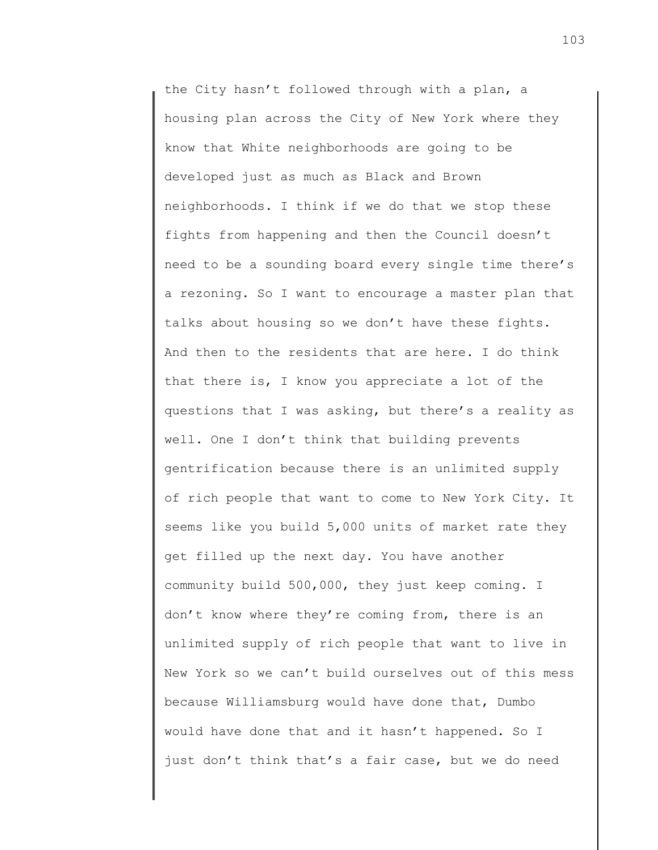the City hasn't followed through with a plan, a housing plan across the City of New York where they know that White neighborhoods are going to be developed just as much as Black and Brown neighborhoods. I think if we do that we stop these fights from happening and then the Council doesn't need to be a sounding board every single time there's a rezoning. So I want to encourage a master plan that talks about housing so we don't have these fights. And then to the residents that are here. I do think that there is, I know you appreciate a lot of the questions that I was asking, but there's a reality as well. One I don't think that building prevents gentrification because there is an unlimited supply of rich people that want to come to New York City. It seems like you build 5,000 units of market rate they get filled up the next day. You have another community build 500,000, they just keep coming. I don't know where they're coming from, there is an unlimited supply of rich people that want to live in New York so we can't build ourselves out of this mess because Williamsburg would have done that, Dumbo would have done that and it hasn't happened. So I just don't think that's a fair case, but we do need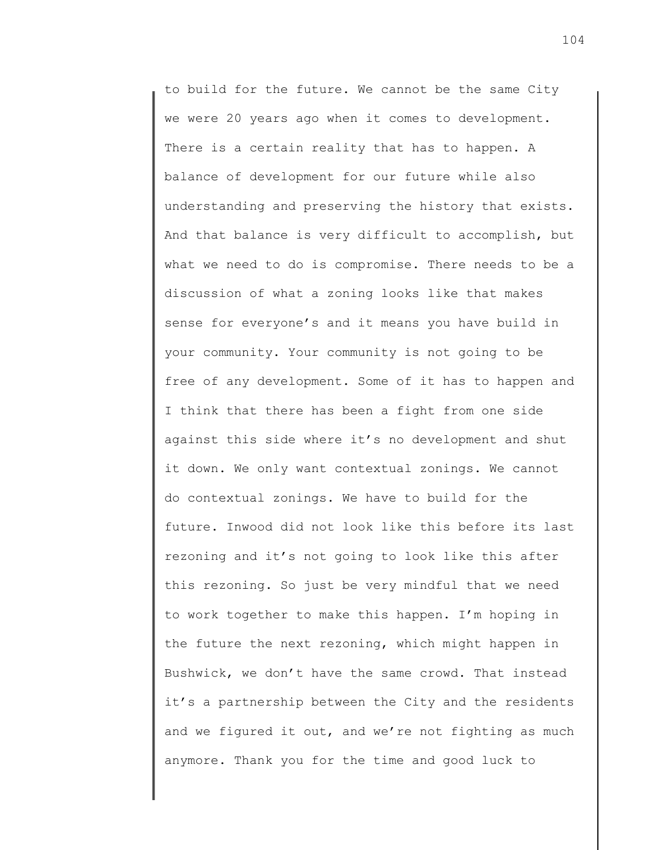to build for the future. We cannot be the same City we were 20 years ago when it comes to development. There is a certain reality that has to happen. A balance of development for our future while also understanding and preserving the history that exists. And that balance is very difficult to accomplish, but what we need to do is compromise. There needs to be a discussion of what a zoning looks like that makes sense for everyone's and it means you have build in your community. Your community is not going to be free of any development. Some of it has to happen and I think that there has been a fight from one side against this side where it's no development and shut it down. We only want contextual zonings. We cannot do contextual zonings. We have to build for the future. Inwood did not look like this before its last rezoning and it's not going to look like this after this rezoning. So just be very mindful that we need to work together to make this happen. I'm hoping in the future the next rezoning, which might happen in Bushwick, we don't have the same crowd. That instead it's a partnership between the City and the residents and we figured it out, and we're not fighting as much anymore. Thank you for the time and good luck to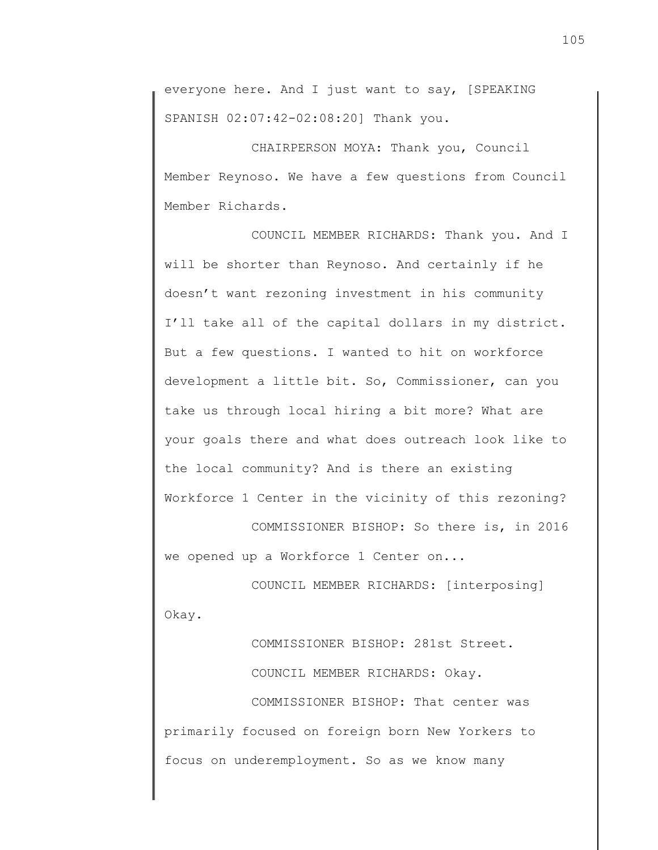everyone here. And I just want to say, [SPEAKING SPANISH 02:07:42-02:08:20] Thank you.

CHAIRPERSON MOYA: Thank you, Council Member Reynoso. We have a few questions from Council Member Richards.

COUNCIL MEMBER RICHARDS: Thank you. And I will be shorter than Reynoso. And certainly if he doesn't want rezoning investment in his community I'll take all of the capital dollars in my district. But a few questions. I wanted to hit on workforce development a little bit. So, Commissioner, can you take us through local hiring a bit more? What are your goals there and what does outreach look like to the local community? And is there an existing Workforce 1 Center in the vicinity of this rezoning?

COMMISSIONER BISHOP: So there is, in 2016 we opened up a Workforce 1 Center on...

COUNCIL MEMBER RICHARDS: [interposing] Okay.

COMMISSIONER BISHOP: 281st Street. COUNCIL MEMBER RICHARDS: Okay. COMMISSIONER BISHOP: That center was primarily focused on foreign born New Yorkers to focus on underemployment. So as we know many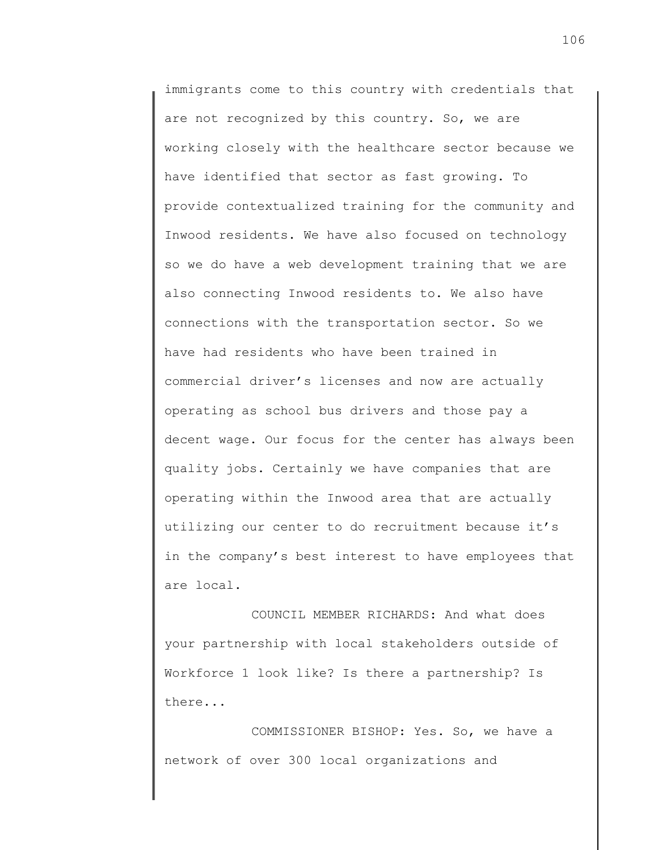immigrants come to this country with credentials that are not recognized by this country. So, we are working closely with the healthcare sector because we have identified that sector as fast growing. To provide contextualized training for the community and Inwood residents. We have also focused on technology so we do have a web development training that we are also connecting Inwood residents to. We also have connections with the transportation sector. So we have had residents who have been trained in commercial driver's licenses and now are actually operating as school bus drivers and those pay a decent wage. Our focus for the center has always been quality jobs. Certainly we have companies that are operating within the Inwood area that are actually utilizing our center to do recruitment because it's in the company's best interest to have employees that are local.

COUNCIL MEMBER RICHARDS: And what does your partnership with local stakeholders outside of Workforce 1 look like? Is there a partnership? Is there...

COMMISSIONER BISHOP: Yes. So, we have a network of over 300 local organizations and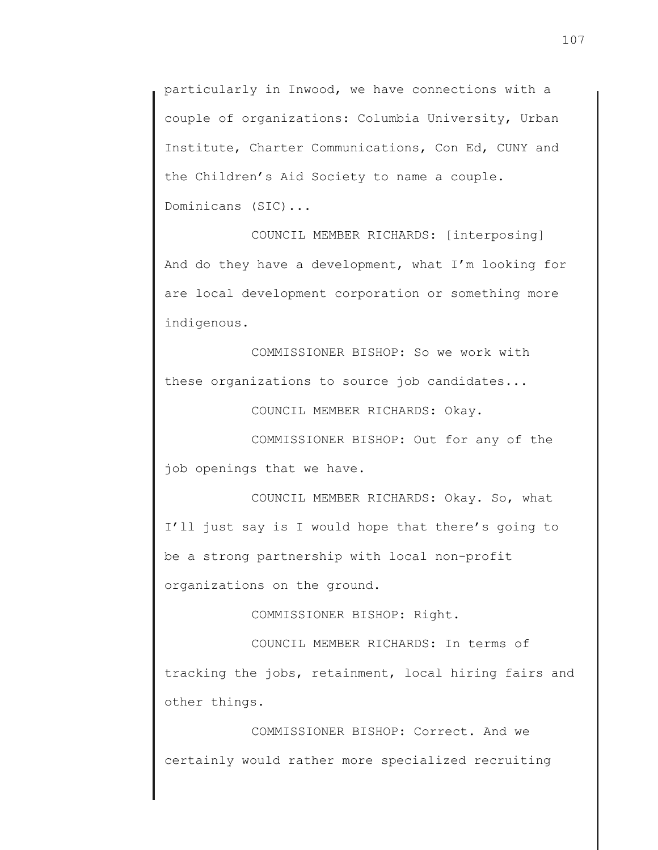particularly in Inwood, we have connections with a couple of organizations: Columbia University, Urban Institute, Charter Communications, Con Ed, CUNY and the Children's Aid Society to name a couple. Dominicans (SIC)...

COUNCIL MEMBER RICHARDS: [interposing] And do they have a development, what I'm looking for are local development corporation or something more indigenous.

COMMISSIONER BISHOP: So we work with these organizations to source job candidates...

COUNCIL MEMBER RICHARDS: Okay.

COMMISSIONER BISHOP: Out for any of the job openings that we have.

COUNCIL MEMBER RICHARDS: Okay. So, what I'll just say is I would hope that there's going to be a strong partnership with local non-profit organizations on the ground.

COMMISSIONER BISHOP: Right.

COUNCIL MEMBER RICHARDS: In terms of tracking the jobs, retainment, local hiring fairs and other things.

COMMISSIONER BISHOP: Correct. And we certainly would rather more specialized recruiting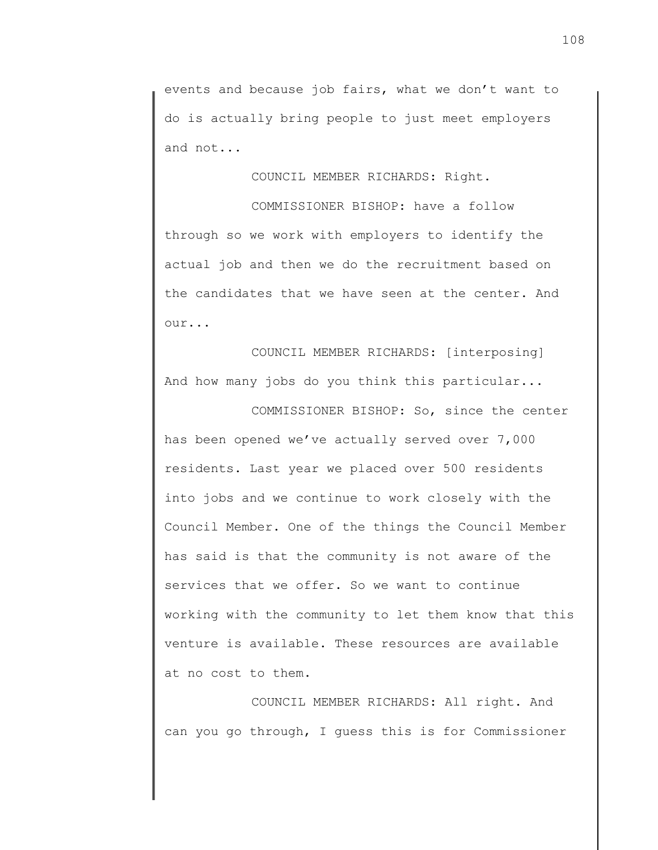events and because job fairs, what we don't want to do is actually bring people to just meet employers and not...

COUNCIL MEMBER RICHARDS: Right.

COMMISSIONER BISHOP: have a follow through so we work with employers to identify the actual job and then we do the recruitment based on the candidates that we have seen at the center. And our...

COUNCIL MEMBER RICHARDS: [interposing] And how many jobs do you think this particular...

COMMISSIONER BISHOP: So, since the center has been opened we've actually served over 7,000 residents. Last year we placed over 500 residents into jobs and we continue to work closely with the Council Member. One of the things the Council Member has said is that the community is not aware of the services that we offer. So we want to continue working with the community to let them know that this venture is available. These resources are available at no cost to them.

COUNCIL MEMBER RICHARDS: All right. And can you go through, I guess this is for Commissioner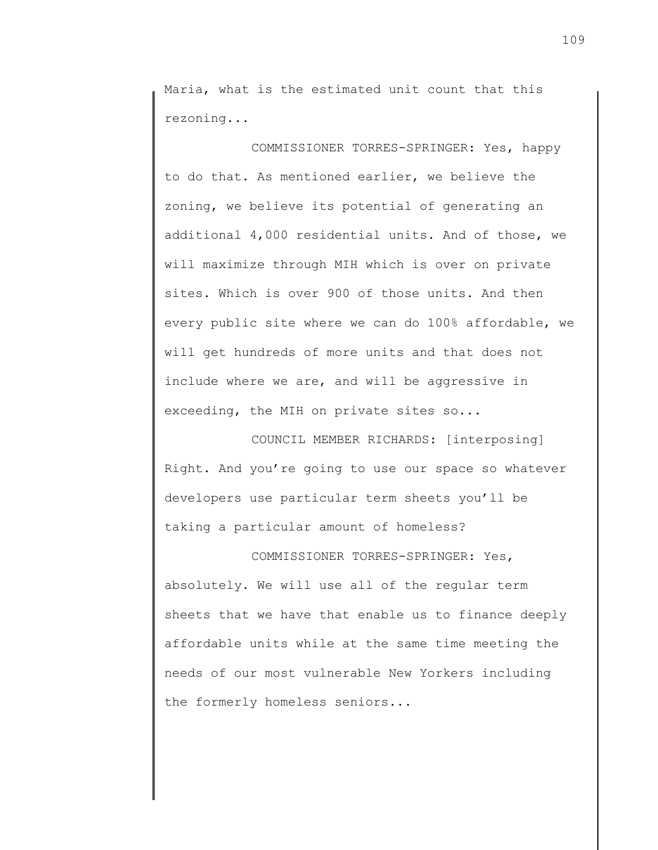Maria, what is the estimated unit count that this rezoning...

COMMISSIONER TORRES-SPRINGER: Yes, happy to do that. As mentioned earlier, we believe the zoning, we believe its potential of generating an additional 4,000 residential units. And of those, we will maximize through MIH which is over on private sites. Which is over 900 of those units. And then every public site where we can do 100% affordable, we will get hundreds of more units and that does not include where we are, and will be aggressive in exceeding, the MIH on private sites so...

COUNCIL MEMBER RICHARDS: [interposing] Right. And you're going to use our space so whatever developers use particular term sheets you'll be taking a particular amount of homeless?

COMMISSIONER TORRES-SPRINGER: Yes, absolutely. We will use all of the regular term sheets that we have that enable us to finance deeply affordable units while at the same time meeting the needs of our most vulnerable New Yorkers including the formerly homeless seniors...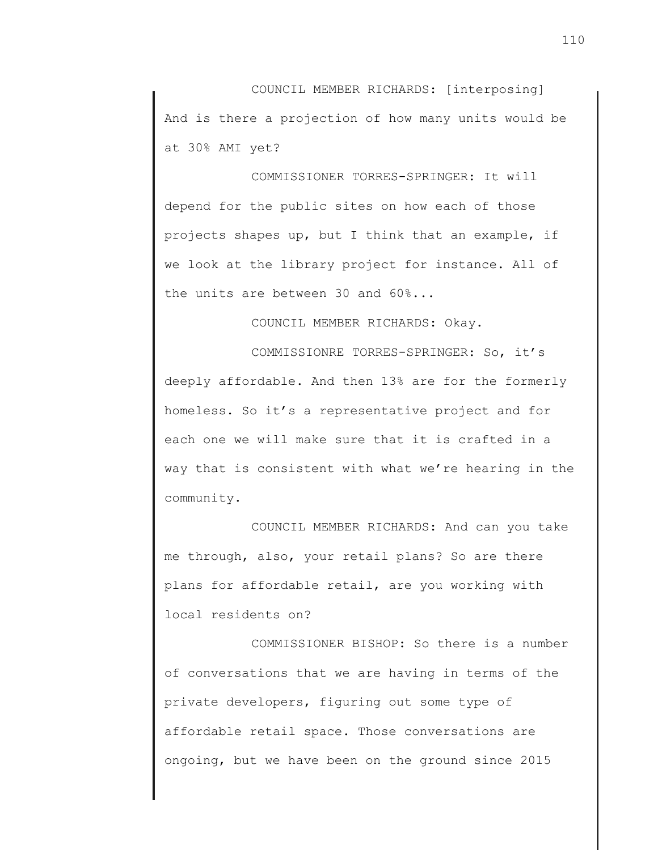COUNCIL MEMBER RICHARDS: [interposing] And is there a projection of how many units would be at 30% AMI yet?

COMMISSIONER TORRES-SPRINGER: It will depend for the public sites on how each of those projects shapes up, but I think that an example, if we look at the library project for instance. All of the units are between 30 and 60%...

COUNCIL MEMBER RICHARDS: Okay.

COMMISSIONRE TORRES-SPRINGER: So, it's deeply affordable. And then 13% are for the formerly homeless. So it's a representative project and for each one we will make sure that it is crafted in a way that is consistent with what we're hearing in the community.

COUNCIL MEMBER RICHARDS: And can you take me through, also, your retail plans? So are there plans for affordable retail, are you working with local residents on?

COMMISSIONER BISHOP: So there is a number of conversations that we are having in terms of the private developers, figuring out some type of affordable retail space. Those conversations are ongoing, but we have been on the ground since 2015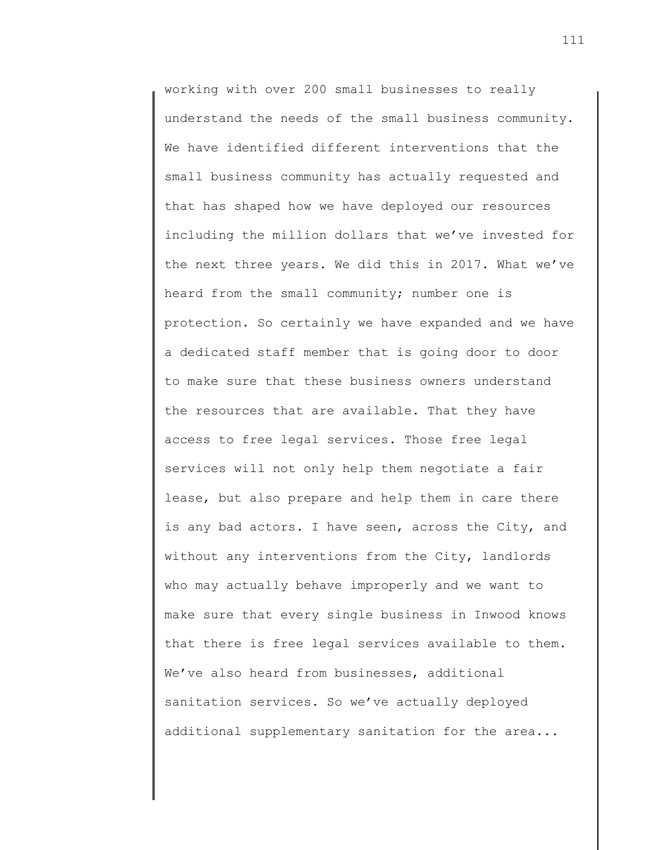working with over 200 small businesses to really understand the needs of the small business community. We have identified different interventions that the small business community has actually requested and that has shaped how we have deployed our resources including the million dollars that we've invested for the next three years. We did this in 2017. What we've heard from the small community; number one is protection. So certainly we have expanded and we have a dedicated staff member that is going door to door to make sure that these business owners understand the resources that are available. That they have access to free legal services. Those free legal services will not only help them negotiate a fair lease, but also prepare and help them in care there is any bad actors. I have seen, across the City, and without any interventions from the City, landlords who may actually behave improperly and we want to make sure that every single business in Inwood knows that there is free legal services available to them. We've also heard from businesses, additional sanitation services. So we've actually deployed additional supplementary sanitation for the area...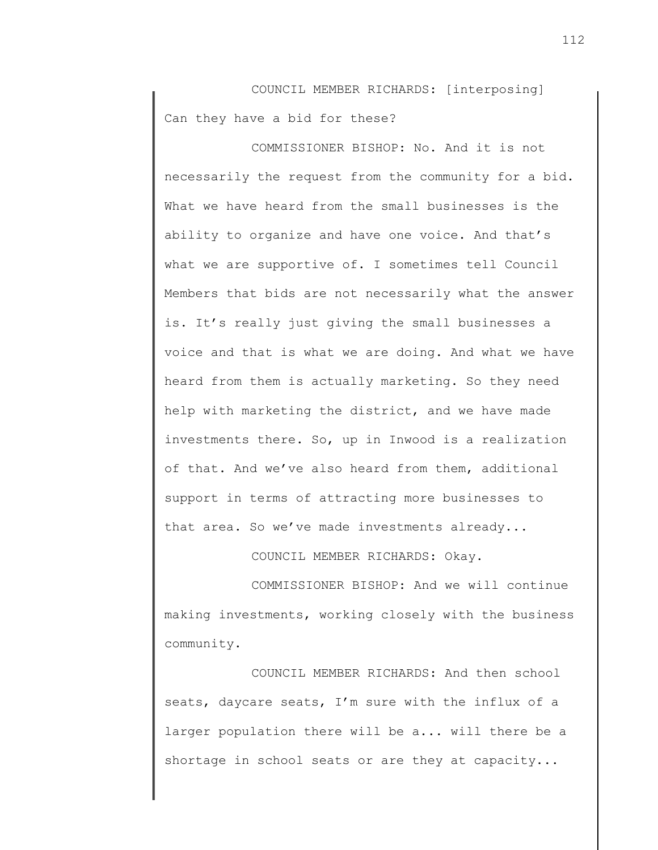COUNCIL MEMBER RICHARDS: [interposing] Can they have a bid for these?

COMMISSIONER BISHOP: No. And it is not necessarily the request from the community for a bid. What we have heard from the small businesses is the ability to organize and have one voice. And that's what we are supportive of. I sometimes tell Council Members that bids are not necessarily what the answer is. It's really just giving the small businesses a voice and that is what we are doing. And what we have heard from them is actually marketing. So they need help with marketing the district, and we have made investments there. So, up in Inwood is a realization of that. And we've also heard from them, additional support in terms of attracting more businesses to that area. So we've made investments already...

COUNCIL MEMBER RICHARDS: Okay.

COMMISSIONER BISHOP: And we will continue making investments, working closely with the business community.

COUNCIL MEMBER RICHARDS: And then school seats, daycare seats, I'm sure with the influx of a larger population there will be a... will there be a shortage in school seats or are they at capacity...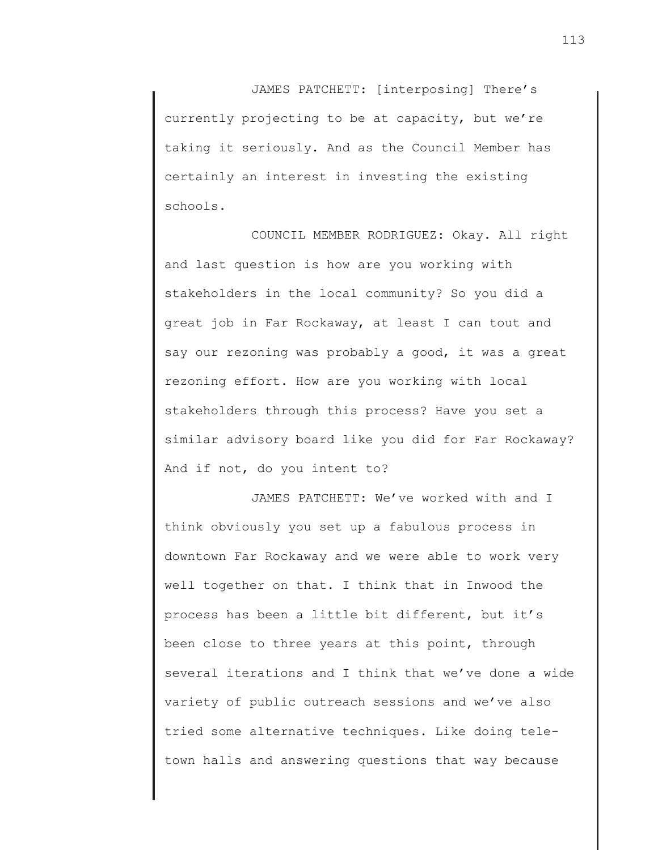JAMES PATCHETT: [interposing] There's currently projecting to be at capacity, but we're taking it seriously. And as the Council Member has certainly an interest in investing the existing schools.

COUNCIL MEMBER RODRIGUEZ: Okay. All right and last question is how are you working with stakeholders in the local community? So you did a great job in Far Rockaway, at least I can tout and say our rezoning was probably a good, it was a great rezoning effort. How are you working with local stakeholders through this process? Have you set a similar advisory board like you did for Far Rockaway? And if not, do you intent to?

JAMES PATCHETT: We've worked with and I think obviously you set up a fabulous process in downtown Far Rockaway and we were able to work very well together on that. I think that in Inwood the process has been a little bit different, but it's been close to three years at this point, through several iterations and I think that we've done a wide variety of public outreach sessions and we've also tried some alternative techniques. Like doing teletown halls and answering questions that way because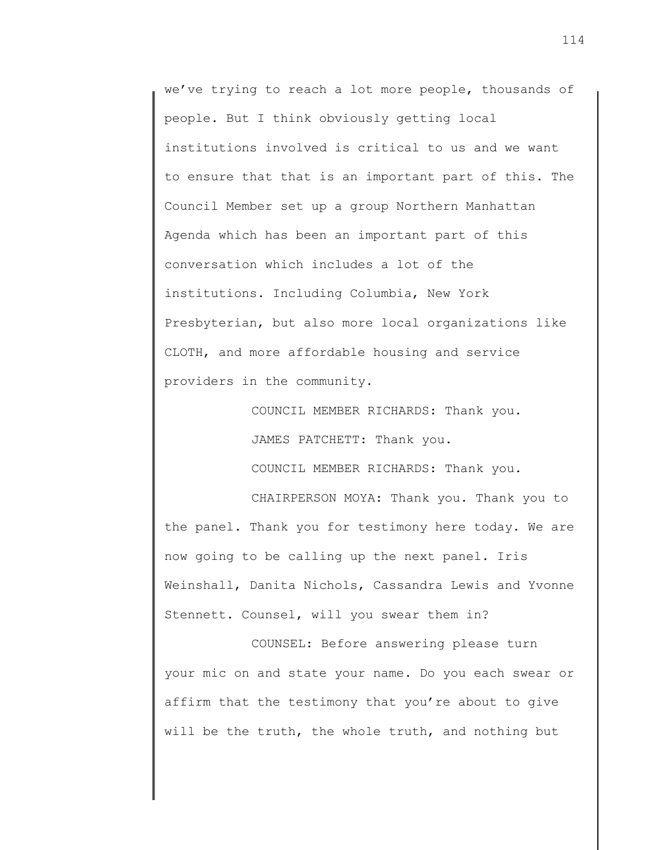we've trying to reach a lot more people, thousands of people. But I think obviously getting local institutions involved is critical to us and we want to ensure that that is an important part of this. The Council Member set up a group Northern Manhattan Agenda which has been an important part of this conversation which includes a lot of the institutions. Including Columbia, New York Presbyterian, but also more local organizations like CLOTH, and more affordable housing and service providers in the community.

COUNCIL MEMBER RICHARDS: Thank you.

JAMES PATCHETT: Thank you.

COUNCIL MEMBER RICHARDS: Thank you.

CHAIRPERSON MOYA: Thank you. Thank you to the panel. Thank you for testimony here today. We are now going to be calling up the next panel. Iris Weinshall, Danita Nichols, Cassandra Lewis and Yvonne Stennett. Counsel, will you swear them in?

COUNSEL: Before answering please turn your mic on and state your name. Do you each swear or affirm that the testimony that you're about to give will be the truth, the whole truth, and nothing but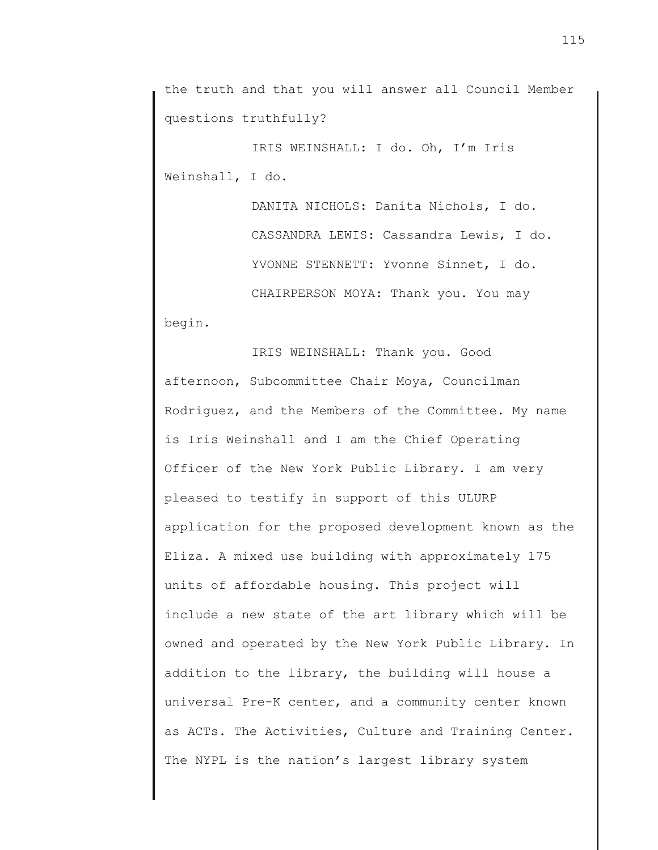the truth and that you will answer all Council Member questions truthfully?

IRIS WEINSHALL: I do. Oh, I'm Iris Weinshall, I do.

> DANITA NICHOLS: Danita Nichols, I do. CASSANDRA LEWIS: Cassandra Lewis, I do. YVONNE STENNETT: Yvonne Sinnet, I do. CHAIRPERSON MOYA: Thank you. You may

begin.

IRIS WEINSHALL: Thank you. Good afternoon, Subcommittee Chair Moya, Councilman Rodriguez, and the Members of the Committee. My name is Iris Weinshall and I am the Chief Operating Officer of the New York Public Library. I am very pleased to testify in support of this ULURP application for the proposed development known as the Eliza. A mixed use building with approximately 175 units of affordable housing. This project will include a new state of the art library which will be owned and operated by the New York Public Library. In addition to the library, the building will house a universal Pre-K center, and a community center known as ACTs. The Activities, Culture and Training Center. The NYPL is the nation's largest library system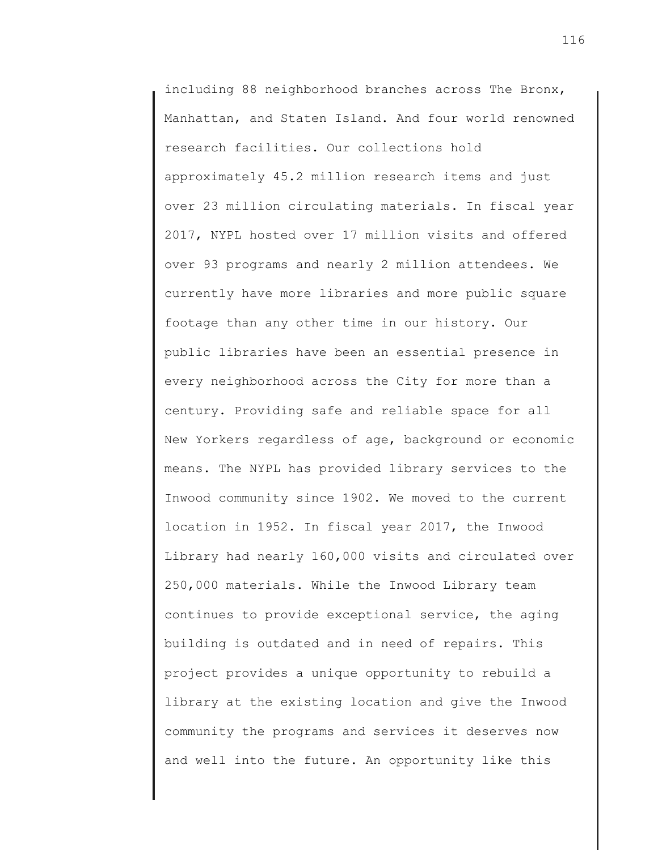including 88 neighborhood branches across The Bronx, Manhattan, and Staten Island. And four world renowned research facilities. Our collections hold approximately 45.2 million research items and just over 23 million circulating materials. In fiscal year 2017, NYPL hosted over 17 million visits and offered over 93 programs and nearly 2 million attendees. We currently have more libraries and more public square footage than any other time in our history. Our public libraries have been an essential presence in every neighborhood across the City for more than a century. Providing safe and reliable space for all New Yorkers regardless of age, background or economic means. The NYPL has provided library services to the Inwood community since 1902. We moved to the current location in 1952. In fiscal year 2017, the Inwood Library had nearly 160,000 visits and circulated over 250,000 materials. While the Inwood Library team continues to provide exceptional service, the aging building is outdated and in need of repairs. This project provides a unique opportunity to rebuild a library at the existing location and give the Inwood community the programs and services it deserves now and well into the future. An opportunity like this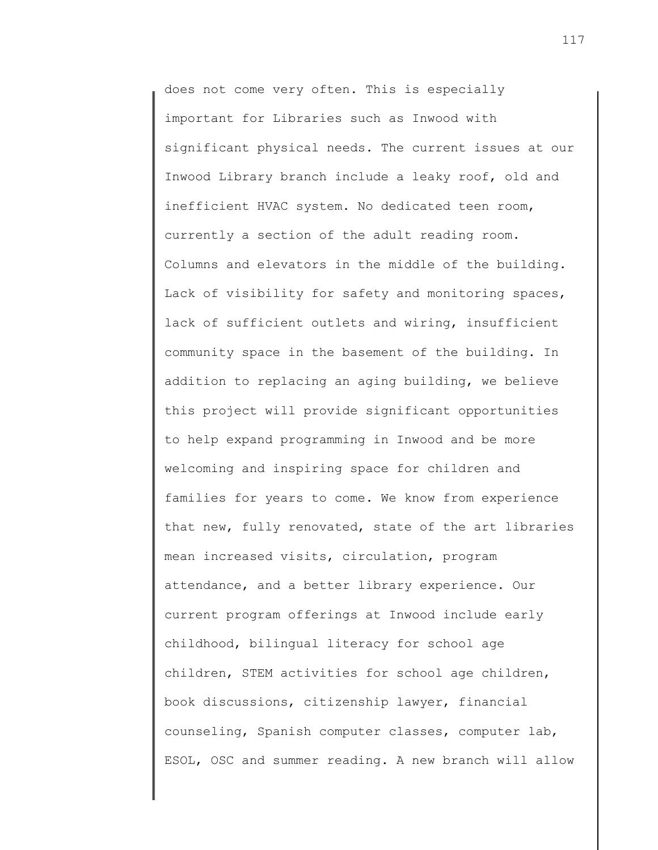does not come very often. This is especially important for Libraries such as Inwood with significant physical needs. The current issues at our Inwood Library branch include a leaky roof, old and inefficient HVAC system. No dedicated teen room, currently a section of the adult reading room. Columns and elevators in the middle of the building. Lack of visibility for safety and monitoring spaces, lack of sufficient outlets and wiring, insufficient community space in the basement of the building. In addition to replacing an aging building, we believe this project will provide significant opportunities to help expand programming in Inwood and be more welcoming and inspiring space for children and families for years to come. We know from experience that new, fully renovated, state of the art libraries mean increased visits, circulation, program attendance, and a better library experience. Our current program offerings at Inwood include early childhood, bilingual literacy for school age children, STEM activities for school age children, book discussions, citizenship lawyer, financial counseling, Spanish computer classes, computer lab, ESOL, OSC and summer reading. A new branch will allow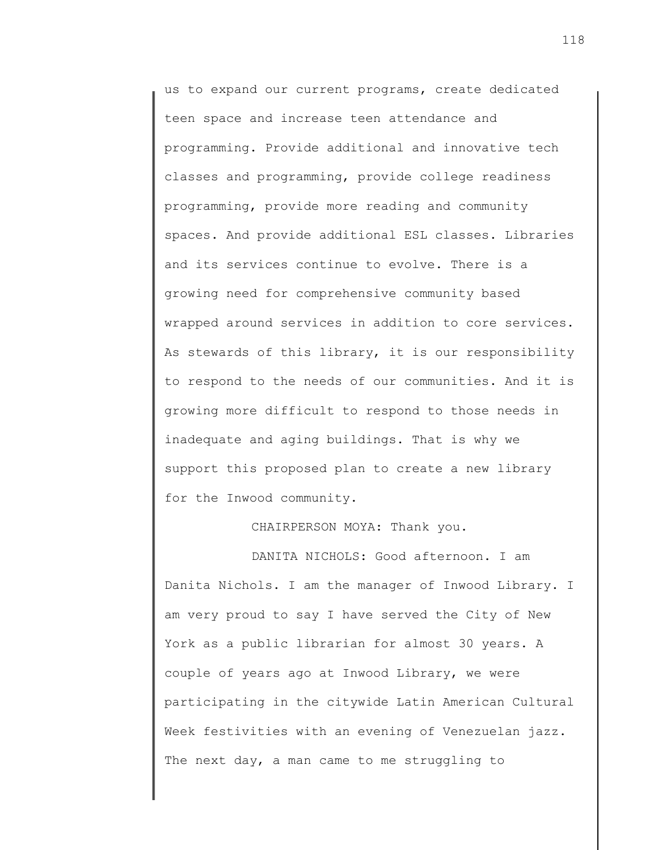us to expand our current programs, create dedicated teen space and increase teen attendance and programming. Provide additional and innovative tech classes and programming, provide college readiness programming, provide more reading and community spaces. And provide additional ESL classes. Libraries and its services continue to evolve. There is a growing need for comprehensive community based wrapped around services in addition to core services. As stewards of this library, it is our responsibility to respond to the needs of our communities. And it is growing more difficult to respond to those needs in inadequate and aging buildings. That is why we support this proposed plan to create a new library for the Inwood community.

## CHAIRPERSON MOYA: Thank you.

DANITA NICHOLS: Good afternoon. I am Danita Nichols. I am the manager of Inwood Library. I am very proud to say I have served the City of New York as a public librarian for almost 30 years. A couple of years ago at Inwood Library, we were participating in the citywide Latin American Cultural Week festivities with an evening of Venezuelan jazz. The next day, a man came to me struggling to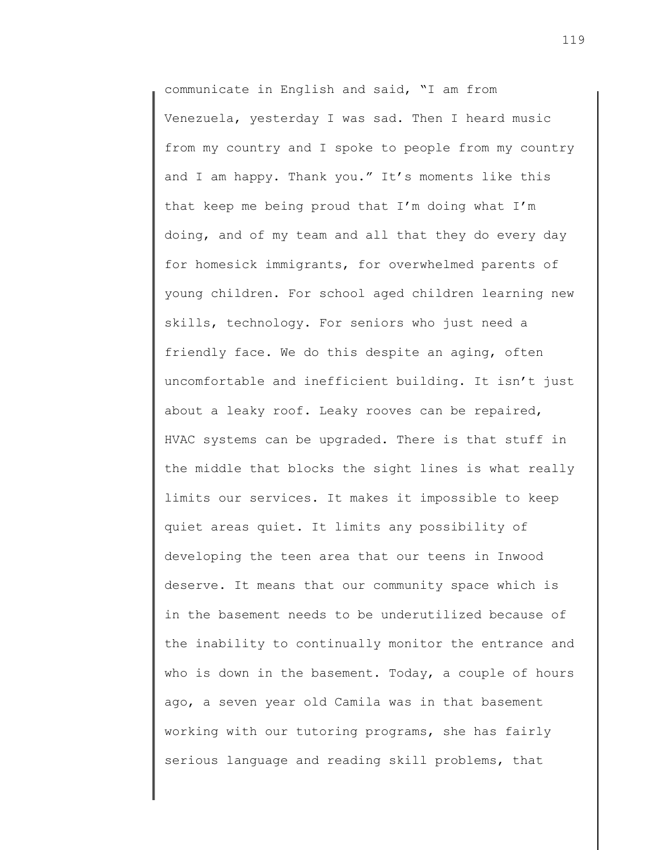communicate in English and said, "I am from Venezuela, yesterday I was sad. Then I heard music from my country and I spoke to people from my country and I am happy. Thank you." It's moments like this that keep me being proud that I'm doing what I'm doing, and of my team and all that they do every day for homesick immigrants, for overwhelmed parents of young children. For school aged children learning new skills, technology. For seniors who just need a friendly face. We do this despite an aging, often uncomfortable and inefficient building. It isn't just about a leaky roof. Leaky rooves can be repaired, HVAC systems can be upgraded. There is that stuff in the middle that blocks the sight lines is what really limits our services. It makes it impossible to keep quiet areas quiet. It limits any possibility of developing the teen area that our teens in Inwood deserve. It means that our community space which is in the basement needs to be underutilized because of the inability to continually monitor the entrance and who is down in the basement. Today, a couple of hours ago, a seven year old Camila was in that basement working with our tutoring programs, she has fairly serious language and reading skill problems, that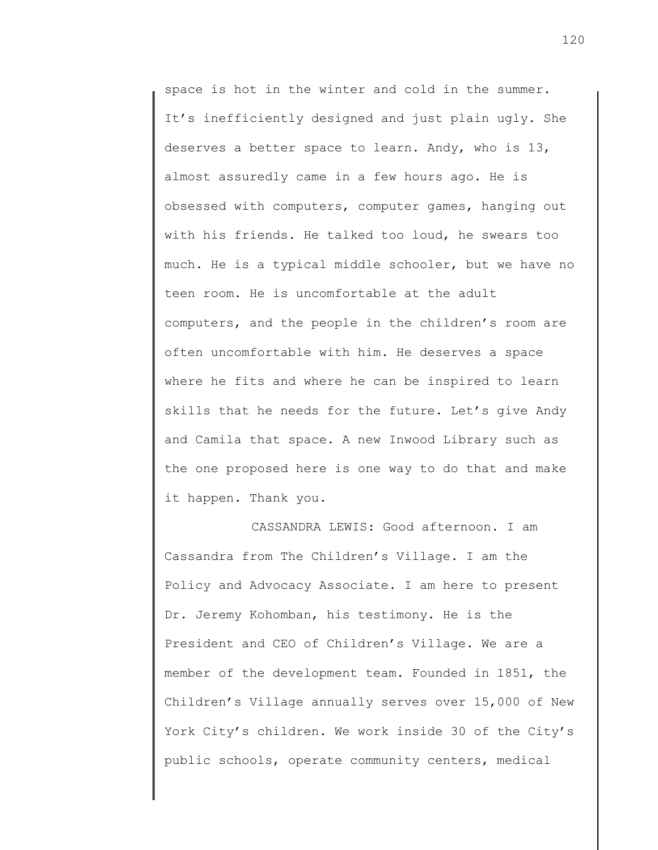space is hot in the winter and cold in the summer. It's inefficiently designed and just plain ugly. She deserves a better space to learn. Andy, who is 13, almost assuredly came in a few hours ago. He is obsessed with computers, computer games, hanging out with his friends. He talked too loud, he swears too much. He is a typical middle schooler, but we have no teen room. He is uncomfortable at the adult computers, and the people in the children's room are often uncomfortable with him. He deserves a space where he fits and where he can be inspired to learn skills that he needs for the future. Let's give Andy and Camila that space. A new Inwood Library such as the one proposed here is one way to do that and make it happen. Thank you.

CASSANDRA LEWIS: Good afternoon. I am Cassandra from The Children's Village. I am the Policy and Advocacy Associate. I am here to present Dr. Jeremy Kohomban, his testimony. He is the President and CEO of Children's Village. We are a member of the development team. Founded in 1851, the Children's Village annually serves over 15,000 of New York City's children. We work inside 30 of the City's public schools, operate community centers, medical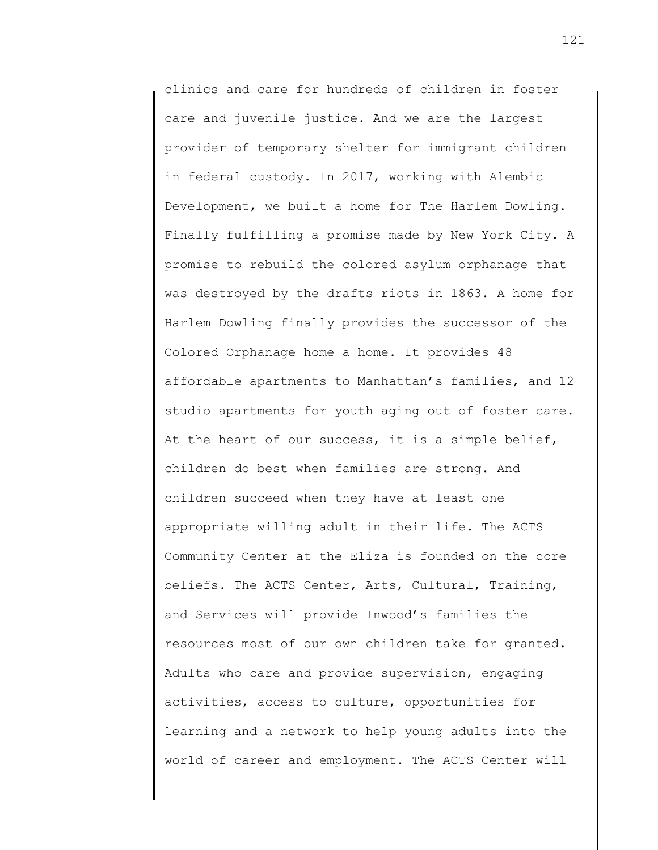clinics and care for hundreds of children in foster care and juvenile justice. And we are the largest provider of temporary shelter for immigrant children in federal custody. In 2017, working with Alembic Development, we built a home for The Harlem Dowling. Finally fulfilling a promise made by New York City. A promise to rebuild the colored asylum orphanage that was destroyed by the drafts riots in 1863. A home for Harlem Dowling finally provides the successor of the Colored Orphanage home a home. It provides 48 affordable apartments to Manhattan's families, and 12 studio apartments for youth aging out of foster care. At the heart of our success, it is a simple belief, children do best when families are strong. And children succeed when they have at least one appropriate willing adult in their life. The ACTS Community Center at the Eliza is founded on the core beliefs. The ACTS Center, Arts, Cultural, Training, and Services will provide Inwood's families the resources most of our own children take for granted. Adults who care and provide supervision, engaging activities, access to culture, opportunities for learning and a network to help young adults into the world of career and employment. The ACTS Center will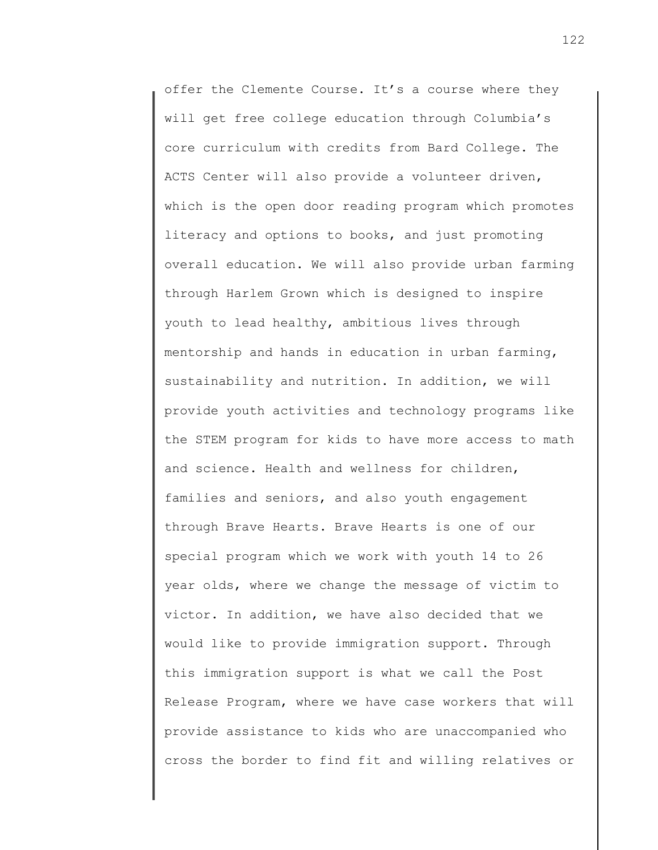offer the Clemente Course. It's a course where they will get free college education through Columbia's core curriculum with credits from Bard College. The ACTS Center will also provide a volunteer driven, which is the open door reading program which promotes literacy and options to books, and just promoting overall education. We will also provide urban farming through Harlem Grown which is designed to inspire youth to lead healthy, ambitious lives through mentorship and hands in education in urban farming, sustainability and nutrition. In addition, we will provide youth activities and technology programs like the STEM program for kids to have more access to math and science. Health and wellness for children, families and seniors, and also youth engagement through Brave Hearts. Brave Hearts is one of our special program which we work with youth 14 to 26 year olds, where we change the message of victim to victor. In addition, we have also decided that we would like to provide immigration support. Through this immigration support is what we call the Post Release Program, where we have case workers that will provide assistance to kids who are unaccompanied who cross the border to find fit and willing relatives or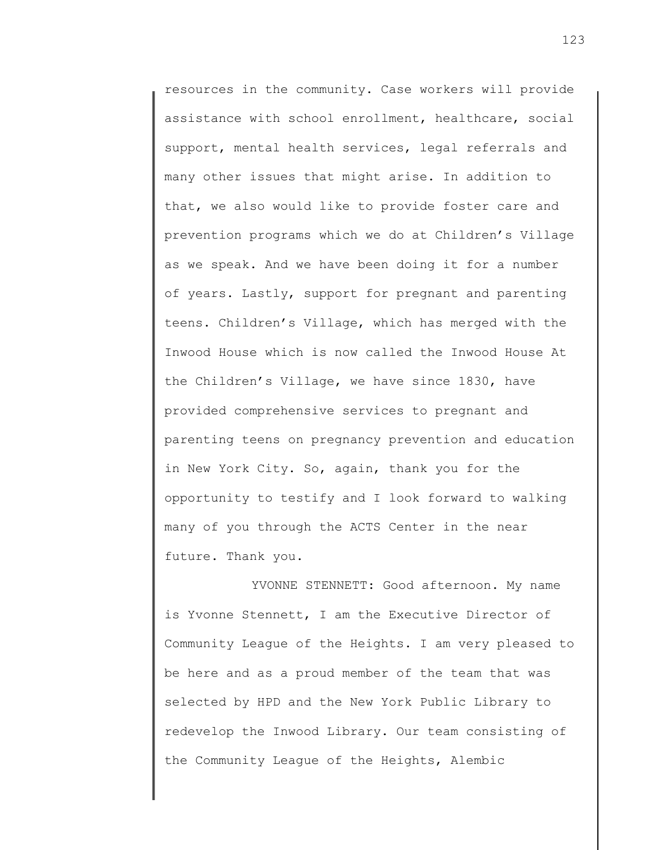resources in the community. Case workers will provide assistance with school enrollment, healthcare, social support, mental health services, legal referrals and many other issues that might arise. In addition to that, we also would like to provide foster care and prevention programs which we do at Children's Village as we speak. And we have been doing it for a number of years. Lastly, support for pregnant and parenting teens. Children's Village, which has merged with the Inwood House which is now called the Inwood House At the Children's Village, we have since 1830, have provided comprehensive services to pregnant and parenting teens on pregnancy prevention and education in New York City. So, again, thank you for the opportunity to testify and I look forward to walking many of you through the ACTS Center in the near future. Thank you.

YVONNE STENNETT: Good afternoon. My name is Yvonne Stennett, I am the Executive Director of Community League of the Heights. I am very pleased to be here and as a proud member of the team that was selected by HPD and the New York Public Library to redevelop the Inwood Library. Our team consisting of the Community League of the Heights, Alembic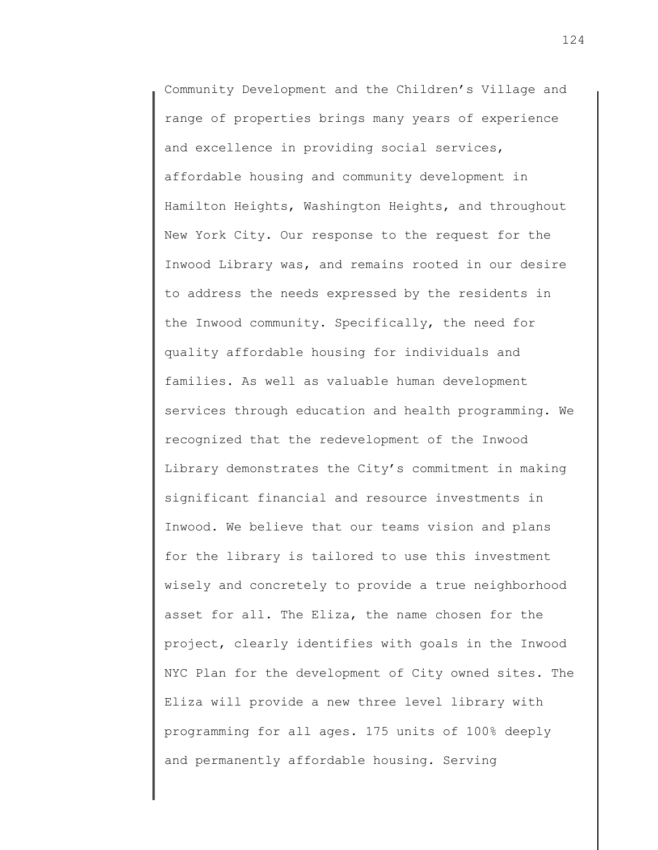Community Development and the Children's Village and range of properties brings many years of experience and excellence in providing social services, affordable housing and community development in Hamilton Heights, Washington Heights, and throughout New York City. Our response to the request for the Inwood Library was, and remains rooted in our desire to address the needs expressed by the residents in the Inwood community. Specifically, the need for quality affordable housing for individuals and families. As well as valuable human development services through education and health programming. We recognized that the redevelopment of the Inwood Library demonstrates the City's commitment in making significant financial and resource investments in Inwood. We believe that our teams vision and plans for the library is tailored to use this investment wisely and concretely to provide a true neighborhood asset for all. The Eliza, the name chosen for the project, clearly identifies with goals in the Inwood NYC Plan for the development of City owned sites. The Eliza will provide a new three level library with programming for all ages. 175 units of 100% deeply and permanently affordable housing. Serving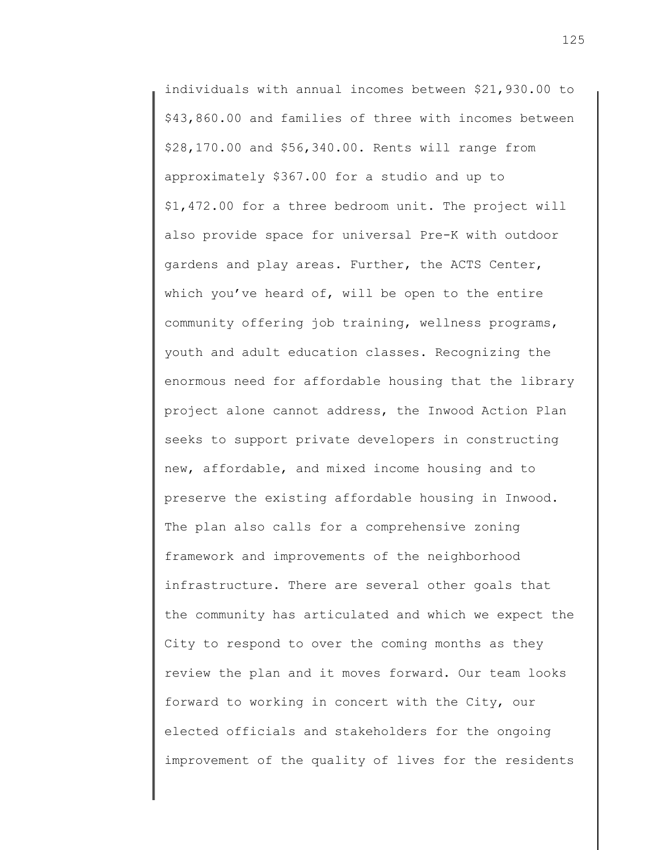individuals with annual incomes between \$21,930.00 to \$43,860.00 and families of three with incomes between \$28,170.00 and \$56,340.00. Rents will range from approximately \$367.00 for a studio and up to \$1,472.00 for a three bedroom unit. The project will also provide space for universal Pre-K with outdoor gardens and play areas. Further, the ACTS Center, which you've heard of, will be open to the entire community offering job training, wellness programs, youth and adult education classes. Recognizing the enormous need for affordable housing that the library project alone cannot address, the Inwood Action Plan seeks to support private developers in constructing new, affordable, and mixed income housing and to preserve the existing affordable housing in Inwood. The plan also calls for a comprehensive zoning framework and improvements of the neighborhood infrastructure. There are several other goals that the community has articulated and which we expect the City to respond to over the coming months as they review the plan and it moves forward. Our team looks forward to working in concert with the City, our elected officials and stakeholders for the ongoing improvement of the quality of lives for the residents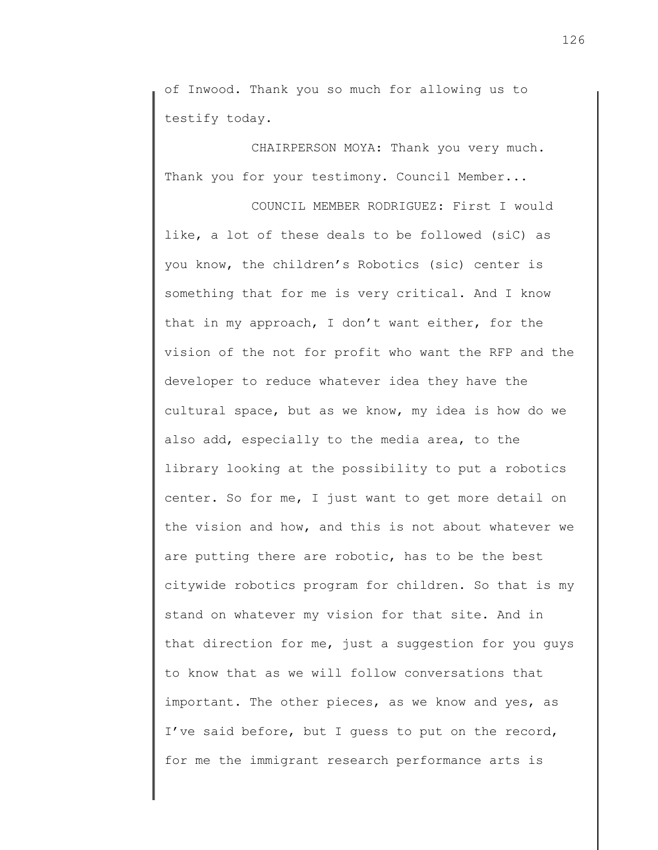of Inwood. Thank you so much for allowing us to testify today.

CHAIRPERSON MOYA: Thank you very much. Thank you for your testimony. Council Member...

COUNCIL MEMBER RODRIGUEZ: First I would like, a lot of these deals to be followed (siC) as you know, the children's Robotics (sic) center is something that for me is very critical. And I know that in my approach, I don't want either, for the vision of the not for profit who want the RFP and the developer to reduce whatever idea they have the cultural space, but as we know, my idea is how do we also add, especially to the media area, to the library looking at the possibility to put a robotics center. So for me, I just want to get more detail on the vision and how, and this is not about whatever we are putting there are robotic, has to be the best citywide robotics program for children. So that is my stand on whatever my vision for that site. And in that direction for me, just a suggestion for you guys to know that as we will follow conversations that important. The other pieces, as we know and yes, as I've said before, but I guess to put on the record, for me the immigrant research performance arts is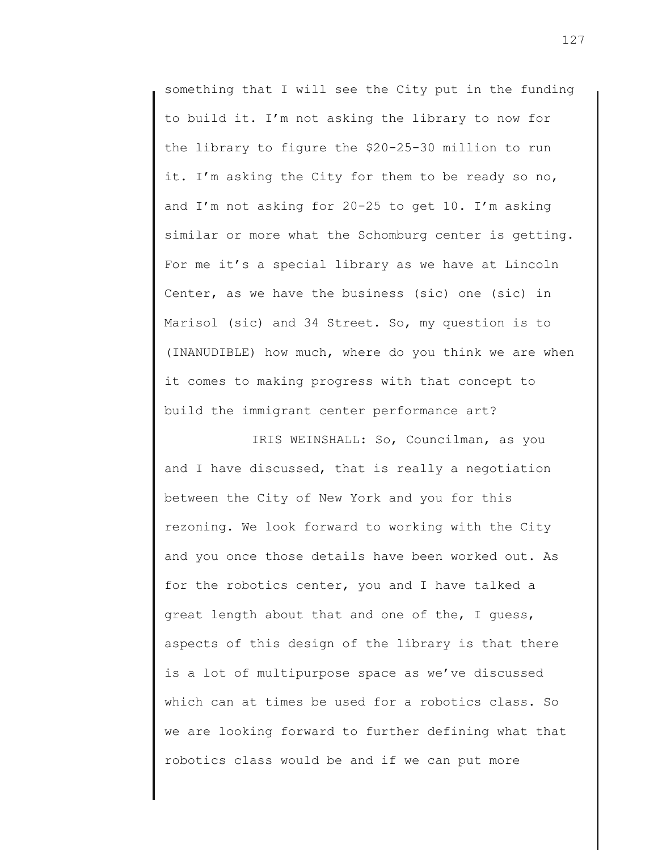something that I will see the City put in the funding to build it. I'm not asking the library to now for the library to figure the \$20-25-30 million to run it. I'm asking the City for them to be ready so no, and I'm not asking for 20-25 to get 10. I'm asking similar or more what the Schomburg center is getting. For me it's a special library as we have at Lincoln Center, as we have the business (sic) one (sic) in Marisol (sic) and 34 Street. So, my question is to (INANUDIBLE) how much, where do you think we are when it comes to making progress with that concept to build the immigrant center performance art?

IRIS WEINSHALL: So, Councilman, as you and I have discussed, that is really a negotiation between the City of New York and you for this rezoning. We look forward to working with the City and you once those details have been worked out. As for the robotics center, you and I have talked a great length about that and one of the, I guess, aspects of this design of the library is that there is a lot of multipurpose space as we've discussed which can at times be used for a robotics class. So we are looking forward to further defining what that robotics class would be and if we can put more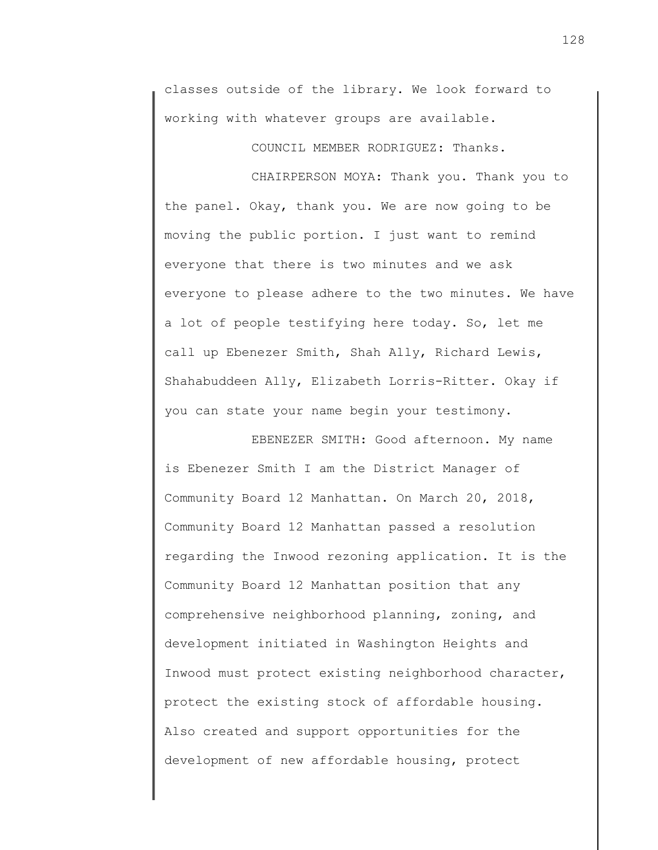classes outside of the library. We look forward to working with whatever groups are available.

COUNCIL MEMBER RODRIGUEZ: Thanks.

CHAIRPERSON MOYA: Thank you. Thank you to the panel. Okay, thank you. We are now going to be moving the public portion. I just want to remind everyone that there is two minutes and we ask everyone to please adhere to the two minutes. We have a lot of people testifying here today. So, let me call up Ebenezer Smith, Shah Ally, Richard Lewis, Shahabuddeen Ally, Elizabeth Lorris-Ritter. Okay if you can state your name begin your testimony.

EBENEZER SMITH: Good afternoon. My name is Ebenezer Smith I am the District Manager of Community Board 12 Manhattan. On March 20, 2018, Community Board 12 Manhattan passed a resolution regarding the Inwood rezoning application. It is the Community Board 12 Manhattan position that any comprehensive neighborhood planning, zoning, and development initiated in Washington Heights and Inwood must protect existing neighborhood character, protect the existing stock of affordable housing. Also created and support opportunities for the development of new affordable housing, protect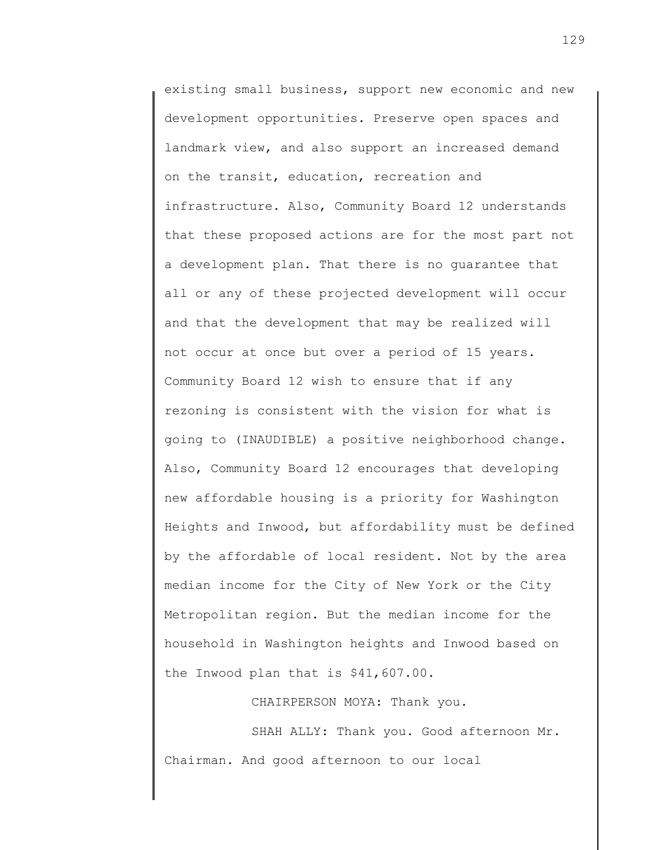existing small business, support new economic and new development opportunities. Preserve open spaces and landmark view, and also support an increased demand on the transit, education, recreation and infrastructure. Also, Community Board 12 understands that these proposed actions are for the most part not a development plan. That there is no guarantee that all or any of these projected development will occur and that the development that may be realized will not occur at once but over a period of 15 years. Community Board 12 wish to ensure that if any rezoning is consistent with the vision for what is going to (INAUDIBLE) a positive neighborhood change. Also, Community Board 12 encourages that developing new affordable housing is a priority for Washington Heights and Inwood, but affordability must be defined by the affordable of local resident. Not by the area median income for the City of New York or the City Metropolitan region. But the median income for the household in Washington heights and Inwood based on the Inwood plan that is \$41,607.00.

CHAIRPERSON MOYA: Thank you.

SHAH ALLY: Thank you. Good afternoon Mr. Chairman. And good afternoon to our local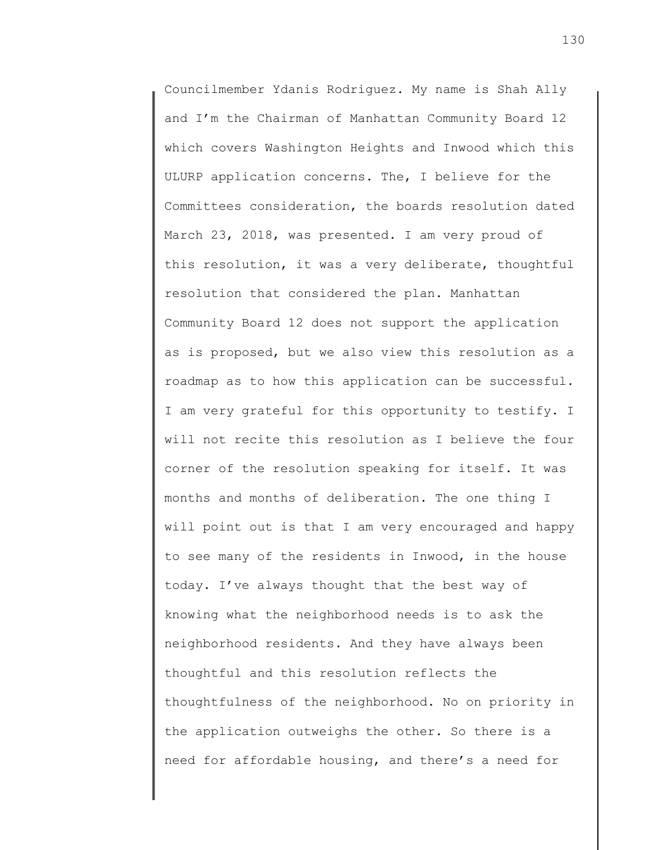Councilmember Ydanis Rodriguez. My name is Shah Ally and I'm the Chairman of Manhattan Community Board 12 which covers Washington Heights and Inwood which this ULURP application concerns. The, I believe for the Committees consideration, the boards resolution dated March 23, 2018, was presented. I am very proud of this resolution, it was a very deliberate, thoughtful resolution that considered the plan. Manhattan Community Board 12 does not support the application as is proposed, but we also view this resolution as a roadmap as to how this application can be successful. I am very grateful for this opportunity to testify. I will not recite this resolution as I believe the four corner of the resolution speaking for itself. It was months and months of deliberation. The one thing I will point out is that I am very encouraged and happy to see many of the residents in Inwood, in the house today. I've always thought that the best way of knowing what the neighborhood needs is to ask the neighborhood residents. And they have always been thoughtful and this resolution reflects the thoughtfulness of the neighborhood. No on priority in the application outweighs the other. So there is a need for affordable housing, and there's a need for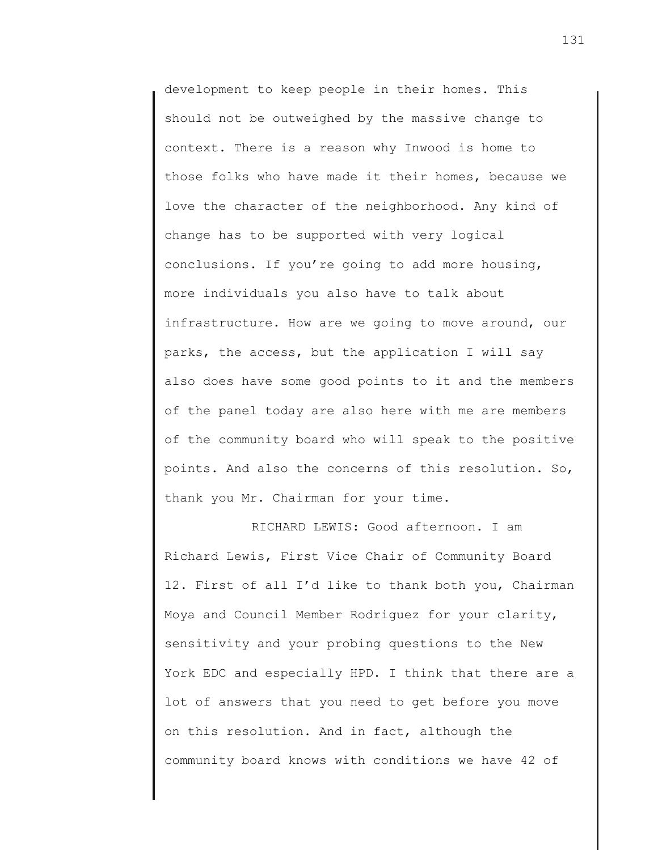development to keep people in their homes. This should not be outweighed by the massive change to context. There is a reason why Inwood is home to those folks who have made it their homes, because we love the character of the neighborhood. Any kind of change has to be supported with very logical conclusions. If you're going to add more housing, more individuals you also have to talk about infrastructure. How are we going to move around, our parks, the access, but the application I will say also does have some good points to it and the members of the panel today are also here with me are members of the community board who will speak to the positive points. And also the concerns of this resolution. So, thank you Mr. Chairman for your time.

RICHARD LEWIS: Good afternoon. I am Richard Lewis, First Vice Chair of Community Board 12. First of all I'd like to thank both you, Chairman Moya and Council Member Rodriguez for your clarity, sensitivity and your probing questions to the New York EDC and especially HPD. I think that there are a lot of answers that you need to get before you move on this resolution. And in fact, although the community board knows with conditions we have 42 of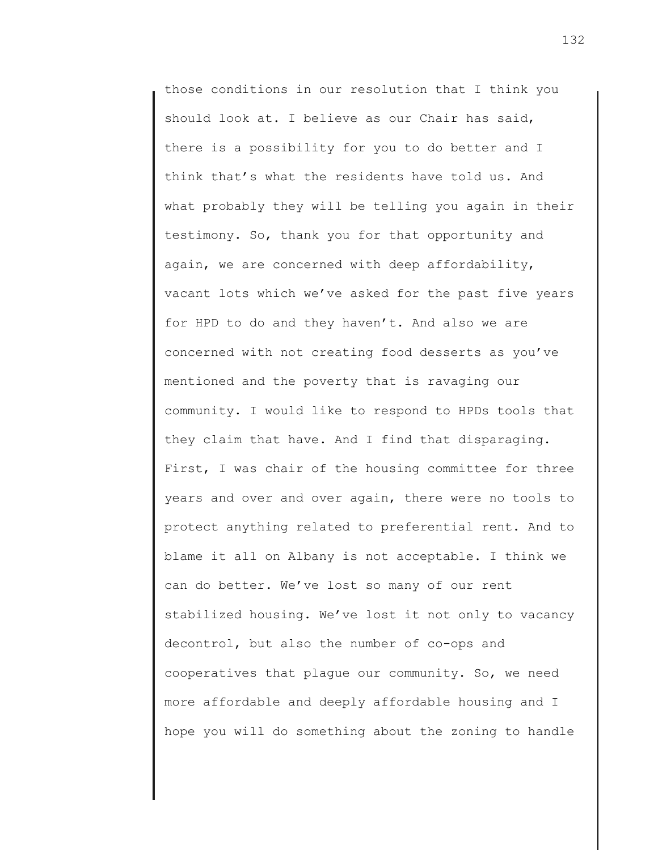those conditions in our resolution that I think you should look at. I believe as our Chair has said, there is a possibility for you to do better and I think that's what the residents have told us. And what probably they will be telling you again in their testimony. So, thank you for that opportunity and again, we are concerned with deep affordability, vacant lots which we've asked for the past five years for HPD to do and they haven't. And also we are concerned with not creating food desserts as you've mentioned and the poverty that is ravaging our community. I would like to respond to HPDs tools that they claim that have. And I find that disparaging. First, I was chair of the housing committee for three years and over and over again, there were no tools to protect anything related to preferential rent. And to blame it all on Albany is not acceptable. I think we can do better. We've lost so many of our rent stabilized housing. We've lost it not only to vacancy decontrol, but also the number of co-ops and cooperatives that plague our community. So, we need more affordable and deeply affordable housing and I hope you will do something about the zoning to handle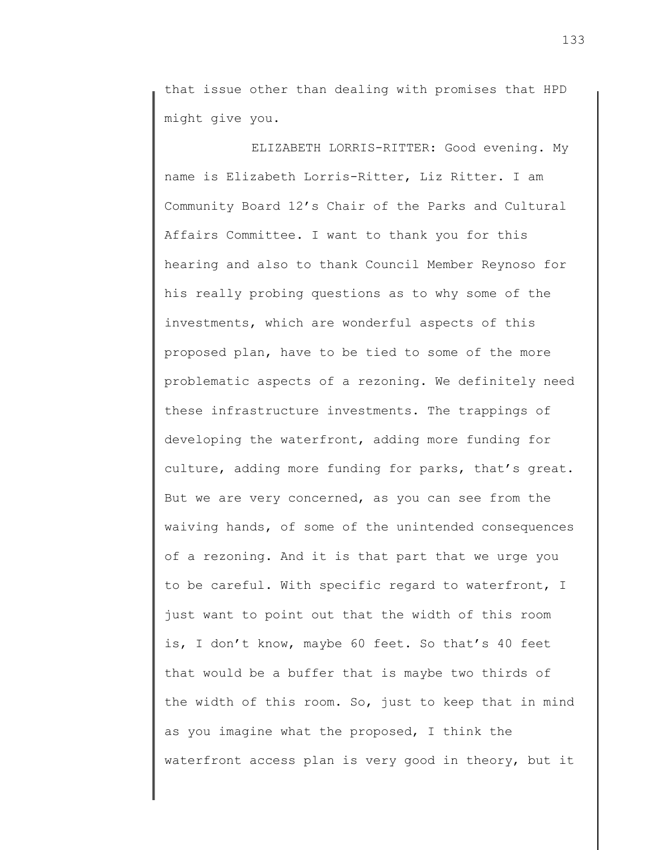that issue other than dealing with promises that HPD might give you.

ELIZABETH LORRIS-RITTER: Good evening. My name is Elizabeth Lorris-Ritter, Liz Ritter. I am Community Board 12's Chair of the Parks and Cultural Affairs Committee. I want to thank you for this hearing and also to thank Council Member Reynoso for his really probing questions as to why some of the investments, which are wonderful aspects of this proposed plan, have to be tied to some of the more problematic aspects of a rezoning. We definitely need these infrastructure investments. The trappings of developing the waterfront, adding more funding for culture, adding more funding for parks, that's great. But we are very concerned, as you can see from the waiving hands, of some of the unintended consequences of a rezoning. And it is that part that we urge you to be careful. With specific regard to waterfront, I just want to point out that the width of this room is, I don't know, maybe 60 feet. So that's 40 feet that would be a buffer that is maybe two thirds of the width of this room. So, just to keep that in mind as you imagine what the proposed, I think the waterfront access plan is very good in theory, but it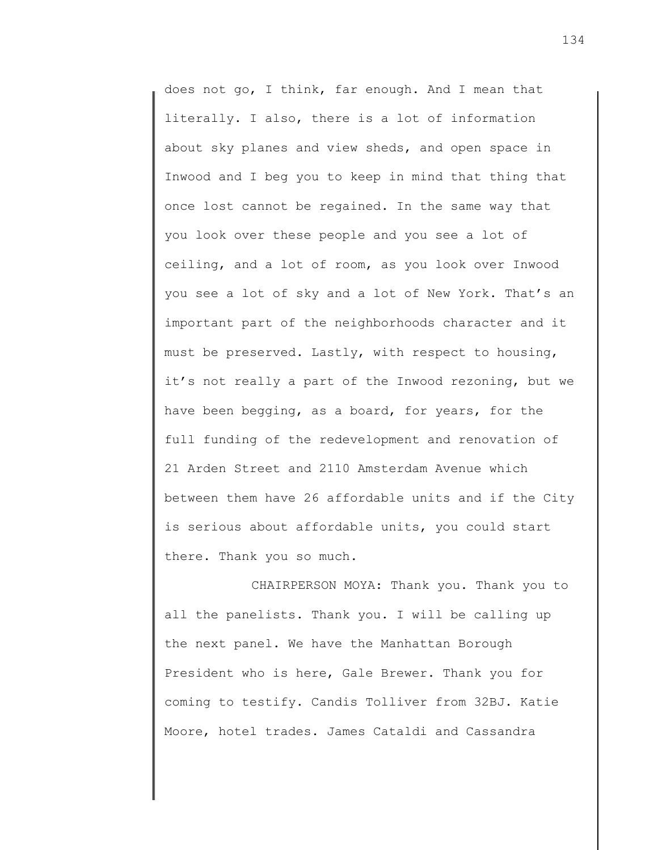does not go, I think, far enough. And I mean that literally. I also, there is a lot of information about sky planes and view sheds, and open space in Inwood and I beg you to keep in mind that thing that once lost cannot be regained. In the same way that you look over these people and you see a lot of ceiling, and a lot of room, as you look over Inwood you see a lot of sky and a lot of New York. That's an important part of the neighborhoods character and it must be preserved. Lastly, with respect to housing, it's not really a part of the Inwood rezoning, but we have been begging, as a board, for years, for the full funding of the redevelopment and renovation of 21 Arden Street and 2110 Amsterdam Avenue which between them have 26 affordable units and if the City is serious about affordable units, you could start there. Thank you so much.

CHAIRPERSON MOYA: Thank you. Thank you to all the panelists. Thank you. I will be calling up the next panel. We have the Manhattan Borough President who is here, Gale Brewer. Thank you for coming to testify. Candis Tolliver from 32BJ. Katie Moore, hotel trades. James Cataldi and Cassandra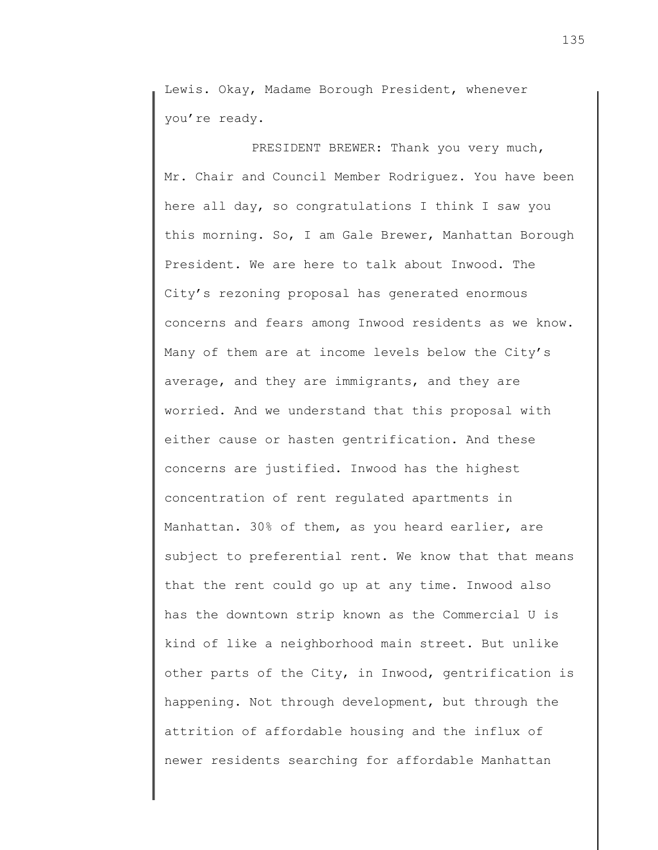Lewis. Okay, Madame Borough President, whenever you're ready.

PRESIDENT BREWER: Thank you very much, Mr. Chair and Council Member Rodriguez. You have been here all day, so congratulations I think I saw you this morning. So, I am Gale Brewer, Manhattan Borough President. We are here to talk about Inwood. The City's rezoning proposal has generated enormous concerns and fears among Inwood residents as we know. Many of them are at income levels below the City's average, and they are immigrants, and they are worried. And we understand that this proposal with either cause or hasten gentrification. And these concerns are justified. Inwood has the highest concentration of rent regulated apartments in Manhattan. 30% of them, as you heard earlier, are subject to preferential rent. We know that that means that the rent could go up at any time. Inwood also has the downtown strip known as the Commercial U is kind of like a neighborhood main street. But unlike other parts of the City, in Inwood, gentrification is happening. Not through development, but through the attrition of affordable housing and the influx of newer residents searching for affordable Manhattan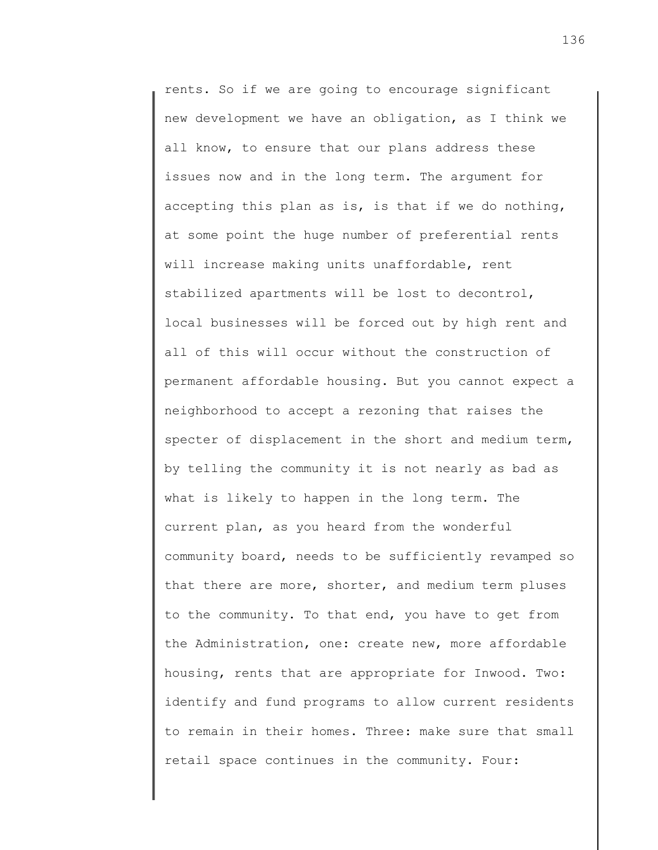rents. So if we are going to encourage significant new development we have an obligation, as I think we all know, to ensure that our plans address these issues now and in the long term. The argument for accepting this plan as is, is that if we do nothing, at some point the huge number of preferential rents will increase making units unaffordable, rent stabilized apartments will be lost to decontrol, local businesses will be forced out by high rent and all of this will occur without the construction of permanent affordable housing. But you cannot expect a neighborhood to accept a rezoning that raises the specter of displacement in the short and medium term, by telling the community it is not nearly as bad as what is likely to happen in the long term. The current plan, as you heard from the wonderful community board, needs to be sufficiently revamped so that there are more, shorter, and medium term pluses to the community. To that end, you have to get from the Administration, one: create new, more affordable housing, rents that are appropriate for Inwood. Two: identify and fund programs to allow current residents to remain in their homes. Three: make sure that small retail space continues in the community. Four: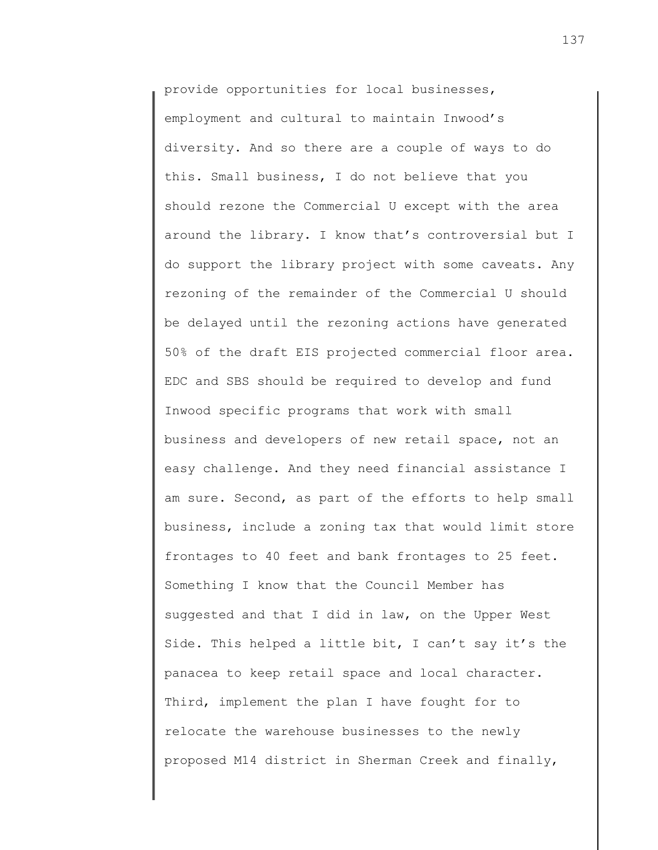provide opportunities for local businesses, employment and cultural to maintain Inwood's diversity. And so there are a couple of ways to do this. Small business, I do not believe that you should rezone the Commercial U except with the area around the library. I know that's controversial but I do support the library project with some caveats. Any rezoning of the remainder of the Commercial U should be delayed until the rezoning actions have generated 50% of the draft EIS projected commercial floor area. EDC and SBS should be required to develop and fund Inwood specific programs that work with small business and developers of new retail space, not an easy challenge. And they need financial assistance I am sure. Second, as part of the efforts to help small business, include a zoning tax that would limit store frontages to 40 feet and bank frontages to 25 feet. Something I know that the Council Member has suggested and that I did in law, on the Upper West Side. This helped a little bit, I can't say it's the panacea to keep retail space and local character. Third, implement the plan I have fought for to relocate the warehouse businesses to the newly proposed M14 district in Sherman Creek and finally,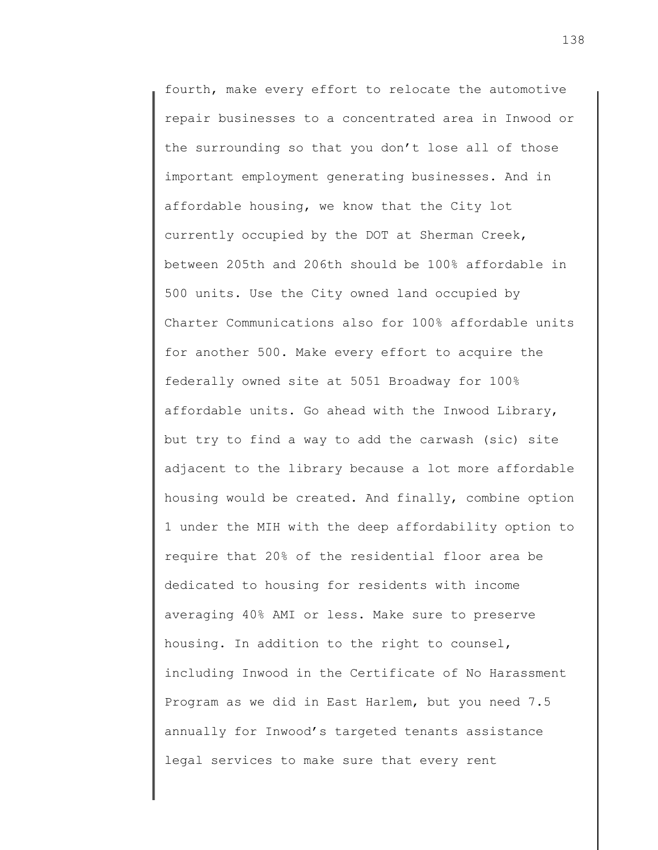fourth, make every effort to relocate the automotive repair businesses to a concentrated area in Inwood or the surrounding so that you don't lose all of those important employment generating businesses. And in affordable housing, we know that the City lot currently occupied by the DOT at Sherman Creek, between 205th and 206th should be 100% affordable in 500 units. Use the City owned land occupied by Charter Communications also for 100% affordable units for another 500. Make every effort to acquire the federally owned site at 5051 Broadway for 100% affordable units. Go ahead with the Inwood Library, but try to find a way to add the carwash (sic) site adjacent to the library because a lot more affordable housing would be created. And finally, combine option 1 under the MIH with the deep affordability option to require that 20% of the residential floor area be dedicated to housing for residents with income averaging 40% AMI or less. Make sure to preserve housing. In addition to the right to counsel, including Inwood in the Certificate of No Harassment Program as we did in East Harlem, but you need 7.5 annually for Inwood's targeted tenants assistance legal services to make sure that every rent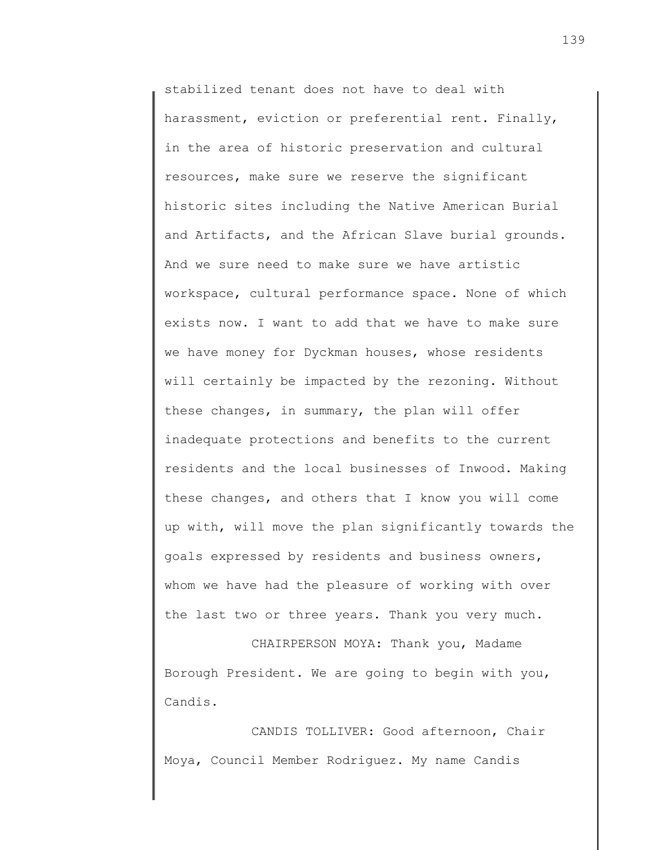stabilized tenant does not have to deal with harassment, eviction or preferential rent. Finally, in the area of historic preservation and cultural resources, make sure we reserve the significant historic sites including the Native American Burial and Artifacts, and the African Slave burial grounds. And we sure need to make sure we have artistic workspace, cultural performance space. None of which exists now. I want to add that we have to make sure we have money for Dyckman houses, whose residents will certainly be impacted by the rezoning. Without these changes, in summary, the plan will offer inadequate protections and benefits to the current residents and the local businesses of Inwood. Making these changes, and others that I know you will come up with, will move the plan significantly towards the goals expressed by residents and business owners, whom we have had the pleasure of working with over the last two or three years. Thank you very much.

CHAIRPERSON MOYA: Thank you, Madame Borough President. We are going to begin with you, Candis.

CANDIS TOLLIVER: Good afternoon, Chair Moya, Council Member Rodriguez. My name Candis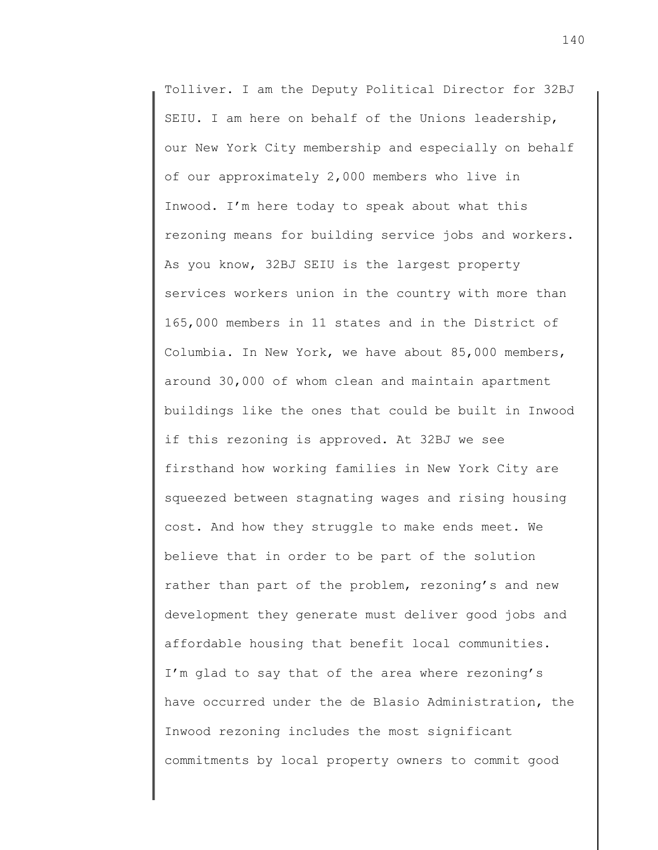Tolliver. I am the Deputy Political Director for 32BJ SEIU. I am here on behalf of the Unions leadership, our New York City membership and especially on behalf of our approximately 2,000 members who live in Inwood. I'm here today to speak about what this rezoning means for building service jobs and workers. As you know, 32BJ SEIU is the largest property services workers union in the country with more than 165,000 members in 11 states and in the District of Columbia. In New York, we have about 85,000 members, around 30,000 of whom clean and maintain apartment buildings like the ones that could be built in Inwood if this rezoning is approved. At 32BJ we see firsthand how working families in New York City are squeezed between stagnating wages and rising housing cost. And how they struggle to make ends meet. We believe that in order to be part of the solution rather than part of the problem, rezoning's and new development they generate must deliver good jobs and affordable housing that benefit local communities. I'm glad to say that of the area where rezoning's have occurred under the de Blasio Administration, the Inwood rezoning includes the most significant commitments by local property owners to commit good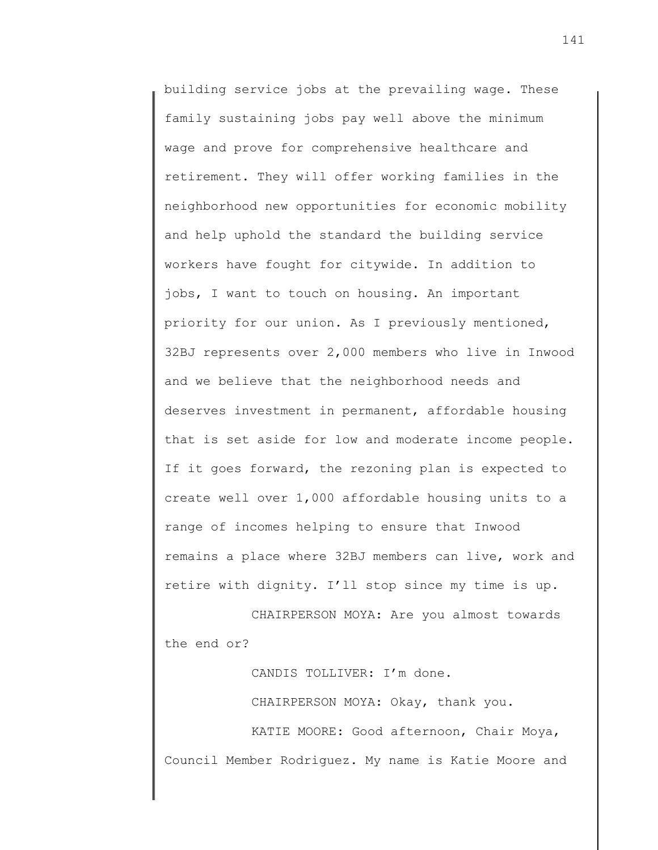building service jobs at the prevailing wage. These family sustaining jobs pay well above the minimum wage and prove for comprehensive healthcare and retirement. They will offer working families in the neighborhood new opportunities for economic mobility and help uphold the standard the building service workers have fought for citywide. In addition to jobs, I want to touch on housing. An important priority for our union. As I previously mentioned, 32BJ represents over 2,000 members who live in Inwood and we believe that the neighborhood needs and deserves investment in permanent, affordable housing that is set aside for low and moderate income people. If it goes forward, the rezoning plan is expected to create well over 1,000 affordable housing units to a range of incomes helping to ensure that Inwood remains a place where 32BJ members can live, work and retire with dignity. I'll stop since my time is up.

CHAIRPERSON MOYA: Are you almost towards the end or?

CANDIS TOLLIVER: I'm done.

CHAIRPERSON MOYA: Okay, thank you.

KATIE MOORE: Good afternoon, Chair Moya, Council Member Rodriguez. My name is Katie Moore and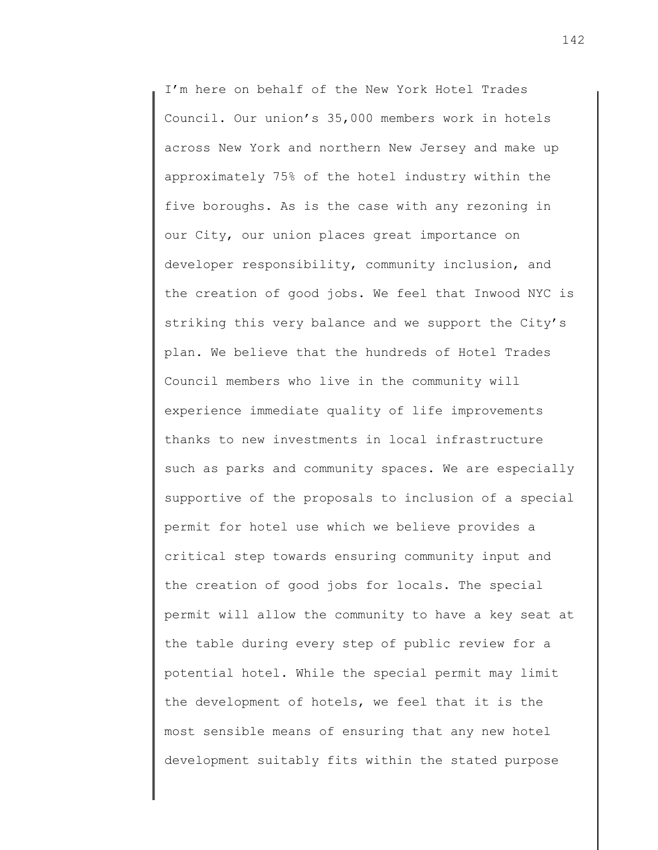I'm here on behalf of the New York Hotel Trades Council. Our union's 35,000 members work in hotels across New York and northern New Jersey and make up approximately 75% of the hotel industry within the five boroughs. As is the case with any rezoning in our City, our union places great importance on developer responsibility, community inclusion, and the creation of good jobs. We feel that Inwood NYC is striking this very balance and we support the City's plan. We believe that the hundreds of Hotel Trades Council members who live in the community will experience immediate quality of life improvements thanks to new investments in local infrastructure such as parks and community spaces. We are especially supportive of the proposals to inclusion of a special permit for hotel use which we believe provides a critical step towards ensuring community input and the creation of good jobs for locals. The special permit will allow the community to have a key seat at the table during every step of public review for a potential hotel. While the special permit may limit the development of hotels, we feel that it is the most sensible means of ensuring that any new hotel development suitably fits within the stated purpose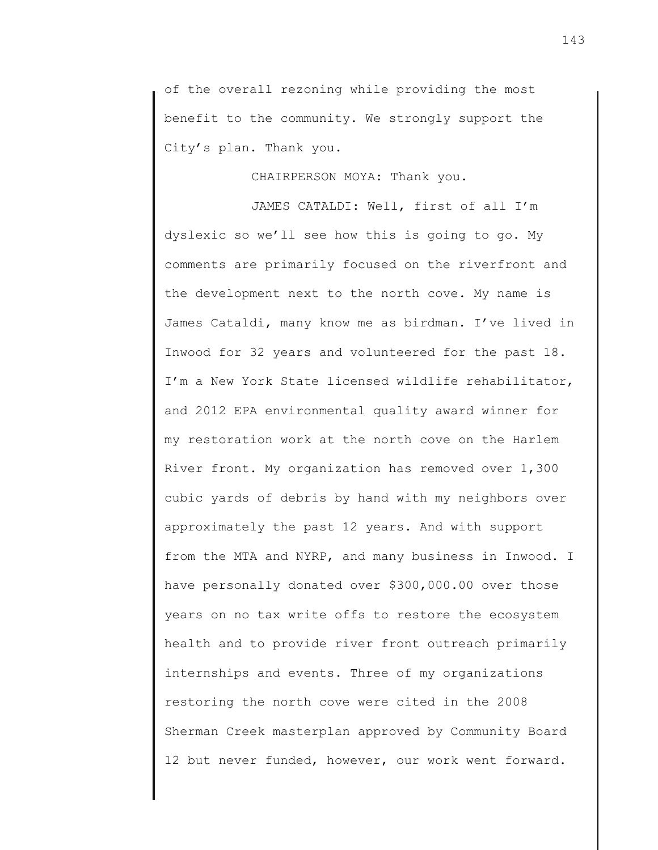of the overall rezoning while providing the most benefit to the community. We strongly support the City's plan. Thank you.

## CHAIRPERSON MOYA: Thank you.

JAMES CATALDI: Well, first of all I'm dyslexic so we'll see how this is going to go. My comments are primarily focused on the riverfront and the development next to the north cove. My name is James Cataldi, many know me as birdman. I've lived in Inwood for 32 years and volunteered for the past 18. I'm a New York State licensed wildlife rehabilitator, and 2012 EPA environmental quality award winner for my restoration work at the north cove on the Harlem River front. My organization has removed over 1,300 cubic yards of debris by hand with my neighbors over approximately the past 12 years. And with support from the MTA and NYRP, and many business in Inwood. I have personally donated over \$300,000.00 over those years on no tax write offs to restore the ecosystem health and to provide river front outreach primarily internships and events. Three of my organizations restoring the north cove were cited in the 2008 Sherman Creek masterplan approved by Community Board 12 but never funded, however, our work went forward.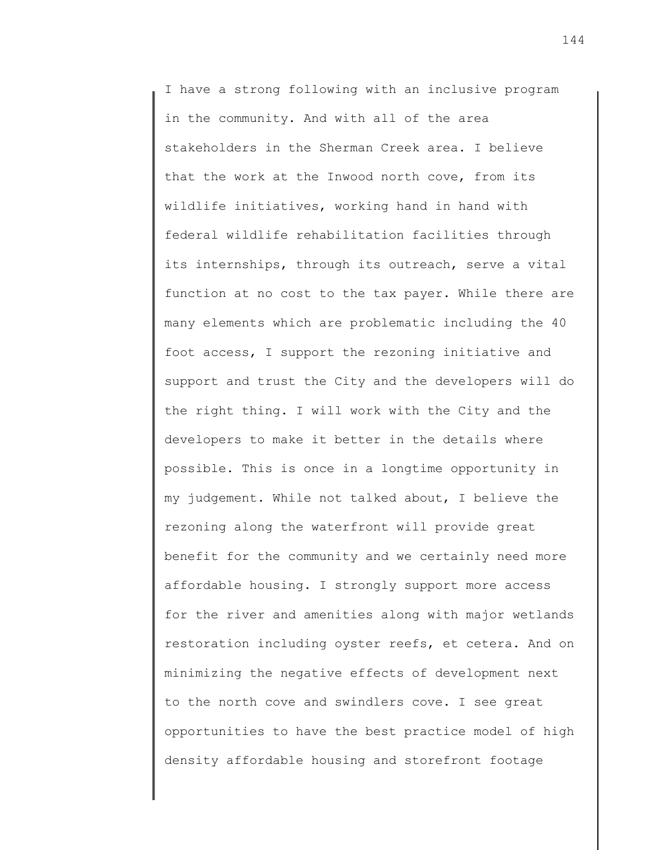I have a strong following with an inclusive program in the community. And with all of the area stakeholders in the Sherman Creek area. I believe that the work at the Inwood north cove, from its wildlife initiatives, working hand in hand with federal wildlife rehabilitation facilities through its internships, through its outreach, serve a vital function at no cost to the tax payer. While there are many elements which are problematic including the 40 foot access, I support the rezoning initiative and support and trust the City and the developers will do the right thing. I will work with the City and the developers to make it better in the details where possible. This is once in a longtime opportunity in my judgement. While not talked about, I believe the rezoning along the waterfront will provide great benefit for the community and we certainly need more affordable housing. I strongly support more access for the river and amenities along with major wetlands restoration including oyster reefs, et cetera. And on minimizing the negative effects of development next to the north cove and swindlers cove. I see great opportunities to have the best practice model of high density affordable housing and storefront footage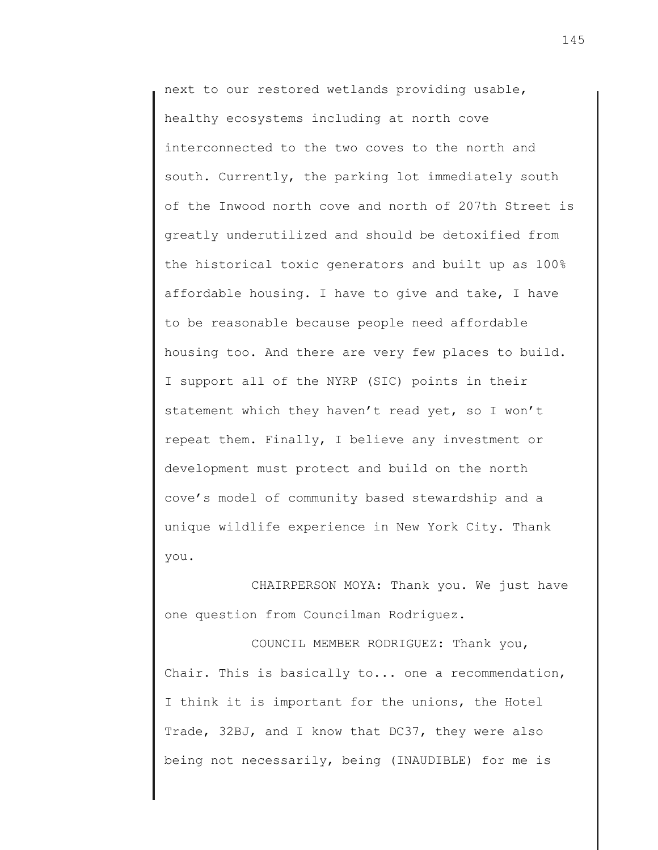next to our restored wetlands providing usable, healthy ecosystems including at north cove interconnected to the two coves to the north and south. Currently, the parking lot immediately south of the Inwood north cove and north of 207th Street is greatly underutilized and should be detoxified from the historical toxic generators and built up as 100% affordable housing. I have to give and take, I have to be reasonable because people need affordable housing too. And there are very few places to build. I support all of the NYRP (SIC) points in their statement which they haven't read yet, so I won't repeat them. Finally, I believe any investment or development must protect and build on the north cove's model of community based stewardship and a unique wildlife experience in New York City. Thank you.

CHAIRPERSON MOYA: Thank you. We just have one question from Councilman Rodriguez.

COUNCIL MEMBER RODRIGUEZ: Thank you, Chair. This is basically to... one a recommendation, I think it is important for the unions, the Hotel Trade, 32BJ, and I know that DC37, they were also being not necessarily, being (INAUDIBLE) for me is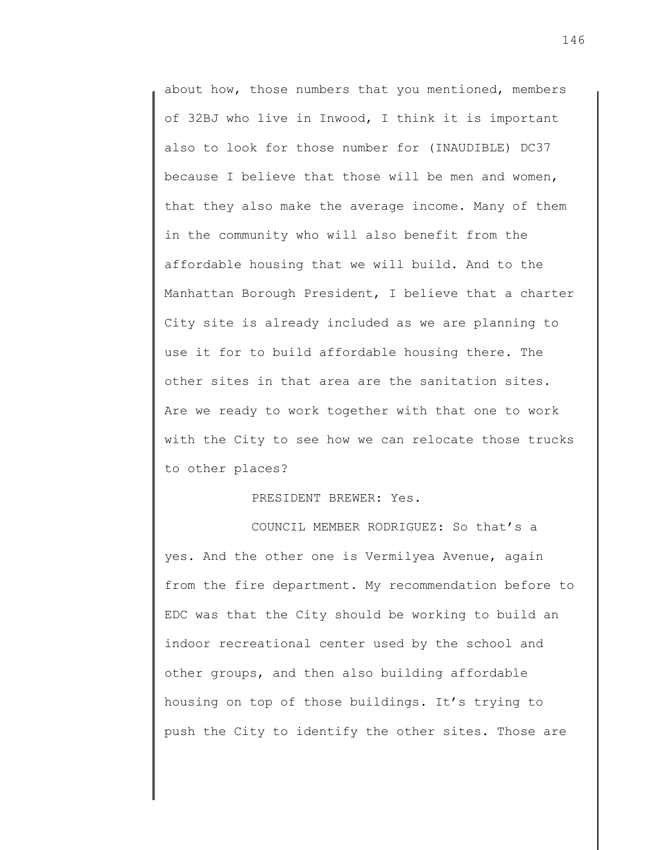about how, those numbers that you mentioned, members of 32BJ who live in Inwood, I think it is important also to look for those number for (INAUDIBLE) DC37 because I believe that those will be men and women, that they also make the average income. Many of them in the community who will also benefit from the affordable housing that we will build. And to the Manhattan Borough President, I believe that a charter City site is already included as we are planning to use it for to build affordable housing there. The other sites in that area are the sanitation sites. Are we ready to work together with that one to work with the City to see how we can relocate those trucks to other places?

PRESIDENT BREWER: Yes.

COUNCIL MEMBER RODRIGUEZ: So that's a yes. And the other one is Vermilyea Avenue, again from the fire department. My recommendation before to EDC was that the City should be working to build an indoor recreational center used by the school and other groups, and then also building affordable housing on top of those buildings. It's trying to push the City to identify the other sites. Those are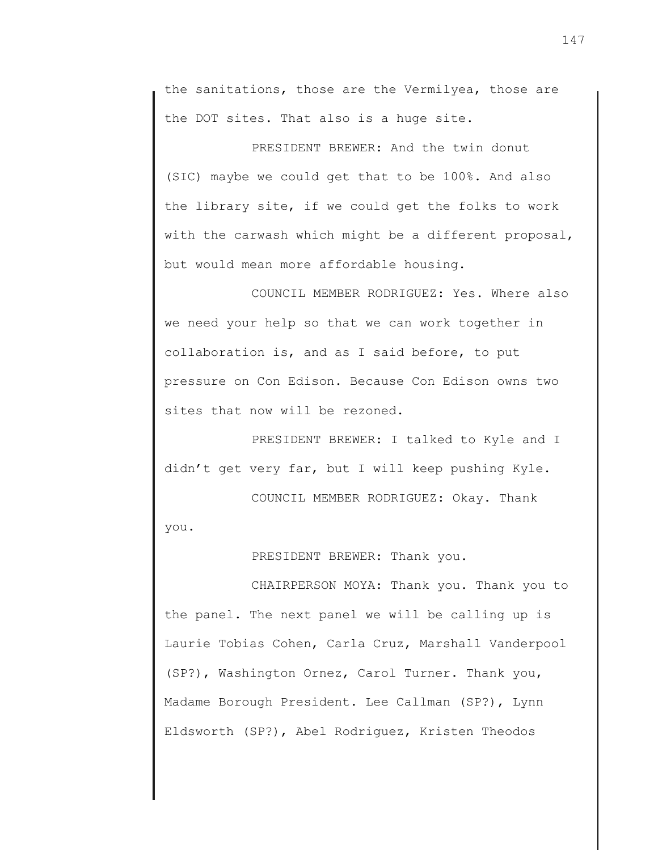the sanitations, those are the Vermilyea, those are the DOT sites. That also is a huge site.

PRESIDENT BREWER: And the twin donut (SIC) maybe we could get that to be 100%. And also the library site, if we could get the folks to work with the carwash which might be a different proposal, but would mean more affordable housing.

COUNCIL MEMBER RODRIGUEZ: Yes. Where also we need your help so that we can work together in collaboration is, and as I said before, to put pressure on Con Edison. Because Con Edison owns two sites that now will be rezoned.

PRESIDENT BREWER: I talked to Kyle and I didn't get very far, but I will keep pushing Kyle.

COUNCIL MEMBER RODRIGUEZ: Okay. Thank

you.

PRESIDENT BREWER: Thank you.

CHAIRPERSON MOYA: Thank you. Thank you to the panel. The next panel we will be calling up is Laurie Tobias Cohen, Carla Cruz, Marshall Vanderpool (SP?), Washington Ornez, Carol Turner. Thank you, Madame Borough President. Lee Callman (SP?), Lynn Eldsworth (SP?), Abel Rodriguez, Kristen Theodos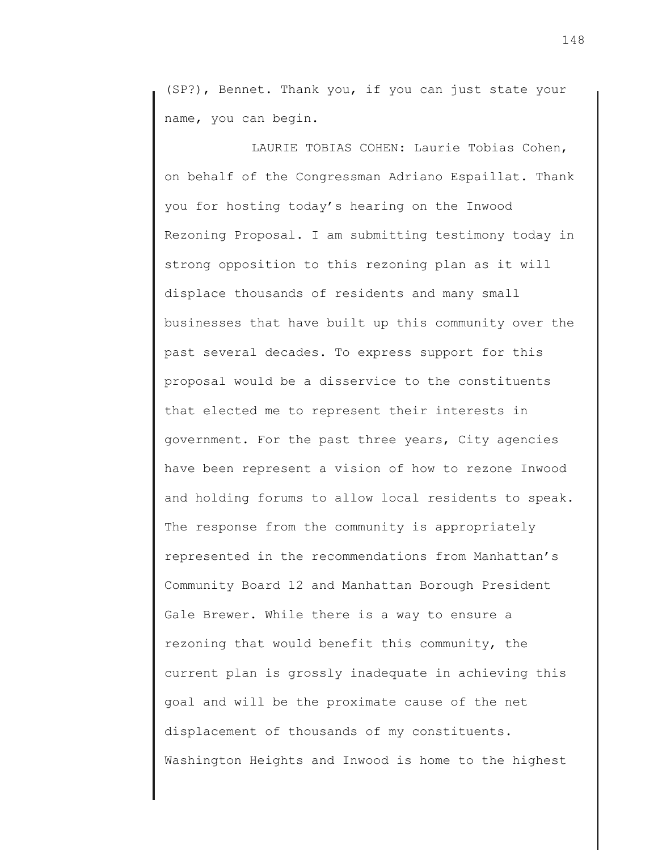(SP?), Bennet. Thank you, if you can just state your name, you can begin.

LAURIE TOBIAS COHEN: Laurie Tobias Cohen, on behalf of the Congressman Adriano Espaillat. Thank you for hosting today's hearing on the Inwood Rezoning Proposal. I am submitting testimony today in strong opposition to this rezoning plan as it will displace thousands of residents and many small businesses that have built up this community over the past several decades. To express support for this proposal would be a disservice to the constituents that elected me to represent their interests in government. For the past three years, City agencies have been represent a vision of how to rezone Inwood and holding forums to allow local residents to speak. The response from the community is appropriately represented in the recommendations from Manhattan's Community Board 12 and Manhattan Borough President Gale Brewer. While there is a way to ensure a rezoning that would benefit this community, the current plan is grossly inadequate in achieving this goal and will be the proximate cause of the net displacement of thousands of my constituents. Washington Heights and Inwood is home to the highest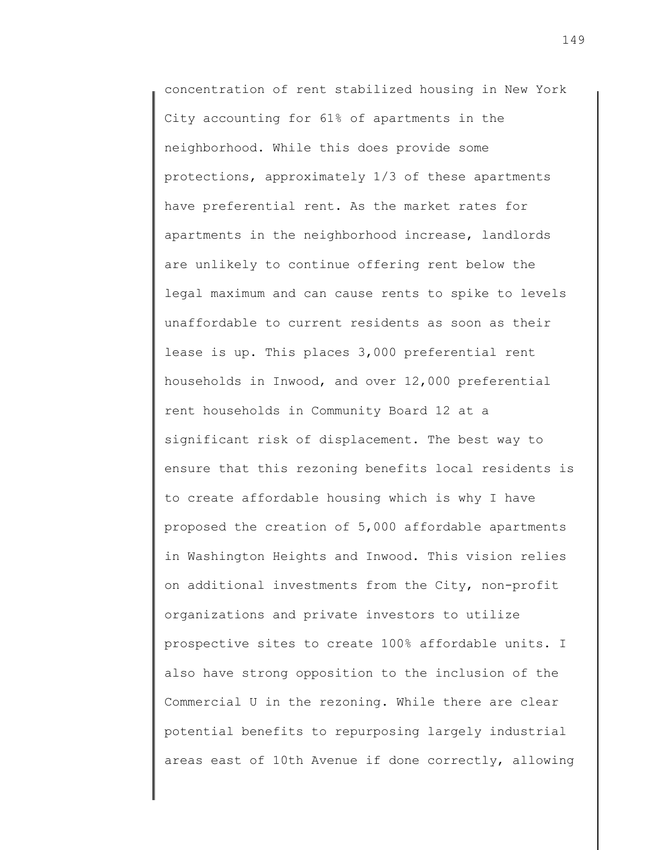concentration of rent stabilized housing in New York City accounting for 61% of apartments in the neighborhood. While this does provide some protections, approximately 1/3 of these apartments have preferential rent. As the market rates for apartments in the neighborhood increase, landlords are unlikely to continue offering rent below the legal maximum and can cause rents to spike to levels unaffordable to current residents as soon as their lease is up. This places 3,000 preferential rent households in Inwood, and over 12,000 preferential rent households in Community Board 12 at a significant risk of displacement. The best way to ensure that this rezoning benefits local residents is to create affordable housing which is why I have proposed the creation of 5,000 affordable apartments in Washington Heights and Inwood. This vision relies on additional investments from the City, non-profit organizations and private investors to utilize prospective sites to create 100% affordable units. I also have strong opposition to the inclusion of the Commercial U in the rezoning. While there are clear potential benefits to repurposing largely industrial areas east of 10th Avenue if done correctly, allowing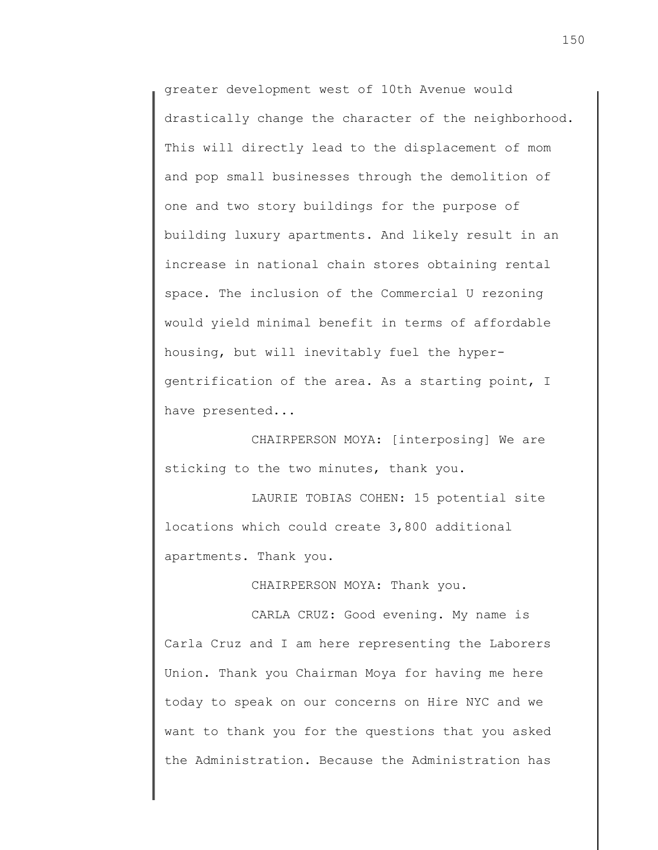greater development west of 10th Avenue would drastically change the character of the neighborhood. This will directly lead to the displacement of mom and pop small businesses through the demolition of one and two story buildings for the purpose of building luxury apartments. And likely result in an increase in national chain stores obtaining rental space. The inclusion of the Commercial U rezoning would yield minimal benefit in terms of affordable housing, but will inevitably fuel the hypergentrification of the area. As a starting point, I have presented...

CHAIRPERSON MOYA: [interposing] We are sticking to the two minutes, thank you.

LAURIE TOBIAS COHEN: 15 potential site locations which could create 3,800 additional apartments. Thank you.

CHAIRPERSON MOYA: Thank you.

CARLA CRUZ: Good evening. My name is Carla Cruz and I am here representing the Laborers Union. Thank you Chairman Moya for having me here today to speak on our concerns on Hire NYC and we want to thank you for the questions that you asked the Administration. Because the Administration has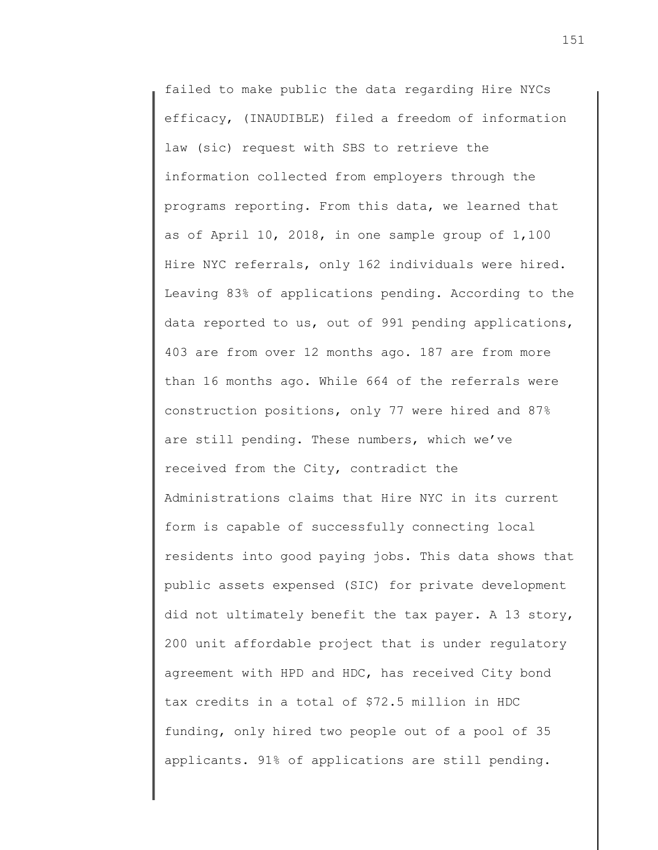failed to make public the data regarding Hire NYCs efficacy, (INAUDIBLE) filed a freedom of information law (sic) request with SBS to retrieve the information collected from employers through the programs reporting. From this data, we learned that as of April 10, 2018, in one sample group of 1,100 Hire NYC referrals, only 162 individuals were hired. Leaving 83% of applications pending. According to the data reported to us, out of 991 pending applications, 403 are from over 12 months ago. 187 are from more than 16 months ago. While 664 of the referrals were construction positions, only 77 were hired and 87% are still pending. These numbers, which we've received from the City, contradict the Administrations claims that Hire NYC in its current form is capable of successfully connecting local residents into good paying jobs. This data shows that public assets expensed (SIC) for private development did not ultimately benefit the tax payer. A 13 story, 200 unit affordable project that is under regulatory agreement with HPD and HDC, has received City bond tax credits in a total of \$72.5 million in HDC funding, only hired two people out of a pool of 35 applicants. 91% of applications are still pending.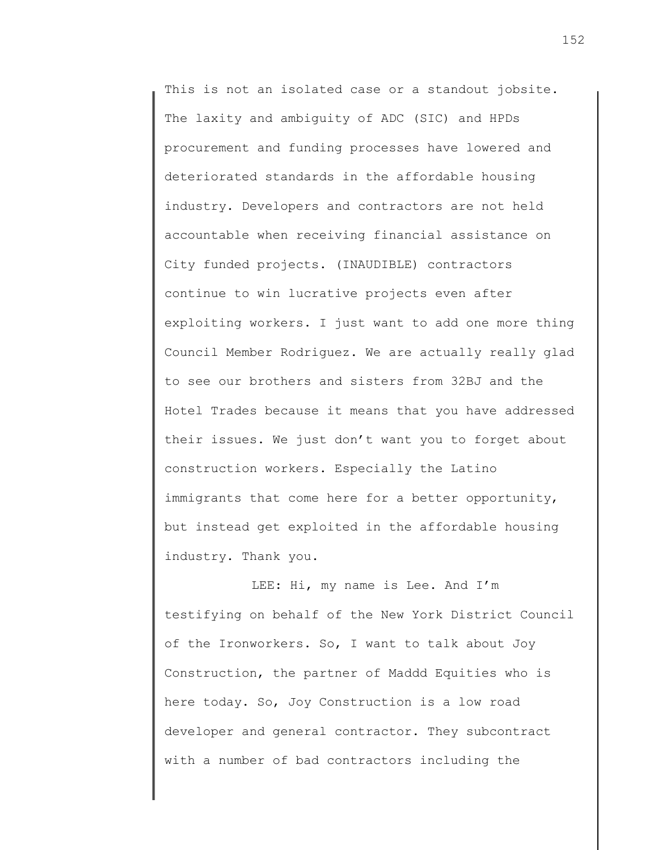This is not an isolated case or a standout jobsite. The laxity and ambiguity of ADC (SIC) and HPDs procurement and funding processes have lowered and deteriorated standards in the affordable housing industry. Developers and contractors are not held accountable when receiving financial assistance on City funded projects. (INAUDIBLE) contractors continue to win lucrative projects even after exploiting workers. I just want to add one more thing Council Member Rodriguez. We are actually really glad to see our brothers and sisters from 32BJ and the Hotel Trades because it means that you have addressed their issues. We just don't want you to forget about construction workers. Especially the Latino immigrants that come here for a better opportunity, but instead get exploited in the affordable housing industry. Thank you.

LEE: Hi, my name is Lee. And I'm testifying on behalf of the New York District Council of the Ironworkers. So, I want to talk about Joy Construction, the partner of Maddd Equities who is here today. So, Joy Construction is a low road developer and general contractor. They subcontract with a number of bad contractors including the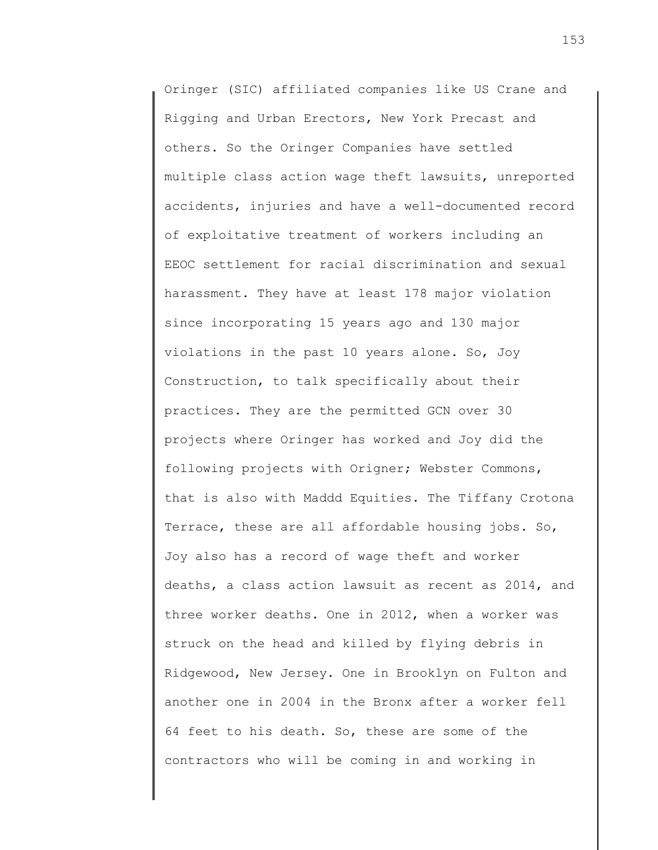Oringer (SIC) affiliated companies like US Crane and Rigging and Urban Erectors, New York Precast and others. So the Oringer Companies have settled multiple class action wage theft lawsuits, unreported accidents, injuries and have a well-documented record of exploitative treatment of workers including an EEOC settlement for racial discrimination and sexual harassment. They have at least 178 major violation since incorporating 15 years ago and 130 major violations in the past 10 years alone. So, Joy Construction, to talk specifically about their practices. They are the permitted GCN over 30 projects where Oringer has worked and Joy did the following projects with Origner; Webster Commons, that is also with Maddd Equities. The Tiffany Crotona Terrace, these are all affordable housing jobs. So, Joy also has a record of wage theft and worker deaths, a class action lawsuit as recent as 2014, and three worker deaths. One in 2012, when a worker was struck on the head and killed by flying debris in Ridgewood, New Jersey. One in Brooklyn on Fulton and another one in 2004 in the Bronx after a worker fell 64 feet to his death. So, these are some of the contractors who will be coming in and working in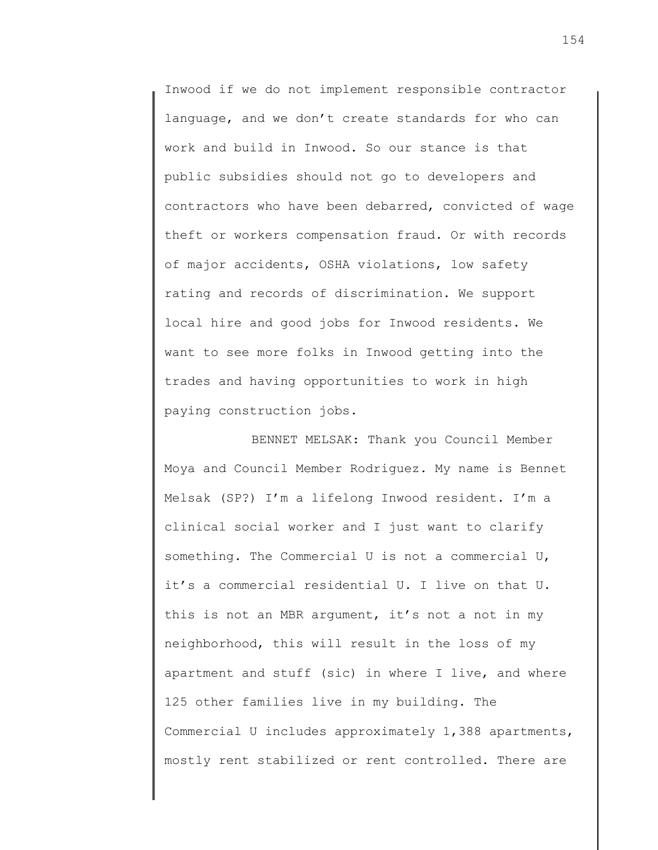Inwood if we do not implement responsible contractor language, and we don't create standards for who can work and build in Inwood. So our stance is that public subsidies should not go to developers and contractors who have been debarred, convicted of wage theft or workers compensation fraud. Or with records of major accidents, OSHA violations, low safety rating and records of discrimination. We support local hire and good jobs for Inwood residents. We want to see more folks in Inwood getting into the trades and having opportunities to work in high paying construction jobs.

BENNET MELSAK: Thank you Council Member Moya and Council Member Rodriguez. My name is Bennet Melsak (SP?) I'm a lifelong Inwood resident. I'm a clinical social worker and I just want to clarify something. The Commercial U is not a commercial U, it's a commercial residential U. I live on that U. this is not an MBR argument, it's not a not in my neighborhood, this will result in the loss of my apartment and stuff (sic) in where I live, and where 125 other families live in my building. The Commercial U includes approximately 1,388 apartments, mostly rent stabilized or rent controlled. There are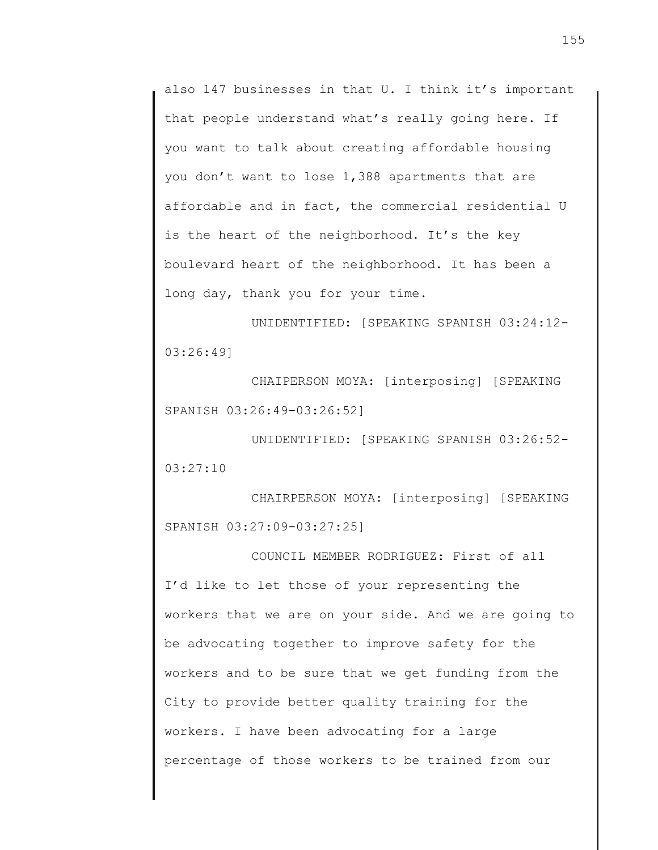also 147 businesses in that U. I think it's important that people understand what's really going here. If you want to talk about creating affordable housing you don't want to lose 1,388 apartments that are affordable and in fact, the commercial residential U is the heart of the neighborhood. It's the key boulevard heart of the neighborhood. It has been a long day, thank you for your time.

UNIDENTIFIED: [SPEAKING SPANISH 03:24:12- 03:26:49]

CHAIPERSON MOYA: [interposing] [SPEAKING SPANISH 03:26:49-03:26:52]

UNIDENTIFIED: [SPEAKING SPANISH 03:26:52- 03:27:10

CHAIRPERSON MOYA: [interposing] [SPEAKING SPANISH 03:27:09-03:27:25]

COUNCIL MEMBER RODRIGUEZ: First of all I'd like to let those of your representing the workers that we are on your side. And we are going to be advocating together to improve safety for the workers and to be sure that we get funding from the City to provide better quality training for the workers. I have been advocating for a large percentage of those workers to be trained from our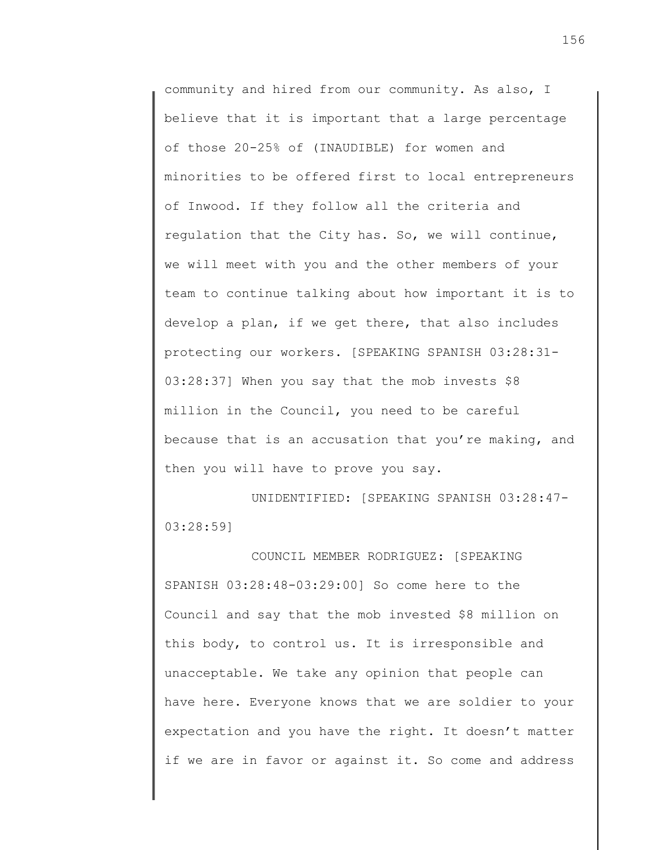community and hired from our community. As also, I believe that it is important that a large percentage of those 20-25% of (INAUDIBLE) for women and minorities to be offered first to local entrepreneurs of Inwood. If they follow all the criteria and regulation that the City has. So, we will continue, we will meet with you and the other members of your team to continue talking about how important it is to develop a plan, if we get there, that also includes protecting our workers. [SPEAKING SPANISH 03:28:31- 03:28:37] When you say that the mob invests \$8 million in the Council, you need to be careful because that is an accusation that you're making, and then you will have to prove you say.

UNIDENTIFIED: [SPEAKING SPANISH 03:28:47- 03:28:59]

COUNCIL MEMBER RODRIGUEZ: [SPEAKING SPANISH 03:28:48-03:29:00] So come here to the Council and say that the mob invested \$8 million on this body, to control us. It is irresponsible and unacceptable. We take any opinion that people can have here. Everyone knows that we are soldier to your expectation and you have the right. It doesn't matter if we are in favor or against it. So come and address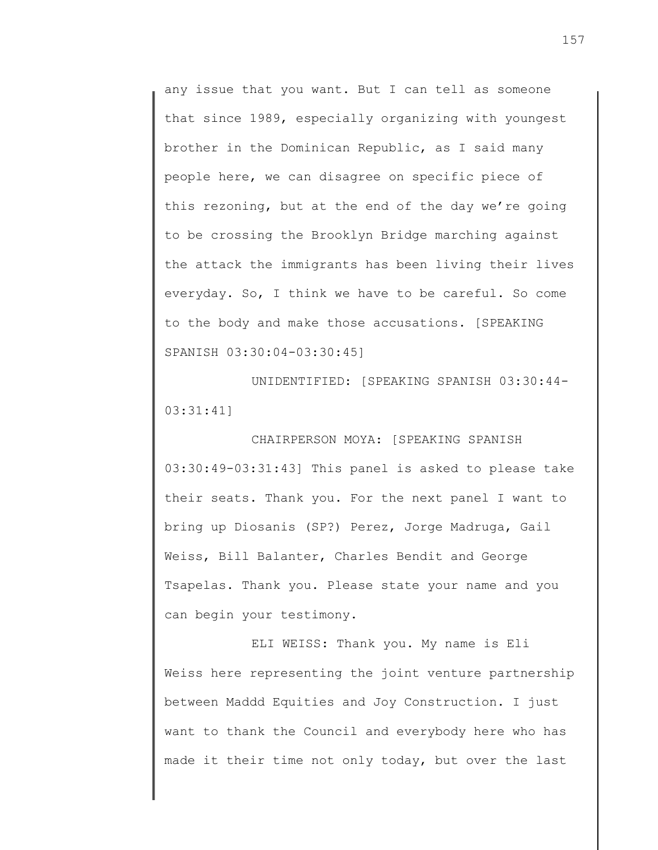any issue that you want. But I can tell as someone that since 1989, especially organizing with youngest brother in the Dominican Republic, as I said many people here, we can disagree on specific piece of this rezoning, but at the end of the day we're going to be crossing the Brooklyn Bridge marching against the attack the immigrants has been living their lives everyday. So, I think we have to be careful. So come to the body and make those accusations. [SPEAKING SPANISH 03:30:04-03:30:45]

UNIDENTIFIED: [SPEAKING SPANISH 03:30:44- 03:31:41]

CHAIRPERSON MOYA: [SPEAKING SPANISH 03:30:49-03:31:43] This panel is asked to please take their seats. Thank you. For the next panel I want to bring up Diosanis (SP?) Perez, Jorge Madruga, Gail Weiss, Bill Balanter, Charles Bendit and George Tsapelas. Thank you. Please state your name and you can begin your testimony.

ELI WEISS: Thank you. My name is Eli Weiss here representing the joint venture partnership between Maddd Equities and Joy Construction. I just want to thank the Council and everybody here who has made it their time not only today, but over the last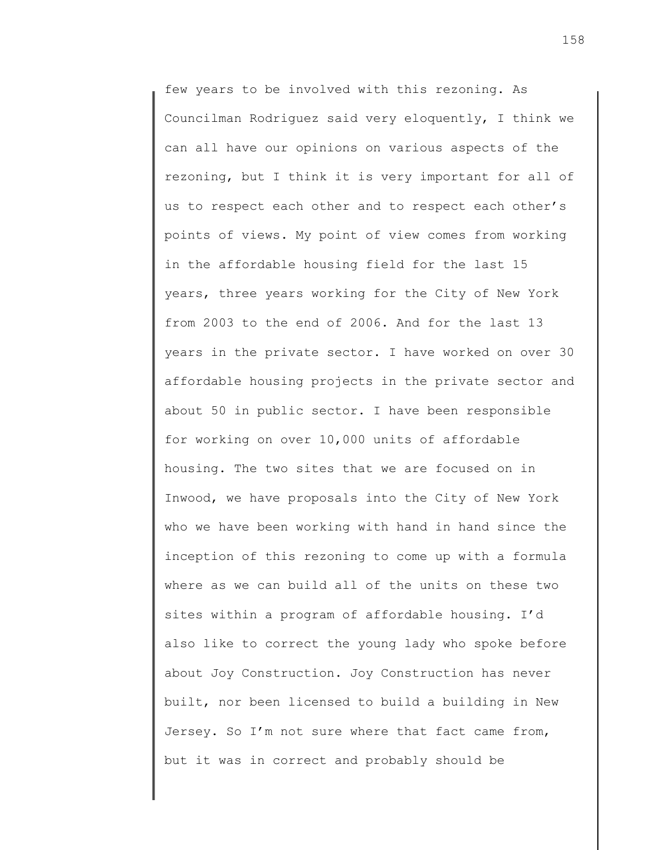few years to be involved with this rezoning. As Councilman Rodriguez said very eloquently, I think we can all have our opinions on various aspects of the rezoning, but I think it is very important for all of us to respect each other and to respect each other's points of views. My point of view comes from working in the affordable housing field for the last 15 years, three years working for the City of New York from 2003 to the end of 2006. And for the last 13 years in the private sector. I have worked on over 30 affordable housing projects in the private sector and about 50 in public sector. I have been responsible for working on over 10,000 units of affordable housing. The two sites that we are focused on in Inwood, we have proposals into the City of New York who we have been working with hand in hand since the inception of this rezoning to come up with a formula where as we can build all of the units on these two sites within a program of affordable housing. I'd also like to correct the young lady who spoke before about Joy Construction. Joy Construction has never built, nor been licensed to build a building in New Jersey. So I'm not sure where that fact came from, but it was in correct and probably should be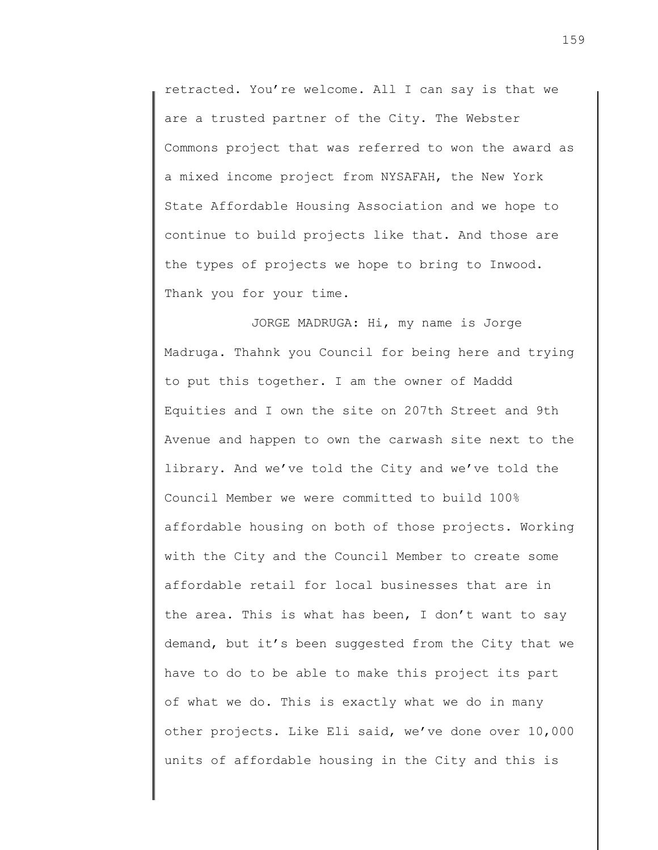retracted. You're welcome. All I can say is that we are a trusted partner of the City. The Webster Commons project that was referred to won the award as a mixed income project from NYSAFAH, the New York State Affordable Housing Association and we hope to continue to build projects like that. And those are the types of projects we hope to bring to Inwood. Thank you for your time.

JORGE MADRUGA: Hi, my name is Jorge Madruga. Thahnk you Council for being here and trying to put this together. I am the owner of Maddd Equities and I own the site on 207th Street and 9th Avenue and happen to own the carwash site next to the library. And we've told the City and we've told the Council Member we were committed to build 100% affordable housing on both of those projects. Working with the City and the Council Member to create some affordable retail for local businesses that are in the area. This is what has been, I don't want to say demand, but it's been suggested from the City that we have to do to be able to make this project its part of what we do. This is exactly what we do in many other projects. Like Eli said, we've done over 10,000 units of affordable housing in the City and this is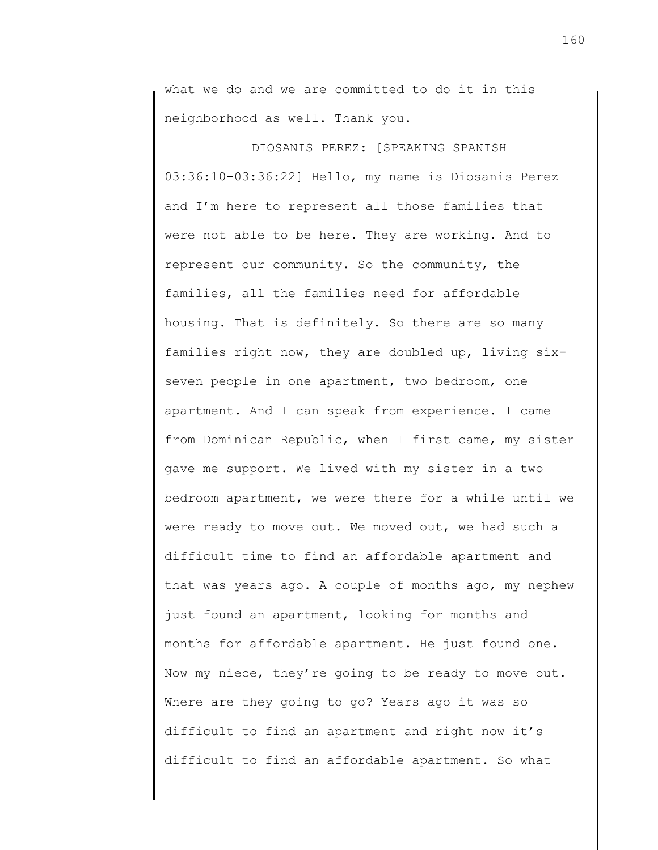what we do and we are committed to do it in this neighborhood as well. Thank you.

DIOSANIS PEREZ: [SPEAKING SPANISH 03:36:10-03:36:22] Hello, my name is Diosanis Perez and I'm here to represent all those families that were not able to be here. They are working. And to represent our community. So the community, the families, all the families need for affordable housing. That is definitely. So there are so many families right now, they are doubled up, living sixseven people in one apartment, two bedroom, one apartment. And I can speak from experience. I came from Dominican Republic, when I first came, my sister gave me support. We lived with my sister in a two bedroom apartment, we were there for a while until we were ready to move out. We moved out, we had such a difficult time to find an affordable apartment and that was years ago. A couple of months ago, my nephew just found an apartment, looking for months and months for affordable apartment. He just found one. Now my niece, they're going to be ready to move out. Where are they going to go? Years ago it was so difficult to find an apartment and right now it's difficult to find an affordable apartment. So what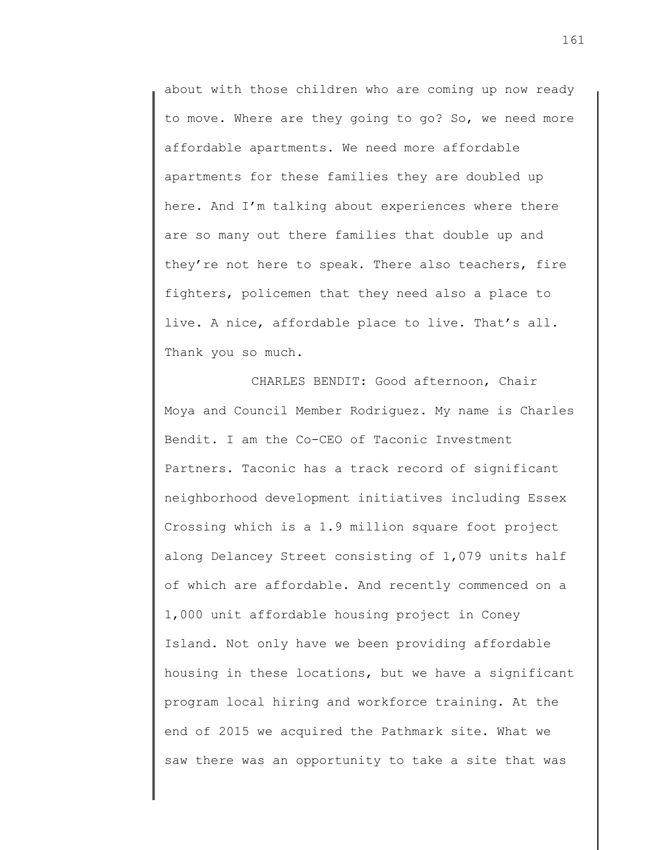about with those children who are coming up now ready to move. Where are they going to go? So, we need more affordable apartments. We need more affordable apartments for these families they are doubled up here. And I'm talking about experiences where there are so many out there families that double up and they're not here to speak. There also teachers, fire fighters, policemen that they need also a place to live. A nice, affordable place to live. That's all. Thank you so much.

CHARLES BENDIT: Good afternoon, Chair Moya and Council Member Rodriguez. My name is Charles Bendit. I am the Co-CEO of Taconic Investment Partners. Taconic has a track record of significant neighborhood development initiatives including Essex Crossing which is a 1.9 million square foot project along Delancey Street consisting of 1,079 units half of which are affordable. And recently commenced on a 1,000 unit affordable housing project in Coney Island. Not only have we been providing affordable housing in these locations, but we have a significant program local hiring and workforce training. At the end of 2015 we acquired the Pathmark site. What we saw there was an opportunity to take a site that was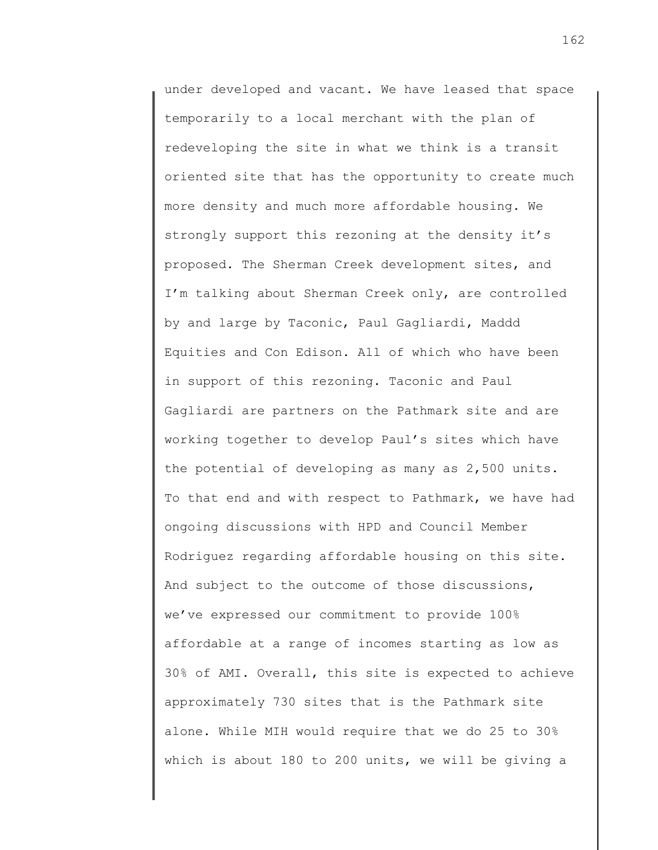under developed and vacant. We have leased that space temporarily to a local merchant with the plan of redeveloping the site in what we think is a transit oriented site that has the opportunity to create much more density and much more affordable housing. We strongly support this rezoning at the density it's proposed. The Sherman Creek development sites, and I'm talking about Sherman Creek only, are controlled by and large by Taconic, Paul Gagliardi, Maddd Equities and Con Edison. All of which who have been in support of this rezoning. Taconic and Paul Gagliardi are partners on the Pathmark site and are working together to develop Paul's sites which have the potential of developing as many as 2,500 units. To that end and with respect to Pathmark, we have had ongoing discussions with HPD and Council Member Rodriguez regarding affordable housing on this site. And subject to the outcome of those discussions, we've expressed our commitment to provide 100% affordable at a range of incomes starting as low as 30% of AMI. Overall, this site is expected to achieve approximately 730 sites that is the Pathmark site alone. While MIH would require that we do 25 to 30% which is about 180 to 200 units, we will be giving a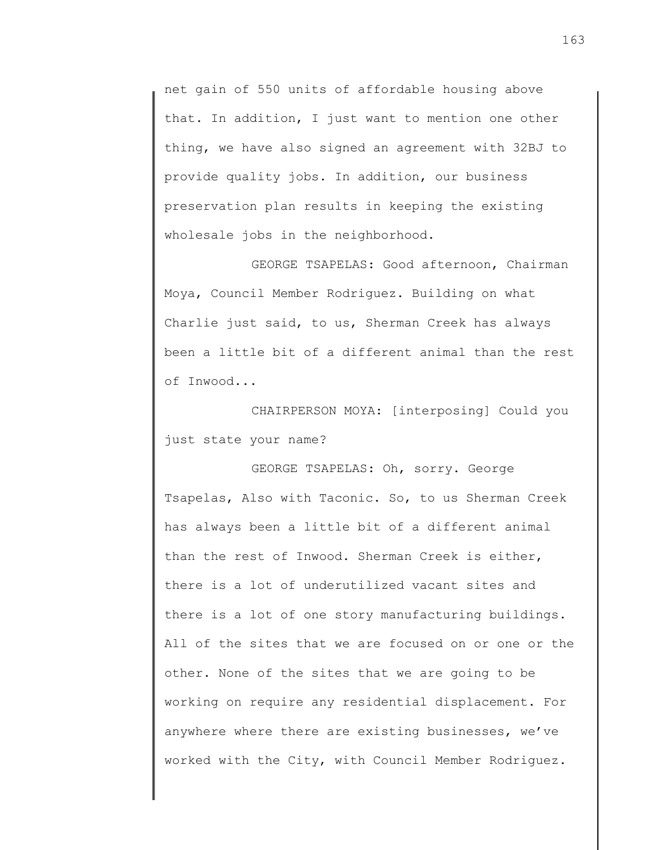net gain of 550 units of affordable housing above that. In addition, I just want to mention one other thing, we have also signed an agreement with 32BJ to provide quality jobs. In addition, our business preservation plan results in keeping the existing wholesale jobs in the neighborhood.

GEORGE TSAPELAS: Good afternoon, Chairman Moya, Council Member Rodriguez. Building on what Charlie just said, to us, Sherman Creek has always been a little bit of a different animal than the rest of Inwood...

CHAIRPERSON MOYA: [interposing] Could you just state your name?

GEORGE TSAPELAS: Oh, sorry. George Tsapelas, Also with Taconic. So, to us Sherman Creek has always been a little bit of a different animal than the rest of Inwood. Sherman Creek is either, there is a lot of underutilized vacant sites and there is a lot of one story manufacturing buildings. All of the sites that we are focused on or one or the other. None of the sites that we are going to be working on require any residential displacement. For anywhere where there are existing businesses, we've worked with the City, with Council Member Rodriguez.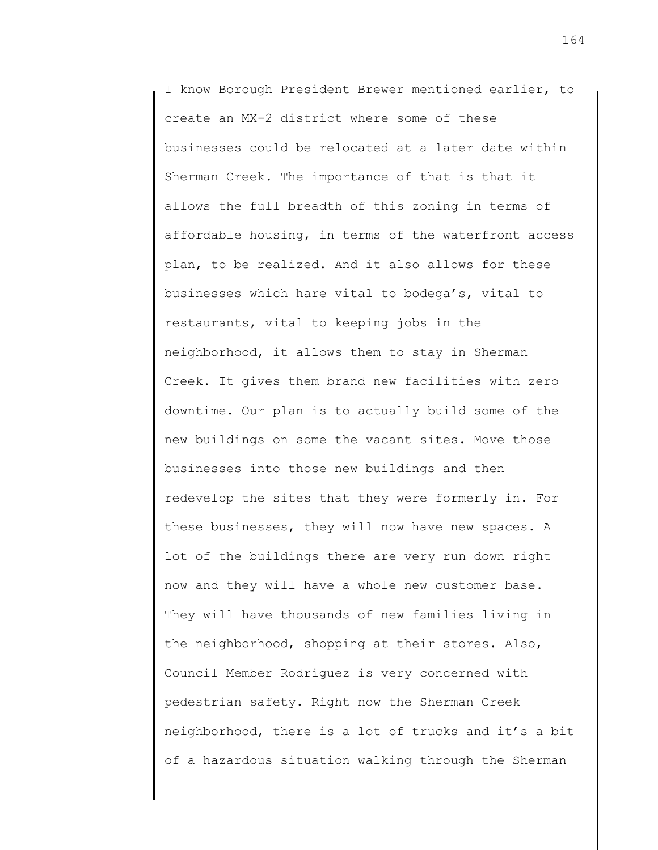I know Borough President Brewer mentioned earlier, to create an MX-2 district where some of these businesses could be relocated at a later date within Sherman Creek. The importance of that is that it allows the full breadth of this zoning in terms of affordable housing, in terms of the waterfront access plan, to be realized. And it also allows for these businesses which hare vital to bodega's, vital to restaurants, vital to keeping jobs in the neighborhood, it allows them to stay in Sherman Creek. It gives them brand new facilities with zero downtime. Our plan is to actually build some of the new buildings on some the vacant sites. Move those businesses into those new buildings and then redevelop the sites that they were formerly in. For these businesses, they will now have new spaces. A lot of the buildings there are very run down right now and they will have a whole new customer base. They will have thousands of new families living in the neighborhood, shopping at their stores. Also, Council Member Rodriguez is very concerned with pedestrian safety. Right now the Sherman Creek neighborhood, there is a lot of trucks and it's a bit of a hazardous situation walking through the Sherman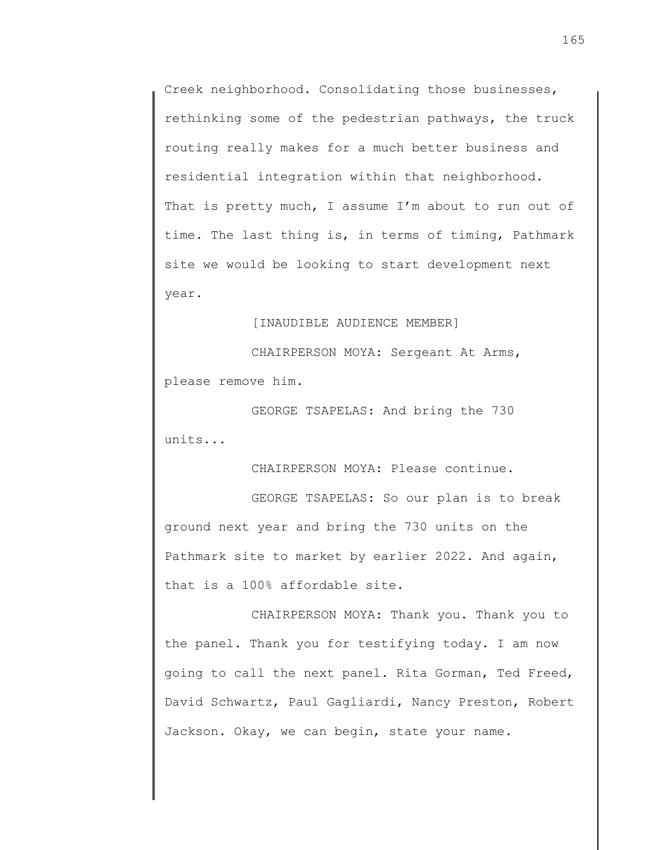Creek neighborhood. Consolidating those businesses, rethinking some of the pedestrian pathways, the truck routing really makes for a much better business and residential integration within that neighborhood. That is pretty much, I assume I'm about to run out of time. The last thing is, in terms of timing, Pathmark site we would be looking to start development next year.

## [INAUDIBLE AUDIENCE MEMBER]

CHAIRPERSON MOYA: Sergeant At Arms, please remove him.

GEORGE TSAPELAS: And bring the 730 units...

CHAIRPERSON MOYA: Please continue.

GEORGE TSAPELAS: So our plan is to break ground next year and bring the 730 units on the Pathmark site to market by earlier 2022. And again, that is a 100% affordable site.

CHAIRPERSON MOYA: Thank you. Thank you to the panel. Thank you for testifying today. I am now going to call the next panel. Rita Gorman, Ted Freed, David Schwartz, Paul Gagliardi, Nancy Preston, Robert Jackson. Okay, we can begin, state your name.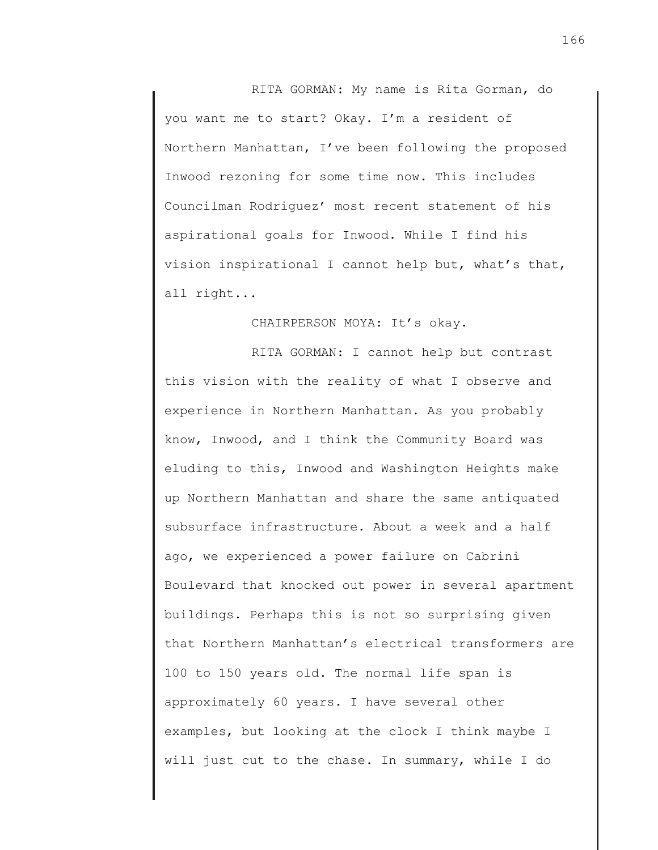RITA GORMAN: My name is Rita Gorman, do you want me to start? Okay. I'm a resident of Northern Manhattan, I've been following the proposed Inwood rezoning for some time now. This includes Councilman Rodriguez' most recent statement of his aspirational goals for Inwood. While I find his vision inspirational I cannot help but, what's that, all right...

## CHAIRPERSON MOYA: It's okay.

RITA GORMAN: I cannot help but contrast this vision with the reality of what I observe and experience in Northern Manhattan. As you probably know, Inwood, and I think the Community Board was eluding to this, Inwood and Washington Heights make up Northern Manhattan and share the same antiquated subsurface infrastructure. About a week and a half ago, we experienced a power failure on Cabrini Boulevard that knocked out power in several apartment buildings. Perhaps this is not so surprising given that Northern Manhattan's electrical transformers are 100 to 150 years old. The normal life span is approximately 60 years. I have several other examples, but looking at the clock I think maybe I will just cut to the chase. In summary, while I do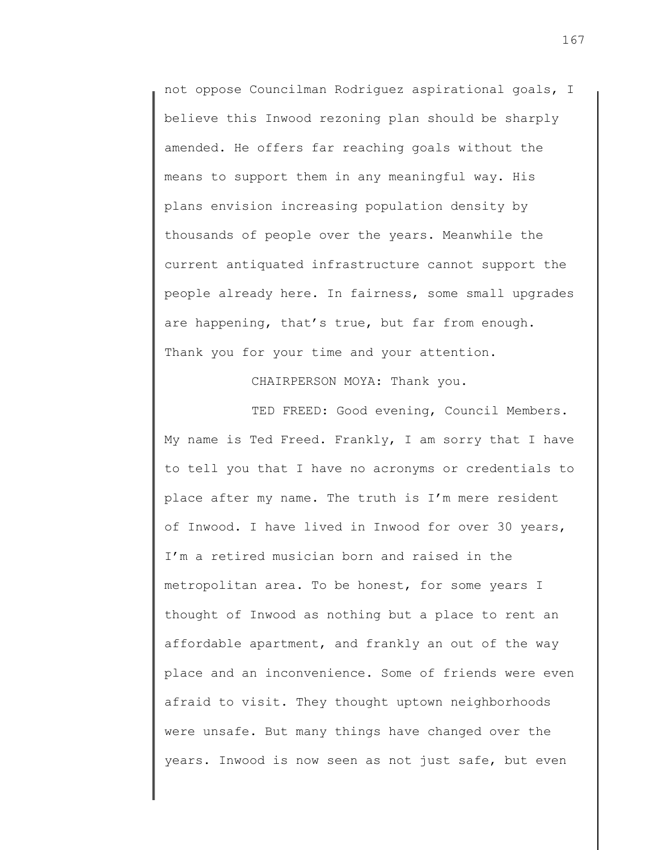not oppose Councilman Rodriguez aspirational goals, I believe this Inwood rezoning plan should be sharply amended. He offers far reaching goals without the means to support them in any meaningful way. His plans envision increasing population density by thousands of people over the years. Meanwhile the current antiquated infrastructure cannot support the people already here. In fairness, some small upgrades are happening, that's true, but far from enough. Thank you for your time and your attention.

CHAIRPERSON MOYA: Thank you.

TED FREED: Good evening, Council Members. My name is Ted Freed. Frankly, I am sorry that I have to tell you that I have no acronyms or credentials to place after my name. The truth is I'm mere resident of Inwood. I have lived in Inwood for over 30 years, I'm a retired musician born and raised in the metropolitan area. To be honest, for some years I thought of Inwood as nothing but a place to rent an affordable apartment, and frankly an out of the way place and an inconvenience. Some of friends were even afraid to visit. They thought uptown neighborhoods were unsafe. But many things have changed over the years. Inwood is now seen as not just safe, but even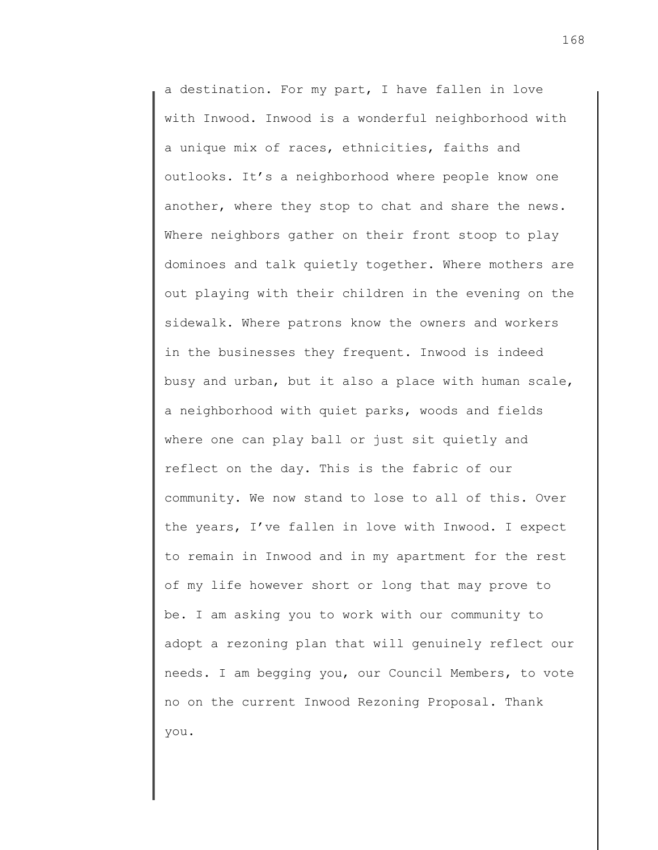a destination. For my part, I have fallen in love with Inwood. Inwood is a wonderful neighborhood with a unique mix of races, ethnicities, faiths and outlooks. It's a neighborhood where people know one another, where they stop to chat and share the news. Where neighbors gather on their front stoop to play dominoes and talk quietly together. Where mothers are out playing with their children in the evening on the sidewalk. Where patrons know the owners and workers in the businesses they frequent. Inwood is indeed busy and urban, but it also a place with human scale, a neighborhood with quiet parks, woods and fields where one can play ball or just sit quietly and reflect on the day. This is the fabric of our community. We now stand to lose to all of this. Over the years, I've fallen in love with Inwood. I expect to remain in Inwood and in my apartment for the rest of my life however short or long that may prove to be. I am asking you to work with our community to adopt a rezoning plan that will genuinely reflect our needs. I am begging you, our Council Members, to vote no on the current Inwood Rezoning Proposal. Thank you.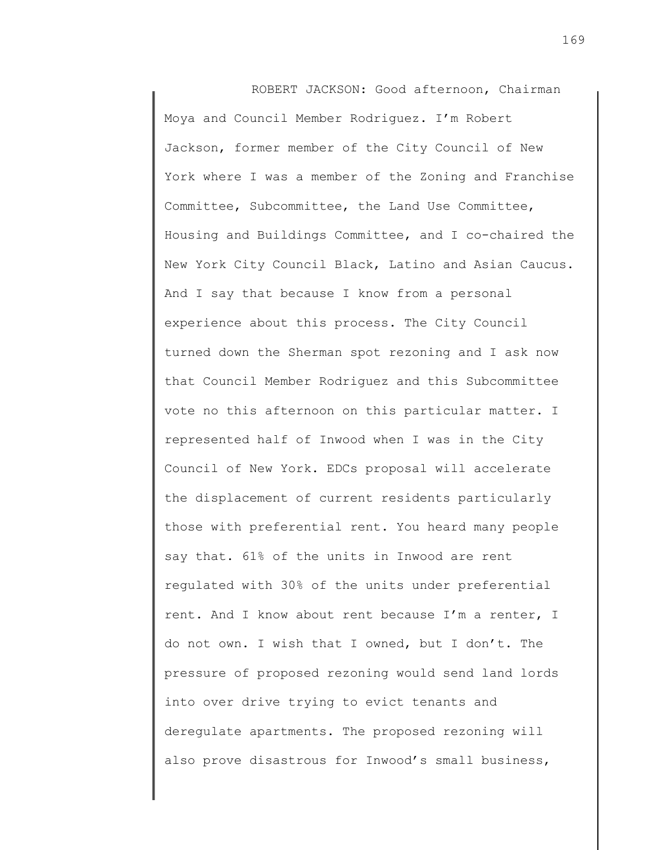ROBERT JACKSON: Good afternoon, Chairman Moya and Council Member Rodriguez. I'm Robert Jackson, former member of the City Council of New York where I was a member of the Zoning and Franchise Committee, Subcommittee, the Land Use Committee, Housing and Buildings Committee, and I co-chaired the New York City Council Black, Latino and Asian Caucus. And I say that because I know from a personal experience about this process. The City Council turned down the Sherman spot rezoning and I ask now that Council Member Rodriguez and this Subcommittee vote no this afternoon on this particular matter. I represented half of Inwood when I was in the City Council of New York. EDCs proposal will accelerate the displacement of current residents particularly those with preferential rent. You heard many people say that. 61% of the units in Inwood are rent regulated with 30% of the units under preferential rent. And I know about rent because I'm a renter, I do not own. I wish that I owned, but I don't. The pressure of proposed rezoning would send land lords into over drive trying to evict tenants and deregulate apartments. The proposed rezoning will also prove disastrous for Inwood's small business,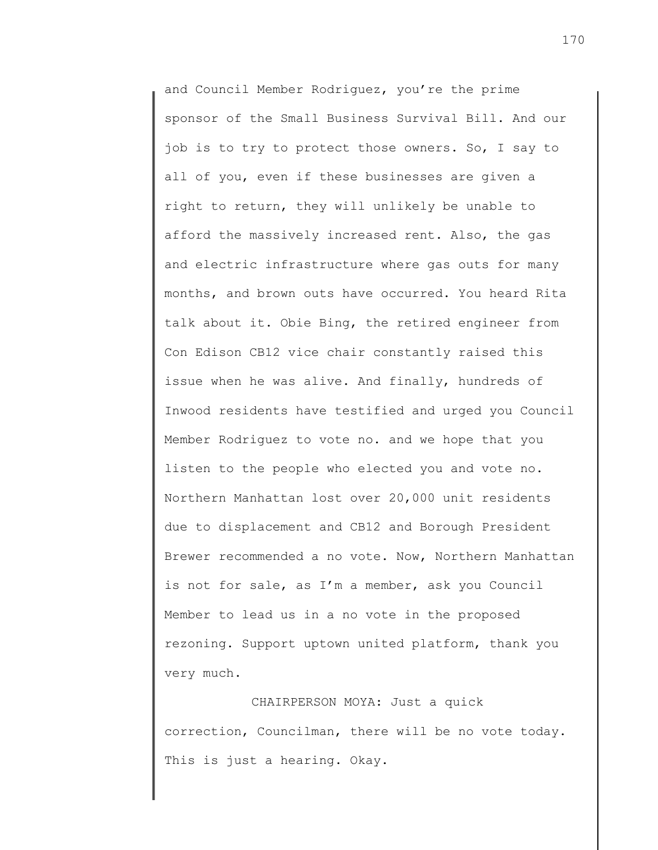and Council Member Rodriguez, you're the prime sponsor of the Small Business Survival Bill. And our job is to try to protect those owners. So, I say to all of you, even if these businesses are given a right to return, they will unlikely be unable to afford the massively increased rent. Also, the gas and electric infrastructure where gas outs for many months, and brown outs have occurred. You heard Rita talk about it. Obie Bing, the retired engineer from Con Edison CB12 vice chair constantly raised this issue when he was alive. And finally, hundreds of Inwood residents have testified and urged you Council Member Rodriguez to vote no. and we hope that you listen to the people who elected you and vote no. Northern Manhattan lost over 20,000 unit residents due to displacement and CB12 and Borough President Brewer recommended a no vote. Now, Northern Manhattan is not for sale, as I'm a member, ask you Council Member to lead us in a no vote in the proposed rezoning. Support uptown united platform, thank you very much.

CHAIRPERSON MOYA: Just a quick correction, Councilman, there will be no vote today. This is just a hearing. Okay.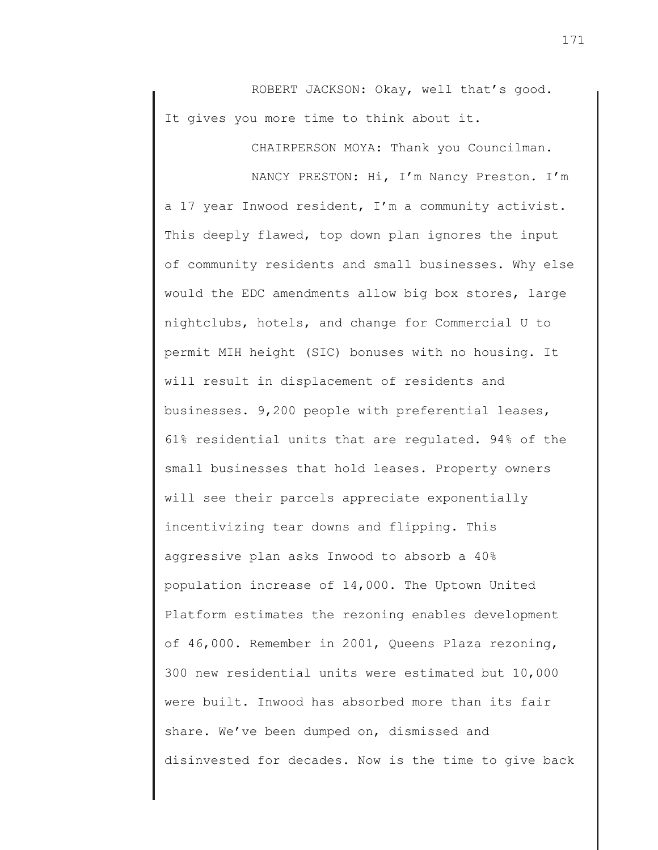ROBERT JACKSON: Okay, well that's good. It gives you more time to think about it.

CHAIRPERSON MOYA: Thank you Councilman.

NANCY PRESTON: Hi, I'm Nancy Preston. I'm a 17 year Inwood resident, I'm a community activist. This deeply flawed, top down plan ignores the input of community residents and small businesses. Why else would the EDC amendments allow big box stores, large nightclubs, hotels, and change for Commercial U to permit MIH height (SIC) bonuses with no housing. It will result in displacement of residents and businesses. 9,200 people with preferential leases, 61% residential units that are regulated. 94% of the small businesses that hold leases. Property owners will see their parcels appreciate exponentially incentivizing tear downs and flipping. This aggressive plan asks Inwood to absorb a 40% population increase of 14,000. The Uptown United Platform estimates the rezoning enables development of 46,000. Remember in 2001, Queens Plaza rezoning, 300 new residential units were estimated but 10,000 were built. Inwood has absorbed more than its fair share. We've been dumped on, dismissed and disinvested for decades. Now is the time to give back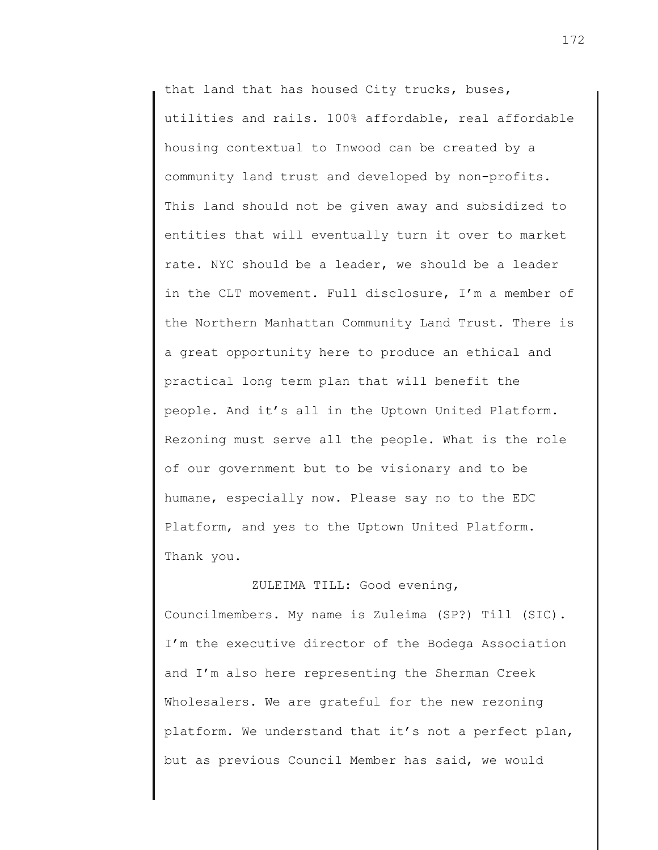that land that has housed City trucks, buses, utilities and rails. 100% affordable, real affordable housing contextual to Inwood can be created by a community land trust and developed by non-profits. This land should not be given away and subsidized to entities that will eventually turn it over to market rate. NYC should be a leader, we should be a leader in the CLT movement. Full disclosure, I'm a member of the Northern Manhattan Community Land Trust. There is a great opportunity here to produce an ethical and practical long term plan that will benefit the people. And it's all in the Uptown United Platform. Rezoning must serve all the people. What is the role of our government but to be visionary and to be humane, especially now. Please say no to the EDC Platform, and yes to the Uptown United Platform. Thank you.

Councilmembers. My name is Zuleima (SP?) Till (SIC). I'm the executive director of the Bodega Association and I'm also here representing the Sherman Creek Wholesalers. We are grateful for the new rezoning platform. We understand that it's not a perfect plan, but as previous Council Member has said, we would

ZULEIMA TILL: Good evening,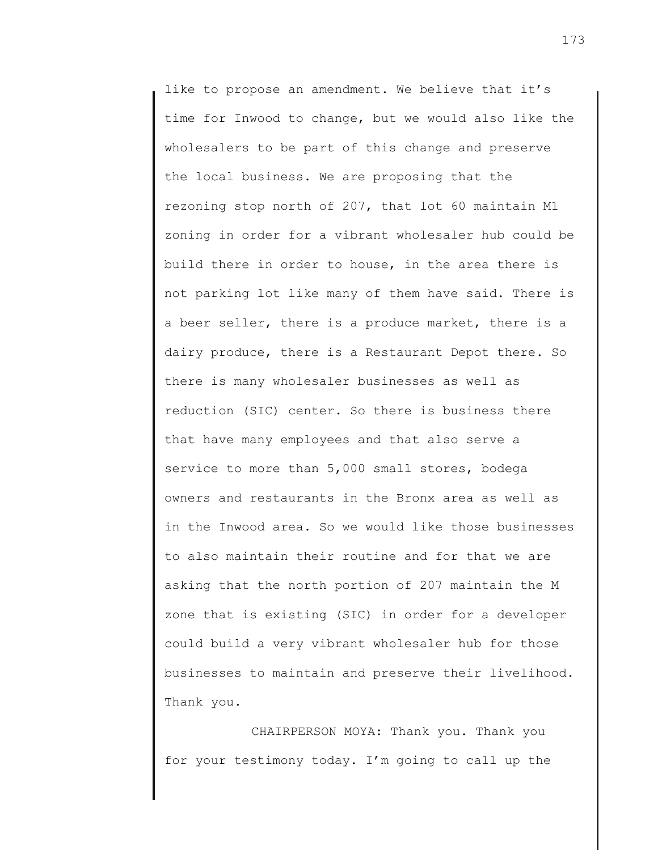like to propose an amendment. We believe that it's time for Inwood to change, but we would also like the wholesalers to be part of this change and preserve the local business. We are proposing that the rezoning stop north of 207, that lot 60 maintain M1 zoning in order for a vibrant wholesaler hub could be build there in order to house, in the area there is not parking lot like many of them have said. There is a beer seller, there is a produce market, there is a dairy produce, there is a Restaurant Depot there. So there is many wholesaler businesses as well as reduction (SIC) center. So there is business there that have many employees and that also serve a service to more than 5,000 small stores, bodega owners and restaurants in the Bronx area as well as in the Inwood area. So we would like those businesses to also maintain their routine and for that we are asking that the north portion of 207 maintain the M zone that is existing (SIC) in order for a developer could build a very vibrant wholesaler hub for those businesses to maintain and preserve their livelihood. Thank you.

CHAIRPERSON MOYA: Thank you. Thank you for your testimony today. I'm going to call up the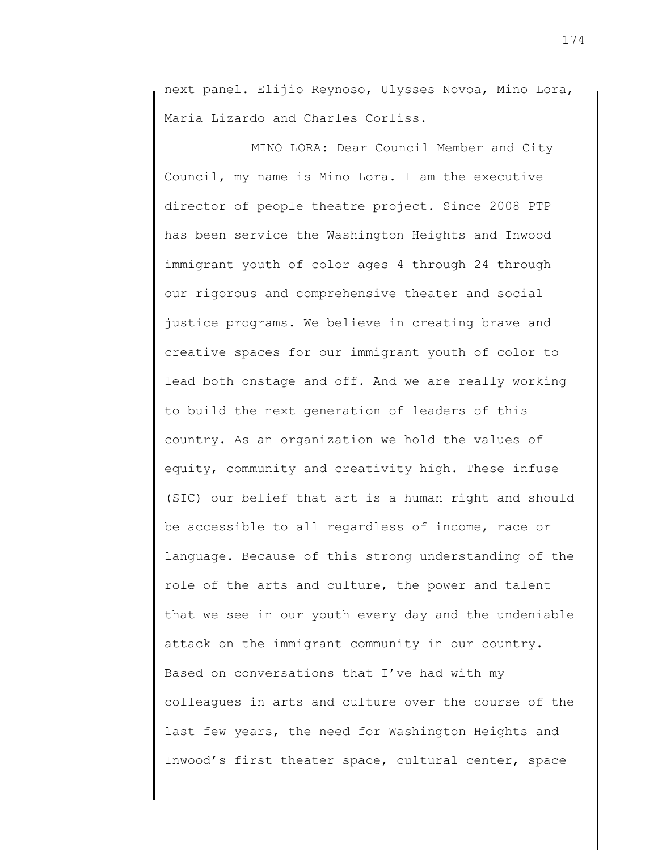next panel. Elijio Reynoso, Ulysses Novoa, Mino Lora, Maria Lizardo and Charles Corliss.

MINO LORA: Dear Council Member and City Council, my name is Mino Lora. I am the executive director of people theatre project. Since 2008 PTP has been service the Washington Heights and Inwood immigrant youth of color ages 4 through 24 through our rigorous and comprehensive theater and social justice programs. We believe in creating brave and creative spaces for our immigrant youth of color to lead both onstage and off. And we are really working to build the next generation of leaders of this country. As an organization we hold the values of equity, community and creativity high. These infuse (SIC) our belief that art is a human right and should be accessible to all regardless of income, race or language. Because of this strong understanding of the role of the arts and culture, the power and talent that we see in our youth every day and the undeniable attack on the immigrant community in our country. Based on conversations that I've had with my colleagues in arts and culture over the course of the last few years, the need for Washington Heights and Inwood's first theater space, cultural center, space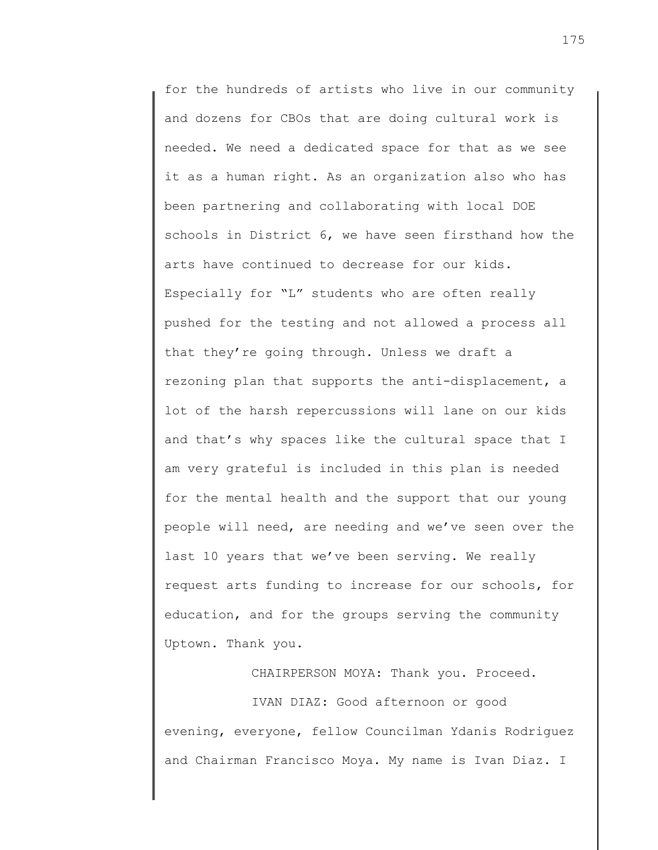for the hundreds of artists who live in our community and dozens for CBOs that are doing cultural work is needed. We need a dedicated space for that as we see it as a human right. As an organization also who has been partnering and collaborating with local DOE schools in District 6, we have seen firsthand how the arts have continued to decrease for our kids. Especially for "L" students who are often really pushed for the testing and not allowed a process all that they're going through. Unless we draft a rezoning plan that supports the anti-displacement, a lot of the harsh repercussions will lane on our kids and that's why spaces like the cultural space that I am very grateful is included in this plan is needed for the mental health and the support that our young people will need, are needing and we've seen over the last 10 years that we've been serving. We really request arts funding to increase for our schools, for education, and for the groups serving the community Uptown. Thank you.

CHAIRPERSON MOYA: Thank you. Proceed.

IVAN DIAZ: Good afternoon or good evening, everyone, fellow Councilman Ydanis Rodriguez and Chairman Francisco Moya. My name is Ivan Diaz. I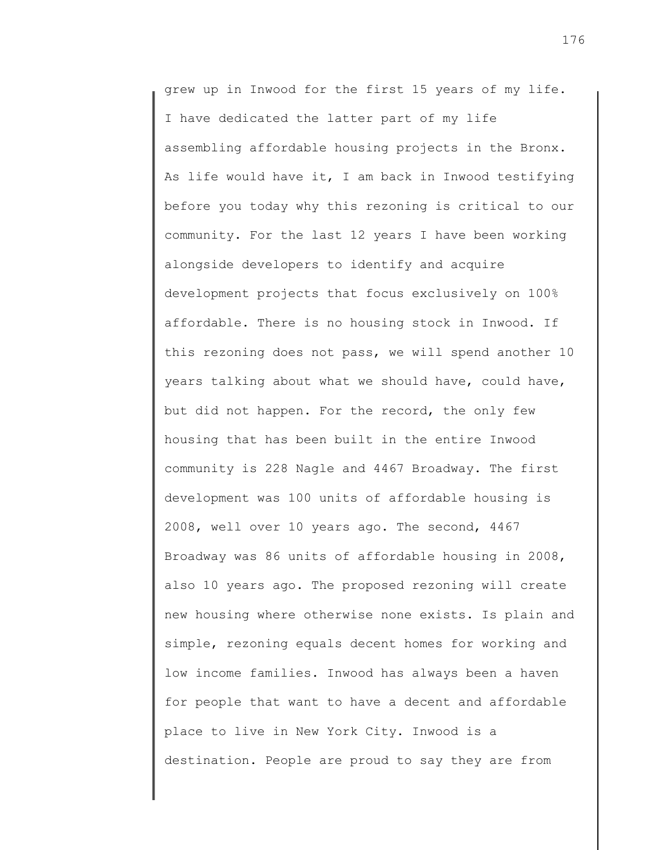grew up in Inwood for the first 15 years of my life. I have dedicated the latter part of my life assembling affordable housing projects in the Bronx. As life would have it, I am back in Inwood testifying before you today why this rezoning is critical to our community. For the last 12 years I have been working alongside developers to identify and acquire development projects that focus exclusively on 100% affordable. There is no housing stock in Inwood. If this rezoning does not pass, we will spend another 10 years talking about what we should have, could have, but did not happen. For the record, the only few housing that has been built in the entire Inwood community is 228 Nagle and 4467 Broadway. The first development was 100 units of affordable housing is 2008, well over 10 years ago. The second, 4467 Broadway was 86 units of affordable housing in 2008, also 10 years ago. The proposed rezoning will create new housing where otherwise none exists. Is plain and simple, rezoning equals decent homes for working and low income families. Inwood has always been a haven for people that want to have a decent and affordable place to live in New York City. Inwood is a destination. People are proud to say they are from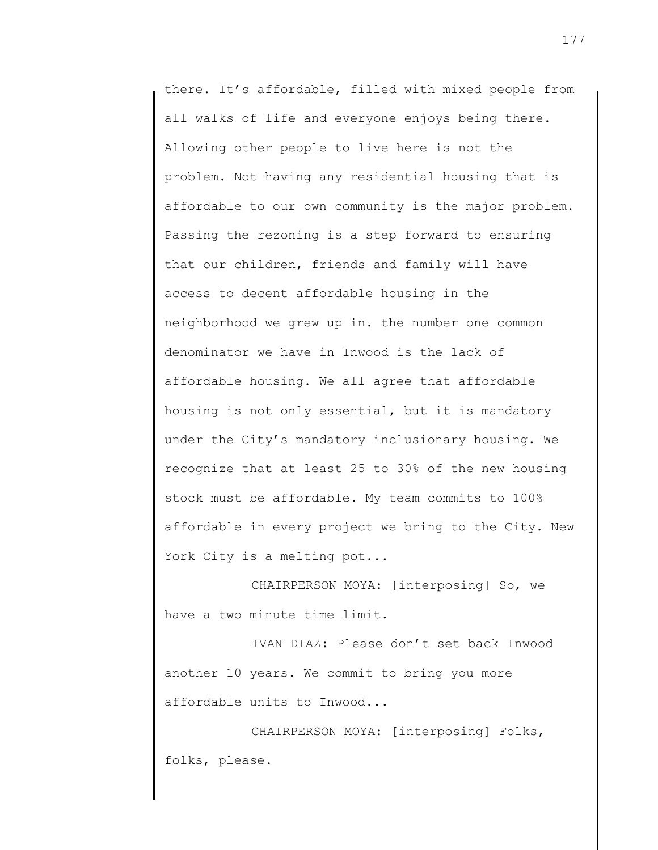there. It's affordable, filled with mixed people from all walks of life and everyone enjoys being there. Allowing other people to live here is not the problem. Not having any residential housing that is affordable to our own community is the major problem. Passing the rezoning is a step forward to ensuring that our children, friends and family will have access to decent affordable housing in the neighborhood we grew up in. the number one common denominator we have in Inwood is the lack of affordable housing. We all agree that affordable housing is not only essential, but it is mandatory under the City's mandatory inclusionary housing. We recognize that at least 25 to 30% of the new housing stock must be affordable. My team commits to 100% affordable in every project we bring to the City. New York City is a melting pot...

CHAIRPERSON MOYA: [interposing] So, we have a two minute time limit.

IVAN DIAZ: Please don't set back Inwood another 10 years. We commit to bring you more affordable units to Inwood...

CHAIRPERSON MOYA: [interposing] Folks, folks, please.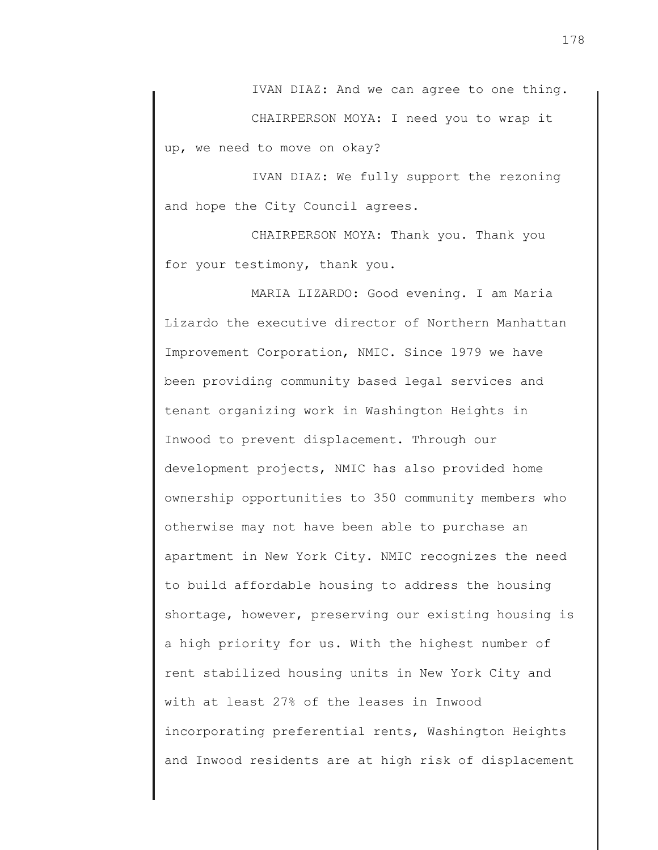IVAN DIAZ: And we can agree to one thing.

CHAIRPERSON MOYA: I need you to wrap it up, we need to move on okay?

IVAN DIAZ: We fully support the rezoning and hope the City Council agrees.

CHAIRPERSON MOYA: Thank you. Thank you for your testimony, thank you.

MARIA LIZARDO: Good evening. I am Maria Lizardo the executive director of Northern Manhattan Improvement Corporation, NMIC. Since 1979 we have been providing community based legal services and tenant organizing work in Washington Heights in Inwood to prevent displacement. Through our development projects, NMIC has also provided home ownership opportunities to 350 community members who otherwise may not have been able to purchase an apartment in New York City. NMIC recognizes the need to build affordable housing to address the housing shortage, however, preserving our existing housing is a high priority for us. With the highest number of rent stabilized housing units in New York City and with at least 27% of the leases in Inwood incorporating preferential rents, Washington Heights and Inwood residents are at high risk of displacement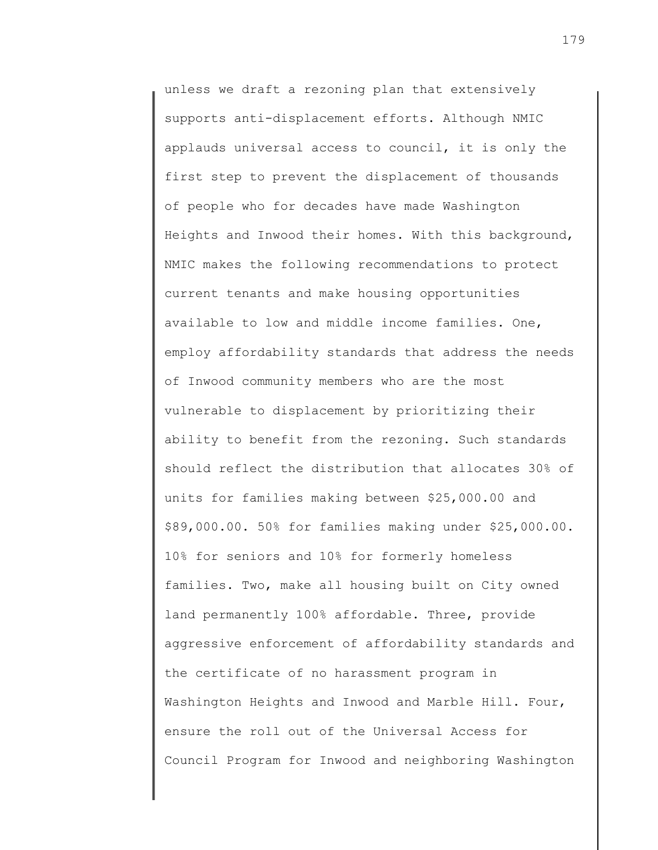unless we draft a rezoning plan that extensively supports anti-displacement efforts. Although NMIC applauds universal access to council, it is only the first step to prevent the displacement of thousands of people who for decades have made Washington Heights and Inwood their homes. With this background, NMIC makes the following recommendations to protect current tenants and make housing opportunities available to low and middle income families. One, employ affordability standards that address the needs of Inwood community members who are the most vulnerable to displacement by prioritizing their ability to benefit from the rezoning. Such standards should reflect the distribution that allocates 30% of units for families making between \$25,000.00 and \$89,000.00. 50% for families making under \$25,000.00. 10% for seniors and 10% for formerly homeless families. Two, make all housing built on City owned land permanently 100% affordable. Three, provide aggressive enforcement of affordability standards and the certificate of no harassment program in Washington Heights and Inwood and Marble Hill. Four, ensure the roll out of the Universal Access for Council Program for Inwood and neighboring Washington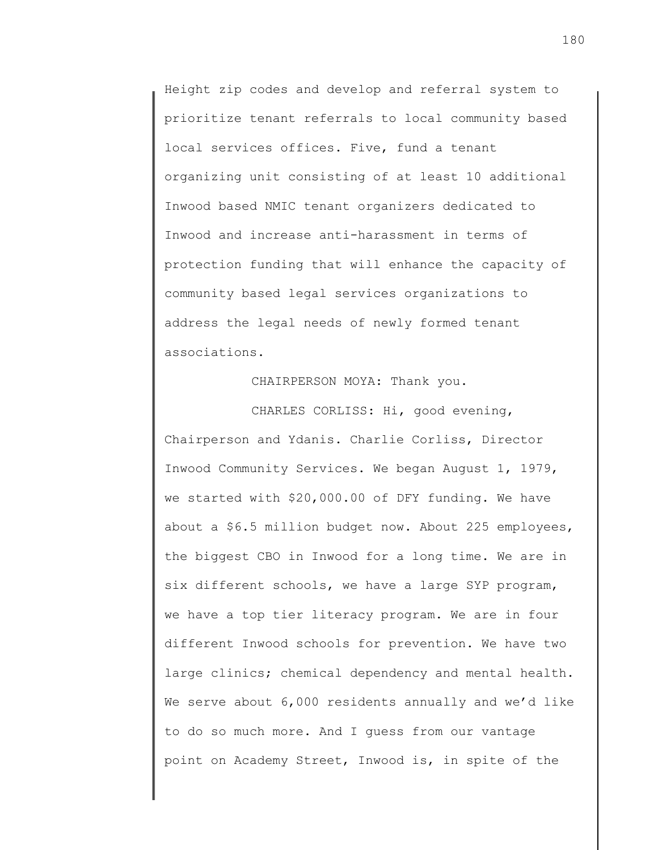Height zip codes and develop and referral system to prioritize tenant referrals to local community based local services offices. Five, fund a tenant organizing unit consisting of at least 10 additional Inwood based NMIC tenant organizers dedicated to Inwood and increase anti-harassment in terms of protection funding that will enhance the capacity of community based legal services organizations to address the legal needs of newly formed tenant associations.

## CHAIRPERSON MOYA: Thank you.

CHARLES CORLISS: Hi, good evening, Chairperson and Ydanis. Charlie Corliss, Director Inwood Community Services. We began August 1, 1979, we started with \$20,000.00 of DFY funding. We have about a \$6.5 million budget now. About 225 employees, the biggest CBO in Inwood for a long time. We are in six different schools, we have a large SYP program, we have a top tier literacy program. We are in four different Inwood schools for prevention. We have two large clinics; chemical dependency and mental health. We serve about 6,000 residents annually and we'd like to do so much more. And I guess from our vantage point on Academy Street, Inwood is, in spite of the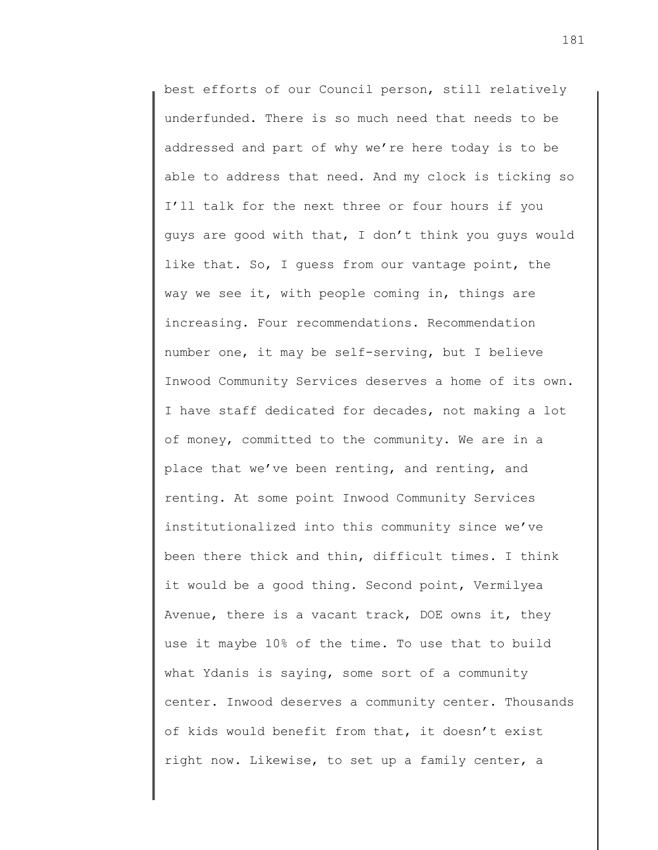best efforts of our Council person, still relatively underfunded. There is so much need that needs to be addressed and part of why we're here today is to be able to address that need. And my clock is ticking so I'll talk for the next three or four hours if you guys are good with that, I don't think you guys would like that. So, I guess from our vantage point, the way we see it, with people coming in, things are increasing. Four recommendations. Recommendation number one, it may be self-serving, but I believe Inwood Community Services deserves a home of its own. I have staff dedicated for decades, not making a lot of money, committed to the community. We are in a place that we've been renting, and renting, and renting. At some point Inwood Community Services institutionalized into this community since we've been there thick and thin, difficult times. I think it would be a good thing. Second point, Vermilyea Avenue, there is a vacant track, DOE owns it, they use it maybe 10% of the time. To use that to build what Ydanis is saying, some sort of a community center. Inwood deserves a community center. Thousands of kids would benefit from that, it doesn't exist right now. Likewise, to set up a family center, a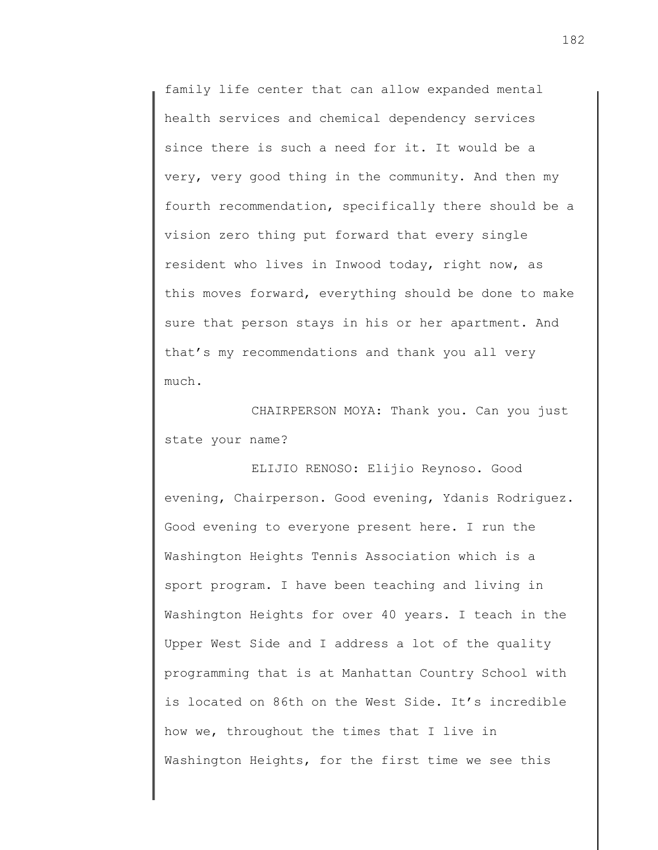family life center that can allow expanded mental health services and chemical dependency services since there is such a need for it. It would be a very, very good thing in the community. And then my fourth recommendation, specifically there should be a vision zero thing put forward that every single resident who lives in Inwood today, right now, as this moves forward, everything should be done to make sure that person stays in his or her apartment. And that's my recommendations and thank you all very much.

CHAIRPERSON MOYA: Thank you. Can you just state your name?

ELIJIO RENOSO: Elijio Reynoso. Good evening, Chairperson. Good evening, Ydanis Rodriguez. Good evening to everyone present here. I run the Washington Heights Tennis Association which is a sport program. I have been teaching and living in Washington Heights for over 40 years. I teach in the Upper West Side and I address a lot of the quality programming that is at Manhattan Country School with is located on 86th on the West Side. It's incredible how we, throughout the times that I live in Washington Heights, for the first time we see this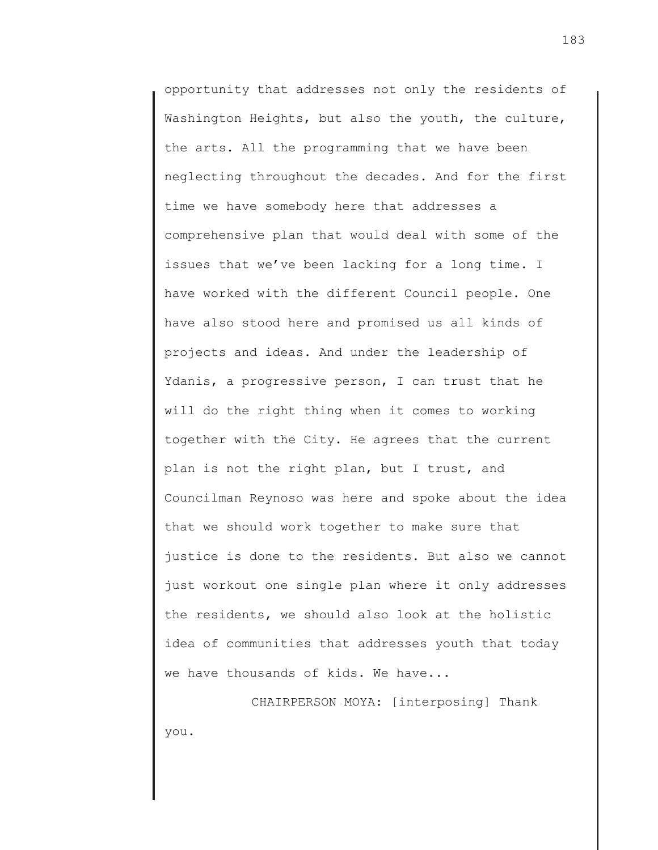opportunity that addresses not only the residents of Washington Heights, but also the youth, the culture, the arts. All the programming that we have been neglecting throughout the decades. And for the first time we have somebody here that addresses a comprehensive plan that would deal with some of the issues that we've been lacking for a long time. I have worked with the different Council people. One have also stood here and promised us all kinds of projects and ideas. And under the leadership of Ydanis, a progressive person, I can trust that he will do the right thing when it comes to working together with the City. He agrees that the current plan is not the right plan, but I trust, and Councilman Reynoso was here and spoke about the idea that we should work together to make sure that justice is done to the residents. But also we cannot just workout one single plan where it only addresses the residents, we should also look at the holistic idea of communities that addresses youth that today we have thousands of kids. We have...

CHAIRPERSON MOYA: [interposing] Thank you.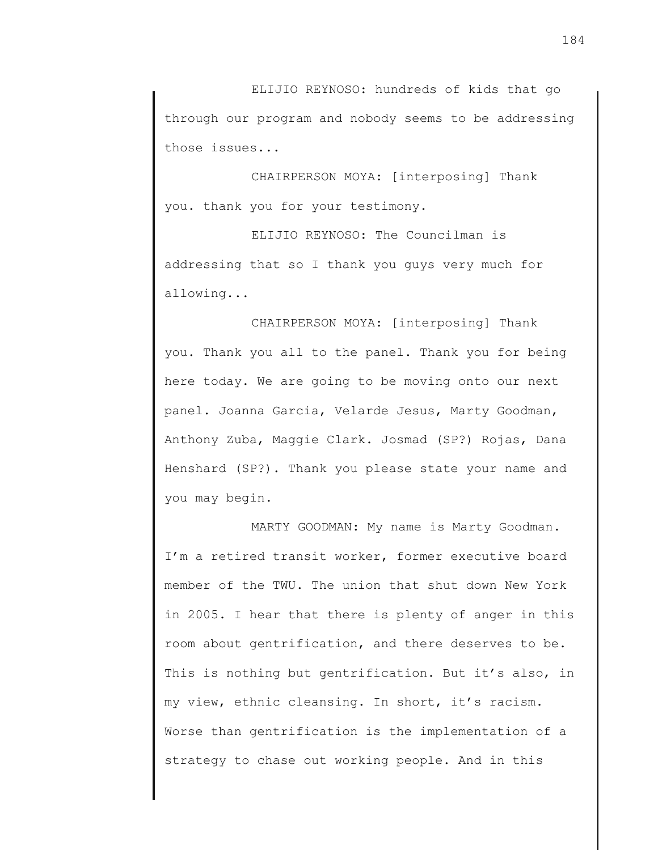ELIJIO REYNOSO: hundreds of kids that go through our program and nobody seems to be addressing those issues...

CHAIRPERSON MOYA: [interposing] Thank you. thank you for your testimony.

ELIJIO REYNOSO: The Councilman is addressing that so I thank you guys very much for allowing...

CHAIRPERSON MOYA: [interposing] Thank you. Thank you all to the panel. Thank you for being here today. We are going to be moving onto our next panel. Joanna Garcia, Velarde Jesus, Marty Goodman, Anthony Zuba, Maggie Clark. Josmad (SP?) Rojas, Dana Henshard (SP?). Thank you please state your name and you may begin.

MARTY GOODMAN: My name is Marty Goodman. I'm a retired transit worker, former executive board member of the TWU. The union that shut down New York in 2005. I hear that there is plenty of anger in this room about gentrification, and there deserves to be. This is nothing but gentrification. But it's also, in my view, ethnic cleansing. In short, it's racism. Worse than gentrification is the implementation of a strategy to chase out working people. And in this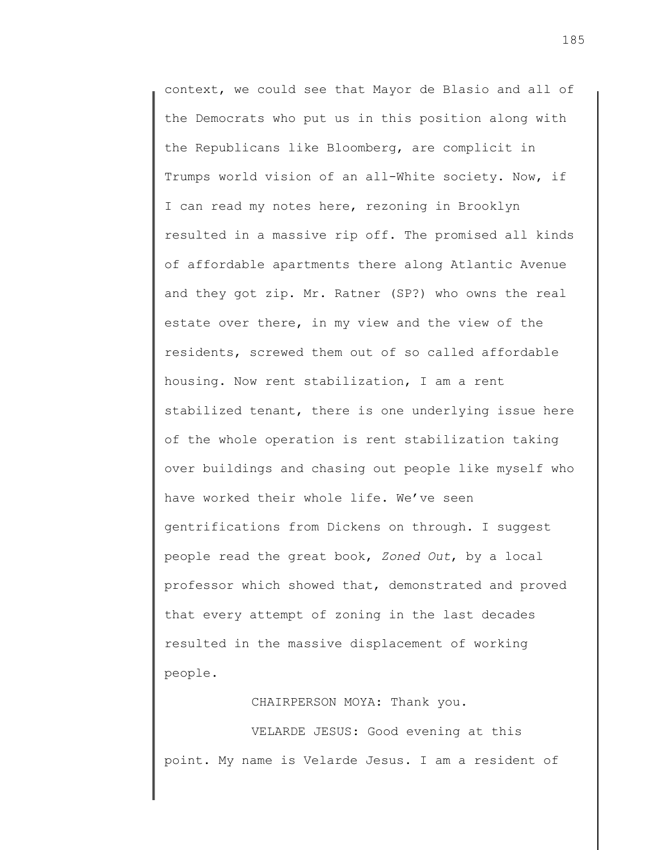context, we could see that Mayor de Blasio and all of the Democrats who put us in this position along with the Republicans like Bloomberg, are complicit in Trumps world vision of an all-White society. Now, if I can read my notes here, rezoning in Brooklyn resulted in a massive rip off. The promised all kinds of affordable apartments there along Atlantic Avenue and they got zip. Mr. Ratner (SP?) who owns the real estate over there, in my view and the view of the residents, screwed them out of so called affordable housing. Now rent stabilization, I am a rent stabilized tenant, there is one underlying issue here of the whole operation is rent stabilization taking over buildings and chasing out people like myself who have worked their whole life. We've seen gentrifications from Dickens on through. I suggest people read the great book, *Zoned Out*, by a local professor which showed that, demonstrated and proved that every attempt of zoning in the last decades resulted in the massive displacement of working people.

CHAIRPERSON MOYA: Thank you.

VELARDE JESUS: Good evening at this point. My name is Velarde Jesus. I am a resident of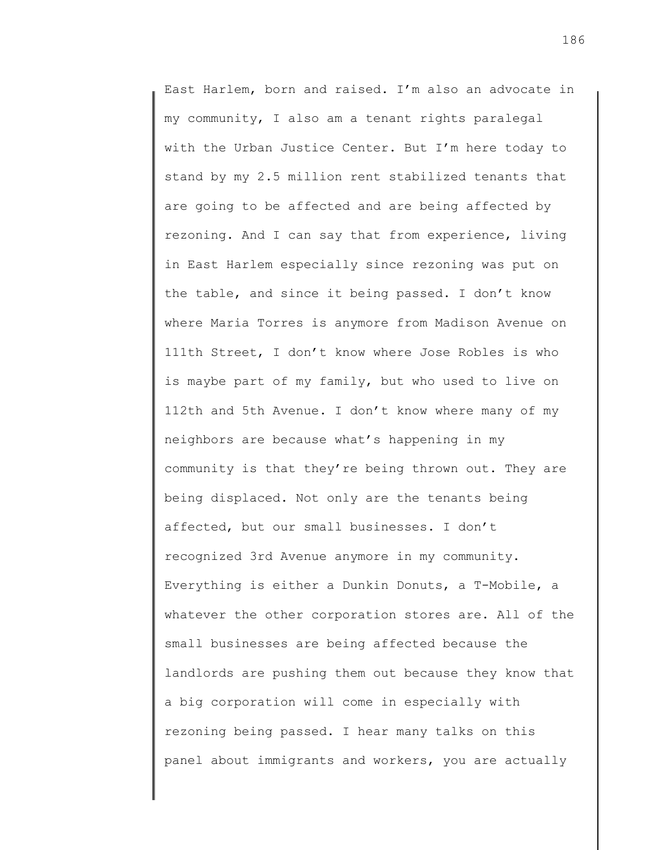East Harlem, born and raised. I'm also an advocate in my community, I also am a tenant rights paralegal with the Urban Justice Center. But I'm here today to stand by my 2.5 million rent stabilized tenants that are going to be affected and are being affected by rezoning. And I can say that from experience, living in East Harlem especially since rezoning was put on the table, and since it being passed. I don't know where Maria Torres is anymore from Madison Avenue on 111th Street, I don't know where Jose Robles is who is maybe part of my family, but who used to live on 112th and 5th Avenue. I don't know where many of my neighbors are because what's happening in my community is that they're being thrown out. They are being displaced. Not only are the tenants being affected, but our small businesses. I don't recognized 3rd Avenue anymore in my community. Everything is either a Dunkin Donuts, a T-Mobile, a whatever the other corporation stores are. All of the small businesses are being affected because the landlords are pushing them out because they know that a big corporation will come in especially with rezoning being passed. I hear many talks on this panel about immigrants and workers, you are actually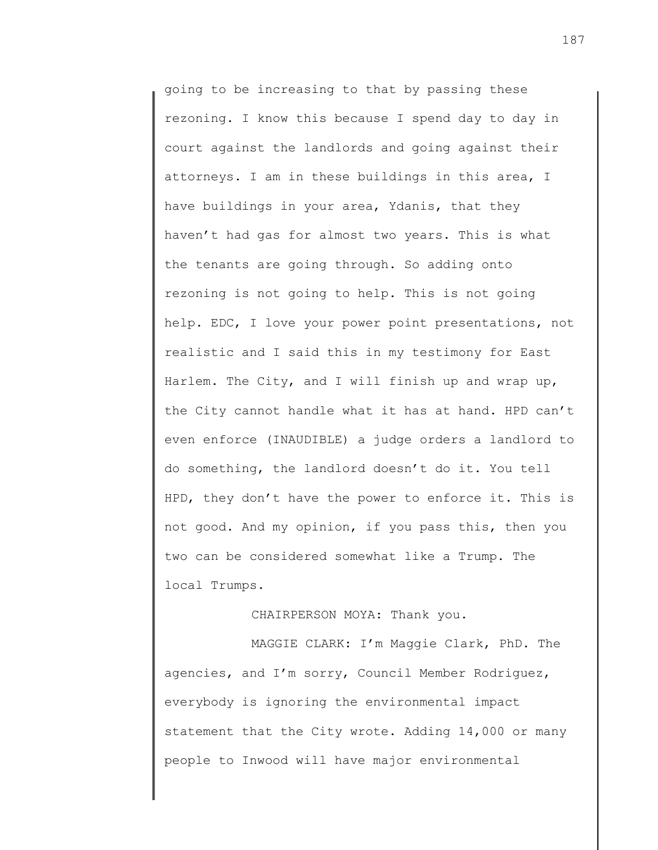going to be increasing to that by passing these rezoning. I know this because I spend day to day in court against the landlords and going against their attorneys. I am in these buildings in this area, I have buildings in your area, Ydanis, that they haven't had gas for almost two years. This is what the tenants are going through. So adding onto rezoning is not going to help. This is not going help. EDC, I love your power point presentations, not realistic and I said this in my testimony for East Harlem. The City, and I will finish up and wrap up, the City cannot handle what it has at hand. HPD can't even enforce (INAUDIBLE) a judge orders a landlord to do something, the landlord doesn't do it. You tell HPD, they don't have the power to enforce it. This is not good. And my opinion, if you pass this, then you two can be considered somewhat like a Trump. The local Trumps.

# CHAIRPERSON MOYA: Thank you.

MAGGIE CLARK: I'm Maggie Clark, PhD. The agencies, and I'm sorry, Council Member Rodriguez, everybody is ignoring the environmental impact statement that the City wrote. Adding 14,000 or many people to Inwood will have major environmental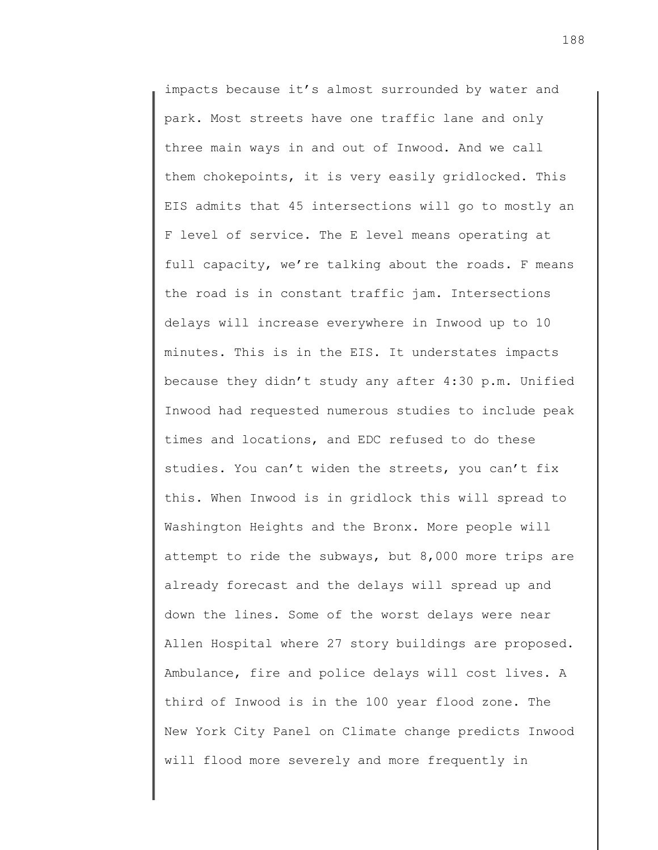impacts because it's almost surrounded by water and park. Most streets have one traffic lane and only three main ways in and out of Inwood. And we call them chokepoints, it is very easily gridlocked. This EIS admits that 45 intersections will go to mostly an F level of service. The E level means operating at full capacity, we're talking about the roads. F means the road is in constant traffic jam. Intersections delays will increase everywhere in Inwood up to 10 minutes. This is in the EIS. It understates impacts because they didn't study any after 4:30 p.m. Unified Inwood had requested numerous studies to include peak times and locations, and EDC refused to do these studies. You can't widen the streets, you can't fix this. When Inwood is in gridlock this will spread to Washington Heights and the Bronx. More people will attempt to ride the subways, but 8,000 more trips are already forecast and the delays will spread up and down the lines. Some of the worst delays were near Allen Hospital where 27 story buildings are proposed. Ambulance, fire and police delays will cost lives. A third of Inwood is in the 100 year flood zone. The New York City Panel on Climate change predicts Inwood will flood more severely and more frequently in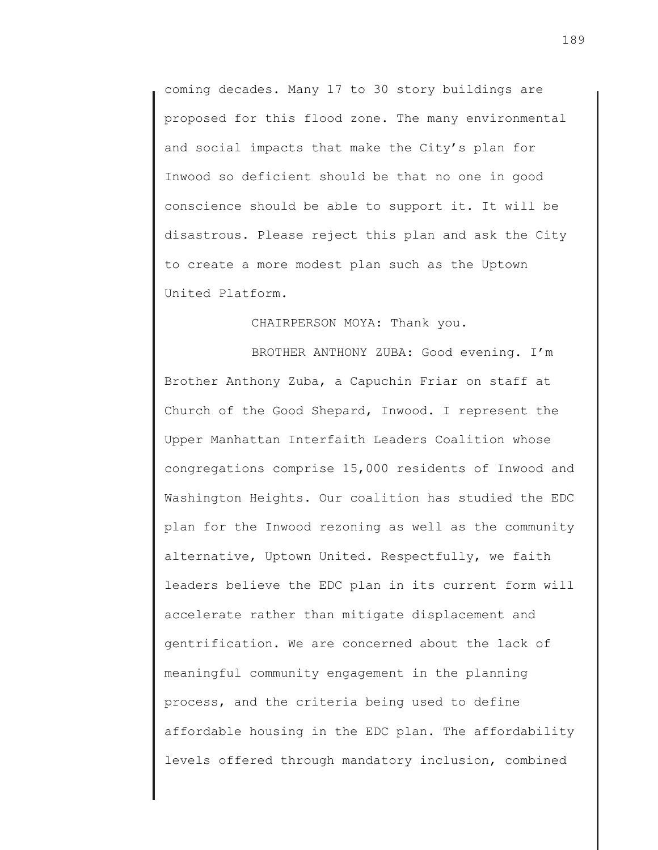coming decades. Many 17 to 30 story buildings are proposed for this flood zone. The many environmental and social impacts that make the City's plan for Inwood so deficient should be that no one in good conscience should be able to support it. It will be disastrous. Please reject this plan and ask the City to create a more modest plan such as the Uptown United Platform.

### CHAIRPERSON MOYA: Thank you.

BROTHER ANTHONY ZUBA: Good evening. I'm Brother Anthony Zuba, a Capuchin Friar on staff at Church of the Good Shepard, Inwood. I represent the Upper Manhattan Interfaith Leaders Coalition whose congregations comprise 15,000 residents of Inwood and Washington Heights. Our coalition has studied the EDC plan for the Inwood rezoning as well as the community alternative, Uptown United. Respectfully, we faith leaders believe the EDC plan in its current form will accelerate rather than mitigate displacement and gentrification. We are concerned about the lack of meaningful community engagement in the planning process, and the criteria being used to define affordable housing in the EDC plan. The affordability levels offered through mandatory inclusion, combined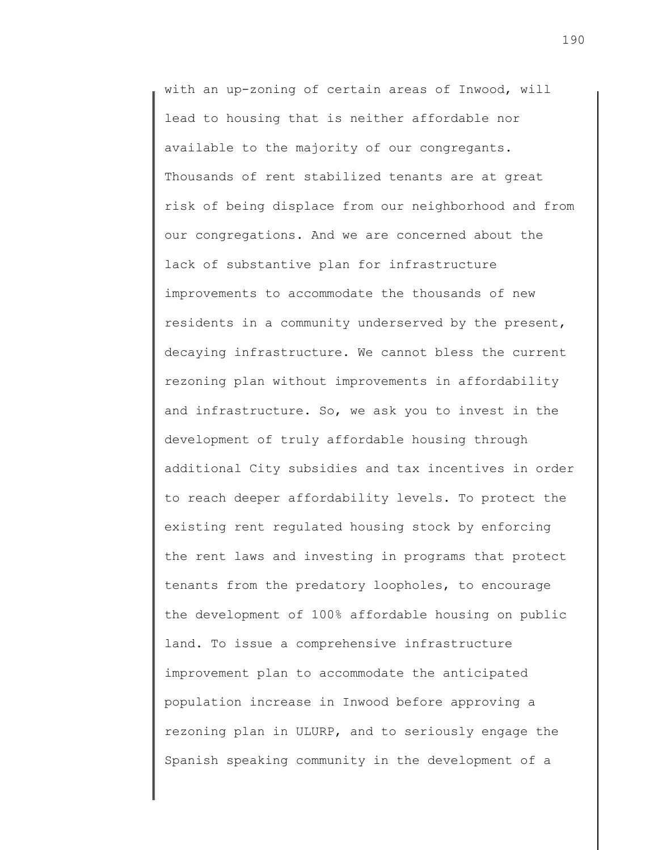with an up-zoning of certain areas of Inwood, will lead to housing that is neither affordable nor available to the majority of our congregants. Thousands of rent stabilized tenants are at great risk of being displace from our neighborhood and from our congregations. And we are concerned about the lack of substantive plan for infrastructure improvements to accommodate the thousands of new residents in a community underserved by the present, decaying infrastructure. We cannot bless the current rezoning plan without improvements in affordability and infrastructure. So, we ask you to invest in the development of truly affordable housing through additional City subsidies and tax incentives in order to reach deeper affordability levels. To protect the existing rent regulated housing stock by enforcing the rent laws and investing in programs that protect tenants from the predatory loopholes, to encourage the development of 100% affordable housing on public land. To issue a comprehensive infrastructure improvement plan to accommodate the anticipated population increase in Inwood before approving a rezoning plan in ULURP, and to seriously engage the Spanish speaking community in the development of a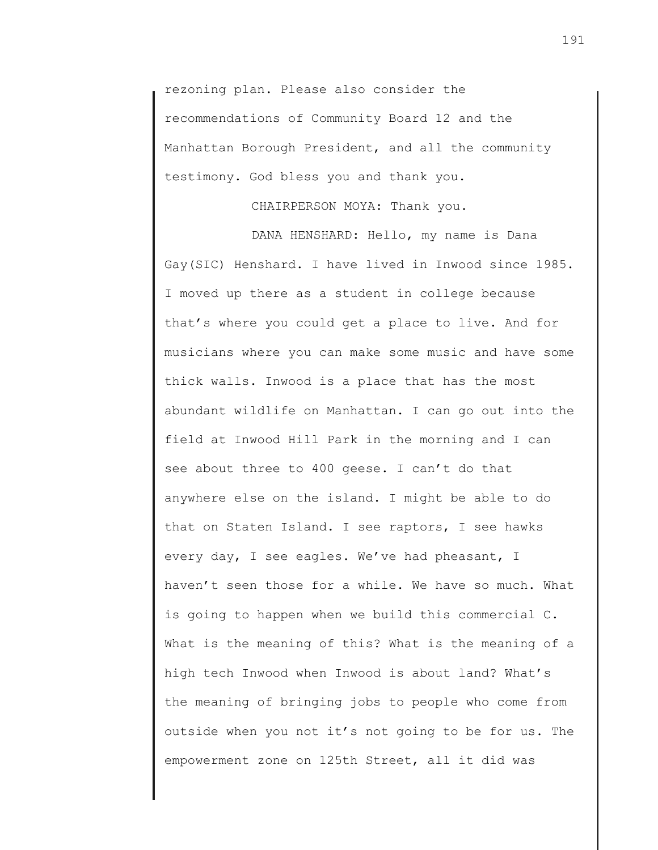rezoning plan. Please also consider the recommendations of Community Board 12 and the Manhattan Borough President, and all the community testimony. God bless you and thank you.

## CHAIRPERSON MOYA: Thank you.

DANA HENSHARD: Hello, my name is Dana Gay(SIC) Henshard. I have lived in Inwood since 1985. I moved up there as a student in college because that's where you could get a place to live. And for musicians where you can make some music and have some thick walls. Inwood is a place that has the most abundant wildlife on Manhattan. I can go out into the field at Inwood Hill Park in the morning and I can see about three to 400 geese. I can't do that anywhere else on the island. I might be able to do that on Staten Island. I see raptors, I see hawks every day, I see eagles. We've had pheasant, I haven't seen those for a while. We have so much. What is going to happen when we build this commercial C. What is the meaning of this? What is the meaning of a high tech Inwood when Inwood is about land? What's the meaning of bringing jobs to people who come from outside when you not it's not going to be for us. The empowerment zone on 125th Street, all it did was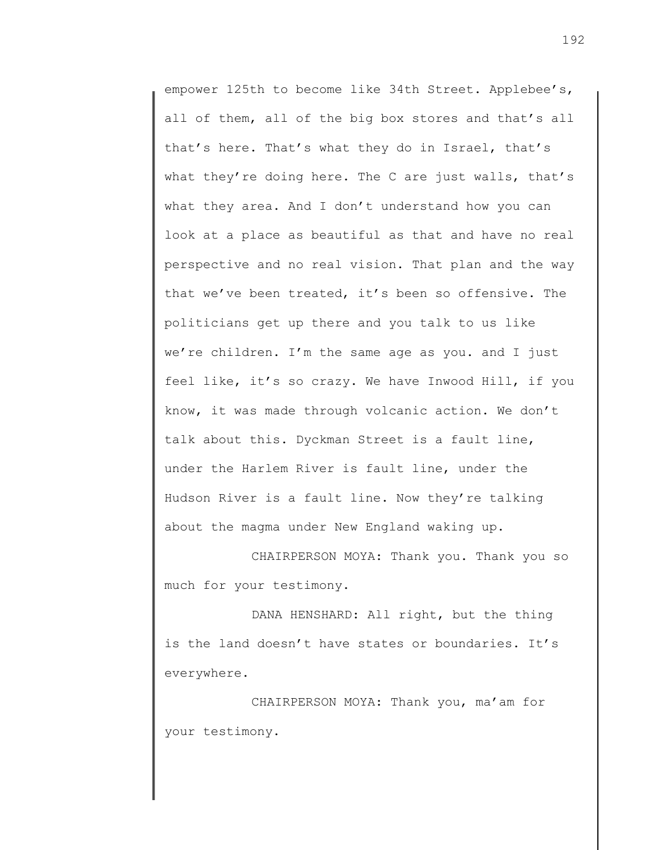empower 125th to become like 34th Street. Applebee's, all of them, all of the big box stores and that's all that's here. That's what they do in Israel, that's what they're doing here. The C are just walls, that's what they area. And I don't understand how you can look at a place as beautiful as that and have no real perspective and no real vision. That plan and the way that we've been treated, it's been so offensive. The politicians get up there and you talk to us like we're children. I'm the same age as you. and I just feel like, it's so crazy. We have Inwood Hill, if you know, it was made through volcanic action. We don't talk about this. Dyckman Street is a fault line, under the Harlem River is fault line, under the Hudson River is a fault line. Now they're talking about the magma under New England waking up.

CHAIRPERSON MOYA: Thank you. Thank you so much for your testimony.

DANA HENSHARD: All right, but the thing is the land doesn't have states or boundaries. It's everywhere.

CHAIRPERSON MOYA: Thank you, ma'am for your testimony.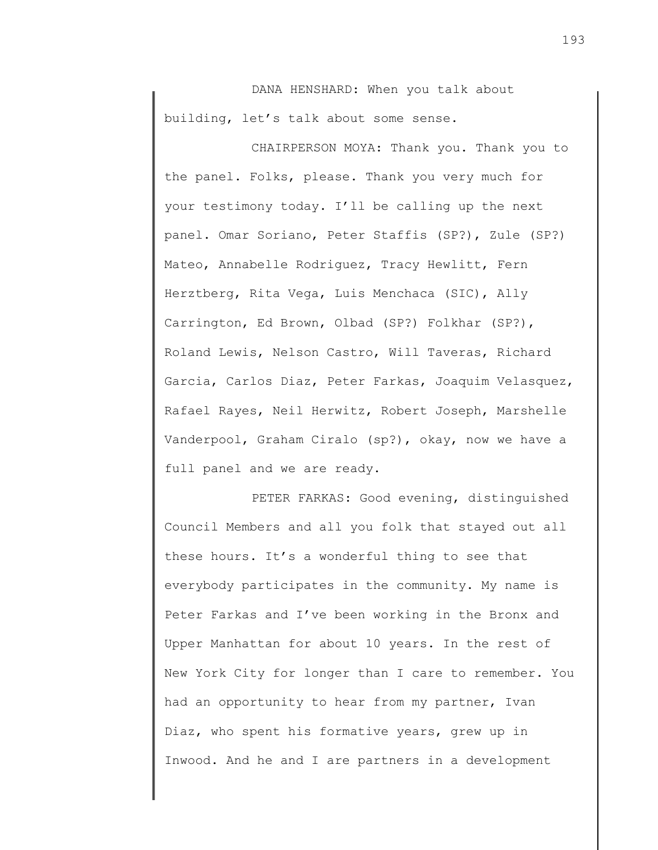DANA HENSHARD: When you talk about building, let's talk about some sense.

CHAIRPERSON MOYA: Thank you. Thank you to the panel. Folks, please. Thank you very much for your testimony today. I'll be calling up the next panel. Omar Soriano, Peter Staffis (SP?), Zule (SP?) Mateo, Annabelle Rodriguez, Tracy Hewlitt, Fern Herztberg, Rita Vega, Luis Menchaca (SIC), Ally Carrington, Ed Brown, Olbad (SP?) Folkhar (SP?), Roland Lewis, Nelson Castro, Will Taveras, Richard Garcia, Carlos Diaz, Peter Farkas, Joaquim Velasquez, Rafael Rayes, Neil Herwitz, Robert Joseph, Marshelle Vanderpool, Graham Ciralo (sp?), okay, now we have a full panel and we are ready.

PETER FARKAS: Good evening, distinguished Council Members and all you folk that stayed out all these hours. It's a wonderful thing to see that everybody participates in the community. My name is Peter Farkas and I've been working in the Bronx and Upper Manhattan for about 10 years. In the rest of New York City for longer than I care to remember. You had an opportunity to hear from my partner, Ivan Diaz, who spent his formative years, grew up in Inwood. And he and I are partners in a development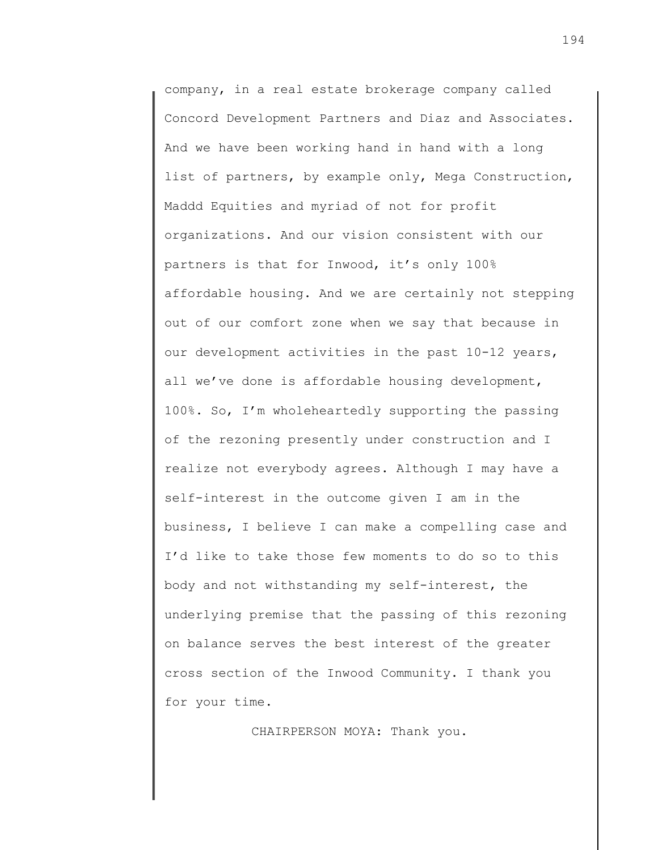company, in a real estate brokerage company called Concord Development Partners and Diaz and Associates. And we have been working hand in hand with a long list of partners, by example only, Mega Construction, Maddd Equities and myriad of not for profit organizations. And our vision consistent with our partners is that for Inwood, it's only 100% affordable housing. And we are certainly not stepping out of our comfort zone when we say that because in our development activities in the past 10-12 years, all we've done is affordable housing development, 100%. So, I'm wholeheartedly supporting the passing of the rezoning presently under construction and I realize not everybody agrees. Although I may have a self-interest in the outcome given I am in the business, I believe I can make a compelling case and I'd like to take those few moments to do so to this body and not withstanding my self-interest, the underlying premise that the passing of this rezoning on balance serves the best interest of the greater cross section of the Inwood Community. I thank you for your time.

CHAIRPERSON MOYA: Thank you.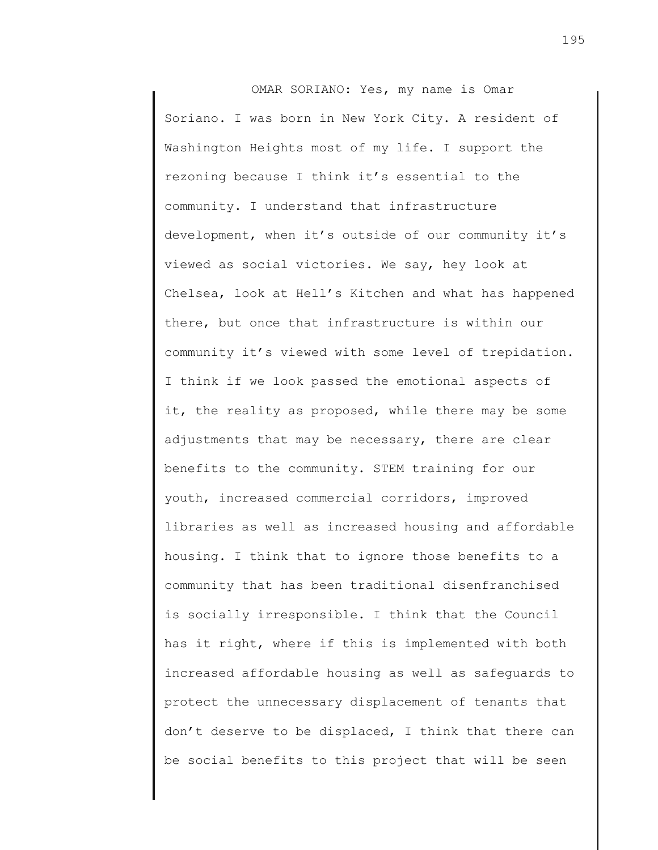OMAR SORIANO: Yes, my name is Omar Soriano. I was born in New York City. A resident of Washington Heights most of my life. I support the rezoning because I think it's essential to the community. I understand that infrastructure development, when it's outside of our community it's viewed as social victories. We say, hey look at Chelsea, look at Hell's Kitchen and what has happened there, but once that infrastructure is within our community it's viewed with some level of trepidation. I think if we look passed the emotional aspects of it, the reality as proposed, while there may be some adjustments that may be necessary, there are clear benefits to the community. STEM training for our youth, increased commercial corridors, improved libraries as well as increased housing and affordable housing. I think that to ignore those benefits to a community that has been traditional disenfranchised is socially irresponsible. I think that the Council has it right, where if this is implemented with both increased affordable housing as well as safeguards to protect the unnecessary displacement of tenants that don't deserve to be displaced, I think that there can be social benefits to this project that will be seen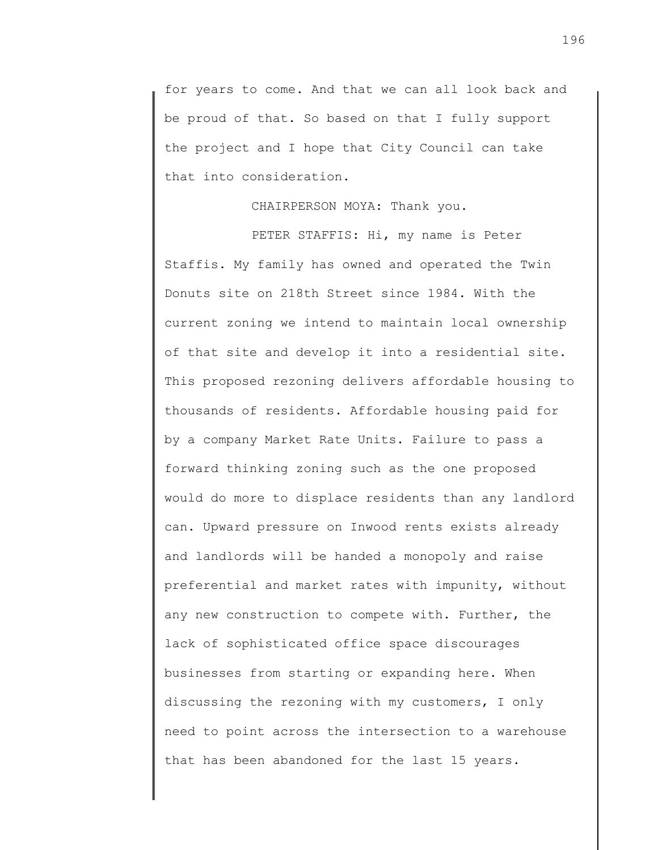for years to come. And that we can all look back and be proud of that. So based on that I fully support the project and I hope that City Council can take that into consideration.

## CHAIRPERSON MOYA: Thank you.

PETER STAFFIS: Hi, my name is Peter Staffis. My family has owned and operated the Twin Donuts site on 218th Street since 1984. With the current zoning we intend to maintain local ownership of that site and develop it into a residential site. This proposed rezoning delivers affordable housing to thousands of residents. Affordable housing paid for by a company Market Rate Units. Failure to pass a forward thinking zoning such as the one proposed would do more to displace residents than any landlord can. Upward pressure on Inwood rents exists already and landlords will be handed a monopoly and raise preferential and market rates with impunity, without any new construction to compete with. Further, the lack of sophisticated office space discourages businesses from starting or expanding here. When discussing the rezoning with my customers, I only need to point across the intersection to a warehouse that has been abandoned for the last 15 years.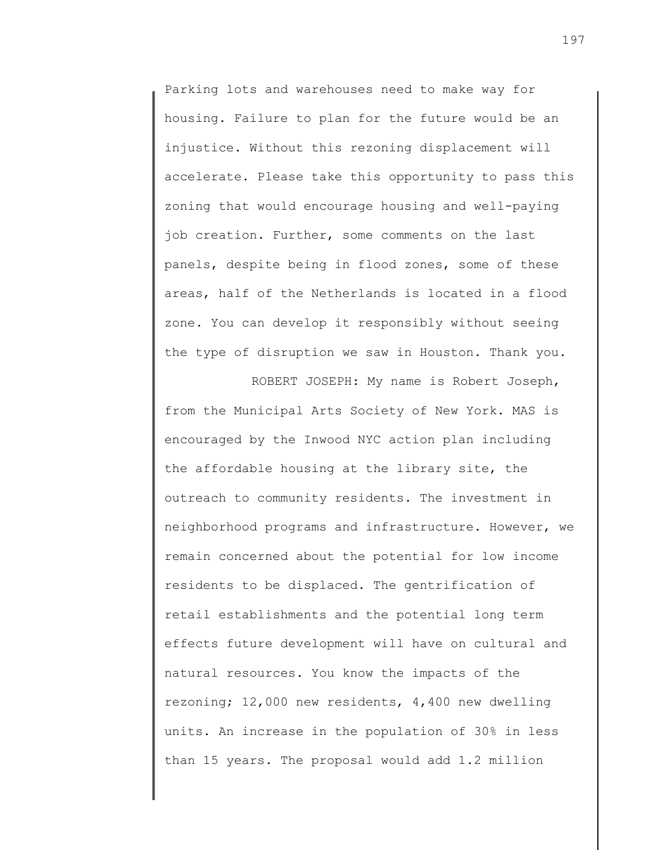Parking lots and warehouses need to make way for housing. Failure to plan for the future would be an injustice. Without this rezoning displacement will accelerate. Please take this opportunity to pass this zoning that would encourage housing and well-paying job creation. Further, some comments on the last panels, despite being in flood zones, some of these areas, half of the Netherlands is located in a flood zone. You can develop it responsibly without seeing the type of disruption we saw in Houston. Thank you.

ROBERT JOSEPH: My name is Robert Joseph, from the Municipal Arts Society of New York. MAS is encouraged by the Inwood NYC action plan including the affordable housing at the library site, the outreach to community residents. The investment in neighborhood programs and infrastructure. However, we remain concerned about the potential for low income residents to be displaced. The gentrification of retail establishments and the potential long term effects future development will have on cultural and natural resources. You know the impacts of the rezoning; 12,000 new residents, 4,400 new dwelling units. An increase in the population of 30% in less than 15 years. The proposal would add 1.2 million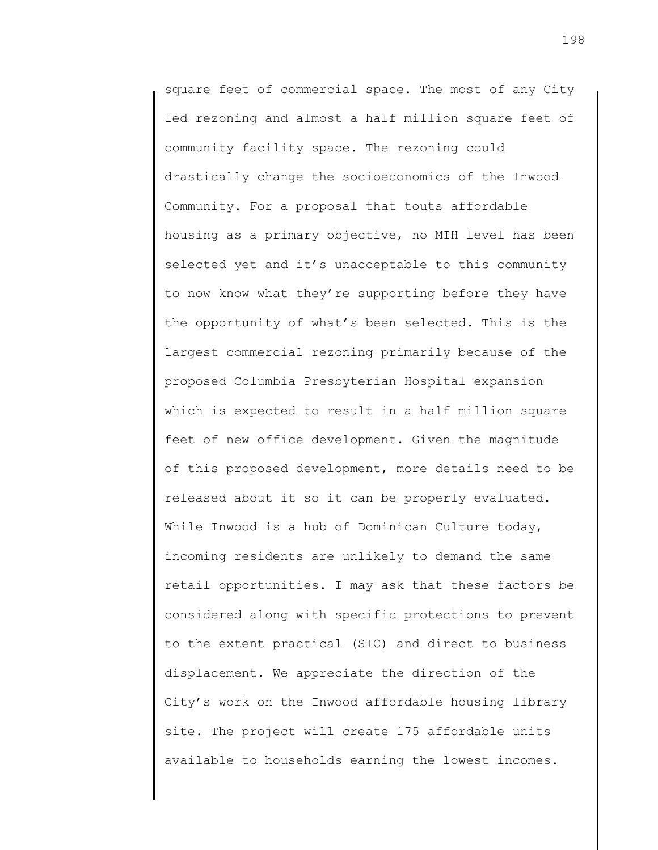square feet of commercial space. The most of any City led rezoning and almost a half million square feet of community facility space. The rezoning could drastically change the socioeconomics of the Inwood Community. For a proposal that touts affordable housing as a primary objective, no MIH level has been selected yet and it's unacceptable to this community to now know what they're supporting before they have the opportunity of what's been selected. This is the largest commercial rezoning primarily because of the proposed Columbia Presbyterian Hospital expansion which is expected to result in a half million square feet of new office development. Given the magnitude of this proposed development, more details need to be released about it so it can be properly evaluated. While Inwood is a hub of Dominican Culture today, incoming residents are unlikely to demand the same retail opportunities. I may ask that these factors be considered along with specific protections to prevent to the extent practical (SIC) and direct to business displacement. We appreciate the direction of the City's work on the Inwood affordable housing library site. The project will create 175 affordable units available to households earning the lowest incomes.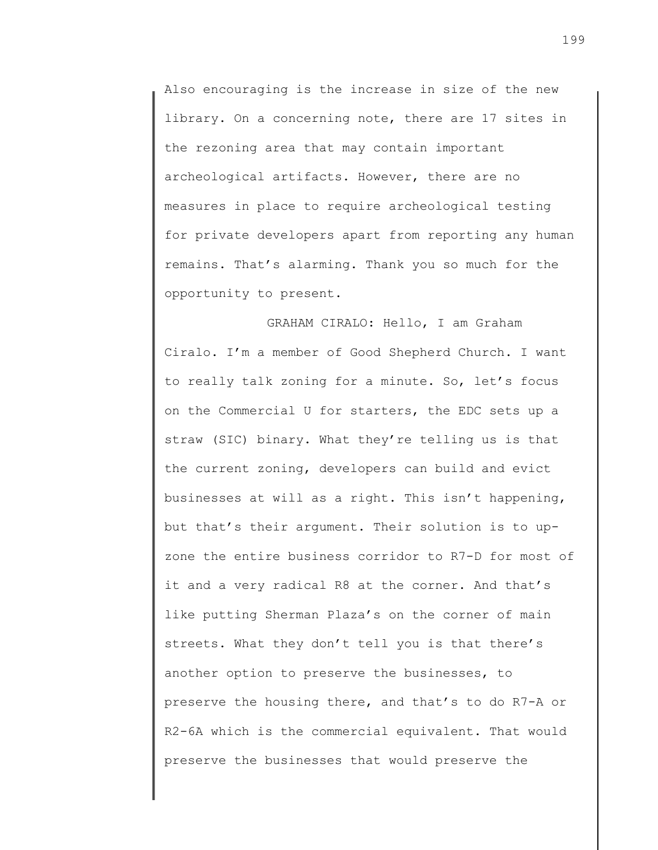Also encouraging is the increase in size of the new library. On a concerning note, there are 17 sites in the rezoning area that may contain important archeological artifacts. However, there are no measures in place to require archeological testing for private developers apart from reporting any human remains. That's alarming. Thank you so much for the opportunity to present.

 GRAHAM CIRALO: Hello, I am Graham Ciralo. I'm a member of Good Shepherd Church. I want to really talk zoning for a minute. So, let's focus on the Commercial U for starters, the EDC sets up a straw (SIC) binary. What they're telling us is that the current zoning, developers can build and evict businesses at will as a right. This isn't happening, but that's their argument. Their solution is to upzone the entire business corridor to R7-D for most of it and a very radical R8 at the corner. And that's like putting Sherman Plaza's on the corner of main streets. What they don't tell you is that there's another option to preserve the businesses, to preserve the housing there, and that's to do R7-A or R2-6A which is the commercial equivalent. That would preserve the businesses that would preserve the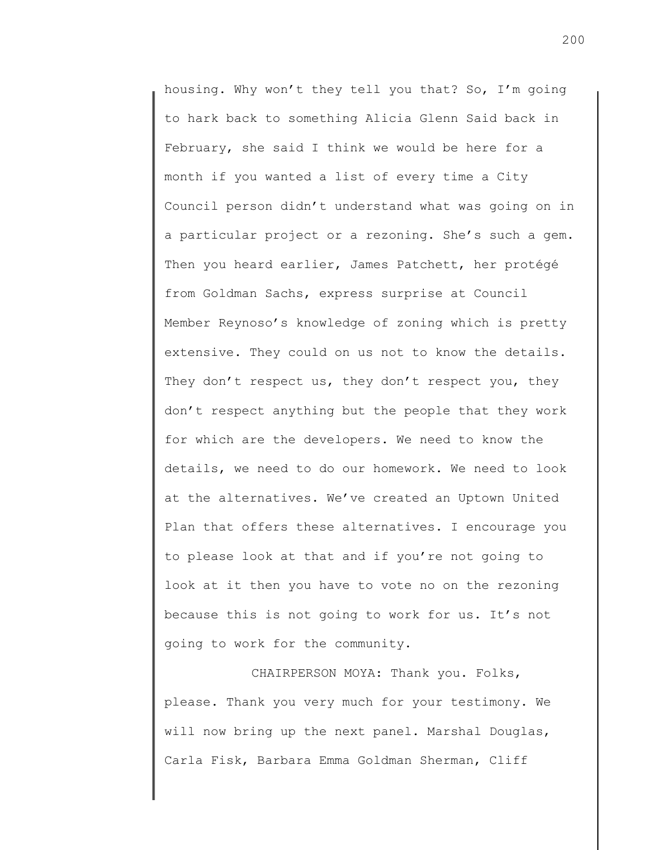housing. Why won't they tell you that? So, I'm going to hark back to something Alicia Glenn Said back in February, she said I think we would be here for a month if you wanted a list of every time a City Council person didn't understand what was going on in a particular project or a rezoning. She's such a gem. Then you heard earlier, James Patchett, her protégé from Goldman Sachs, express surprise at Council Member Reynoso's knowledge of zoning which is pretty extensive. They could on us not to know the details. They don't respect us, they don't respect you, they don't respect anything but the people that they work for which are the developers. We need to know the details, we need to do our homework. We need to look at the alternatives. We've created an Uptown United Plan that offers these alternatives. I encourage you to please look at that and if you're not going to look at it then you have to vote no on the rezoning because this is not going to work for us. It's not going to work for the community.

CHAIRPERSON MOYA: Thank you. Folks, please. Thank you very much for your testimony. We will now bring up the next panel. Marshal Douglas, Carla Fisk, Barbara Emma Goldman Sherman, Cliff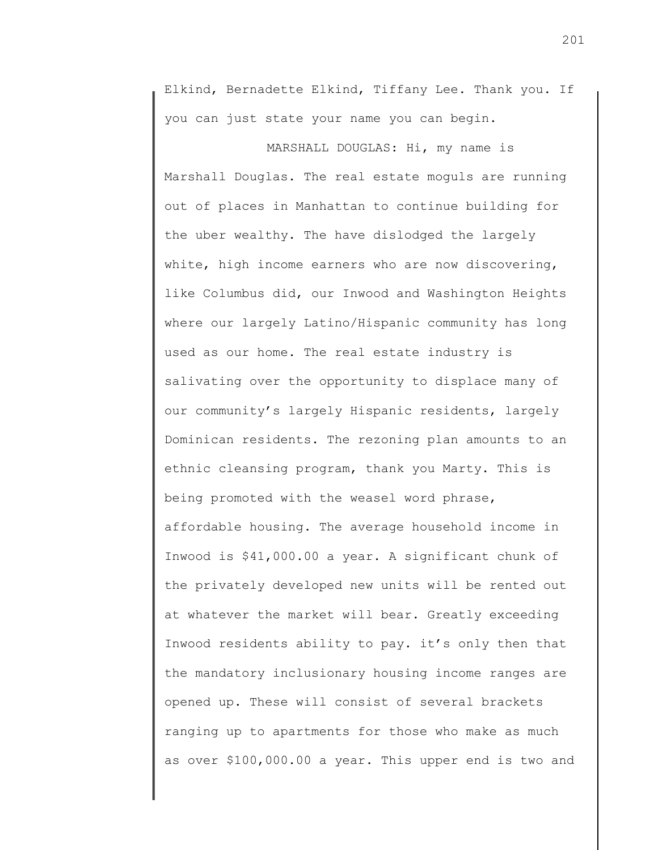Elkind, Bernadette Elkind, Tiffany Lee. Thank you. If you can just state your name you can begin.

 MARSHALL DOUGLAS: Hi, my name is Marshall Douglas. The real estate moguls are running out of places in Manhattan to continue building for the uber wealthy. The have dislodged the largely white, high income earners who are now discovering, like Columbus did, our Inwood and Washington Heights where our largely Latino/Hispanic community has long used as our home. The real estate industry is salivating over the opportunity to displace many of our community's largely Hispanic residents, largely Dominican residents. The rezoning plan amounts to an ethnic cleansing program, thank you Marty. This is being promoted with the weasel word phrase, affordable housing. The average household income in Inwood is \$41,000.00 a year. A significant chunk of the privately developed new units will be rented out at whatever the market will bear. Greatly exceeding Inwood residents ability to pay. it's only then that the mandatory inclusionary housing income ranges are opened up. These will consist of several brackets ranging up to apartments for those who make as much as over \$100,000.00 a year. This upper end is two and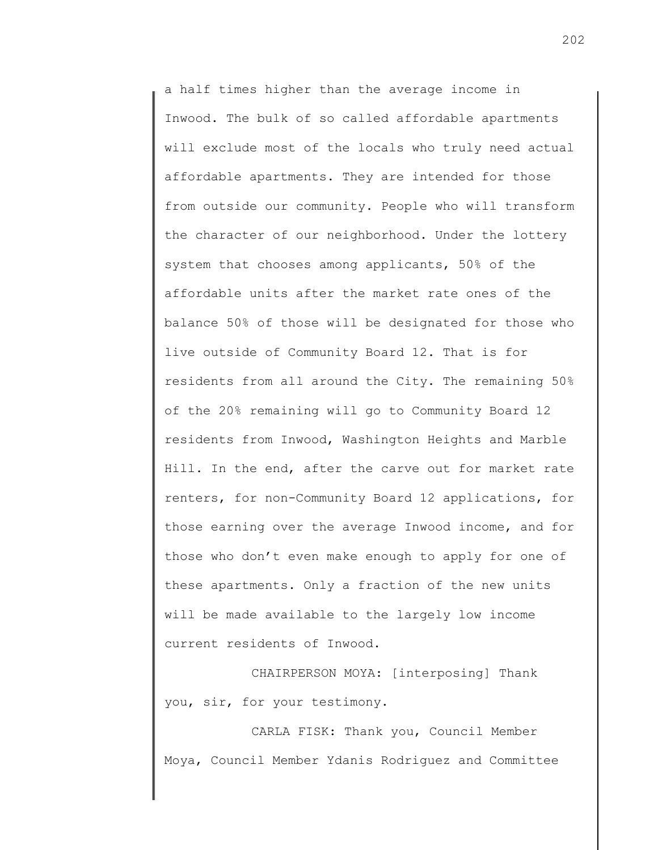a half times higher than the average income in Inwood. The bulk of so called affordable apartments will exclude most of the locals who truly need actual affordable apartments. They are intended for those from outside our community. People who will transform the character of our neighborhood. Under the lottery system that chooses among applicants, 50% of the affordable units after the market rate ones of the balance 50% of those will be designated for those who live outside of Community Board 12. That is for residents from all around the City. The remaining 50% of the 20% remaining will go to Community Board 12 residents from Inwood, Washington Heights and Marble Hill. In the end, after the carve out for market rate renters, for non-Community Board 12 applications, for those earning over the average Inwood income, and for those who don't even make enough to apply for one of these apartments. Only a fraction of the new units will be made available to the largely low income current residents of Inwood.

CHAIRPERSON MOYA: [interposing] Thank you, sir, for your testimony.

CARLA FISK: Thank you, Council Member Moya, Council Member Ydanis Rodriguez and Committee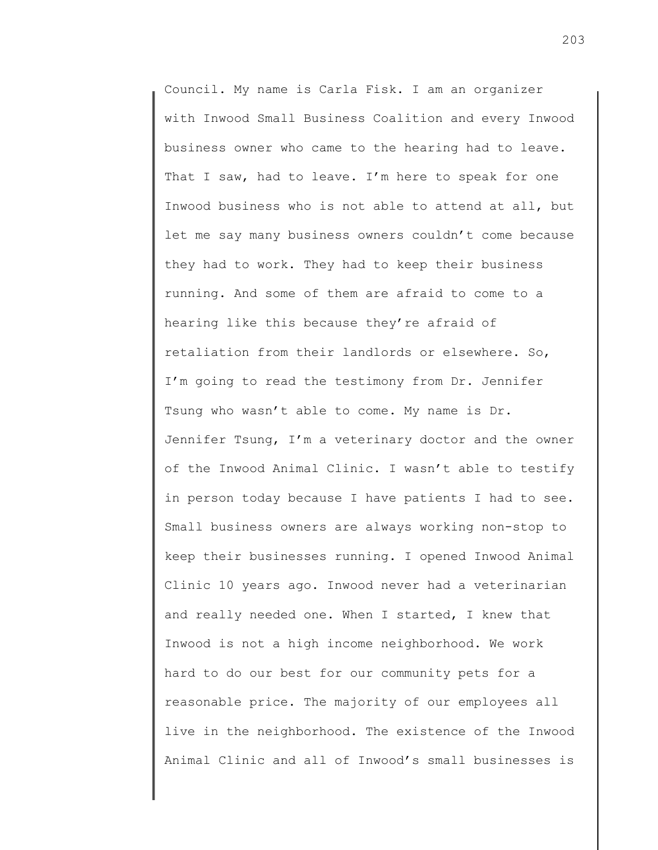Council. My name is Carla Fisk. I am an organizer with Inwood Small Business Coalition and every Inwood business owner who came to the hearing had to leave. That I saw, had to leave. I'm here to speak for one Inwood business who is not able to attend at all, but let me say many business owners couldn't come because they had to work. They had to keep their business running. And some of them are afraid to come to a hearing like this because they're afraid of retaliation from their landlords or elsewhere. So, I'm going to read the testimony from Dr. Jennifer Tsung who wasn't able to come. My name is Dr. Jennifer Tsung, I'm a veterinary doctor and the owner of the Inwood Animal Clinic. I wasn't able to testify in person today because I have patients I had to see. Small business owners are always working non-stop to keep their businesses running. I opened Inwood Animal Clinic 10 years ago. Inwood never had a veterinarian and really needed one. When I started, I knew that Inwood is not a high income neighborhood. We work hard to do our best for our community pets for a reasonable price. The majority of our employees all live in the neighborhood. The existence of the Inwood Animal Clinic and all of Inwood's small businesses is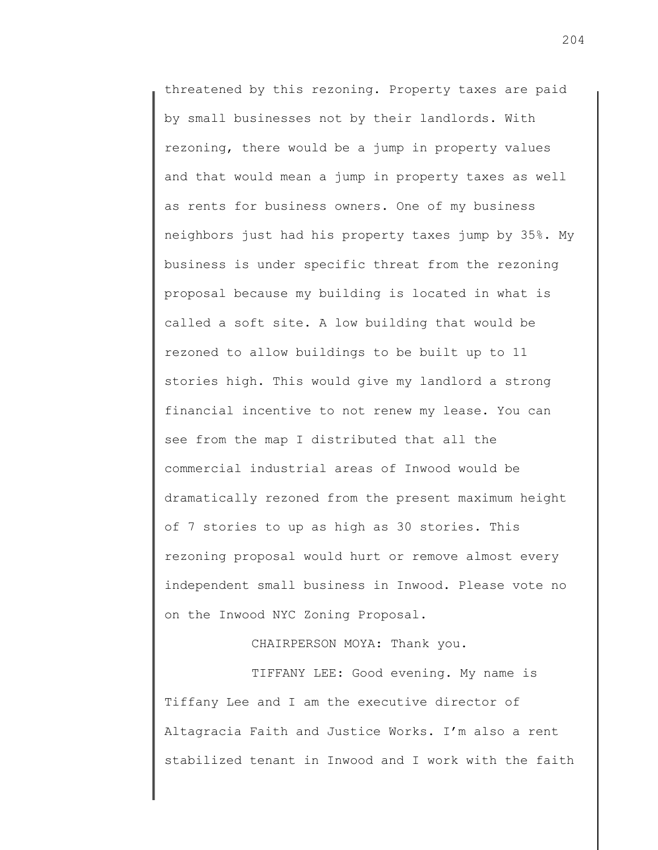threatened by this rezoning. Property taxes are paid by small businesses not by their landlords. With rezoning, there would be a jump in property values and that would mean a jump in property taxes as well as rents for business owners. One of my business neighbors just had his property taxes jump by 35%. My business is under specific threat from the rezoning proposal because my building is located in what is called a soft site. A low building that would be rezoned to allow buildings to be built up to 11 stories high. This would give my landlord a strong financial incentive to not renew my lease. You can see from the map I distributed that all the commercial industrial areas of Inwood would be dramatically rezoned from the present maximum height of 7 stories to up as high as 30 stories. This rezoning proposal would hurt or remove almost every independent small business in Inwood. Please vote no on the Inwood NYC Zoning Proposal.

CHAIRPERSON MOYA: Thank you.

TIFFANY LEE: Good evening. My name is Tiffany Lee and I am the executive director of Altagracia Faith and Justice Works. I'm also a rent stabilized tenant in Inwood and I work with the faith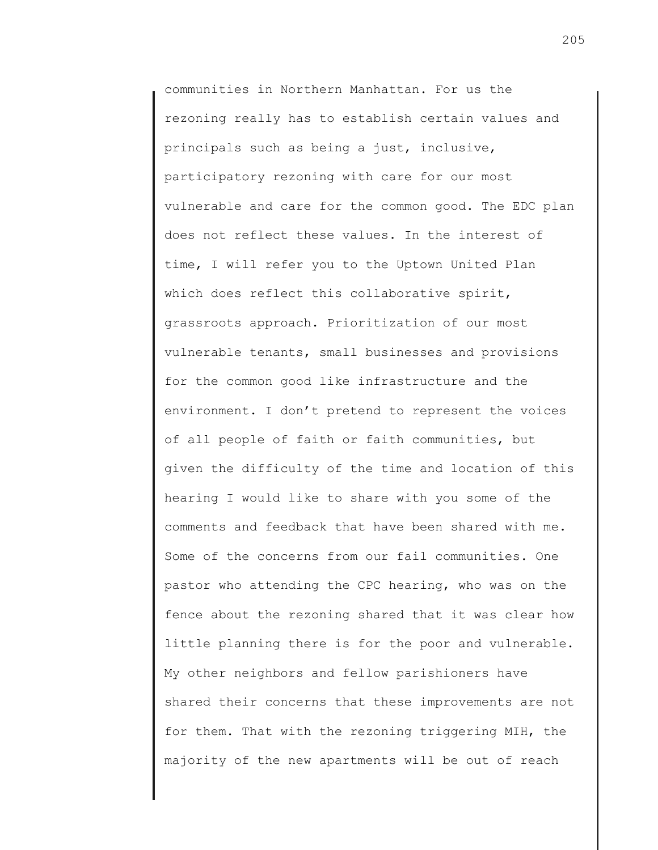communities in Northern Manhattan. For us the rezoning really has to establish certain values and principals such as being a just, inclusive, participatory rezoning with care for our most vulnerable and care for the common good. The EDC plan does not reflect these values. In the interest of time, I will refer you to the Uptown United Plan which does reflect this collaborative spirit, grassroots approach. Prioritization of our most vulnerable tenants, small businesses and provisions for the common good like infrastructure and the environment. I don't pretend to represent the voices of all people of faith or faith communities, but given the difficulty of the time and location of this hearing I would like to share with you some of the comments and feedback that have been shared with me. Some of the concerns from our fail communities. One pastor who attending the CPC hearing, who was on the fence about the rezoning shared that it was clear how little planning there is for the poor and vulnerable. My other neighbors and fellow parishioners have shared their concerns that these improvements are not for them. That with the rezoning triggering MIH, the majority of the new apartments will be out of reach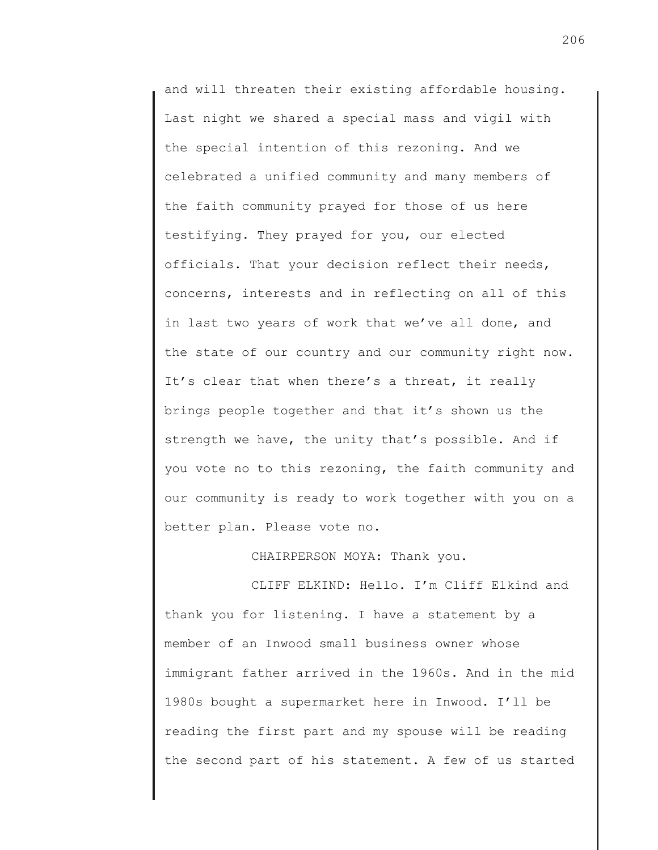and will threaten their existing affordable housing. Last night we shared a special mass and vigil with the special intention of this rezoning. And we celebrated a unified community and many members of the faith community prayed for those of us here testifying. They prayed for you, our elected officials. That your decision reflect their needs, concerns, interests and in reflecting on all of this in last two years of work that we've all done, and the state of our country and our community right now. It's clear that when there's a threat, it really brings people together and that it's shown us the strength we have, the unity that's possible. And if you vote no to this rezoning, the faith community and our community is ready to work together with you on a better plan. Please vote no.

CHAIRPERSON MOYA: Thank you.

CLIFF ELKIND: Hello. I'm Cliff Elkind and thank you for listening. I have a statement by a member of an Inwood small business owner whose immigrant father arrived in the 1960s. And in the mid 1980s bought a supermarket here in Inwood. I'll be reading the first part and my spouse will be reading the second part of his statement. A few of us started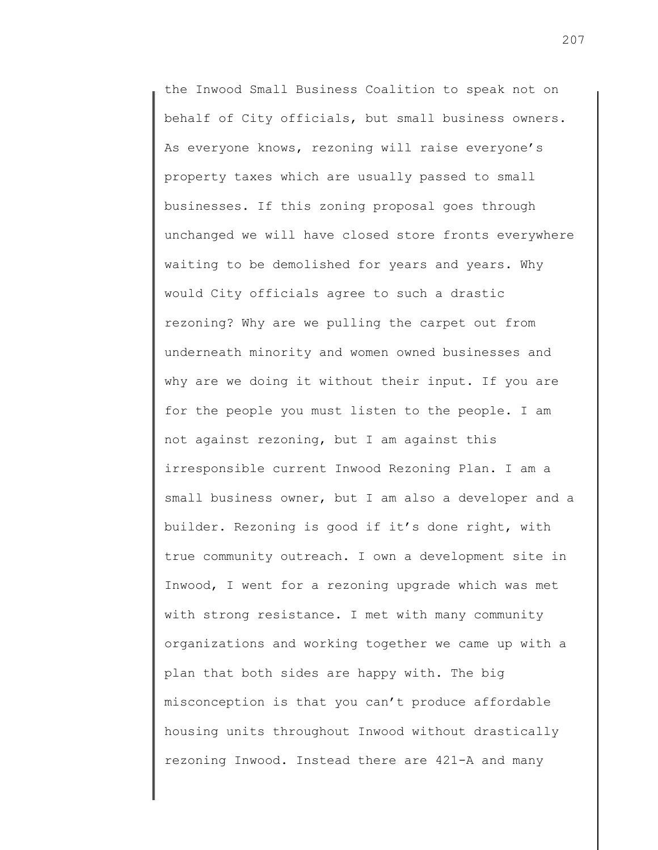the Inwood Small Business Coalition to speak not on behalf of City officials, but small business owners. As everyone knows, rezoning will raise everyone's property taxes which are usually passed to small businesses. If this zoning proposal goes through unchanged we will have closed store fronts everywhere waiting to be demolished for years and years. Why would City officials agree to such a drastic rezoning? Why are we pulling the carpet out from underneath minority and women owned businesses and why are we doing it without their input. If you are for the people you must listen to the people. I am not against rezoning, but I am against this irresponsible current Inwood Rezoning Plan. I am a small business owner, but I am also a developer and a builder. Rezoning is good if it's done right, with true community outreach. I own a development site in Inwood, I went for a rezoning upgrade which was met with strong resistance. I met with many community organizations and working together we came up with a plan that both sides are happy with. The big misconception is that you can't produce affordable housing units throughout Inwood without drastically rezoning Inwood. Instead there are 421-A and many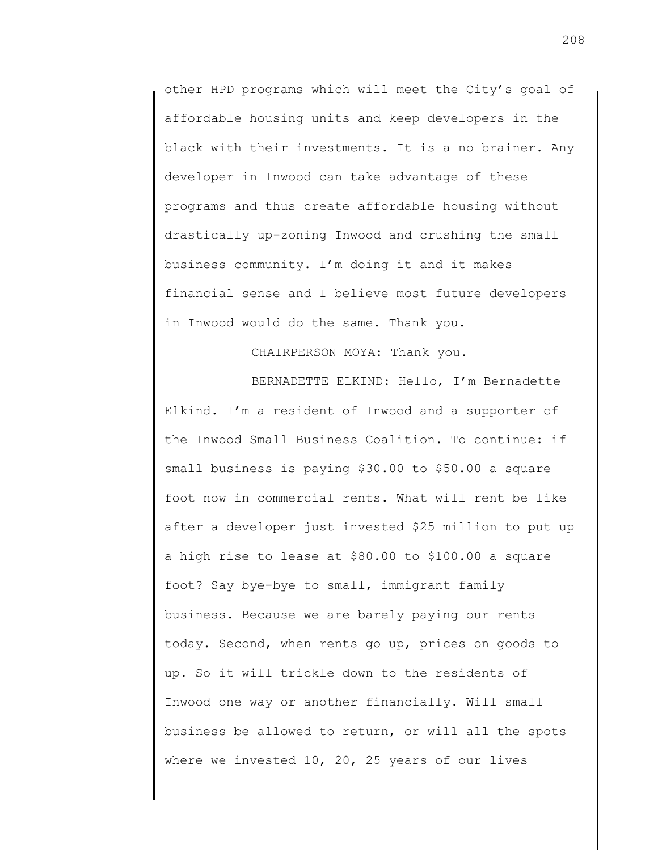other HPD programs which will meet the City's goal of affordable housing units and keep developers in the black with their investments. It is a no brainer. Any developer in Inwood can take advantage of these programs and thus create affordable housing without drastically up-zoning Inwood and crushing the small business community. I'm doing it and it makes financial sense and I believe most future developers in Inwood would do the same. Thank you.

CHAIRPERSON MOYA: Thank you.

BERNADETTE ELKIND: Hello, I'm Bernadette Elkind. I'm a resident of Inwood and a supporter of the Inwood Small Business Coalition. To continue: if small business is paying \$30.00 to \$50.00 a square foot now in commercial rents. What will rent be like after a developer just invested \$25 million to put up a high rise to lease at \$80.00 to \$100.00 a square foot? Say bye-bye to small, immigrant family business. Because we are barely paying our rents today. Second, when rents go up, prices on goods to up. So it will trickle down to the residents of Inwood one way or another financially. Will small business be allowed to return, or will all the spots where we invested 10, 20, 25 years of our lives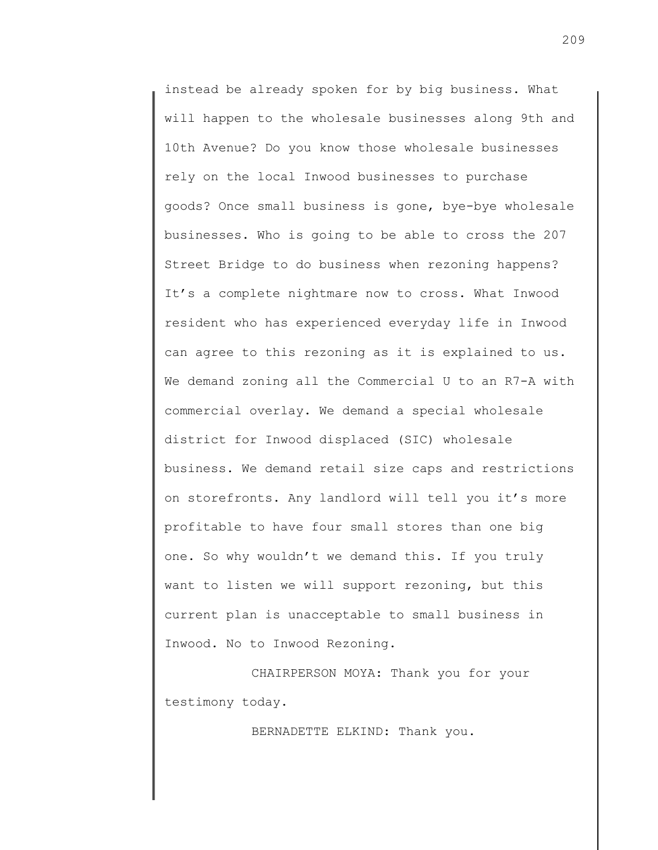instead be already spoken for by big business. What will happen to the wholesale businesses along 9th and 10th Avenue? Do you know those wholesale businesses rely on the local Inwood businesses to purchase goods? Once small business is gone, bye-bye wholesale businesses. Who is going to be able to cross the 207 Street Bridge to do business when rezoning happens? It's a complete nightmare now to cross. What Inwood resident who has experienced everyday life in Inwood can agree to this rezoning as it is explained to us. We demand zoning all the Commercial U to an R7-A with commercial overlay. We demand a special wholesale district for Inwood displaced (SIC) wholesale business. We demand retail size caps and restrictions on storefronts. Any landlord will tell you it's more profitable to have four small stores than one big one. So why wouldn't we demand this. If you truly want to listen we will support rezoning, but this current plan is unacceptable to small business in Inwood. No to Inwood Rezoning.

CHAIRPERSON MOYA: Thank you for your testimony today.

BERNADETTE ELKIND: Thank you.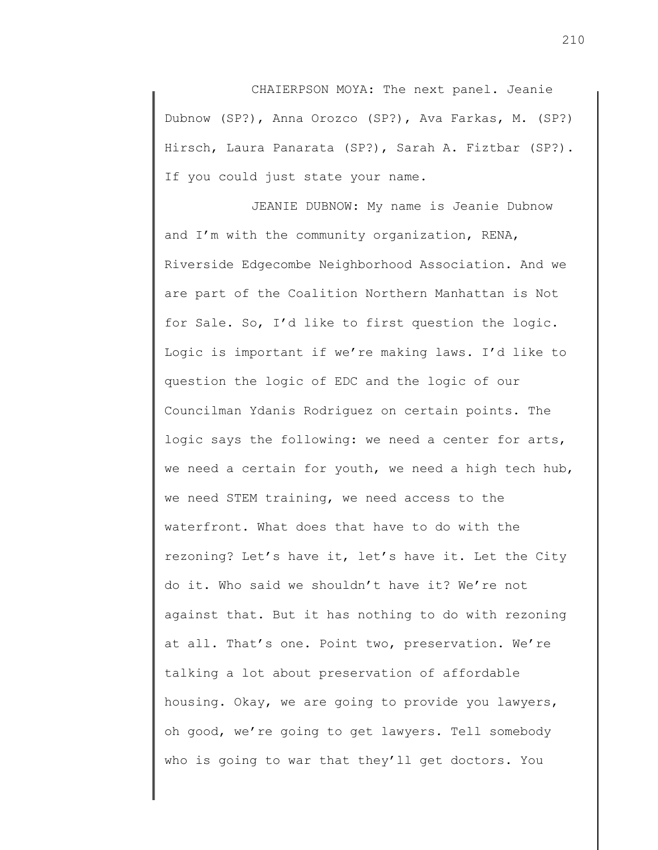CHAIERPSON MOYA: The next panel. Jeanie Dubnow (SP?), Anna Orozco (SP?), Ava Farkas, M. (SP?) Hirsch, Laura Panarata (SP?), Sarah A. Fiztbar (SP?). If you could just state your name.

JEANIE DUBNOW: My name is Jeanie Dubnow and I'm with the community organization, RENA, Riverside Edgecombe Neighborhood Association. And we are part of the Coalition Northern Manhattan is Not for Sale. So, I'd like to first question the logic. Logic is important if we're making laws. I'd like to question the logic of EDC and the logic of our Councilman Ydanis Rodriguez on certain points. The logic says the following: we need a center for arts, we need a certain for youth, we need a high tech hub, we need STEM training, we need access to the waterfront. What does that have to do with the rezoning? Let's have it, let's have it. Let the City do it. Who said we shouldn't have it? We're not against that. But it has nothing to do with rezoning at all. That's one. Point two, preservation. We're talking a lot about preservation of affordable housing. Okay, we are going to provide you lawyers, oh good, we're going to get lawyers. Tell somebody who is going to war that they'll get doctors. You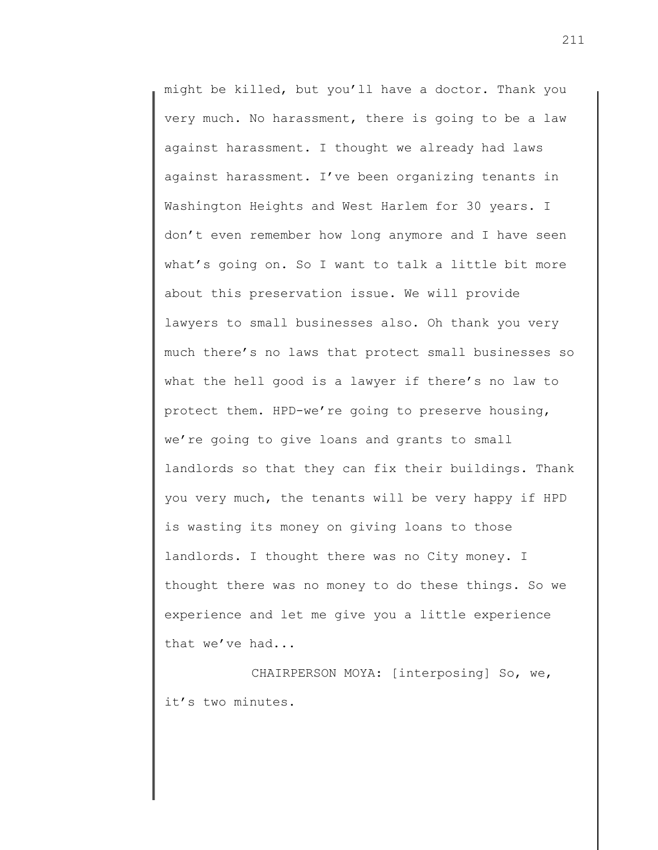might be killed, but you'll have a doctor. Thank you very much. No harassment, there is going to be a law against harassment. I thought we already had laws against harassment. I've been organizing tenants in Washington Heights and West Harlem for 30 years. I don't even remember how long anymore and I have seen what's going on. So I want to talk a little bit more about this preservation issue. We will provide lawyers to small businesses also. Oh thank you very much there's no laws that protect small businesses so what the hell good is a lawyer if there's no law to protect them. HPD-we're going to preserve housing, we're going to give loans and grants to small landlords so that they can fix their buildings. Thank you very much, the tenants will be very happy if HPD is wasting its money on giving loans to those landlords. I thought there was no City money. I thought there was no money to do these things. So we experience and let me give you a little experience that we've had...

CHAIRPERSON MOYA: [interposing] So, we, it's two minutes.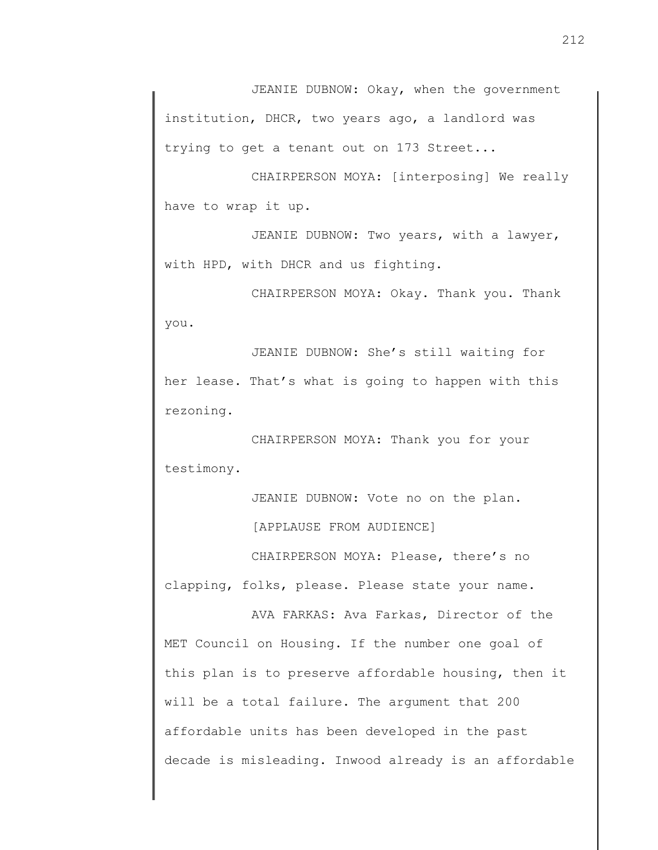JEANIE DUBNOW: Okay, when the government institution, DHCR, two years ago, a landlord was trying to get a tenant out on 173 Street...

CHAIRPERSON MOYA: [interposing] We really have to wrap it up.

JEANIE DUBNOW: Two years, with a lawyer, with HPD, with DHCR and us fighting.

CHAIRPERSON MOYA: Okay. Thank you. Thank you.

JEANIE DUBNOW: She's still waiting for her lease. That's what is going to happen with this rezoning.

CHAIRPERSON MOYA: Thank you for your testimony.

JEANIE DUBNOW: Vote no on the plan.

[APPLAUSE FROM AUDIENCE]

CHAIRPERSON MOYA: Please, there's no clapping, folks, please. Please state your name.

AVA FARKAS: Ava Farkas, Director of the MET Council on Housing. If the number one goal of this plan is to preserve affordable housing, then it will be a total failure. The argument that 200 affordable units has been developed in the past decade is misleading. Inwood already is an affordable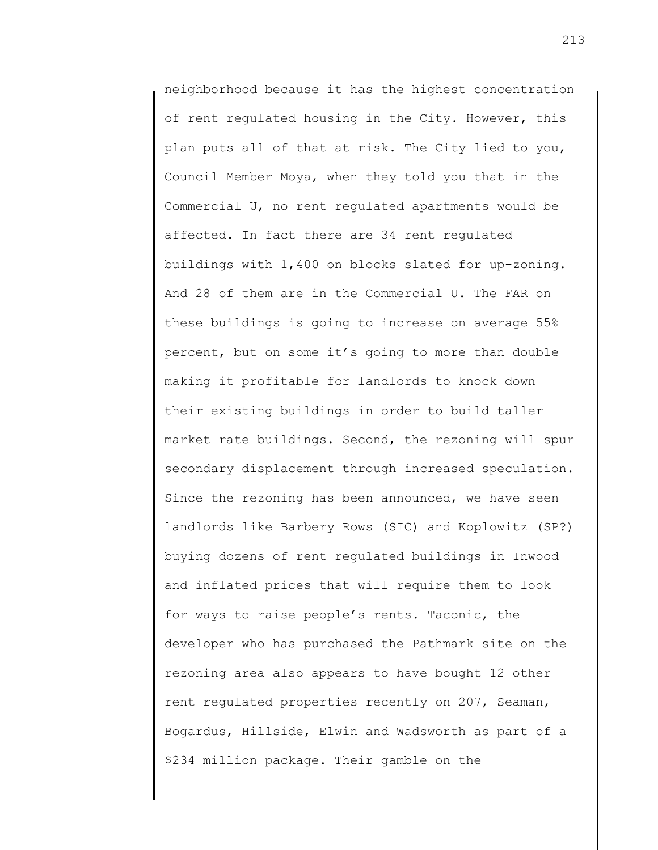neighborhood because it has the highest concentration of rent regulated housing in the City. However, this plan puts all of that at risk. The City lied to you, Council Member Moya, when they told you that in the Commercial U, no rent regulated apartments would be affected. In fact there are 34 rent regulated buildings with 1,400 on blocks slated for up-zoning. And 28 of them are in the Commercial U. The FAR on these buildings is going to increase on average 55% percent, but on some it's going to more than double making it profitable for landlords to knock down their existing buildings in order to build taller market rate buildings. Second, the rezoning will spur secondary displacement through increased speculation. Since the rezoning has been announced, we have seen landlords like Barbery Rows (SIC) and Koplowitz (SP?) buying dozens of rent regulated buildings in Inwood and inflated prices that will require them to look for ways to raise people's rents. Taconic, the developer who has purchased the Pathmark site on the rezoning area also appears to have bought 12 other rent regulated properties recently on 207, Seaman, Bogardus, Hillside, Elwin and Wadsworth as part of a \$234 million package. Their gamble on the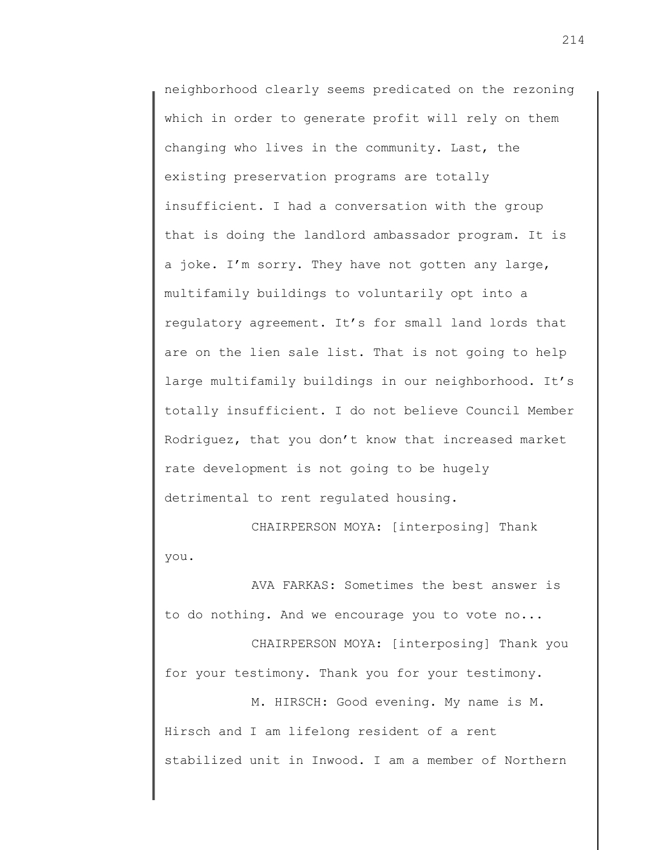neighborhood clearly seems predicated on the rezoning which in order to generate profit will rely on them changing who lives in the community. Last, the existing preservation programs are totally insufficient. I had a conversation with the group that is doing the landlord ambassador program. It is a joke. I'm sorry. They have not gotten any large, multifamily buildings to voluntarily opt into a regulatory agreement. It's for small land lords that are on the lien sale list. That is not going to help large multifamily buildings in our neighborhood. It's totally insufficient. I do not believe Council Member Rodriguez, that you don't know that increased market rate development is not going to be hugely detrimental to rent regulated housing.

CHAIRPERSON MOYA: [interposing] Thank you.

AVA FARKAS: Sometimes the best answer is to do nothing. And we encourage you to vote no...

CHAIRPERSON MOYA: [interposing] Thank you for your testimony. Thank you for your testimony.

M. HIRSCH: Good evening. My name is M. Hirsch and I am lifelong resident of a rent stabilized unit in Inwood. I am a member of Northern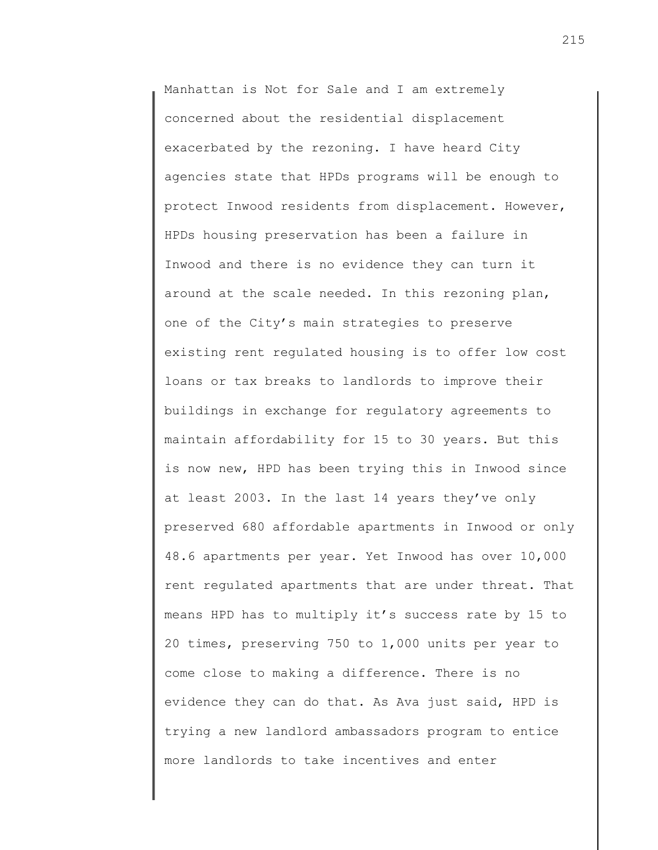Manhattan is Not for Sale and I am extremely concerned about the residential displacement exacerbated by the rezoning. I have heard City agencies state that HPDs programs will be enough to protect Inwood residents from displacement. However, HPDs housing preservation has been a failure in Inwood and there is no evidence they can turn it around at the scale needed. In this rezoning plan, one of the City's main strategies to preserve existing rent regulated housing is to offer low cost loans or tax breaks to landlords to improve their buildings in exchange for regulatory agreements to maintain affordability for 15 to 30 years. But this is now new, HPD has been trying this in Inwood since at least 2003. In the last 14 years they've only preserved 680 affordable apartments in Inwood or only 48.6 apartments per year. Yet Inwood has over 10,000 rent regulated apartments that are under threat. That means HPD has to multiply it's success rate by 15 to 20 times, preserving 750 to 1,000 units per year to come close to making a difference. There is no evidence they can do that. As Ava just said, HPD is trying a new landlord ambassadors program to entice more landlords to take incentives and enter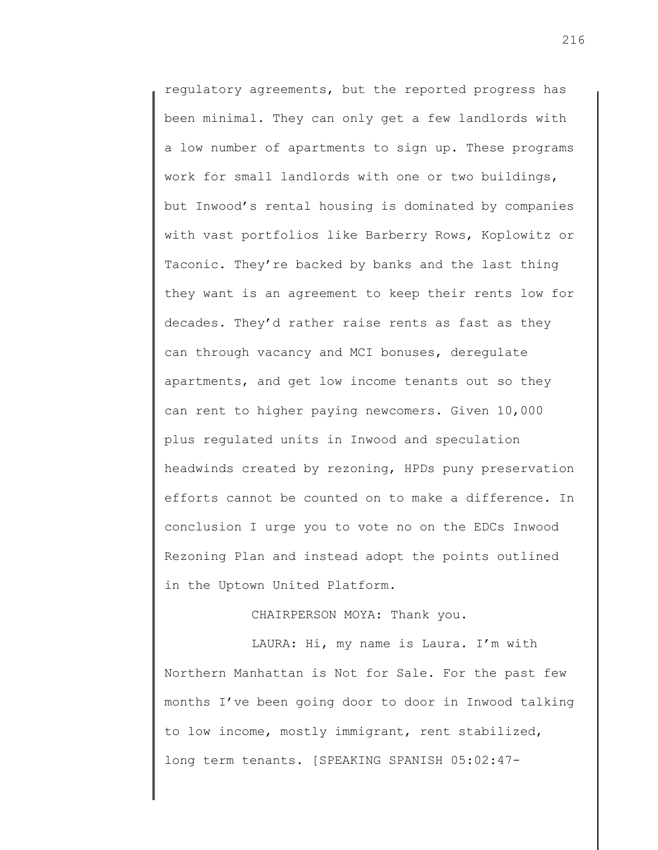regulatory agreements, but the reported progress has been minimal. They can only get a few landlords with a low number of apartments to sign up. These programs work for small landlords with one or two buildings, but Inwood's rental housing is dominated by companies with vast portfolios like Barberry Rows, Koplowitz or Taconic. They're backed by banks and the last thing they want is an agreement to keep their rents low for decades. They'd rather raise rents as fast as they can through vacancy and MCI bonuses, deregulate apartments, and get low income tenants out so they can rent to higher paying newcomers. Given 10,000 plus regulated units in Inwood and speculation headwinds created by rezoning, HPDs puny preservation efforts cannot be counted on to make a difference. In conclusion I urge you to vote no on the EDCs Inwood Rezoning Plan and instead adopt the points outlined in the Uptown United Platform.

### CHAIRPERSON MOYA: Thank you.

LAURA: Hi, my name is Laura. I'm with Northern Manhattan is Not for Sale. For the past few months I've been going door to door in Inwood talking to low income, mostly immigrant, rent stabilized, long term tenants. [SPEAKING SPANISH 05:02:47-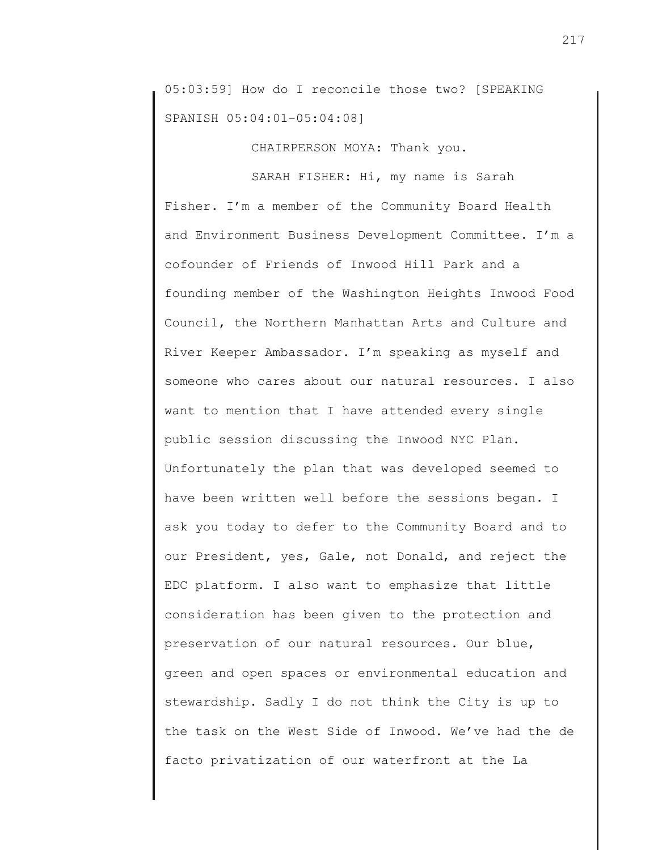05:03:59] How do I reconcile those two? [SPEAKING SPANISH 05:04:01-05:04:08]

CHAIRPERSON MOYA: Thank you.

SARAH FISHER: Hi, my name is Sarah Fisher. I'm a member of the Community Board Health and Environment Business Development Committee. I'm a cofounder of Friends of Inwood Hill Park and a founding member of the Washington Heights Inwood Food Council, the Northern Manhattan Arts and Culture and River Keeper Ambassador. I'm speaking as myself and someone who cares about our natural resources. I also want to mention that I have attended every single public session discussing the Inwood NYC Plan. Unfortunately the plan that was developed seemed to have been written well before the sessions began. I ask you today to defer to the Community Board and to our President, yes, Gale, not Donald, and reject the EDC platform. I also want to emphasize that little consideration has been given to the protection and preservation of our natural resources. Our blue, green and open spaces or environmental education and stewardship. Sadly I do not think the City is up to the task on the West Side of Inwood. We've had the de facto privatization of our waterfront at the La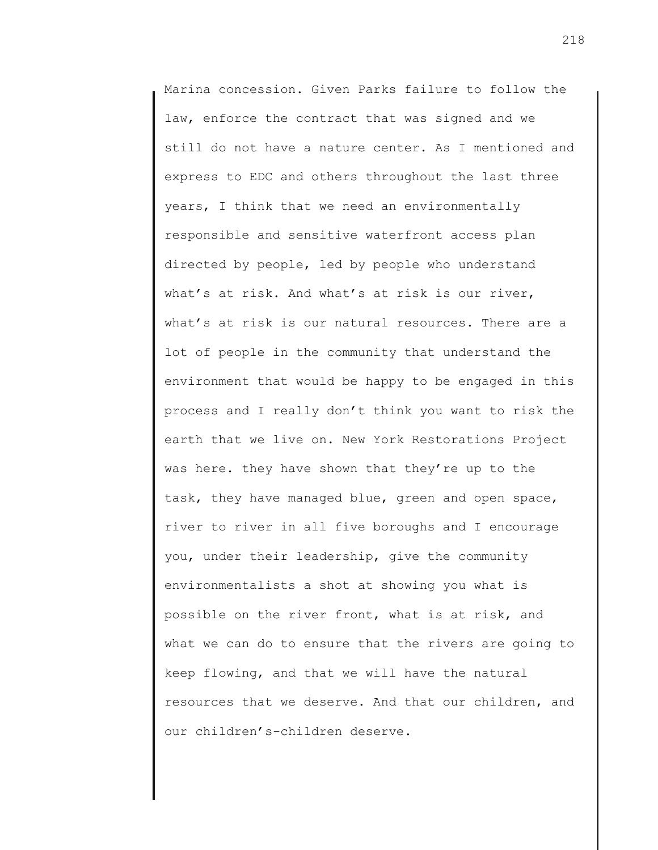Marina concession. Given Parks failure to follow the law, enforce the contract that was signed and we still do not have a nature center. As I mentioned and express to EDC and others throughout the last three years, I think that we need an environmentally responsible and sensitive waterfront access plan directed by people, led by people who understand what's at risk. And what's at risk is our river, what's at risk is our natural resources. There are a lot of people in the community that understand the environment that would be happy to be engaged in this process and I really don't think you want to risk the earth that we live on. New York Restorations Project was here. they have shown that they're up to the task, they have managed blue, green and open space, river to river in all five boroughs and I encourage you, under their leadership, give the community environmentalists a shot at showing you what is possible on the river front, what is at risk, and what we can do to ensure that the rivers are going to keep flowing, and that we will have the natural resources that we deserve. And that our children, and our children's-children deserve.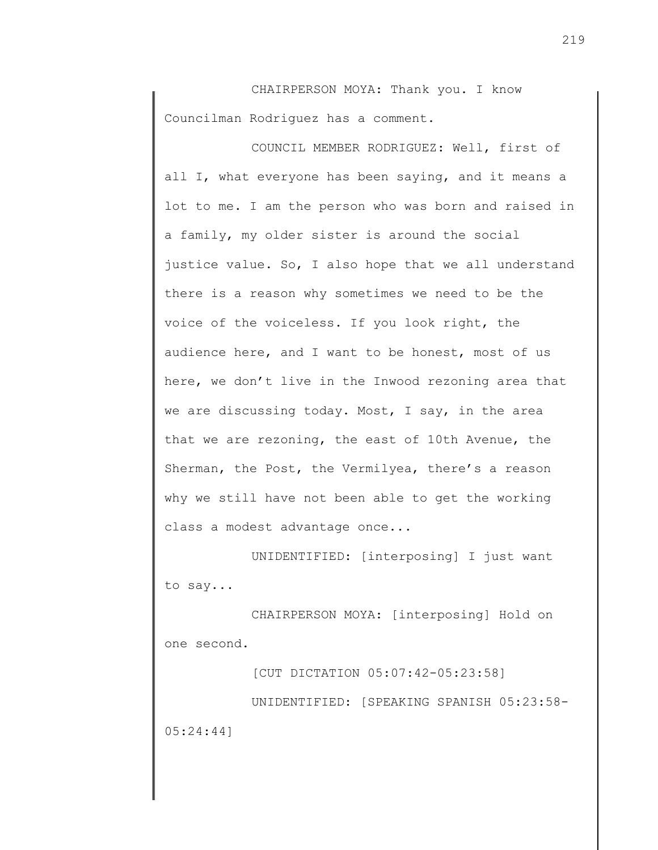CHAIRPERSON MOYA: Thank you. I know Councilman Rodriguez has a comment.

COUNCIL MEMBER RODRIGUEZ: Well, first of all I, what everyone has been saying, and it means a lot to me. I am the person who was born and raised in a family, my older sister is around the social justice value. So, I also hope that we all understand there is a reason why sometimes we need to be the voice of the voiceless. If you look right, the audience here, and I want to be honest, most of us here, we don't live in the Inwood rezoning area that we are discussing today. Most, I say, in the area that we are rezoning, the east of 10th Avenue, the Sherman, the Post, the Vermilyea, there's a reason why we still have not been able to get the working class a modest advantage once...

UNIDENTIFIED: [interposing] I just want to say...

CHAIRPERSON MOYA: [interposing] Hold on one second.

[CUT DICTATION 05:07:42-05:23:58] UNIDENTIFIED: [SPEAKING SPANISH 05:23:58- 05:24:44]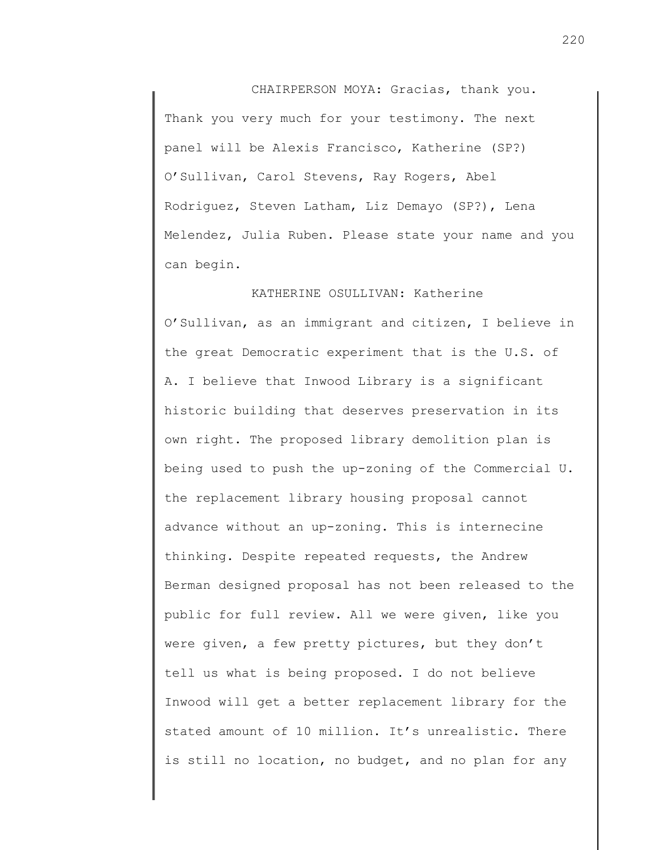CHAIRPERSON MOYA: Gracias, thank you. Thank you very much for your testimony. The next panel will be Alexis Francisco, Katherine (SP?) O'Sullivan, Carol Stevens, Ray Rogers, Abel Rodriguez, Steven Latham, Liz Demayo (SP?), Lena Melendez, Julia Ruben. Please state your name and you can begin.

KATHERINE OSULLIVAN: Katherine O'Sullivan, as an immigrant and citizen, I believe in the great Democratic experiment that is the U.S. of A. I believe that Inwood Library is a significant historic building that deserves preservation in its own right. The proposed library demolition plan is being used to push the up-zoning of the Commercial U. the replacement library housing proposal cannot advance without an up-zoning. This is internecine thinking. Despite repeated requests, the Andrew Berman designed proposal has not been released to the public for full review. All we were given, like you were given, a few pretty pictures, but they don't tell us what is being proposed. I do not believe Inwood will get a better replacement library for the stated amount of 10 million. It's unrealistic. There is still no location, no budget, and no plan for any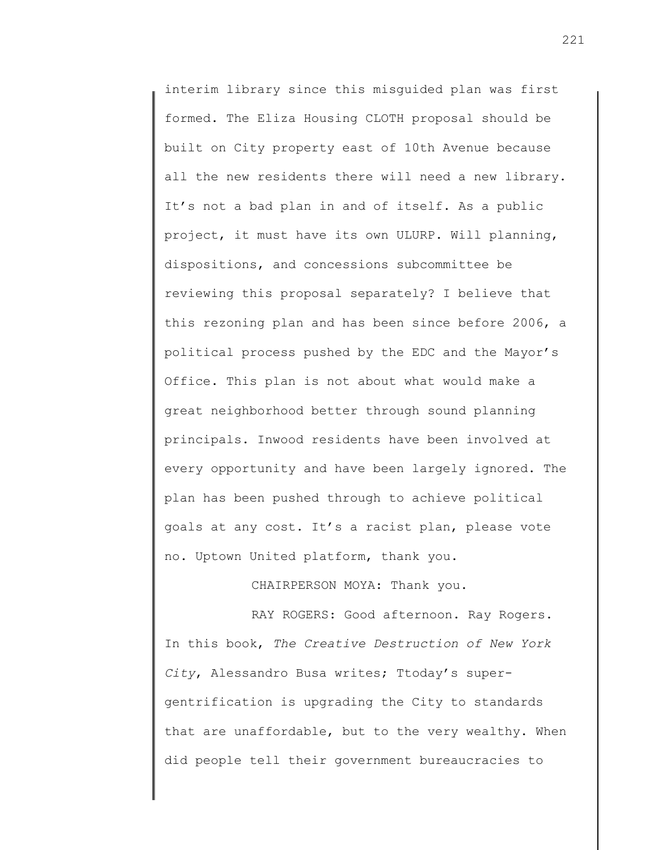interim library since this misguided plan was first formed. The Eliza Housing CLOTH proposal should be built on City property east of 10th Avenue because all the new residents there will need a new library. It's not a bad plan in and of itself. As a public project, it must have its own ULURP. Will planning, dispositions, and concessions subcommittee be reviewing this proposal separately? I believe that this rezoning plan and has been since before 2006, a political process pushed by the EDC and the Mayor's Office. This plan is not about what would make a great neighborhood better through sound planning principals. Inwood residents have been involved at every opportunity and have been largely ignored. The plan has been pushed through to achieve political goals at any cost. It's a racist plan, please vote no. Uptown United platform, thank you.

CHAIRPERSON MOYA: Thank you.

RAY ROGERS: Good afternoon. Ray Rogers. In this book, *The Creative Destruction of New York City*, Alessandro Busa writes; Ttoday's supergentrification is upgrading the City to standards that are unaffordable, but to the very wealthy. When did people tell their government bureaucracies to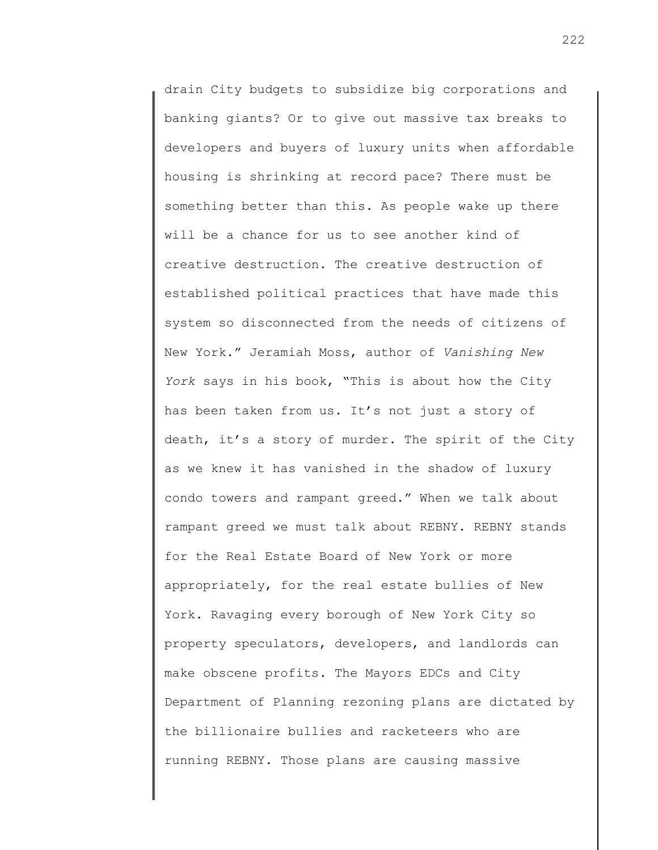drain City budgets to subsidize big corporations and banking giants? Or to give out massive tax breaks to developers and buyers of luxury units when affordable housing is shrinking at record pace? There must be something better than this. As people wake up there will be a chance for us to see another kind of creative destruction. The creative destruction of established political practices that have made this system so disconnected from the needs of citizens of New York." Jeramiah Moss, author of *Vanishing New York* says in his book, "This is about how the City has been taken from us. It's not just a story of death, it's a story of murder. The spirit of the City as we knew it has vanished in the shadow of luxury condo towers and rampant greed." When we talk about rampant greed we must talk about REBNY. REBNY stands for the Real Estate Board of New York or more appropriately, for the real estate bullies of New York. Ravaging every borough of New York City so property speculators, developers, and landlords can make obscene profits. The Mayors EDCs and City Department of Planning rezoning plans are dictated by the billionaire bullies and racketeers who are running REBNY. Those plans are causing massive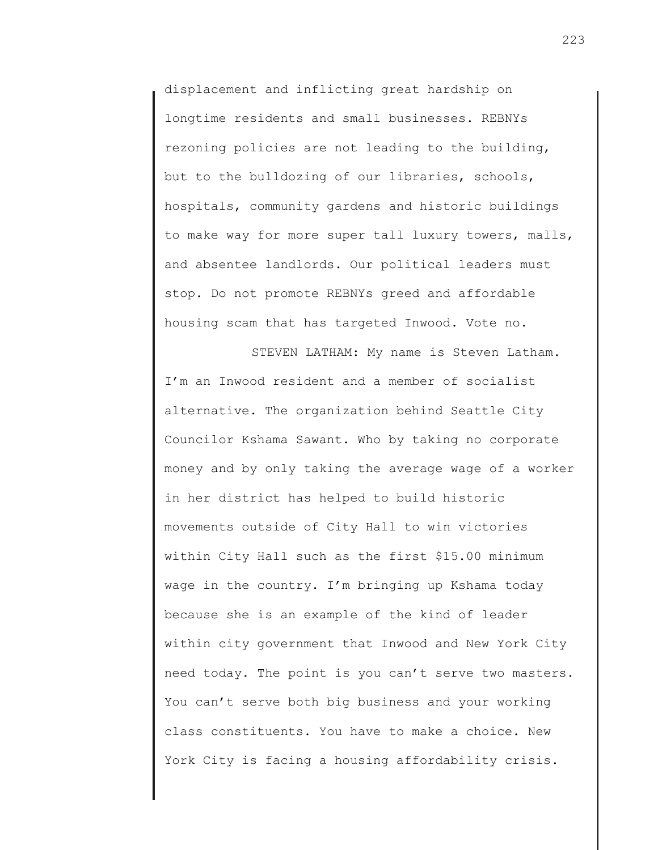displacement and inflicting great hardship on longtime residents and small businesses. REBNYs rezoning policies are not leading to the building, but to the bulldozing of our libraries, schools, hospitals, community gardens and historic buildings to make way for more super tall luxury towers, malls, and absentee landlords. Our political leaders must stop. Do not promote REBNYs greed and affordable housing scam that has targeted Inwood. Vote no.

STEVEN LATHAM: My name is Steven Latham. I'm an Inwood resident and a member of socialist alternative. The organization behind Seattle City Councilor Kshama Sawant. Who by taking no corporate money and by only taking the average wage of a worker in her district has helped to build historic movements outside of City Hall to win victories within City Hall such as the first \$15.00 minimum wage in the country. I'm bringing up Kshama today because she is an example of the kind of leader within city government that Inwood and New York City need today. The point is you can't serve two masters. You can't serve both big business and your working class constituents. You have to make a choice. New York City is facing a housing affordability crisis.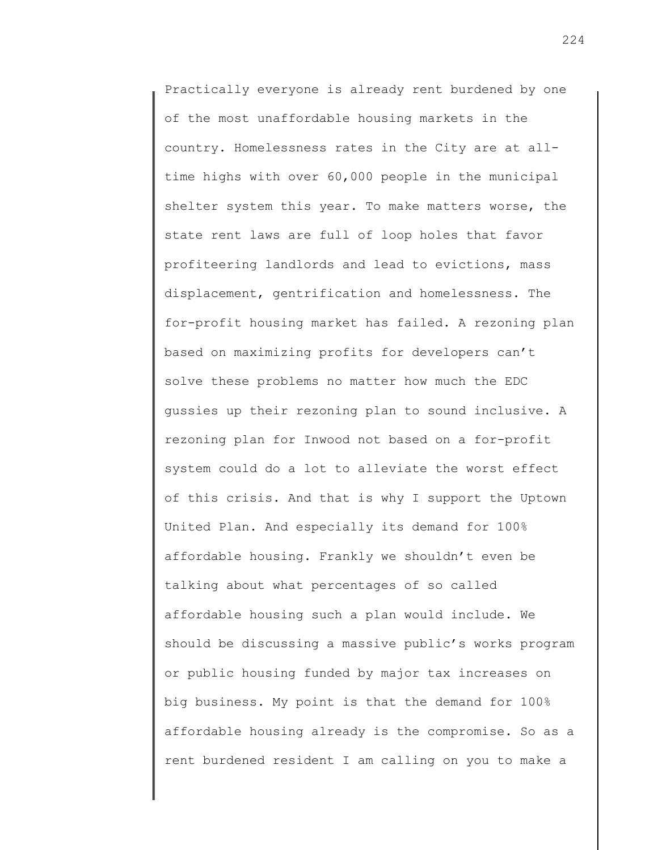Practically everyone is already rent burdened by one of the most unaffordable housing markets in the country. Homelessness rates in the City are at alltime highs with over 60,000 people in the municipal shelter system this year. To make matters worse, the state rent laws are full of loop holes that favor profiteering landlords and lead to evictions, mass displacement, gentrification and homelessness. The for-profit housing market has failed. A rezoning plan based on maximizing profits for developers can't solve these problems no matter how much the EDC gussies up their rezoning plan to sound inclusive. A rezoning plan for Inwood not based on a for-profit system could do a lot to alleviate the worst effect of this crisis. And that is why I support the Uptown United Plan. And especially its demand for 100% affordable housing. Frankly we shouldn't even be talking about what percentages of so called affordable housing such a plan would include. We should be discussing a massive public's works program or public housing funded by major tax increases on big business. My point is that the demand for 100% affordable housing already is the compromise. So as a rent burdened resident I am calling on you to make a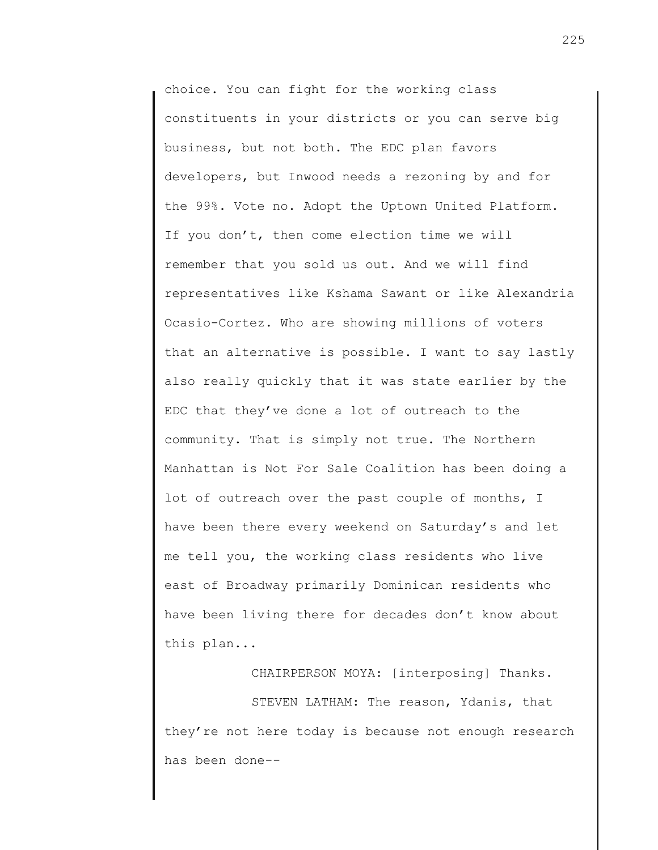choice. You can fight for the working class constituents in your districts or you can serve big business, but not both. The EDC plan favors developers, but Inwood needs a rezoning by and for the 99%. Vote no. Adopt the Uptown United Platform. If you don't, then come election time we will remember that you sold us out. And we will find representatives like Kshama Sawant or like Alexandria Ocasio-Cortez. Who are showing millions of voters that an alternative is possible. I want to say lastly also really quickly that it was state earlier by the EDC that they've done a lot of outreach to the community. That is simply not true. The Northern Manhattan is Not For Sale Coalition has been doing a lot of outreach over the past couple of months, I have been there every weekend on Saturday's and let me tell you, the working class residents who live east of Broadway primarily Dominican residents who have been living there for decades don't know about this plan...

CHAIRPERSON MOYA: [interposing] Thanks. STEVEN LATHAM: The reason, Ydanis, that they're not here today is because not enough research has been done--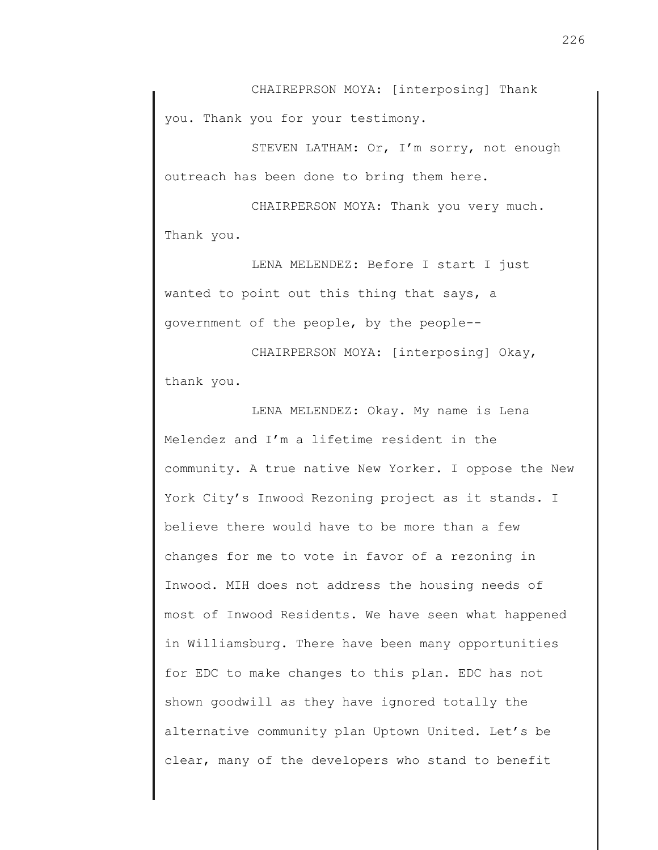CHAIREPRSON MOYA: [interposing] Thank you. Thank you for your testimony.

STEVEN LATHAM: Or, I'm sorry, not enough outreach has been done to bring them here.

CHAIRPERSON MOYA: Thank you very much. Thank you.

LENA MELENDEZ: Before I start I just wanted to point out this thing that says, a government of the people, by the people--

CHAIRPERSON MOYA: [interposing] Okay, thank you.

LENA MELENDEZ: Okay. My name is Lena Melendez and I'm a lifetime resident in the community. A true native New Yorker. I oppose the New York City's Inwood Rezoning project as it stands. I believe there would have to be more than a few changes for me to vote in favor of a rezoning in Inwood. MIH does not address the housing needs of most of Inwood Residents. We have seen what happened in Williamsburg. There have been many opportunities for EDC to make changes to this plan. EDC has not shown goodwill as they have ignored totally the alternative community plan Uptown United. Let's be clear, many of the developers who stand to benefit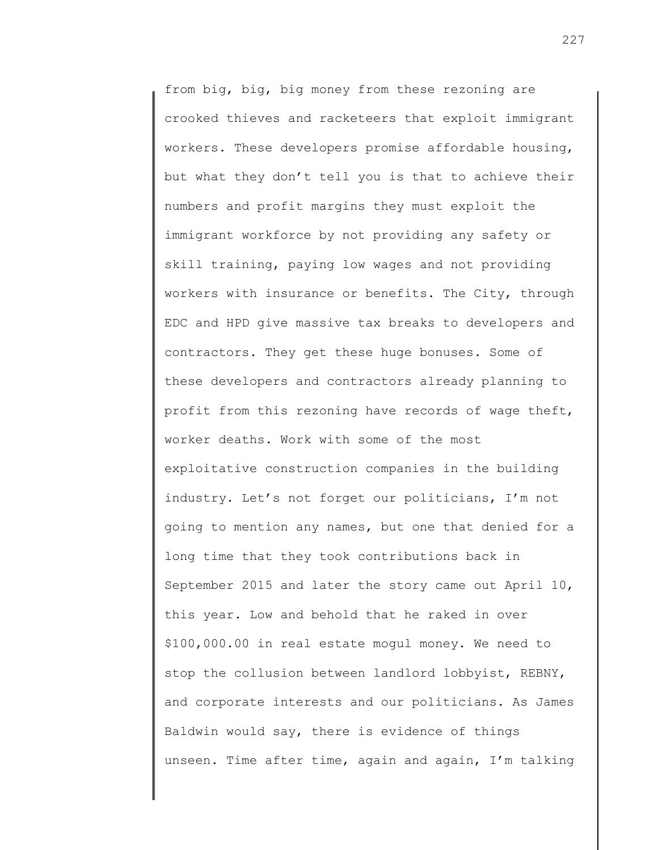from big, big, big money from these rezoning are crooked thieves and racketeers that exploit immigrant workers. These developers promise affordable housing, but what they don't tell you is that to achieve their numbers and profit margins they must exploit the immigrant workforce by not providing any safety or skill training, paying low wages and not providing workers with insurance or benefits. The City, through EDC and HPD give massive tax breaks to developers and contractors. They get these huge bonuses. Some of these developers and contractors already planning to profit from this rezoning have records of wage theft, worker deaths. Work with some of the most exploitative construction companies in the building industry. Let's not forget our politicians, I'm not going to mention any names, but one that denied for a long time that they took contributions back in September 2015 and later the story came out April 10, this year. Low and behold that he raked in over \$100,000.00 in real estate mogul money. We need to stop the collusion between landlord lobbyist, REBNY, and corporate interests and our politicians. As James Baldwin would say, there is evidence of things unseen. Time after time, again and again, I'm talking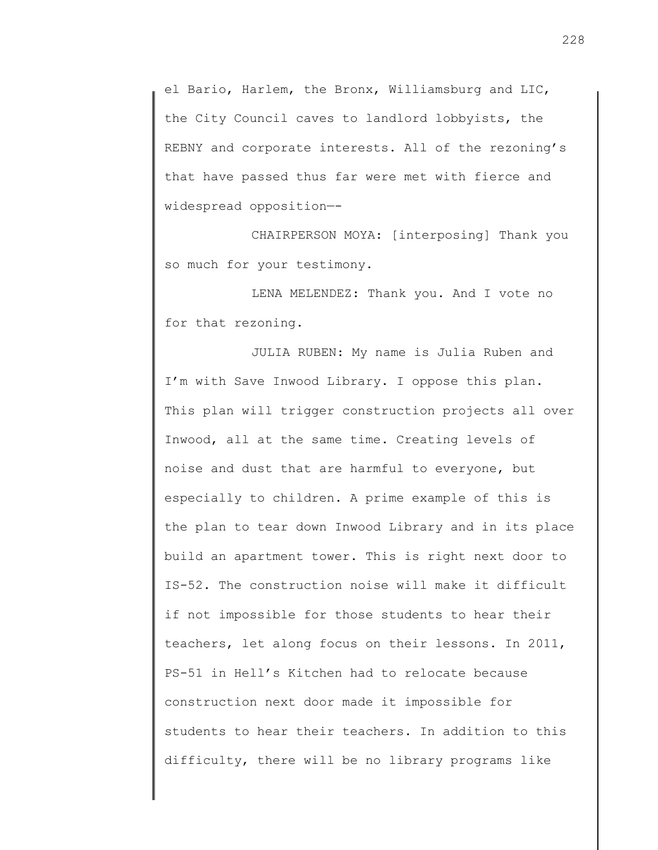el Bario, Harlem, the Bronx, Williamsburg and LIC, the City Council caves to landlord lobbyists, the REBNY and corporate interests. All of the rezoning's that have passed thus far were met with fierce and widespread opposition—-

CHAIRPERSON MOYA: [interposing] Thank you so much for your testimony.

LENA MELENDEZ: Thank you. And I vote no for that rezoning.

JULIA RUBEN: My name is Julia Ruben and I'm with Save Inwood Library. I oppose this plan. This plan will trigger construction projects all over Inwood, all at the same time. Creating levels of noise and dust that are harmful to everyone, but especially to children. A prime example of this is the plan to tear down Inwood Library and in its place build an apartment tower. This is right next door to IS-52. The construction noise will make it difficult if not impossible for those students to hear their teachers, let along focus on their lessons. In 2011, PS-51 in Hell's Kitchen had to relocate because construction next door made it impossible for students to hear their teachers. In addition to this difficulty, there will be no library programs like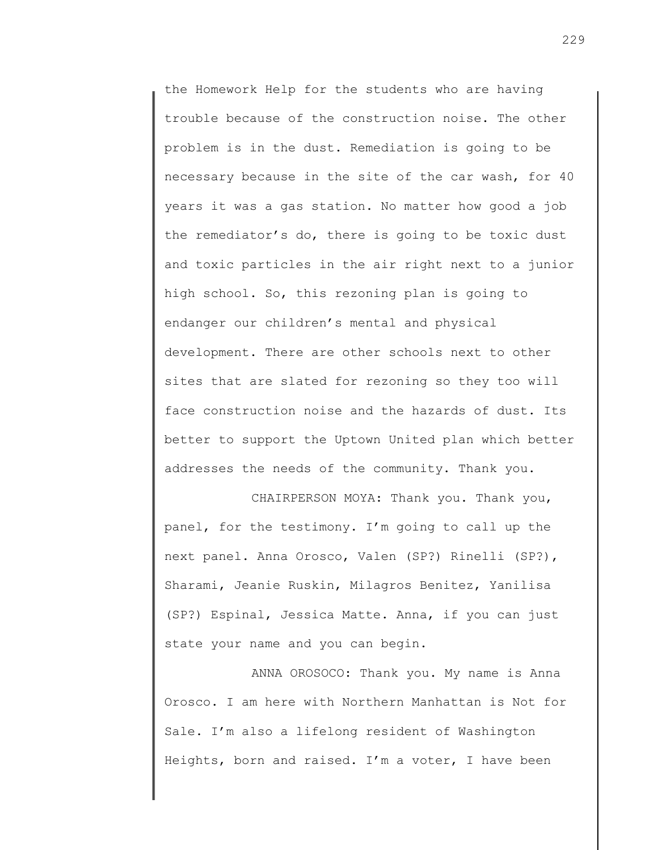the Homework Help for the students who are having trouble because of the construction noise. The other problem is in the dust. Remediation is going to be necessary because in the site of the car wash, for 40 years it was a gas station. No matter how good a job the remediator's do, there is going to be toxic dust and toxic particles in the air right next to a junior high school. So, this rezoning plan is going to endanger our children's mental and physical development. There are other schools next to other sites that are slated for rezoning so they too will face construction noise and the hazards of dust. Its better to support the Uptown United plan which better addresses the needs of the community. Thank you.

CHAIRPERSON MOYA: Thank you. Thank you, panel, for the testimony. I'm going to call up the next panel. Anna Orosco, Valen (SP?) Rinelli (SP?), Sharami, Jeanie Ruskin, Milagros Benitez, Yanilisa (SP?) Espinal, Jessica Matte. Anna, if you can just state your name and you can begin.

ANNA OROSOCO: Thank you. My name is Anna Orosco. I am here with Northern Manhattan is Not for Sale. I'm also a lifelong resident of Washington Heights, born and raised. I'm a voter, I have been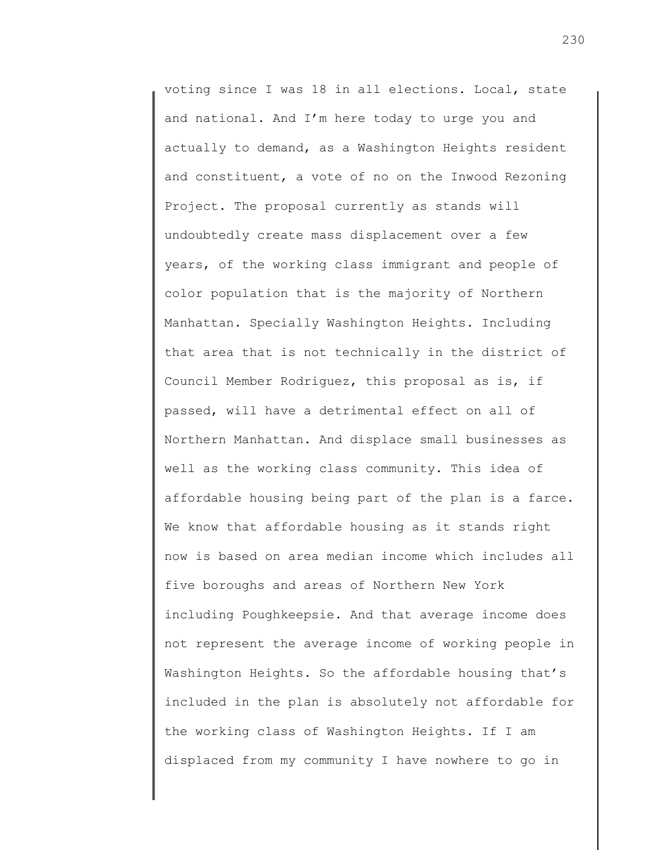voting since I was 18 in all elections. Local, state and national. And I'm here today to urge you and actually to demand, as a Washington Heights resident and constituent, a vote of no on the Inwood Rezoning Project. The proposal currently as stands will undoubtedly create mass displacement over a few years, of the working class immigrant and people of color population that is the majority of Northern Manhattan. Specially Washington Heights. Including that area that is not technically in the district of Council Member Rodriguez, this proposal as is, if passed, will have a detrimental effect on all of Northern Manhattan. And displace small businesses as well as the working class community. This idea of affordable housing being part of the plan is a farce. We know that affordable housing as it stands right now is based on area median income which includes all five boroughs and areas of Northern New York including Poughkeepsie. And that average income does not represent the average income of working people in Washington Heights. So the affordable housing that's included in the plan is absolutely not affordable for the working class of Washington Heights. If I am displaced from my community I have nowhere to go in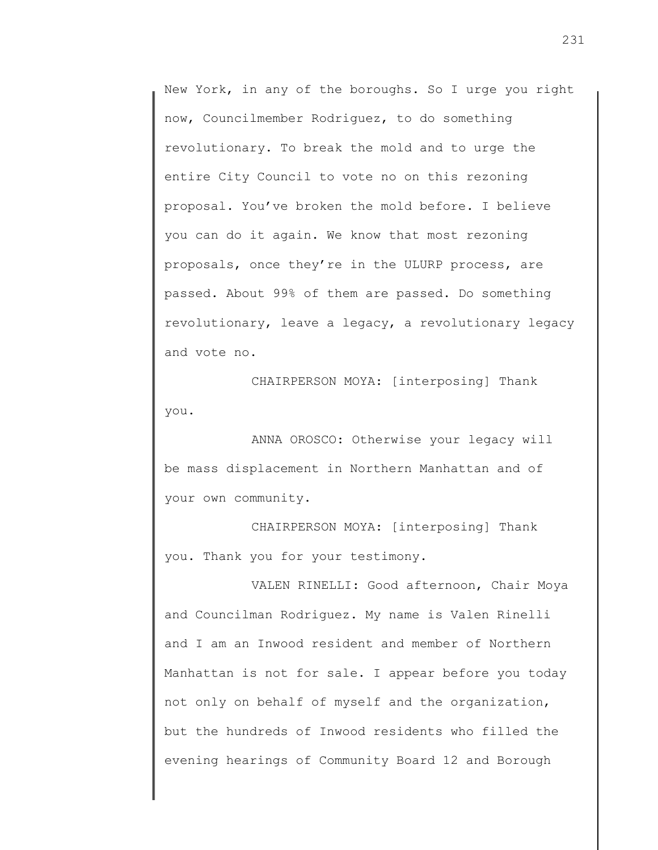New York, in any of the boroughs. So I urge you right now, Councilmember Rodriguez, to do something revolutionary. To break the mold and to urge the entire City Council to vote no on this rezoning proposal. You've broken the mold before. I believe you can do it again. We know that most rezoning proposals, once they're in the ULURP process, are passed. About 99% of them are passed. Do something revolutionary, leave a legacy, a revolutionary legacy and vote no.

CHAIRPERSON MOYA: [interposing] Thank you.

ANNA OROSCO: Otherwise your legacy will be mass displacement in Northern Manhattan and of your own community.

CHAIRPERSON MOYA: [interposing] Thank you. Thank you for your testimony.

VALEN RINELLI: Good afternoon, Chair Moya and Councilman Rodriguez. My name is Valen Rinelli and I am an Inwood resident and member of Northern Manhattan is not for sale. I appear before you today not only on behalf of myself and the organization, but the hundreds of Inwood residents who filled the evening hearings of Community Board 12 and Borough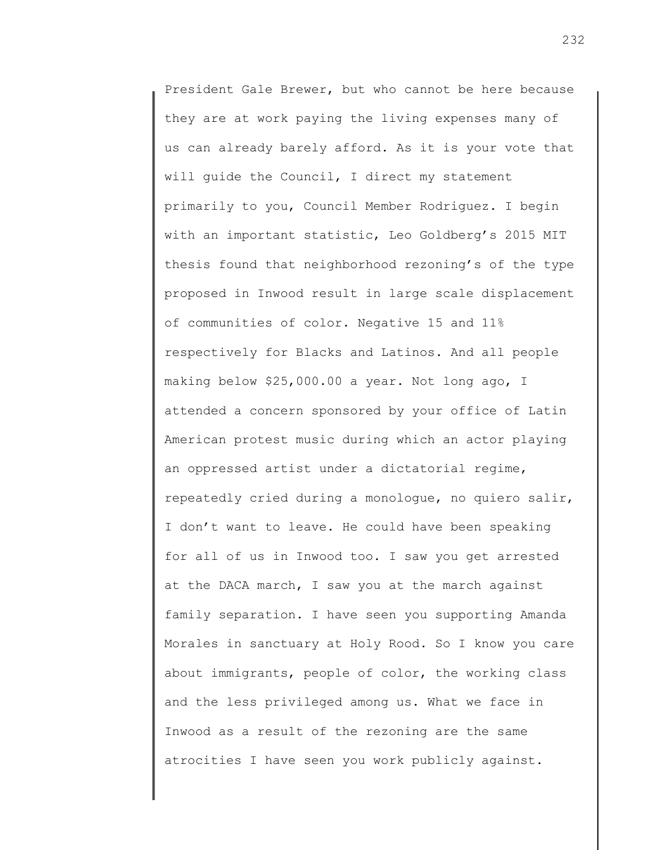President Gale Brewer, but who cannot be here because they are at work paying the living expenses many of us can already barely afford. As it is your vote that will guide the Council, I direct my statement primarily to you, Council Member Rodriguez. I begin with an important statistic, Leo Goldberg's 2015 MIT thesis found that neighborhood rezoning's of the type proposed in Inwood result in large scale displacement of communities of color. Negative 15 and 11% respectively for Blacks and Latinos. And all people making below \$25,000.00 a year. Not long ago, I attended a concern sponsored by your office of Latin American protest music during which an actor playing an oppressed artist under a dictatorial regime, repeatedly cried during a monologue, no quiero salir, I don't want to leave. He could have been speaking for all of us in Inwood too. I saw you get arrested at the DACA march, I saw you at the march against family separation. I have seen you supporting Amanda Morales in sanctuary at Holy Rood. So I know you care about immigrants, people of color, the working class and the less privileged among us. What we face in Inwood as a result of the rezoning are the same atrocities I have seen you work publicly against.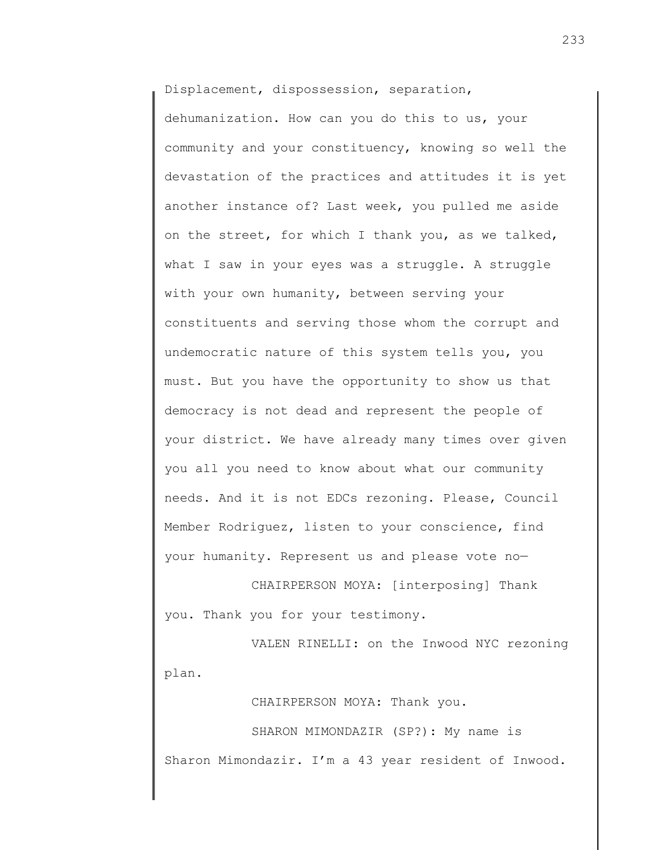Displacement, dispossession, separation,

dehumanization. How can you do this to us, your community and your constituency, knowing so well the devastation of the practices and attitudes it is yet another instance of? Last week, you pulled me aside on the street, for which I thank you, as we talked, what I saw in your eyes was a struggle. A struggle with your own humanity, between serving your constituents and serving those whom the corrupt and undemocratic nature of this system tells you, you must. But you have the opportunity to show us that democracy is not dead and represent the people of your district. We have already many times over given you all you need to know about what our community needs. And it is not EDCs rezoning. Please, Council Member Rodriguez, listen to your conscience, find your humanity. Represent us and please vote no—

CHAIRPERSON MOYA: [interposing] Thank you. Thank you for your testimony.

VALEN RINELLI: on the Inwood NYC rezoning plan.

CHAIRPERSON MOYA: Thank you.

SHARON MIMONDAZIR (SP?): My name is Sharon Mimondazir. I'm a 43 year resident of Inwood.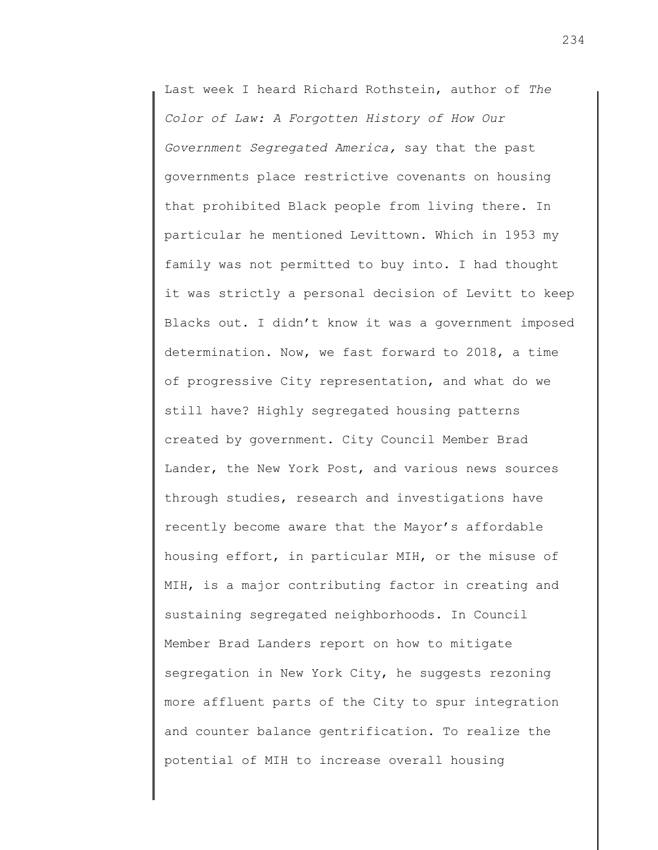Last week I heard Richard Rothstein, author of *The Color of Law: A Forgotten History of How Our Government Segregated America,* say that the past governments place restrictive covenants on housing that prohibited Black people from living there. In particular he mentioned Levittown. Which in 1953 my family was not permitted to buy into. I had thought it was strictly a personal decision of Levitt to keep Blacks out. I didn't know it was a government imposed determination. Now, we fast forward to 2018, a time of progressive City representation, and what do we still have? Highly segregated housing patterns created by government. City Council Member Brad Lander, the New York Post, and various news sources through studies, research and investigations have recently become aware that the Mayor's affordable housing effort, in particular MIH, or the misuse of MIH, is a major contributing factor in creating and sustaining segregated neighborhoods. In Council Member Brad Landers report on how to mitigate segregation in New York City, he suggests rezoning more affluent parts of the City to spur integration and counter balance gentrification. To realize the potential of MIH to increase overall housing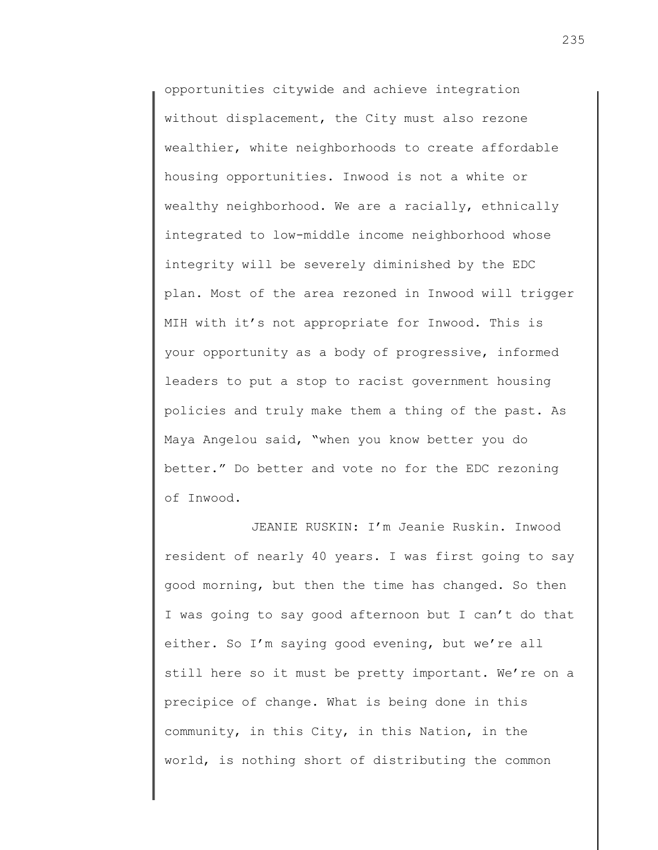opportunities citywide and achieve integration without displacement, the City must also rezone wealthier, white neighborhoods to create affordable housing opportunities. Inwood is not a white or wealthy neighborhood. We are a racially, ethnically integrated to low-middle income neighborhood whose integrity will be severely diminished by the EDC plan. Most of the area rezoned in Inwood will trigger MIH with it's not appropriate for Inwood. This is your opportunity as a body of progressive, informed leaders to put a stop to racist government housing policies and truly make them a thing of the past. As Maya Angelou said, "when you know better you do better." Do better and vote no for the EDC rezoning of Inwood.

JEANIE RUSKIN: I'm Jeanie Ruskin. Inwood resident of nearly 40 years. I was first going to say good morning, but then the time has changed. So then I was going to say good afternoon but I can't do that either. So I'm saying good evening, but we're all still here so it must be pretty important. We're on a precipice of change. What is being done in this community, in this City, in this Nation, in the world, is nothing short of distributing the common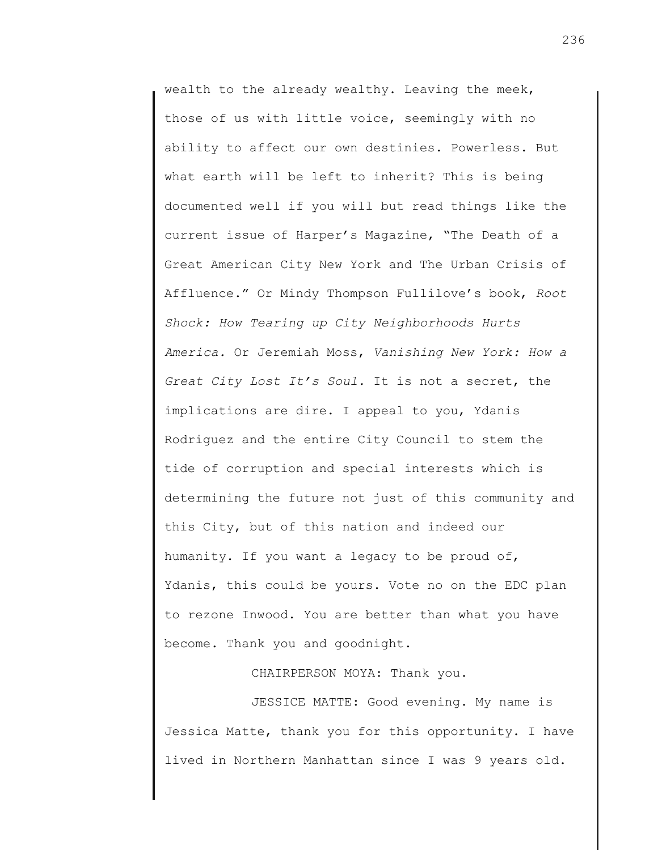wealth to the already wealthy. Leaving the meek, those of us with little voice, seemingly with no ability to affect our own destinies. Powerless. But what earth will be left to inherit? This is being documented well if you will but read things like the current issue of Harper's Magazine, "The Death of a Great American City New York and The Urban Crisis of Affluence." Or Mindy Thompson Fullilove's book, *Root Shock: How Tearing up City Neighborhoods Hurts America.* Or Jeremiah Moss, *Vanishing New York: How a Great City Lost It's Soul.* It is not a secret, the implications are dire. I appeal to you, Ydanis Rodriguez and the entire City Council to stem the tide of corruption and special interests which is determining the future not just of this community and this City, but of this nation and indeed our humanity. If you want a legacy to be proud of, Ydanis, this could be yours. Vote no on the EDC plan to rezone Inwood. You are better than what you have become. Thank you and goodnight.

CHAIRPERSON MOYA: Thank you.

JESSICE MATTE: Good evening. My name is Jessica Matte, thank you for this opportunity. I have lived in Northern Manhattan since I was 9 years old.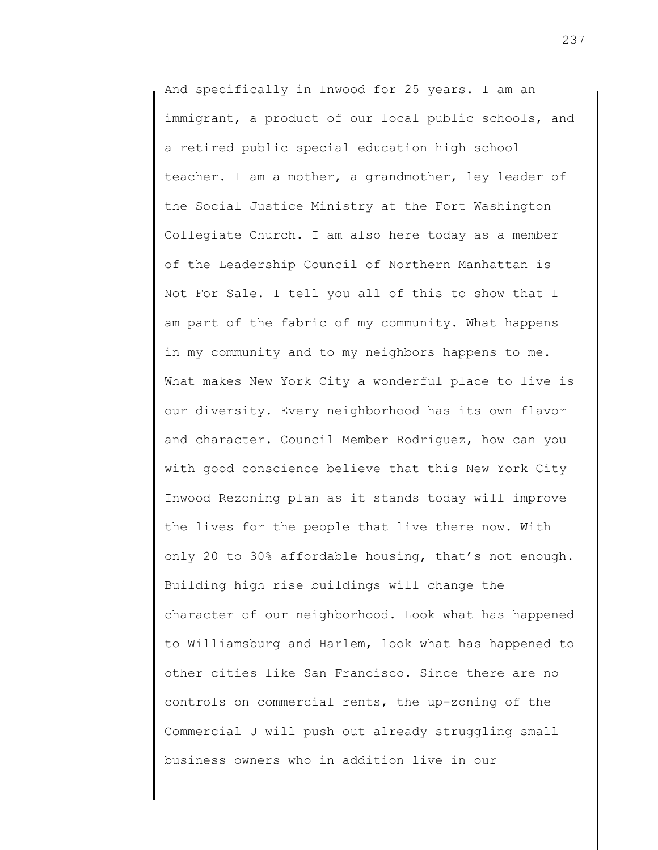And specifically in Inwood for 25 years. I am an immigrant, a product of our local public schools, and a retired public special education high school teacher. I am a mother, a grandmother, ley leader of the Social Justice Ministry at the Fort Washington Collegiate Church. I am also here today as a member of the Leadership Council of Northern Manhattan is Not For Sale. I tell you all of this to show that I am part of the fabric of my community. What happens in my community and to my neighbors happens to me. What makes New York City a wonderful place to live is our diversity. Every neighborhood has its own flavor and character. Council Member Rodriguez, how can you with good conscience believe that this New York City Inwood Rezoning plan as it stands today will improve the lives for the people that live there now. With only 20 to 30% affordable housing, that's not enough. Building high rise buildings will change the character of our neighborhood. Look what has happened to Williamsburg and Harlem, look what has happened to other cities like San Francisco. Since there are no controls on commercial rents, the up-zoning of the Commercial U will push out already struggling small business owners who in addition live in our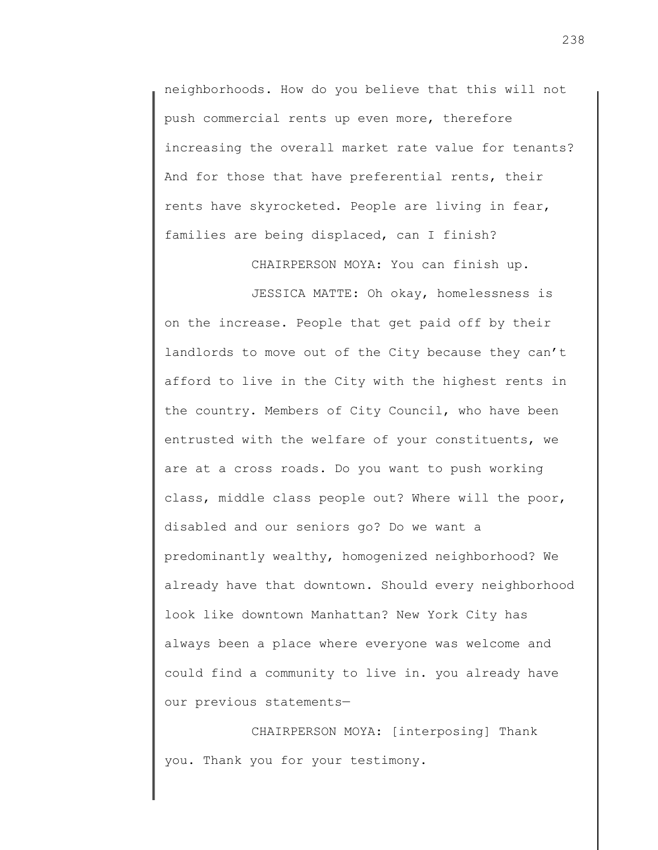neighborhoods. How do you believe that this will not push commercial rents up even more, therefore increasing the overall market rate value for tenants? And for those that have preferential rents, their rents have skyrocketed. People are living in fear, families are being displaced, can I finish?

CHAIRPERSON MOYA: You can finish up.

JESSICA MATTE: Oh okay, homelessness is on the increase. People that get paid off by their landlords to move out of the City because they can't afford to live in the City with the highest rents in the country. Members of City Council, who have been entrusted with the welfare of your constituents, we are at a cross roads. Do you want to push working class, middle class people out? Where will the poor, disabled and our seniors go? Do we want a predominantly wealthy, homogenized neighborhood? We already have that downtown. Should every neighborhood look like downtown Manhattan? New York City has always been a place where everyone was welcome and could find a community to live in. you already have our previous statements—

CHAIRPERSON MOYA: [interposing] Thank you. Thank you for your testimony.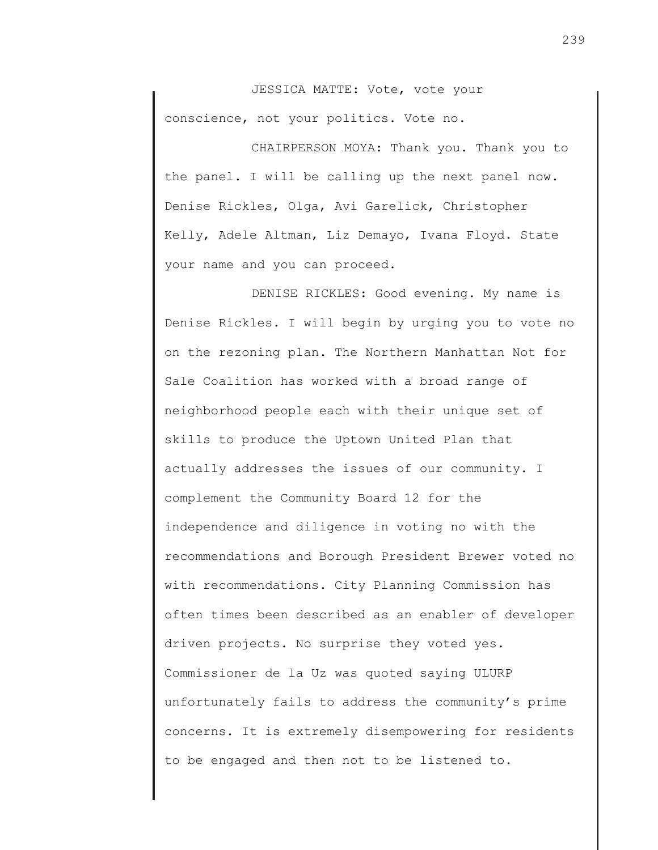JESSICA MATTE: Vote, vote your conscience, not your politics. Vote no.

CHAIRPERSON MOYA: Thank you. Thank you to the panel. I will be calling up the next panel now. Denise Rickles, Olga, Avi Garelick, Christopher Kelly, Adele Altman, Liz Demayo, Ivana Floyd. State your name and you can proceed.

DENISE RICKLES: Good evening. My name is Denise Rickles. I will begin by urging you to vote no on the rezoning plan. The Northern Manhattan Not for Sale Coalition has worked with a broad range of neighborhood people each with their unique set of skills to produce the Uptown United Plan that actually addresses the issues of our community. I complement the Community Board 12 for the independence and diligence in voting no with the recommendations and Borough President Brewer voted no with recommendations. City Planning Commission has often times been described as an enabler of developer driven projects. No surprise they voted yes. Commissioner de la Uz was quoted saying ULURP unfortunately fails to address the community's prime concerns. It is extremely disempowering for residents to be engaged and then not to be listened to.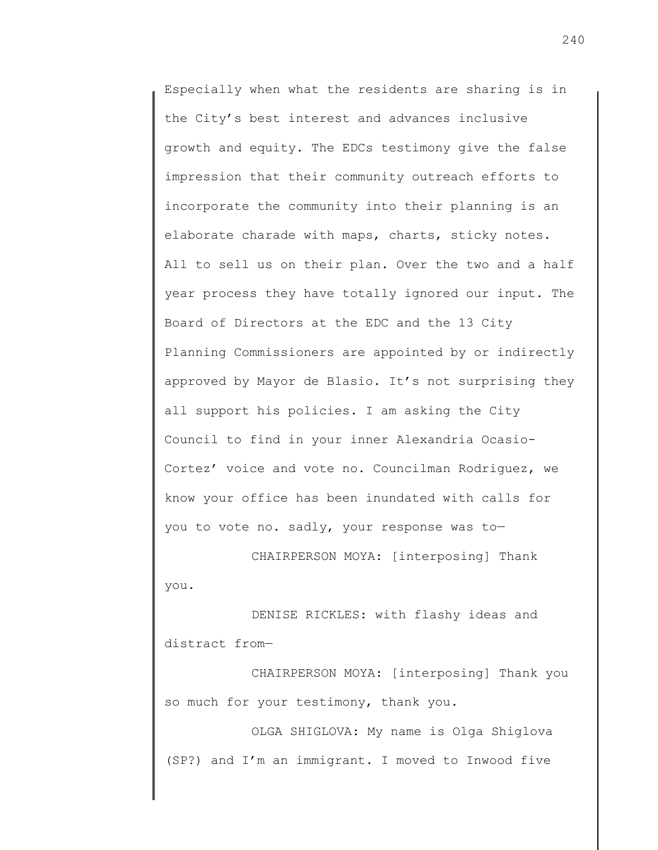Especially when what the residents are sharing is in the City's best interest and advances inclusive growth and equity. The EDCs testimony give the false impression that their community outreach efforts to incorporate the community into their planning is an elaborate charade with maps, charts, sticky notes. All to sell us on their plan. Over the two and a half year process they have totally ignored our input. The Board of Directors at the EDC and the 13 City Planning Commissioners are appointed by or indirectly approved by Mayor de Blasio. It's not surprising they all support his policies. I am asking the City Council to find in your inner Alexandria Ocasio-Cortez' voice and vote no. Councilman Rodriguez, we know your office has been inundated with calls for you to vote no. sadly, your response was to—

CHAIRPERSON MOYA: [interposing] Thank you.

DENISE RICKLES: with flashy ideas and distract from—

CHAIRPERSON MOYA: [interposing] Thank you so much for your testimony, thank you.

OLGA SHIGLOVA: My name is Olga Shiglova (SP?) and I'm an immigrant. I moved to Inwood five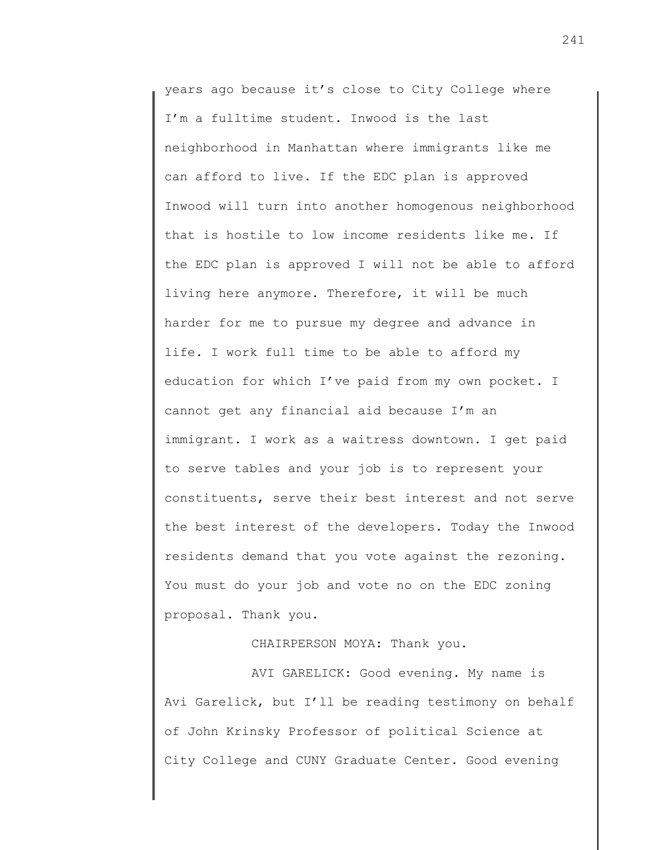years ago because it's close to City College where I'm a fulltime student. Inwood is the last neighborhood in Manhattan where immigrants like me can afford to live. If the EDC plan is approved Inwood will turn into another homogenous neighborhood that is hostile to low income residents like me. If the EDC plan is approved I will not be able to afford living here anymore. Therefore, it will be much harder for me to pursue my degree and advance in life. I work full time to be able to afford my education for which I've paid from my own pocket. I cannot get any financial aid because I'm an immigrant. I work as a waitress downtown. I get paid to serve tables and your job is to represent your constituents, serve their best interest and not serve the best interest of the developers. Today the Inwood residents demand that you vote against the rezoning. You must do your job and vote no on the EDC zoning proposal. Thank you.

CHAIRPERSON MOYA: Thank you.

AVI GARELICK: Good evening. My name is Avi Garelick, but I'll be reading testimony on behalf of John Krinsky Professor of political Science at City College and CUNY Graduate Center. Good evening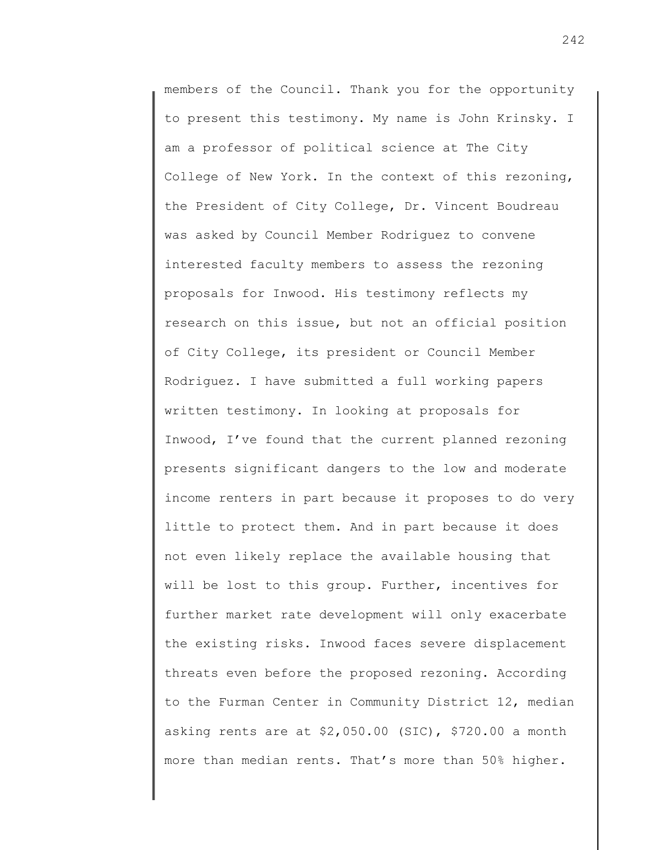members of the Council. Thank you for the opportunity to present this testimony. My name is John Krinsky. I am a professor of political science at The City College of New York. In the context of this rezoning, the President of City College, Dr. Vincent Boudreau was asked by Council Member Rodriguez to convene interested faculty members to assess the rezoning proposals for Inwood. His testimony reflects my research on this issue, but not an official position of City College, its president or Council Member Rodriguez. I have submitted a full working papers written testimony. In looking at proposals for Inwood, I've found that the current planned rezoning presents significant dangers to the low and moderate income renters in part because it proposes to do very little to protect them. And in part because it does not even likely replace the available housing that will be lost to this group. Further, incentives for further market rate development will only exacerbate the existing risks. Inwood faces severe displacement threats even before the proposed rezoning. According to the Furman Center in Community District 12, median asking rents are at \$2,050.00 (SIC), \$720.00 a month more than median rents. That's more than 50% higher.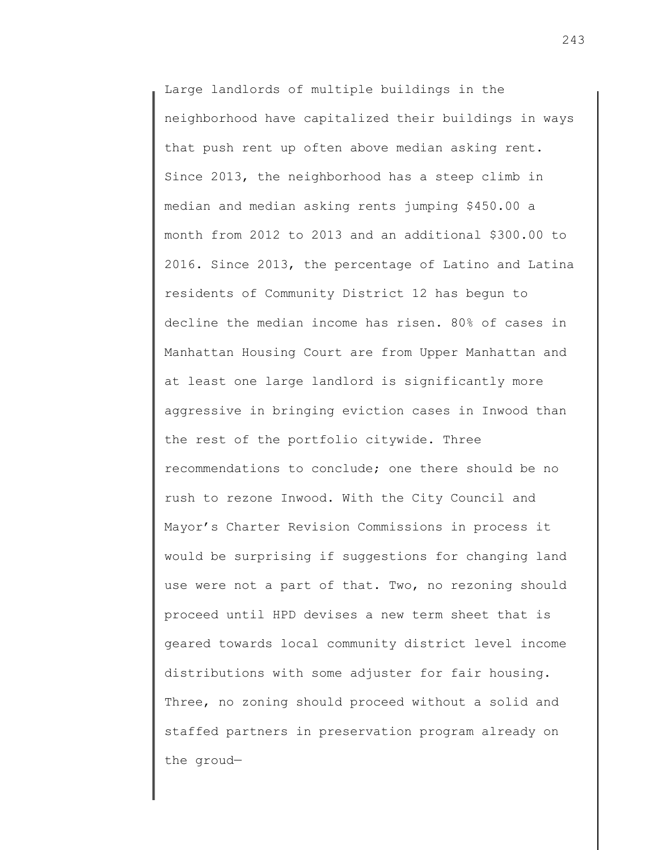Large landlords of multiple buildings in the neighborhood have capitalized their buildings in ways that push rent up often above median asking rent. Since 2013, the neighborhood has a steep climb in median and median asking rents jumping \$450.00 a month from 2012 to 2013 and an additional \$300.00 to 2016. Since 2013, the percentage of Latino and Latina residents of Community District 12 has begun to decline the median income has risen. 80% of cases in Manhattan Housing Court are from Upper Manhattan and at least one large landlord is significantly more aggressive in bringing eviction cases in Inwood than the rest of the portfolio citywide. Three recommendations to conclude; one there should be no rush to rezone Inwood. With the City Council and Mayor's Charter Revision Commissions in process it would be surprising if suggestions for changing land use were not a part of that. Two, no rezoning should proceed until HPD devises a new term sheet that is geared towards local community district level income distributions with some adjuster for fair housing. Three, no zoning should proceed without a solid and staffed partners in preservation program already on the groud—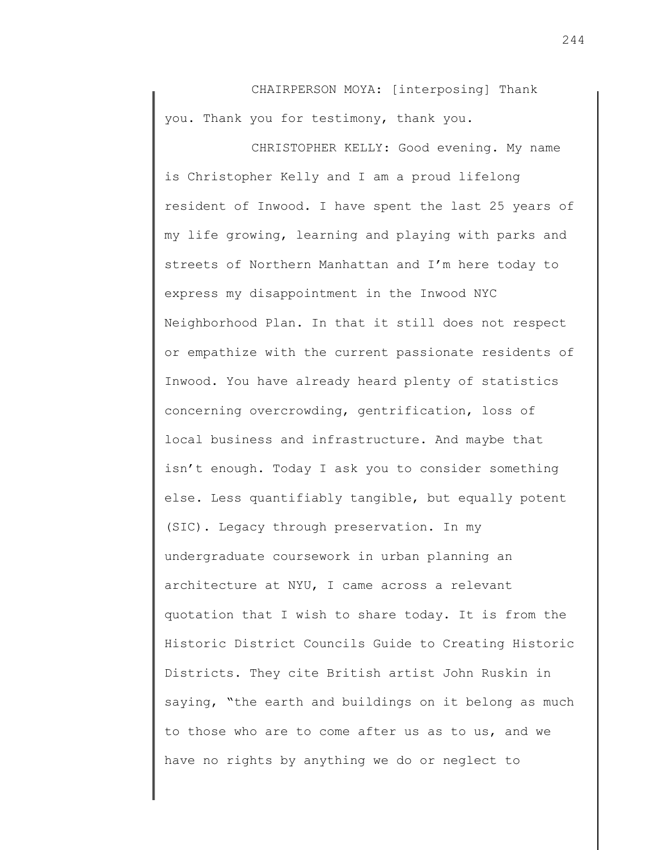CHAIRPERSON MOYA: [interposing] Thank you. Thank you for testimony, thank you.

CHRISTOPHER KELLY: Good evening. My name is Christopher Kelly and I am a proud lifelong resident of Inwood. I have spent the last 25 years of my life growing, learning and playing with parks and streets of Northern Manhattan and I'm here today to express my disappointment in the Inwood NYC Neighborhood Plan. In that it still does not respect or empathize with the current passionate residents of Inwood. You have already heard plenty of statistics concerning overcrowding, gentrification, loss of local business and infrastructure. And maybe that isn't enough. Today I ask you to consider something else. Less quantifiably tangible, but equally potent (SIC). Legacy through preservation. In my undergraduate coursework in urban planning an architecture at NYU, I came across a relevant quotation that I wish to share today. It is from the Historic District Councils Guide to Creating Historic Districts. They cite British artist John Ruskin in saying, "the earth and buildings on it belong as much to those who are to come after us as to us, and we have no rights by anything we do or neglect to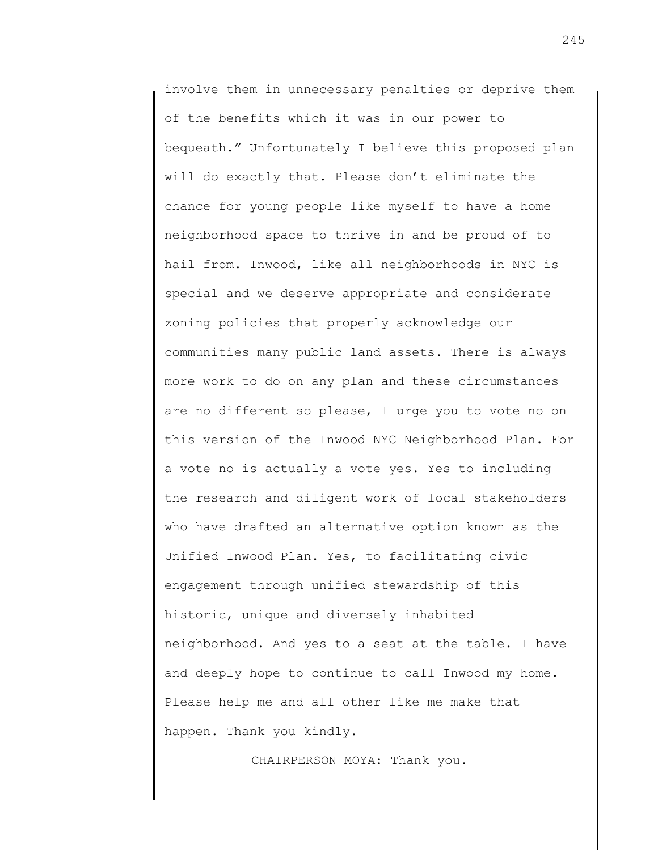involve them in unnecessary penalties or deprive them of the benefits which it was in our power to bequeath." Unfortunately I believe this proposed plan will do exactly that. Please don't eliminate the chance for young people like myself to have a home neighborhood space to thrive in and be proud of to hail from. Inwood, like all neighborhoods in NYC is special and we deserve appropriate and considerate zoning policies that properly acknowledge our communities many public land assets. There is always more work to do on any plan and these circumstances are no different so please, I urge you to vote no on this version of the Inwood NYC Neighborhood Plan. For a vote no is actually a vote yes. Yes to including the research and diligent work of local stakeholders who have drafted an alternative option known as the Unified Inwood Plan. Yes, to facilitating civic engagement through unified stewardship of this historic, unique and diversely inhabited neighborhood. And yes to a seat at the table. I have and deeply hope to continue to call Inwood my home. Please help me and all other like me make that happen. Thank you kindly.

CHAIRPERSON MOYA: Thank you.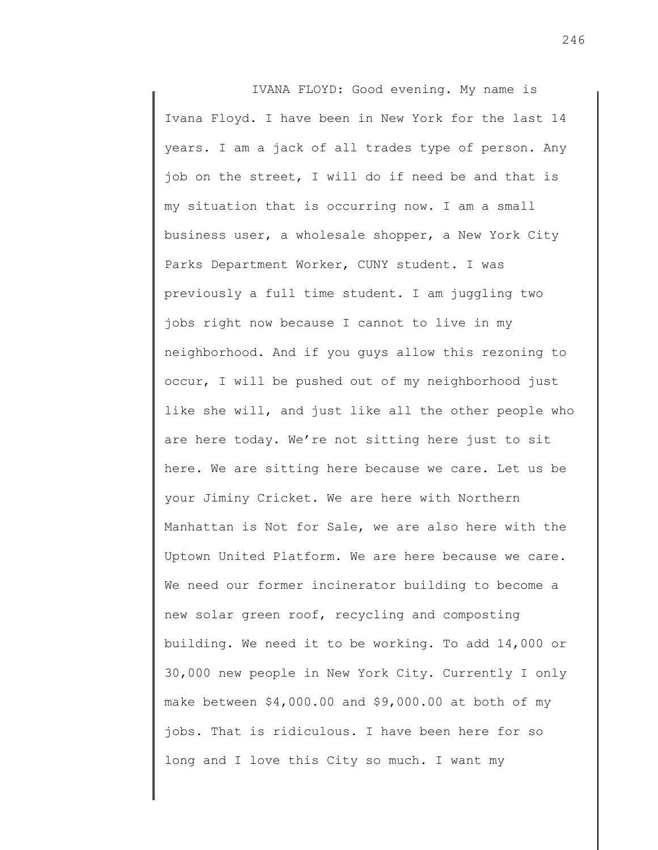IVANA FLOYD: Good evening. My name is Ivana Floyd. I have been in New York for the last 14 years. I am a jack of all trades type of person. Any job on the street, I will do if need be and that is my situation that is occurring now. I am a small business user, a wholesale shopper, a New York City Parks Department Worker, CUNY student. I was previously a full time student. I am juggling two jobs right now because I cannot to live in my neighborhood. And if you guys allow this rezoning to occur, I will be pushed out of my neighborhood just like she will, and just like all the other people who are here today. We're not sitting here just to sit here. We are sitting here because we care. Let us be your Jiminy Cricket. We are here with Northern Manhattan is Not for Sale, we are also here with the Uptown United Platform. We are here because we care. We need our former incinerator building to become a new solar green roof, recycling and composting building. We need it to be working. To add 14,000 or 30,000 new people in New York City. Currently I only make between \$4,000.00 and \$9,000.00 at both of my jobs. That is ridiculous. I have been here for so long and I love this City so much. I want my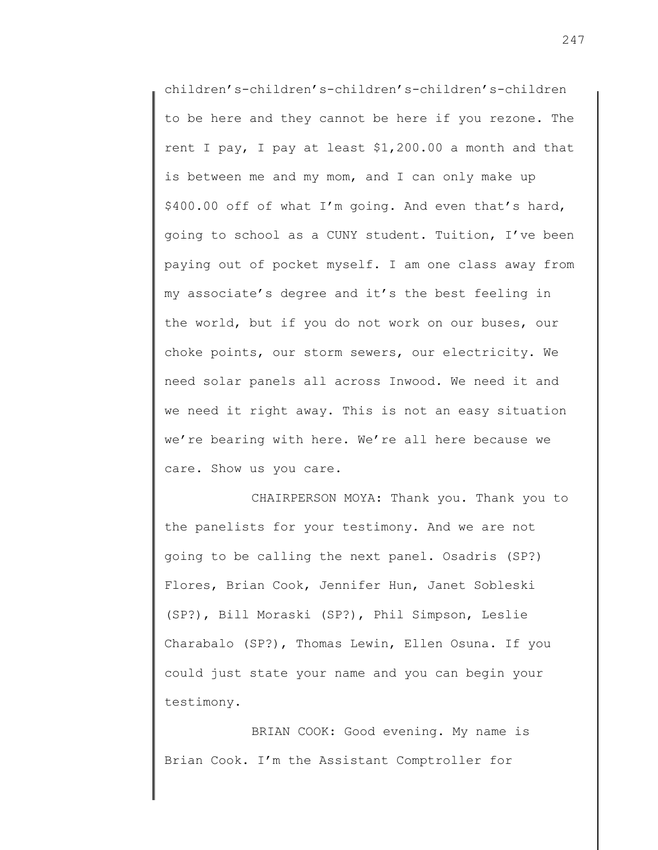children's-children's-children's-children's-children to be here and they cannot be here if you rezone. The rent I pay, I pay at least \$1,200.00 a month and that is between me and my mom, and I can only make up \$400.00 off of what I'm going. And even that's hard, going to school as a CUNY student. Tuition, I've been paying out of pocket myself. I am one class away from my associate's degree and it's the best feeling in the world, but if you do not work on our buses, our choke points, our storm sewers, our electricity. We need solar panels all across Inwood. We need it and we need it right away. This is not an easy situation we're bearing with here. We're all here because we care. Show us you care.

CHAIRPERSON MOYA: Thank you. Thank you to the panelists for your testimony. And we are not going to be calling the next panel. Osadris (SP?) Flores, Brian Cook, Jennifer Hun, Janet Sobleski (SP?), Bill Moraski (SP?), Phil Simpson, Leslie Charabalo (SP?), Thomas Lewin, Ellen Osuna. If you could just state your name and you can begin your testimony.

BRIAN COOK: Good evening. My name is Brian Cook. I'm the Assistant Comptroller for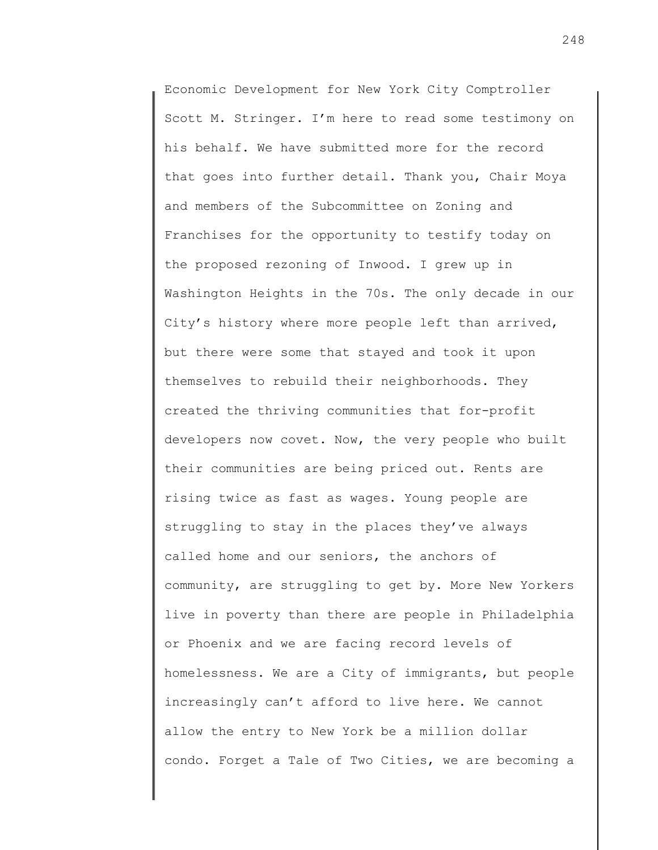Economic Development for New York City Comptroller Scott M. Stringer. I'm here to read some testimony on his behalf. We have submitted more for the record that goes into further detail. Thank you, Chair Moya and members of the Subcommittee on Zoning and Franchises for the opportunity to testify today on the proposed rezoning of Inwood. I grew up in Washington Heights in the 70s. The only decade in our City's history where more people left than arrived, but there were some that stayed and took it upon themselves to rebuild their neighborhoods. They created the thriving communities that for-profit developers now covet. Now, the very people who built their communities are being priced out. Rents are rising twice as fast as wages. Young people are struggling to stay in the places they've always called home and our seniors, the anchors of community, are struggling to get by. More New Yorkers live in poverty than there are people in Philadelphia or Phoenix and we are facing record levels of homelessness. We are a City of immigrants, but people increasingly can't afford to live here. We cannot allow the entry to New York be a million dollar condo. Forget a Tale of Two Cities, we are becoming a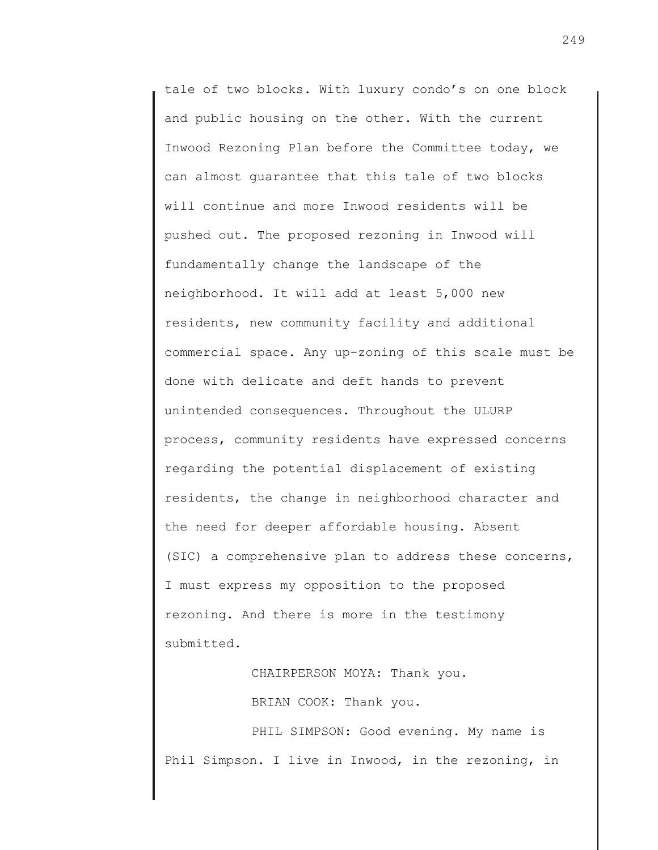tale of two blocks. With luxury condo's on one block and public housing on the other. With the current Inwood Rezoning Plan before the Committee today, we can almost guarantee that this tale of two blocks will continue and more Inwood residents will be pushed out. The proposed rezoning in Inwood will fundamentally change the landscape of the neighborhood. It will add at least 5,000 new residents, new community facility and additional commercial space. Any up-zoning of this scale must be done with delicate and deft hands to prevent unintended consequences. Throughout the ULURP process, community residents have expressed concerns regarding the potential displacement of existing residents, the change in neighborhood character and the need for deeper affordable housing. Absent (SIC) a comprehensive plan to address these concerns, I must express my opposition to the proposed rezoning. And there is more in the testimony submitted.

CHAIRPERSON MOYA: Thank you.

BRIAN COOK: Thank you.

PHIL SIMPSON: Good evening. My name is Phil Simpson. I live in Inwood, in the rezoning, in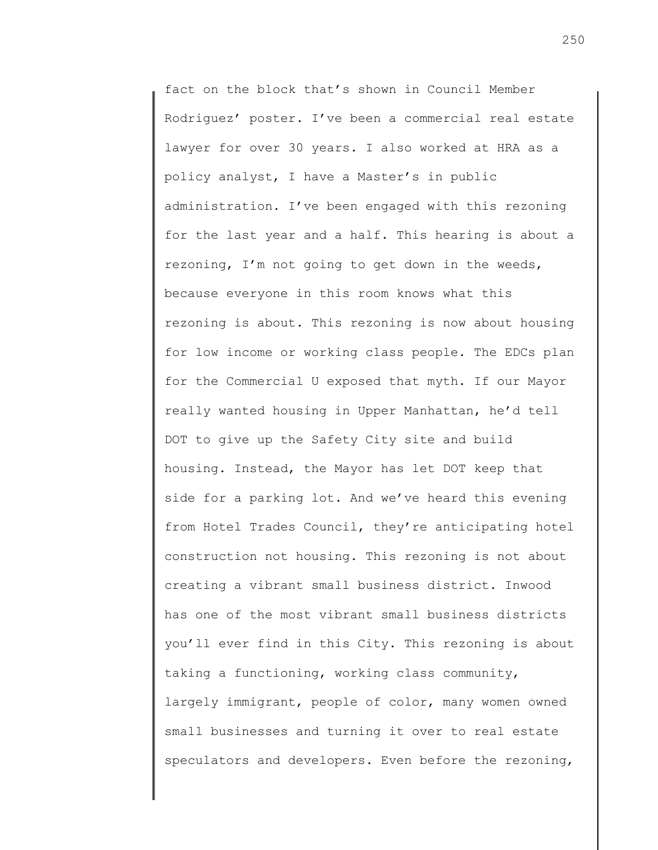fact on the block that's shown in Council Member Rodriguez' poster. I've been a commercial real estate lawyer for over 30 years. I also worked at HRA as a policy analyst, I have a Master's in public administration. I've been engaged with this rezoning for the last year and a half. This hearing is about a rezoning, I'm not going to get down in the weeds, because everyone in this room knows what this rezoning is about. This rezoning is now about housing for low income or working class people. The EDCs plan for the Commercial U exposed that myth. If our Mayor really wanted housing in Upper Manhattan, he'd tell DOT to give up the Safety City site and build housing. Instead, the Mayor has let DOT keep that side for a parking lot. And we've heard this evening from Hotel Trades Council, they're anticipating hotel construction not housing. This rezoning is not about creating a vibrant small business district. Inwood has one of the most vibrant small business districts you'll ever find in this City. This rezoning is about taking a functioning, working class community, largely immigrant, people of color, many women owned small businesses and turning it over to real estate speculators and developers. Even before the rezoning,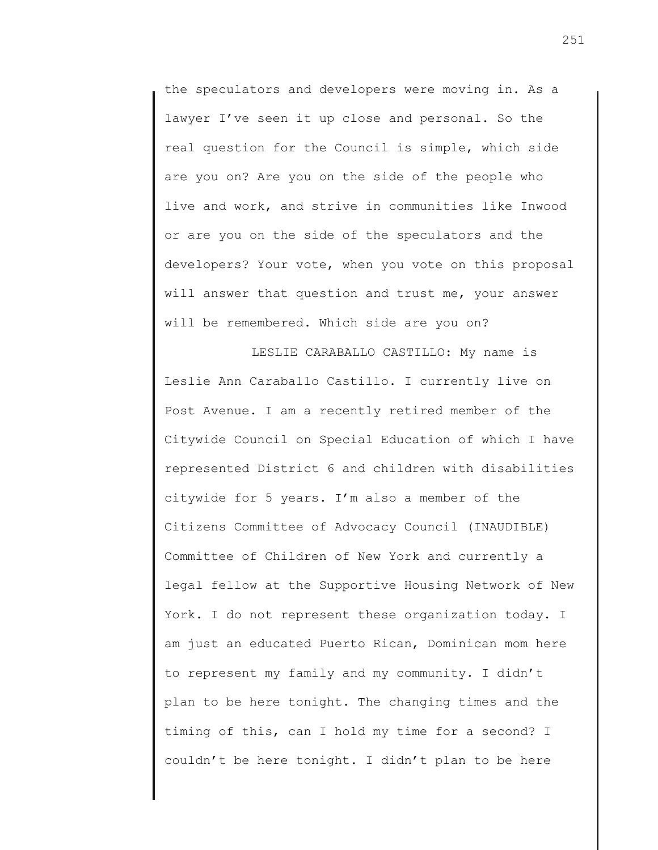the speculators and developers were moving in. As a lawyer I've seen it up close and personal. So the real question for the Council is simple, which side are you on? Are you on the side of the people who live and work, and strive in communities like Inwood or are you on the side of the speculators and the developers? Your vote, when you vote on this proposal will answer that question and trust me, your answer will be remembered. Which side are you on?

LESLIE CARABALLO CASTILLO: My name is Leslie Ann Caraballo Castillo. I currently live on Post Avenue. I am a recently retired member of the Citywide Council on Special Education of which I have represented District 6 and children with disabilities citywide for 5 years. I'm also a member of the Citizens Committee of Advocacy Council (INAUDIBLE) Committee of Children of New York and currently a legal fellow at the Supportive Housing Network of New York. I do not represent these organization today. I am just an educated Puerto Rican, Dominican mom here to represent my family and my community. I didn't plan to be here tonight. The changing times and the timing of this, can I hold my time for a second? I couldn't be here tonight. I didn't plan to be here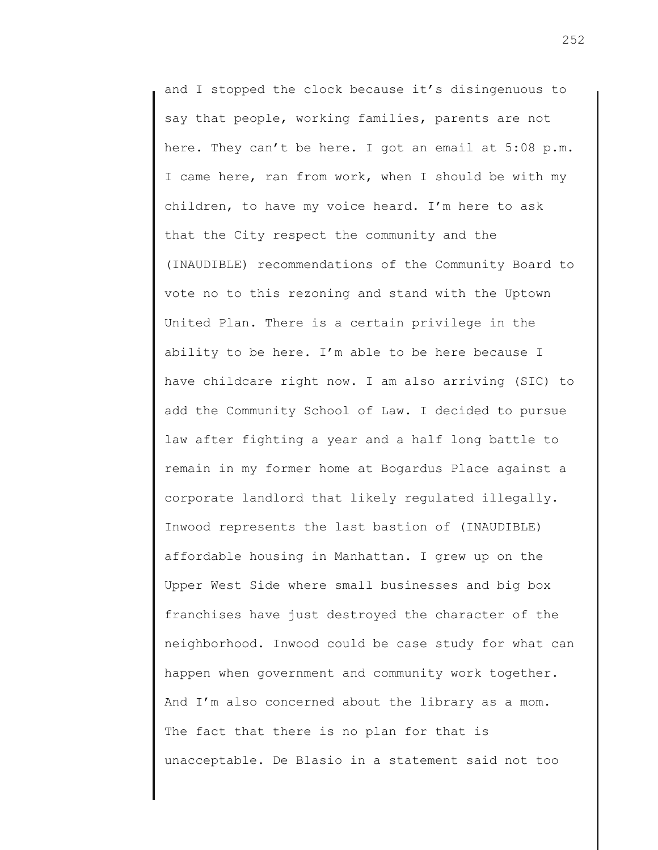and I stopped the clock because it's disingenuous to say that people, working families, parents are not here. They can't be here. I got an email at 5:08 p.m. I came here, ran from work, when I should be with my children, to have my voice heard. I'm here to ask that the City respect the community and the (INAUDIBLE) recommendations of the Community Board to vote no to this rezoning and stand with the Uptown United Plan. There is a certain privilege in the ability to be here. I'm able to be here because I have childcare right now. I am also arriving (SIC) to add the Community School of Law. I decided to pursue law after fighting a year and a half long battle to remain in my former home at Bogardus Place against a corporate landlord that likely regulated illegally. Inwood represents the last bastion of (INAUDIBLE) affordable housing in Manhattan. I grew up on the Upper West Side where small businesses and big box franchises have just destroyed the character of the neighborhood. Inwood could be case study for what can happen when government and community work together. And I'm also concerned about the library as a mom. The fact that there is no plan for that is unacceptable. De Blasio in a statement said not too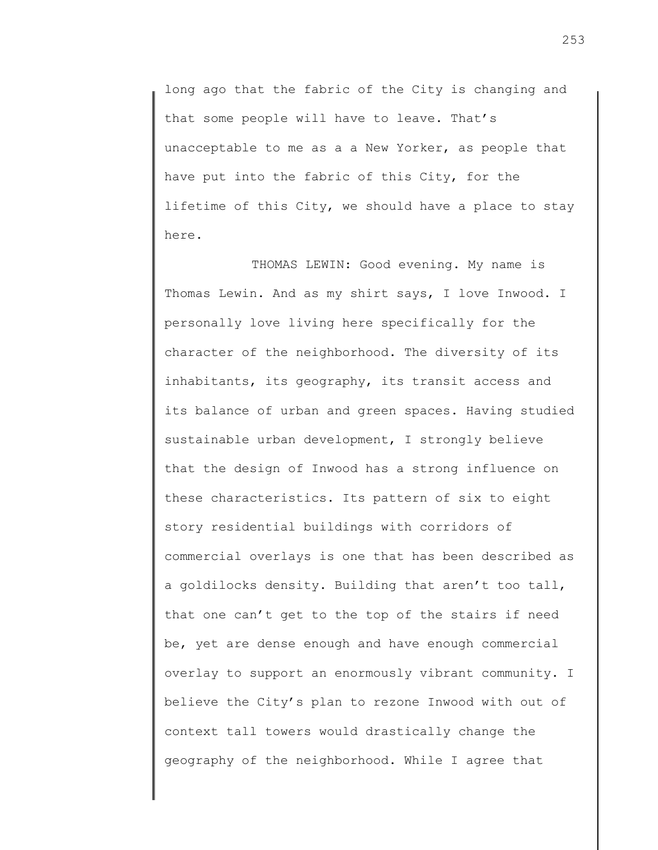long ago that the fabric of the City is changing and that some people will have to leave. That's unacceptable to me as a a New Yorker, as people that have put into the fabric of this City, for the lifetime of this City, we should have a place to stay here.

THOMAS LEWIN: Good evening. My name is Thomas Lewin. And as my shirt says, I love Inwood. I personally love living here specifically for the character of the neighborhood. The diversity of its inhabitants, its geography, its transit access and its balance of urban and green spaces. Having studied sustainable urban development, I strongly believe that the design of Inwood has a strong influence on these characteristics. Its pattern of six to eight story residential buildings with corridors of commercial overlays is one that has been described as a goldilocks density. Building that aren't too tall, that one can't get to the top of the stairs if need be, yet are dense enough and have enough commercial overlay to support an enormously vibrant community. I believe the City's plan to rezone Inwood with out of context tall towers would drastically change the geography of the neighborhood. While I agree that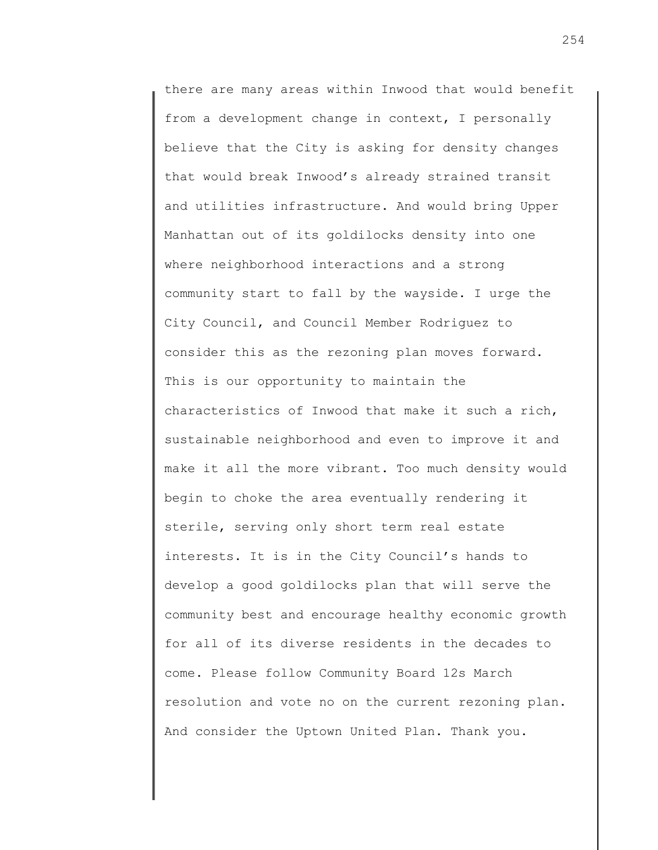there are many areas within Inwood that would benefit from a development change in context, I personally believe that the City is asking for density changes that would break Inwood's already strained transit and utilities infrastructure. And would bring Upper Manhattan out of its goldilocks density into one where neighborhood interactions and a strong community start to fall by the wayside. I urge the City Council, and Council Member Rodriguez to consider this as the rezoning plan moves forward. This is our opportunity to maintain the characteristics of Inwood that make it such a rich, sustainable neighborhood and even to improve it and make it all the more vibrant. Too much density would begin to choke the area eventually rendering it sterile, serving only short term real estate interests. It is in the City Council's hands to develop a good goldilocks plan that will serve the community best and encourage healthy economic growth for all of its diverse residents in the decades to come. Please follow Community Board 12s March resolution and vote no on the current rezoning plan. And consider the Uptown United Plan. Thank you.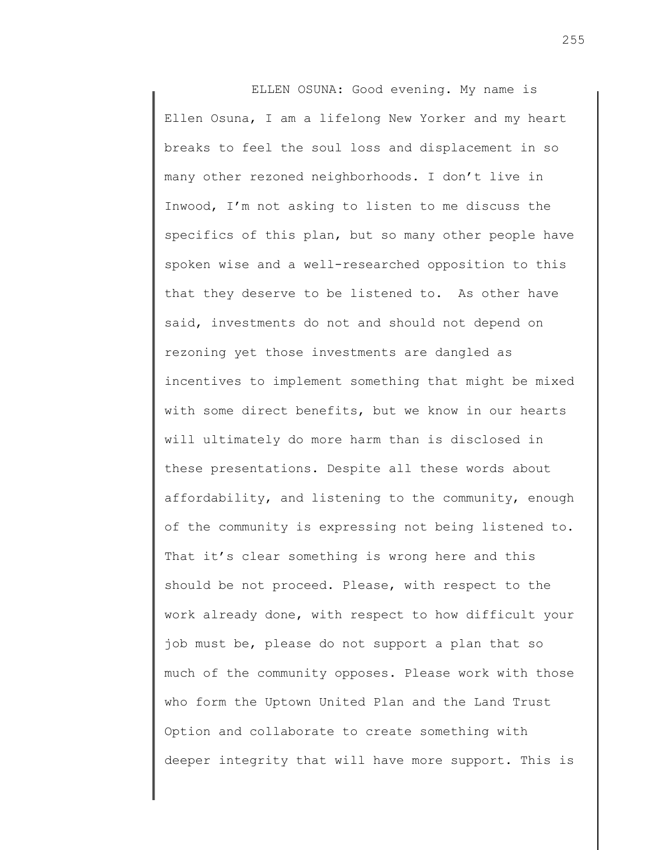ELLEN OSUNA: Good evening. My name is Ellen Osuna, I am a lifelong New Yorker and my heart breaks to feel the soul loss and displacement in so many other rezoned neighborhoods. I don't live in Inwood, I'm not asking to listen to me discuss the specifics of this plan, but so many other people have spoken wise and a well-researched opposition to this that they deserve to be listened to. As other have said, investments do not and should not depend on rezoning yet those investments are dangled as incentives to implement something that might be mixed with some direct benefits, but we know in our hearts will ultimately do more harm than is disclosed in these presentations. Despite all these words about affordability, and listening to the community, enough of the community is expressing not being listened to. That it's clear something is wrong here and this should be not proceed. Please, with respect to the work already done, with respect to how difficult your job must be, please do not support a plan that so much of the community opposes. Please work with those who form the Uptown United Plan and the Land Trust Option and collaborate to create something with deeper integrity that will have more support. This is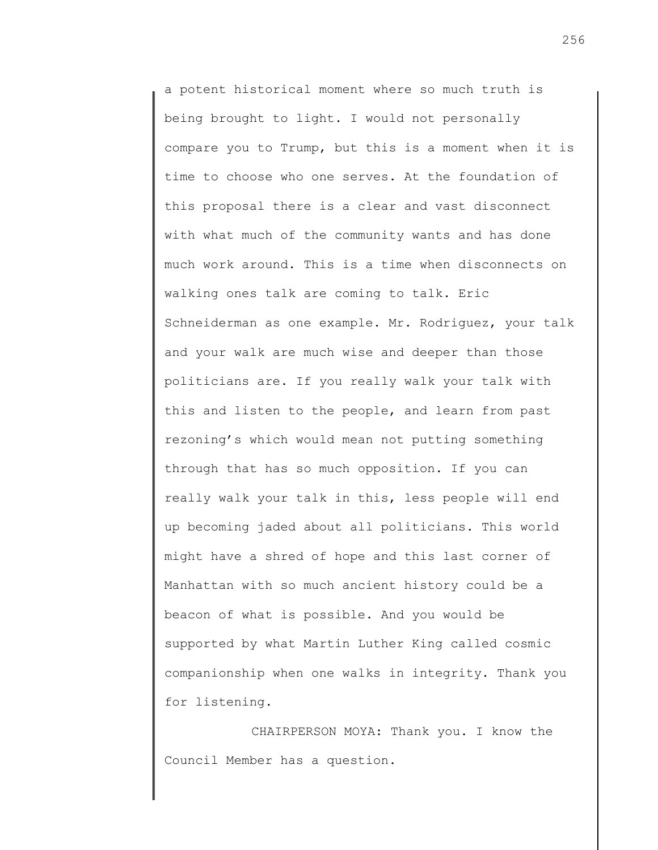a potent historical moment where so much truth is being brought to light. I would not personally compare you to Trump, but this is a moment when it is time to choose who one serves. At the foundation of this proposal there is a clear and vast disconnect with what much of the community wants and has done much work around. This is a time when disconnects on walking ones talk are coming to talk. Eric Schneiderman as one example. Mr. Rodriguez, your talk and your walk are much wise and deeper than those politicians are. If you really walk your talk with this and listen to the people, and learn from past rezoning's which would mean not putting something through that has so much opposition. If you can really walk your talk in this, less people will end up becoming jaded about all politicians. This world might have a shred of hope and this last corner of Manhattan with so much ancient history could be a beacon of what is possible. And you would be supported by what Martin Luther King called cosmic companionship when one walks in integrity. Thank you for listening.

CHAIRPERSON MOYA: Thank you. I know the Council Member has a question.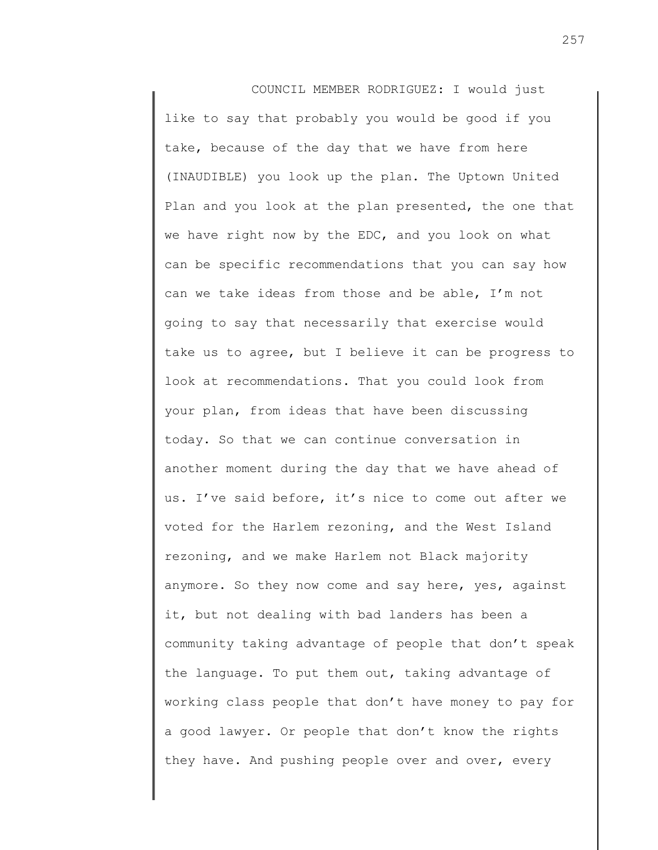COUNCIL MEMBER RODRIGUEZ: I would just like to say that probably you would be good if you take, because of the day that we have from here (INAUDIBLE) you look up the plan. The Uptown United Plan and you look at the plan presented, the one that we have right now by the EDC, and you look on what can be specific recommendations that you can say how can we take ideas from those and be able, I'm not going to say that necessarily that exercise would take us to agree, but I believe it can be progress to look at recommendations. That you could look from your plan, from ideas that have been discussing today. So that we can continue conversation in another moment during the day that we have ahead of us. I've said before, it's nice to come out after we voted for the Harlem rezoning, and the West Island rezoning, and we make Harlem not Black majority anymore. So they now come and say here, yes, against it, but not dealing with bad landers has been a community taking advantage of people that don't speak the language. To put them out, taking advantage of working class people that don't have money to pay for a good lawyer. Or people that don't know the rights they have. And pushing people over and over, every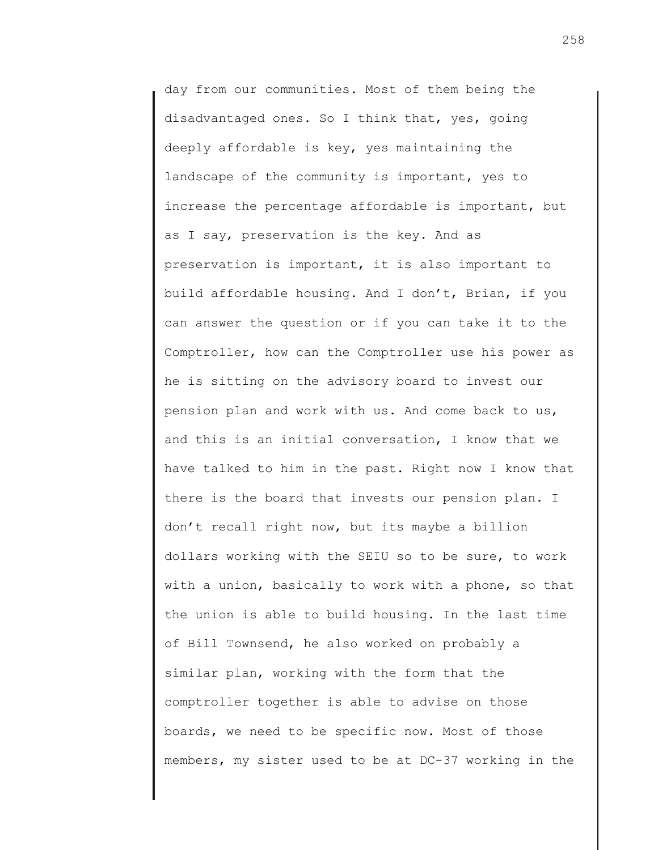day from our communities. Most of them being the disadvantaged ones. So I think that, yes, going deeply affordable is key, yes maintaining the landscape of the community is important, yes to increase the percentage affordable is important, but as I say, preservation is the key. And as preservation is important, it is also important to build affordable housing. And I don't, Brian, if you can answer the question or if you can take it to the Comptroller, how can the Comptroller use his power as he is sitting on the advisory board to invest our pension plan and work with us. And come back to us, and this is an initial conversation, I know that we have talked to him in the past. Right now I know that there is the board that invests our pension plan. I don't recall right now, but its maybe a billion dollars working with the SEIU so to be sure, to work with a union, basically to work with a phone, so that the union is able to build housing. In the last time of Bill Townsend, he also worked on probably a similar plan, working with the form that the comptroller together is able to advise on those boards, we need to be specific now. Most of those members, my sister used to be at DC-37 working in the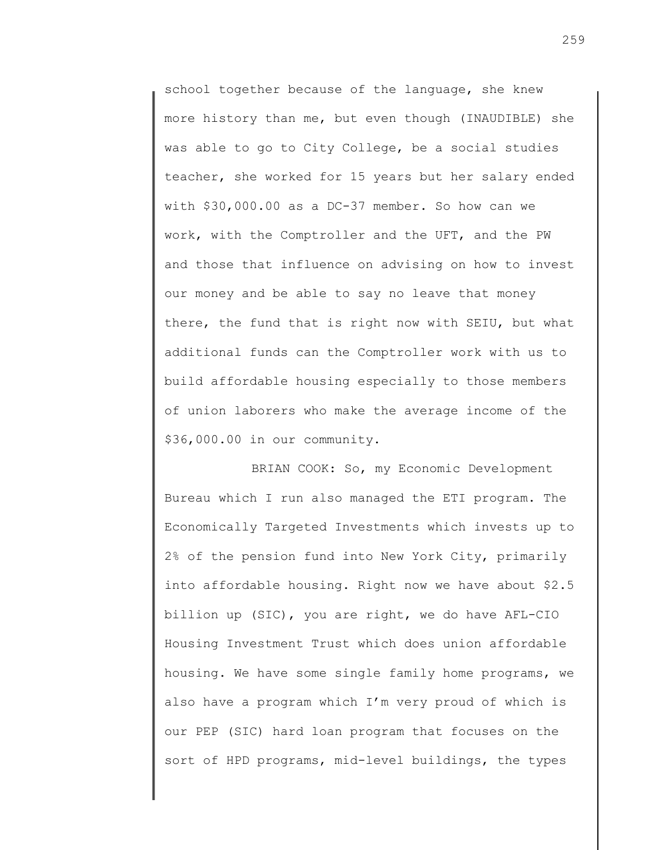school together because of the language, she knew more history than me, but even though (INAUDIBLE) she was able to go to City College, be a social studies teacher, she worked for 15 years but her salary ended with \$30,000.00 as a DC-37 member. So how can we work, with the Comptroller and the UFT, and the PW and those that influence on advising on how to invest our money and be able to say no leave that money there, the fund that is right now with SEIU, but what additional funds can the Comptroller work with us to build affordable housing especially to those members of union laborers who make the average income of the \$36,000.00 in our community.

BRIAN COOK: So, my Economic Development Bureau which I run also managed the ETI program. The Economically Targeted Investments which invests up to 2% of the pension fund into New York City, primarily into affordable housing. Right now we have about \$2.5 billion up (SIC), you are right, we do have AFL-CIO Housing Investment Trust which does union affordable housing. We have some single family home programs, we also have a program which I'm very proud of which is our PEP (SIC) hard loan program that focuses on the sort of HPD programs, mid-level buildings, the types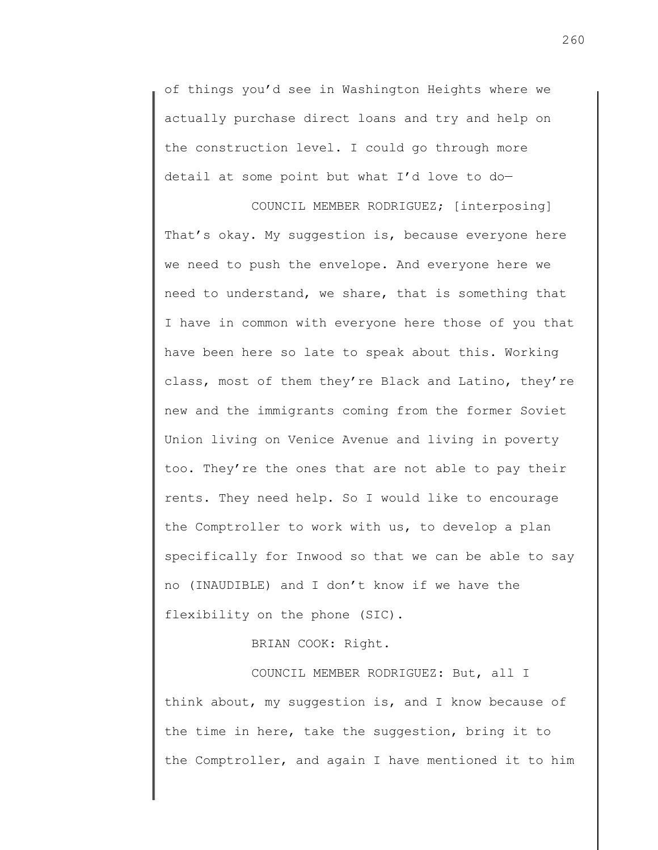of things you'd see in Washington Heights where we actually purchase direct loans and try and help on the construction level. I could go through more detail at some point but what I'd love to do—

COUNCIL MEMBER RODRIGUEZ; [interposing] That's okay. My suggestion is, because everyone here we need to push the envelope. And everyone here we need to understand, we share, that is something that I have in common with everyone here those of you that have been here so late to speak about this. Working class, most of them they're Black and Latino, they're new and the immigrants coming from the former Soviet Union living on Venice Avenue and living in poverty too. They're the ones that are not able to pay their rents. They need help. So I would like to encourage the Comptroller to work with us, to develop a plan specifically for Inwood so that we can be able to say no (INAUDIBLE) and I don't know if we have the flexibility on the phone (SIC).

BRIAN COOK: Right.

COUNCIL MEMBER RODRIGUEZ: But, all I think about, my suggestion is, and I know because of the time in here, take the suggestion, bring it to the Comptroller, and again I have mentioned it to him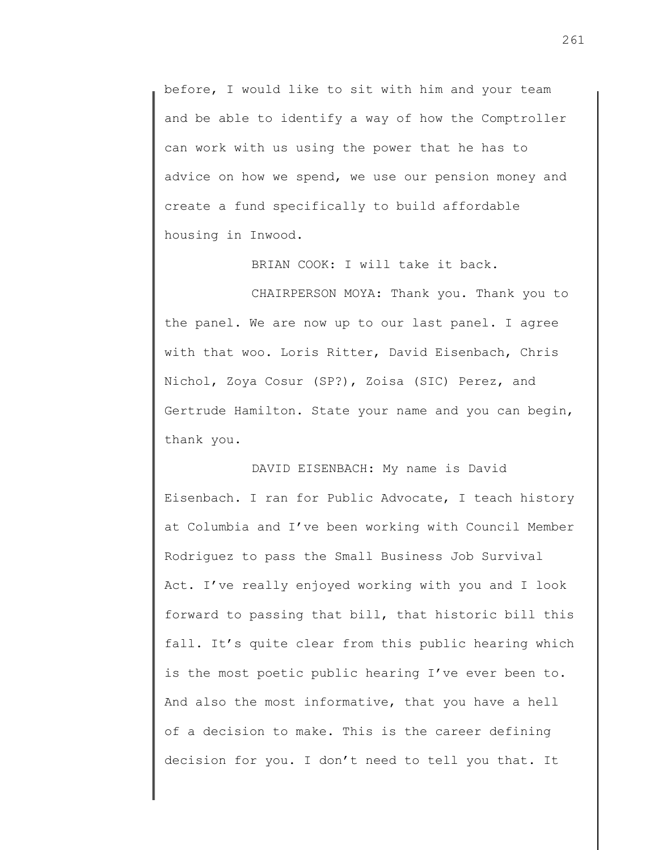before, I would like to sit with him and your team and be able to identify a way of how the Comptroller can work with us using the power that he has to advice on how we spend, we use our pension money and create a fund specifically to build affordable housing in Inwood.

BRIAN COOK: I will take it back.

CHAIRPERSON MOYA: Thank you. Thank you to the panel. We are now up to our last panel. I agree with that woo. Loris Ritter, David Eisenbach, Chris Nichol, Zoya Cosur (SP?), Zoisa (SIC) Perez, and Gertrude Hamilton. State your name and you can begin, thank you.

DAVID EISENBACH: My name is David Eisenbach. I ran for Public Advocate, I teach history at Columbia and I've been working with Council Member Rodriguez to pass the Small Business Job Survival Act. I've really enjoyed working with you and I look forward to passing that bill, that historic bill this fall. It's quite clear from this public hearing which is the most poetic public hearing I've ever been to. And also the most informative, that you have a hell of a decision to make. This is the career defining decision for you. I don't need to tell you that. It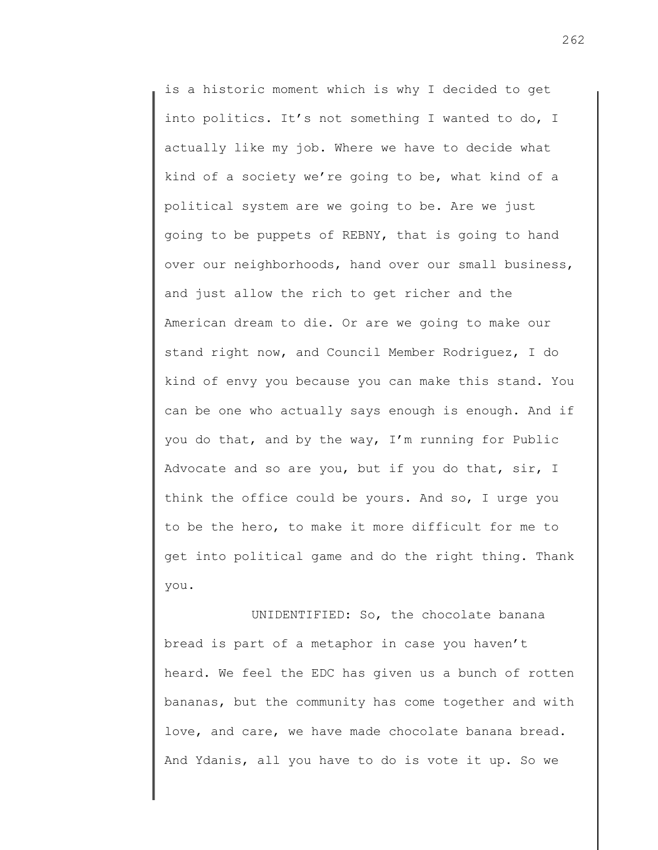is a historic moment which is why I decided to get into politics. It's not something I wanted to do, I actually like my job. Where we have to decide what kind of a society we're going to be, what kind of a political system are we going to be. Are we just going to be puppets of REBNY, that is going to hand over our neighborhoods, hand over our small business, and just allow the rich to get richer and the American dream to die. Or are we going to make our stand right now, and Council Member Rodriguez, I do kind of envy you because you can make this stand. You can be one who actually says enough is enough. And if you do that, and by the way, I'm running for Public Advocate and so are you, but if you do that, sir, I think the office could be yours. And so, I urge you to be the hero, to make it more difficult for me to get into political game and do the right thing. Thank you.

UNIDENTIFIED: So, the chocolate banana bread is part of a metaphor in case you haven't heard. We feel the EDC has given us a bunch of rotten bananas, but the community has come together and with love, and care, we have made chocolate banana bread. And Ydanis, all you have to do is vote it up. So we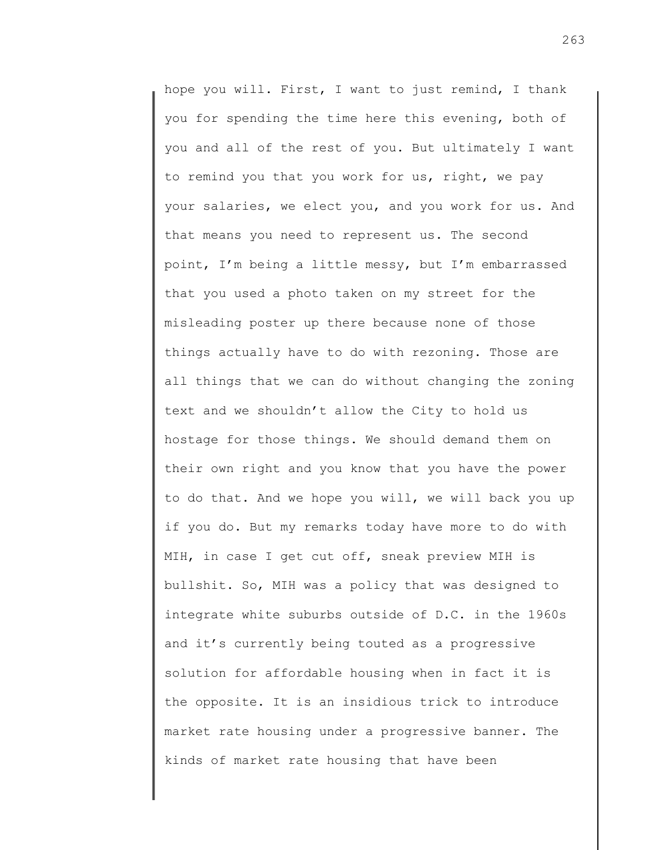hope you will. First, I want to just remind, I thank you for spending the time here this evening, both of you and all of the rest of you. But ultimately I want to remind you that you work for us, right, we pay your salaries, we elect you, and you work for us. And that means you need to represent us. The second point, I'm being a little messy, but I'm embarrassed that you used a photo taken on my street for the misleading poster up there because none of those things actually have to do with rezoning. Those are all things that we can do without changing the zoning text and we shouldn't allow the City to hold us hostage for those things. We should demand them on their own right and you know that you have the power to do that. And we hope you will, we will back you up if you do. But my remarks today have more to do with MIH, in case I get cut off, sneak preview MIH is bullshit. So, MIH was a policy that was designed to integrate white suburbs outside of D.C. in the 1960s and it's currently being touted as a progressive solution for affordable housing when in fact it is the opposite. It is an insidious trick to introduce market rate housing under a progressive banner. The kinds of market rate housing that have been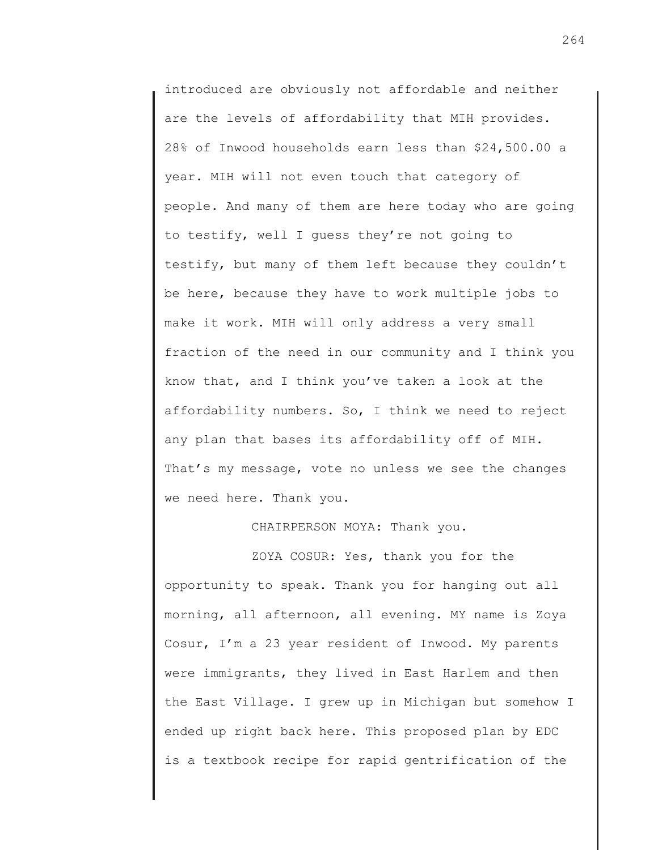introduced are obviously not affordable and neither are the levels of affordability that MIH provides. 28% of Inwood households earn less than \$24,500.00 a year. MIH will not even touch that category of people. And many of them are here today who are going to testify, well I guess they're not going to testify, but many of them left because they couldn't be here, because they have to work multiple jobs to make it work. MIH will only address a very small fraction of the need in our community and I think you know that, and I think you've taken a look at the affordability numbers. So, I think we need to reject any plan that bases its affordability off of MIH. That's my message, vote no unless we see the changes we need here. Thank you.

## CHAIRPERSON MOYA: Thank you.

ZOYA COSUR: Yes, thank you for the opportunity to speak. Thank you for hanging out all morning, all afternoon, all evening. MY name is Zoya Cosur, I'm a 23 year resident of Inwood. My parents were immigrants, they lived in East Harlem and then the East Village. I grew up in Michigan but somehow I ended up right back here. This proposed plan by EDC is a textbook recipe for rapid gentrification of the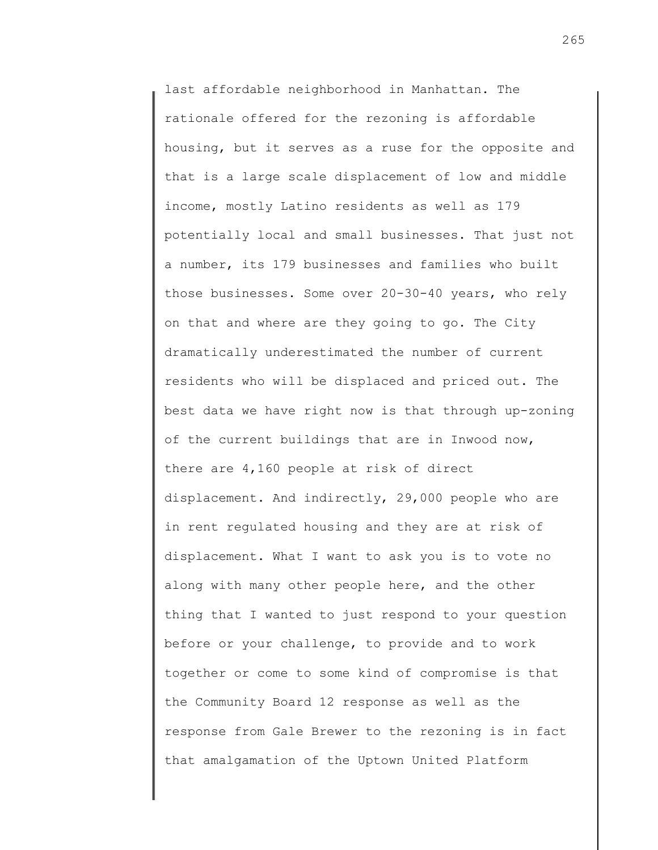last affordable neighborhood in Manhattan. The rationale offered for the rezoning is affordable housing, but it serves as a ruse for the opposite and that is a large scale displacement of low and middle income, mostly Latino residents as well as 179 potentially local and small businesses. That just not a number, its 179 businesses and families who built those businesses. Some over 20-30-40 years, who rely on that and where are they going to go. The City dramatically underestimated the number of current residents who will be displaced and priced out. The best data we have right now is that through up-zoning of the current buildings that are in Inwood now, there are 4,160 people at risk of direct displacement. And indirectly, 29,000 people who are in rent regulated housing and they are at risk of displacement. What I want to ask you is to vote no along with many other people here, and the other thing that I wanted to just respond to your question before or your challenge, to provide and to work together or come to some kind of compromise is that the Community Board 12 response as well as the response from Gale Brewer to the rezoning is in fact that amalgamation of the Uptown United Platform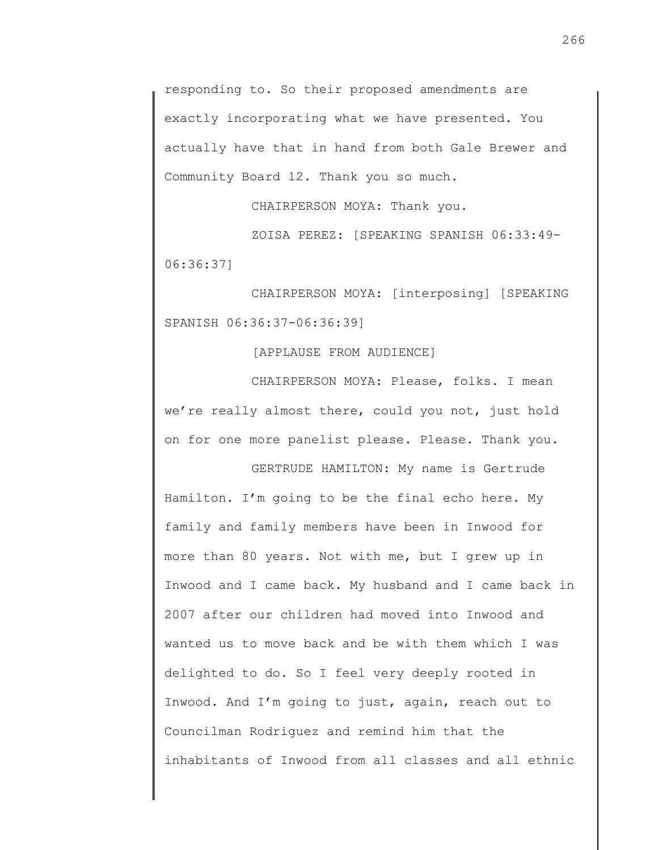responding to. So their proposed amendments are exactly incorporating what we have presented. You actually have that in hand from both Gale Brewer and Community Board 12. Thank you so much.

CHAIRPERSON MOYA: Thank you.

ZOISA PEREZ: [SPEAKING SPANISH 06:33:49- 06:36:37]

CHAIRPERSON MOYA: [interposing] [SPEAKING SPANISH 06:36:37-06:36:39]

[APPLAUSE FROM AUDIENCE]

CHAIRPERSON MOYA: Please, folks. I mean we're really almost there, could you not, just hold on for one more panelist please. Please. Thank you.

GERTRUDE HAMILTON: My name is Gertrude Hamilton. I'm going to be the final echo here. My family and family members have been in Inwood for more than 80 years. Not with me, but I grew up in Inwood and I came back. My husband and I came back in 2007 after our children had moved into Inwood and wanted us to move back and be with them which I was delighted to do. So I feel very deeply rooted in Inwood. And I'm going to just, again, reach out to Councilman Rodriguez and remind him that the inhabitants of Inwood from all classes and all ethnic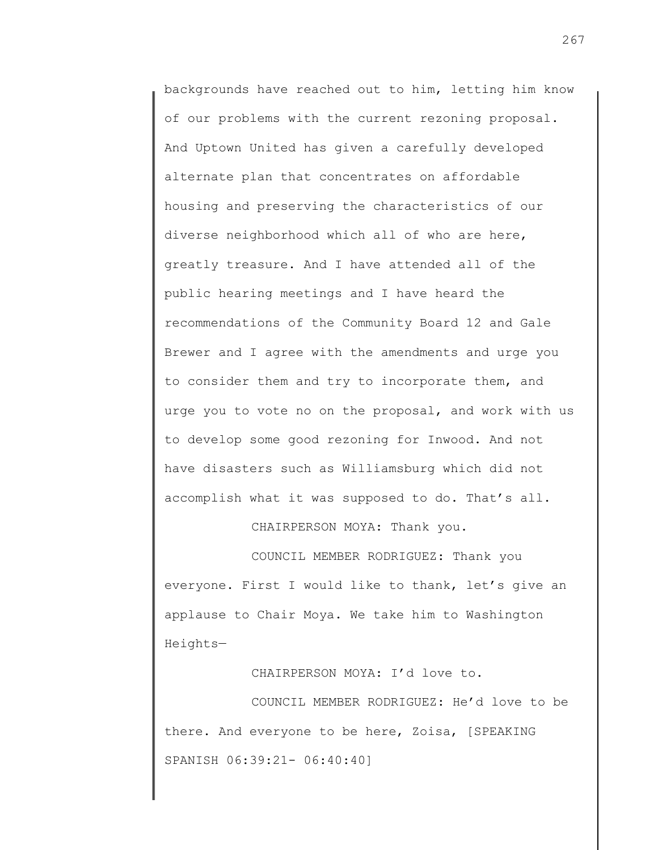backgrounds have reached out to him, letting him know of our problems with the current rezoning proposal. And Uptown United has given a carefully developed alternate plan that concentrates on affordable housing and preserving the characteristics of our diverse neighborhood which all of who are here, greatly treasure. And I have attended all of the public hearing meetings and I have heard the recommendations of the Community Board 12 and Gale Brewer and I agree with the amendments and urge you to consider them and try to incorporate them, and urge you to vote no on the proposal, and work with us to develop some good rezoning for Inwood. And not have disasters such as Williamsburg which did not accomplish what it was supposed to do. That's all.

CHAIRPERSON MOYA: Thank you.

COUNCIL MEMBER RODRIGUEZ: Thank you everyone. First I would like to thank, let's give an applause to Chair Moya. We take him to Washington Heights—

CHAIRPERSON MOYA: I'd love to.

COUNCIL MEMBER RODRIGUEZ: He'd love to be there. And everyone to be here, Zoisa, [SPEAKING SPANISH 06:39:21- 06:40:40]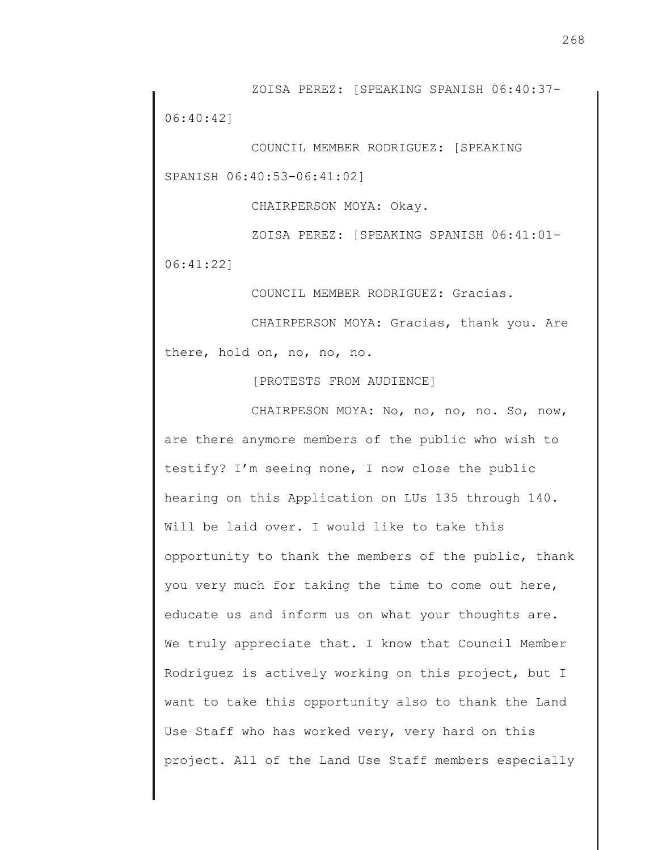ZOISA PEREZ: [SPEAKING SPANISH 06:40:37- 06:40:42]

COUNCIL MEMBER RODRIGUEZ: [SPEAKING SPANISH 06:40:53-06:41:02]

CHAIRPERSON MOYA: Okay.

ZOISA PEREZ: [SPEAKING SPANISH 06:41:01- 06:41:22]

COUNCIL MEMBER RODRIGUEZ: Gracias.

CHAIRPERSON MOYA: Gracias, thank you. Are there, hold on, no, no, no.

[PROTESTS FROM AUDIENCE]

CHAIRPESON MOYA: No, no, no, no. So, now, are there anymore members of the public who wish to testify? I'm seeing none, I now close the public hearing on this Application on LUs 135 through 140. Will be laid over. I would like to take this opportunity to thank the members of the public, thank you very much for taking the time to come out here, educate us and inform us on what your thoughts are. We truly appreciate that. I know that Council Member Rodriguez is actively working on this project, but I want to take this opportunity also to thank the Land Use Staff who has worked very, very hard on this project. All of the Land Use Staff members especially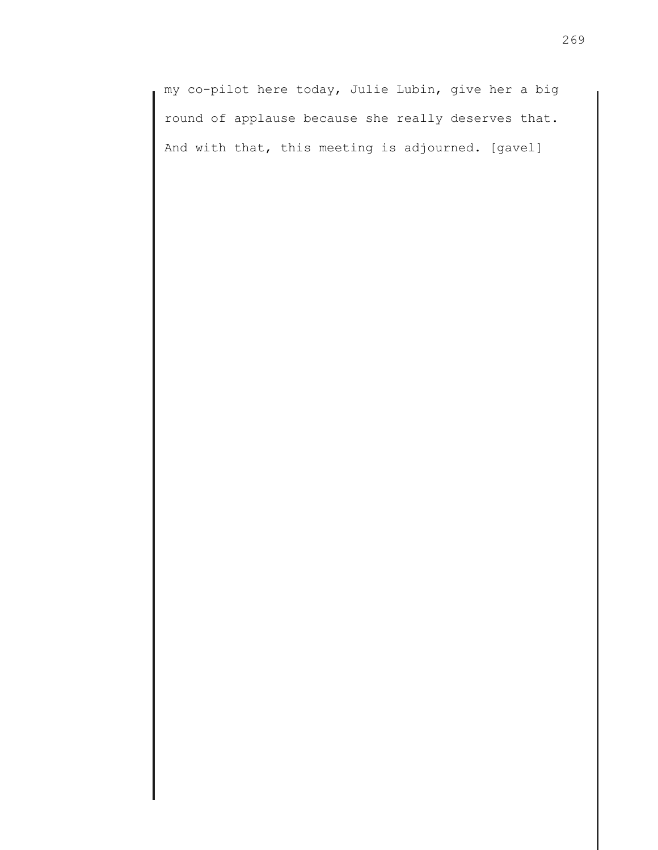my co-pilot here today, Julie Lubin, give her a big round of applause because she really deserves that. And with that, this meeting is adjourned. [gavel]